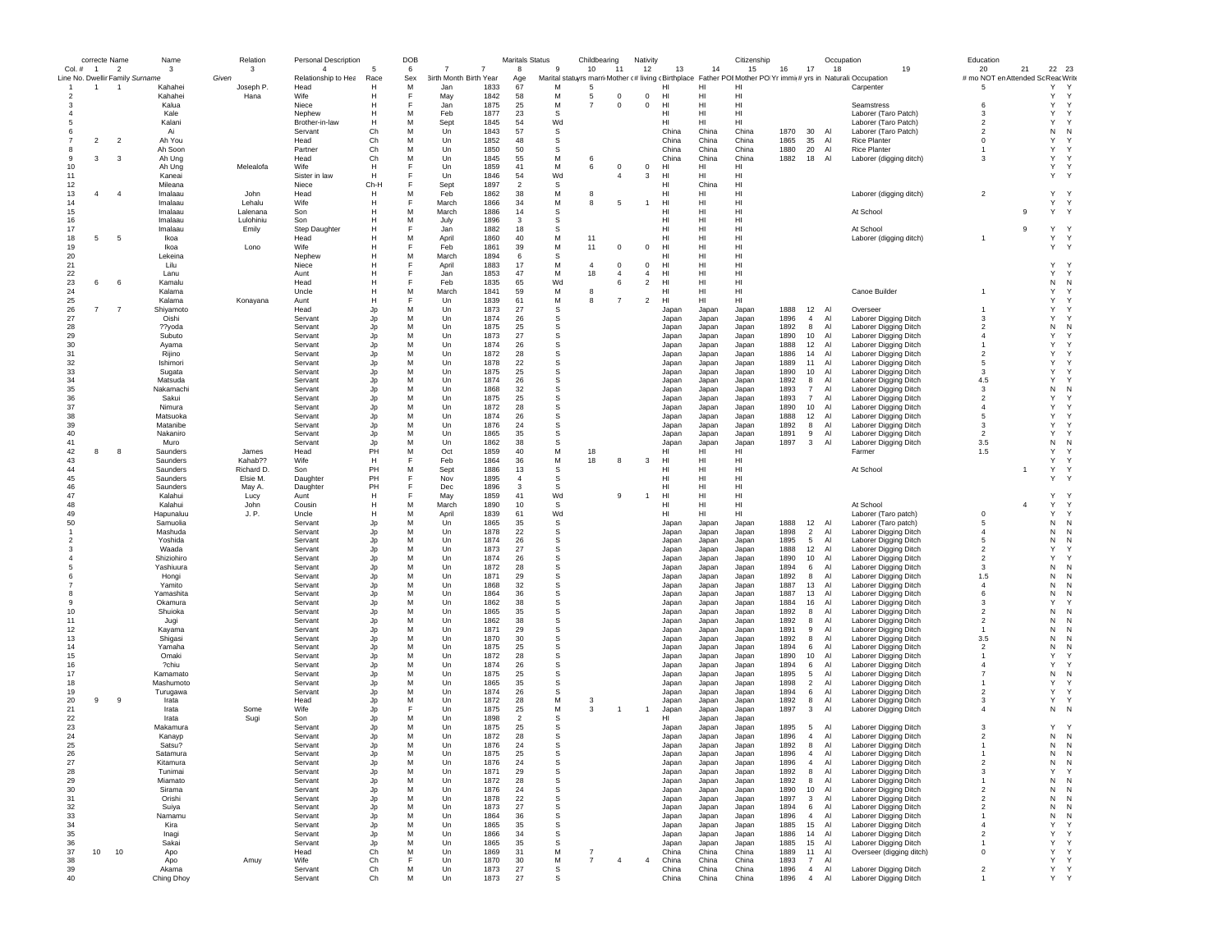|               |                | correcte Name            | Name                            | Relation          | Personal Description |           | DOB       |                        |                | <b>Maritals Status</b> |              | Childbearing   |                | Nativity                         |                |                | Citizenship    |              |                                  | Occupation |                                                                                                               | Education                          |                |                          |  |
|---------------|----------------|--------------------------|---------------------------------|-------------------|----------------------|-----------|-----------|------------------------|----------------|------------------------|--------------|----------------|----------------|----------------------------------|----------------|----------------|----------------|--------------|----------------------------------|------------|---------------------------------------------------------------------------------------------------------------|------------------------------------|----------------|--------------------------|--|
| $Col.$ #      | $\overline{1}$ | $\overline{\phantom{a}}$ | $\mathbf{3}$                    | 3                 | $\overline{4}$       |           | 6         |                        | $\overline{7}$ | $\mathbf{a}$           | 9            | 10             | 11             | 12                               | 13             | 14             | 15             | 16           | 17                               | 18         | 19                                                                                                            | 20                                 | 21             | 22 23                    |  |
|               |                |                          | Line No. Dwellir Family Surname | Given             | Relationship to Hea  | Race      | Sex       | 3irth Month Birth Year |                | Age                    |              |                |                |                                  |                |                |                |              |                                  |            | Marital statuyrs marri Mother (# living (Birthplace Father POI Mother PO Yr immi(# yrs in Naturali:Occupation | # mo NOT en Attended Sc Reac Write |                | Y                        |  |
| $\mathcal{P}$ | $\mathbf{1}$   | $\overline{1}$           | Kahahei<br>Kahahei              | Joseph P.<br>Hana | Head<br>Wife         | н<br>н    | M<br>E    | Jan<br>May             | 1833<br>1842   | 67<br>58               | M<br>М       | -5<br>-5       | $\mathbf 0$    | $\mathbf 0$                      | нı<br>HI       | Н<br>HI        | HI             |              |                                  |            | Carpenter                                                                                                     | -5                                 |                | Y<br>Y                   |  |
|               |                |                          | Kalua                           |                   | Niece                |           |           | Jan                    | 1875           | 25                     | М            | $\overline{7}$ | $^{\circ}$     | $^{\circ}$                       | HI             | HI             | HI             |              |                                  |            | Seamstress                                                                                                    | 6                                  |                | Y<br>Y                   |  |
|               |                |                          | Kale                            |                   | Nephew               |           | M         | Feb                    | 1877           | 23                     | -S           |                |                |                                  | нı             | HI             | HI             |              |                                  |            | Laborer (Taro Patch)                                                                                          | -3                                 |                | Y<br>$\mathsf{v}$        |  |
|               |                |                          | Kalani                          |                   | Brother-in-law       | н         | М         | Sept                   | 1845           | 54                     | Wd           |                |                |                                  | нı             | HI             | HI             |              |                                  |            | Laborer (Taro Patch)                                                                                          | $\overline{2}$                     |                | Y<br>Y                   |  |
|               |                |                          | Ai                              |                   | Servant              | Ch        | М         | Un                     | 1843           | 57                     | s            |                |                |                                  | China          | China          | China          | 1870         | 30                               | Al         | Laborer (Taro Patch)                                                                                          | $\overline{2}$                     |                | N<br>N                   |  |
|               | $\overline{2}$ | $\overline{2}$           | Ah You                          |                   | Head                 | Ch        | М         | Un                     | 1852           | 48                     | s            |                |                |                                  | China          | China          | China          | 1865         | 35                               | Al         | <b>Rice Planter</b>                                                                                           | $\mathbf 0$                        |                | Y<br>Y                   |  |
| 8             |                |                          | Ah Soon                         |                   | Partner              | Ch        | М         | Un                     | 1850           | 50                     | s            |                |                |                                  | China          | China          | China          | 1880         | 20                               | Al         | <b>Rice Planter</b>                                                                                           |                                    |                | Y<br>Y                   |  |
| -9            | 3              | 3                        | Ah Ung                          |                   | Head                 | Ch        | M         | Un                     | 1845           | 55                     | M            | -6             |                |                                  | China          | China          | China          | 1882         | 18                               | Al         | Laborer (digging ditch)                                                                                       | $\mathbf{3}$                       |                | Y<br>$\checkmark$        |  |
| 10            |                |                          | Ah Ung                          | Melealofa         | Wife                 | H         | F         | Un                     | 1859           | 41                     | M            | 6              | $^{\circ}$     | $\mathbf 0$                      | HI             | HI             | HI             |              |                                  |            |                                                                                                               |                                    |                | Y                        |  |
| 11            |                |                          | Kaneai                          |                   | Sister in law        | н         | F         | Un                     | 1846           | 54                     | Wd           |                | $\overline{4}$ | 3                                | HI             | HI             | HI             |              |                                  |            |                                                                                                               |                                    |                | Y<br>$\mathsf{Y}$        |  |
| 12<br>13      | $\overline{4}$ | $\overline{4}$           | Mileana<br>Imalaau              | John              | Niece<br>Head        | Ch-H<br>н | M         | Sept<br>Feb            | 1897<br>1862   | $\overline{2}$<br>38   | s<br>М       | 8              |                |                                  | нı<br>HI       | China<br>HI    | HI<br>HI       |              |                                  |            | Laborer (digging ditch)                                                                                       | $\overline{2}$                     |                | Υ<br>$\mathsf{Y}$        |  |
| 14            |                |                          | Imalaau                         | Lehalu            | Wife                 | н         | F         | March                  | 1866           | 34                     | M            | 8              | -5             | -1                               | HI             | HI             | HI             |              |                                  |            |                                                                                                               |                                    |                | Y<br>$\mathsf{Y}$        |  |
| 15            |                |                          | Imalaau                         | Lalenana          | Son                  | н         | M         | March                  | 1886           | 14                     | s            |                |                |                                  | HI             | HI             | HI             |              |                                  |            | At School                                                                                                     |                                    | 9              | Y Y                      |  |
| 16            |                |                          | Imalaau                         | Lulohiniu         | Son                  | н         | M         | July                   | 1896           | 3                      | s            |                |                |                                  | HI             | HI             | HI             |              |                                  |            |                                                                                                               |                                    |                |                          |  |
| 17            |                |                          | Imalaau                         | Emily             | Step Daughter        |           | F         | Jan                    | 1882           | 18                     | s            |                |                |                                  | HI             | HI             | HI             |              |                                  |            | At School                                                                                                     |                                    | 9              | Υ<br>$\mathsf{Y}$        |  |
| 18            | 5              | 5                        | Ikoa                            |                   | Head                 | н         | M         | April                  | 1860           | 40                     | M            | 11             |                |                                  | HI             | HI             | HI             |              |                                  |            | Laborer (digging ditch)                                                                                       |                                    |                | Υ<br>Y                   |  |
| 19            |                |                          | Ikoa                            | Lono              | Wife                 | н         | Е         | Feb                    | 1861           | 39                     | M            | 11             | $^{\circ}$     | $^{\circ}$                       | HI             | HI             | HI             |              |                                  |            |                                                                                                               |                                    |                | Y Y                      |  |
| 20            |                |                          | Lekeina                         |                   | Nephew               | н         | M         | March                  | 1894           | 6                      | s            |                |                |                                  | HI             | H              | HI             |              |                                  |            |                                                                                                               |                                    |                |                          |  |
| 21            |                |                          | Lilu                            |                   | Niece                |           |           | April                  | 1883           | 17                     | M            | $\overline{4}$ | $\mathbf 0$    | $^{\circ}$                       | HI             | HI             | HI             |              |                                  |            |                                                                                                               |                                    |                | Y                        |  |
| 22            | 6              |                          | Lanu                            |                   | Aunt                 |           |           | Jan                    | 1853           | 47                     | M            | 18             | $\overline{4}$ | $\overline{4}$<br>$\overline{2}$ | HI             | HI             | HI             |              |                                  |            |                                                                                                               |                                    |                | Y<br>Y                   |  |
| 23<br>24      |                | 6                        | Kamalu<br>Kalama                |                   | Head<br>Uncle        |           | М         | Feb<br>March           | 1835<br>1841   | 65<br>59               | Wd<br>М      | 8              | 6              |                                  | HI<br>нı       | HI<br>HI       | HI<br>HI       |              |                                  |            | Canoe Builder                                                                                                 | $\mathbf{1}$                       |                | N<br>N<br>Y<br>Y         |  |
| 25            |                |                          | Kalama                          | Konayana          | Aunt                 | н         | Е         | Un                     | 1839           | 61                     | M            | -8             | $\overline{7}$ | $\overline{\phantom{a}}$         | HI             | HI             | HI             |              |                                  |            |                                                                                                               |                                    |                | Y<br>$\checkmark$        |  |
| 26            | $\overline{7}$ | $\overline{7}$           | Shivamoto                       |                   | Head                 | Jp        | М         | Un                     | 1873           | 27                     | s            |                |                |                                  | Japan          | Japan          | Japan          | 1888         | 12 Al                            |            | Overseer                                                                                                      | $\mathbf{1}$                       |                | Υ                        |  |
| 27            |                |                          | Oishi                           |                   | Servant              | Jp        | М         | Un                     | 1874           | 26                     | s            |                |                |                                  | Japan          | Japan          | Japan          | 1896         | $\overline{4}$                   | Al         | Laborer Digging Ditch                                                                                         | 3                                  |                | Y                        |  |
| 28            |                |                          | ??yoda                          |                   | Servant              | Jp        | М         | Un                     | 1875           | 25                     | s            |                |                |                                  | Japan          | Japan          | Japan          | 1892         | 8                                | Al         | Laborer Digging Ditch                                                                                         | $\overline{2}$                     |                | N<br>N                   |  |
| 29            |                |                          | Subuto                          |                   | Servant              | Jp        | M         | Un                     | 1873           | 27                     | s            |                |                |                                  | Japan          | Japan          | Japan          | 1890         | 10                               | Al         | Laborer Digging Ditch                                                                                         | $\overline{4}$                     |                | Y                        |  |
| 30            |                |                          | Ayama                           |                   | Servant              | Jp        | M         | Un                     | 1874           | 26                     | S            |                |                |                                  | Japan          | Japan          | Japan          | 1888         | 12                               | Al         | Laborer Digging Ditch                                                                                         | $\overline{1}$                     |                | Y                        |  |
| 31            |                |                          | Rijino                          |                   | Servant              | Jp        | M         | Un                     | 1872           | 28                     | S            |                |                |                                  | Japan          | Japan          | Japan          | 1886         | 14                               | Al         | Laborer Digging Ditch                                                                                         | $\overline{\phantom{a}}$           |                | Y                        |  |
| 32            |                |                          | Ishimori                        |                   | Servant              | Jp        | M         | Un                     | 1878           | 22                     | s            |                |                |                                  | Japan          | Japan          | Japan          | 1889         | 11                               | Al         | Laborer Digging Ditch                                                                                         | 5                                  |                | Y                        |  |
| 33            |                |                          | Sugata                          |                   | Servant              | Jp        | M         | Un                     | 1875           | 25                     | S            |                |                |                                  | Japan          | Japan          | Japan          | 1890         | 10                               | Al         | Laborer Digging Ditch                                                                                         | 3                                  |                | Y                        |  |
| 34            |                |                          | Matsuda                         |                   | Servant              | Jp        | M         | Un                     | 1874           | 26                     | s            |                |                |                                  | Japan          | Japan          | Japan          | 1892         | 8                                | Al         | Laborer Digging Ditch                                                                                         | 4.5                                |                | Y                        |  |
| 35<br>36      |                |                          | Nakamachi<br>Sakui              |                   | Servant<br>Servant   | Jp<br>Jp  | M<br>M    | Un<br>Un               | 1868<br>1875   | 32<br>25               | S<br>s       |                |                |                                  | Japan<br>Japan | Japan<br>Japan | Japan<br>Japan | 1893<br>1893 | $\overline{7}$<br>$\overline{7}$ | Al<br>Al   | Laborer Digging Ditch                                                                                         | 3<br>$\overline{2}$                |                | N<br>N<br>$\mathsf{Y}$   |  |
| 37            |                |                          | Nimura                          |                   | Servant              | Jp        | М         | Un                     | 1872           | 28                     | s            |                |                |                                  | Japan          | Japan          | Japan          | 1890         | 10                               | Al         | Laborer Digging Ditch<br>Laborer Digging Ditch                                                                | $\overline{4}$                     |                | Y                        |  |
| 38            |                |                          | Matsuoka                        |                   | Servant              | Jp        | М         | Un                     | 1874           | 26                     | s            |                |                |                                  | Japan          | Japan          | Japan          | 1888         | 12                               | Al         | Laborer Digging Ditch                                                                                         | 5                                  |                | Y                        |  |
| 39            |                |                          | Matanibe                        |                   | Servant              | Jp        | М         | Un                     | 1876           | 24                     | S            |                |                |                                  | Japan          | Japan          | Japan          | 1892         | 8                                | Al         | Laborer Digging Ditch                                                                                         | 3                                  |                | Y<br>Y                   |  |
| 40            |                |                          | Nakaniro                        |                   | Servant              | Jp        | M         | Un                     | 1865           | 35                     | S            |                |                |                                  | Japan          | Japan          | Japan          | 1891         | 9                                | Al         | Laborer Digging Ditch                                                                                         | $\overline{2}$                     |                | Y<br>Y                   |  |
| 41            |                |                          | Muro                            |                   | Servant              | Jp        | M         | Un                     | 1862           | 38                     | S            |                |                |                                  | Japan          | Japan          | Japar          | 1897         | 3                                | Al         | Laborer Digging Ditch                                                                                         | 3.5                                |                | N<br>N                   |  |
| 42            | 8              | 8                        | Saunders                        | James             | Head                 | PH        | M         | Oct                    | 1859           | 40                     | M            | 18             |                |                                  | HI             | HI             | HI             |              |                                  |            | Farmer                                                                                                        | 1.5                                |                | Y<br>$\checkmark$        |  |
| 43            |                |                          | Saunders                        | Kahab??           | Wife                 | н         | F         | Feb                    | 1864           | 36                     | M            | 18             | 8              | 3                                | HI             | HI             | HI             |              |                                  |            |                                                                                                               |                                    |                | Y                        |  |
| 44            |                |                          | Saunders                        | Richard D.        | Son                  | PH        | M         | Sept                   | 1886           | 13                     | S            |                |                |                                  | нı             | HI             | HI             |              |                                  |            | At School                                                                                                     |                                    |                | Y<br>Y                   |  |
| 45            |                |                          | Saunders                        | Elsie M.          | Daughter             | PH        |           | Nov                    | 1895           | $\overline{4}$         | s            |                |                |                                  | HI             | HI             | HI             |              |                                  |            |                                                                                                               |                                    |                | Y<br>Y                   |  |
| 46<br>47      |                |                          | Saunders                        | May A.            | Daughter             | PH        |           | Dec                    | 1896           | 3<br>41                | s            |                |                |                                  | HI             | HI             | HI             |              |                                  |            |                                                                                                               |                                    |                | Y                        |  |
| 48            |                |                          | Kalahui<br>Kalahui              | Lucy<br>John      | Aunt<br>Cousin       | н<br>н    | М         | May<br>March           | 1859<br>1890   | 10                     | Wd<br>s      |                | 9              |                                  | HI<br>HI       | HI<br>HI       | HI<br>HI       |              |                                  |            | At School                                                                                                     |                                    | $\overline{4}$ | Y<br>Y                   |  |
| 49            |                |                          | Hapunaluu                       | J. P.             | Uncle                | н         | М         | April                  | 1839           | 61                     | Wd           |                |                |                                  | HI             | HI             | HI             |              |                                  |            | Laborer (Taro patch)                                                                                          | $\mathbf 0$                        |                | Y<br>Y                   |  |
| 50            |                |                          | Samuolia                        |                   | Servant              | Jp        | М         | Un                     | 1865           | 35                     | s            |                |                |                                  | Japan          | Japan          | Japan          | 1888         | 12 Al                            |            | Laborer (Taro patch)                                                                                          | 5                                  |                | N<br>N                   |  |
|               |                |                          | Mashuda                         |                   | Servant              | Jp        | M         | Un                     | 1878           | 22                     | s            |                |                |                                  | Japan          | Japan          | Japan          | 1898         | $\overline{2}$                   | Al         | Laborer Digging Ditch                                                                                         | $\overline{4}$                     |                | N<br>N                   |  |
| $\mathcal{P}$ |                |                          | Yoshida                         |                   | Servant              | Jp        | M         | Un                     | 1874           | 26                     | S            |                |                |                                  | Japan          | Japan          | Japan          | 1895         | 5                                | Al         | Laborer Digging Ditch                                                                                         | 5                                  |                | N<br>N                   |  |
| 3             |                |                          | Waada                           |                   | Servant              | Jp        | M         | Un                     | 1873           | 27                     | s            |                |                |                                  | Japan          | Japan          | Japan          | 1888         | 12                               | Al         | Laborer Digging Ditch                                                                                         | $\overline{2}$                     |                | Y                        |  |
|               |                |                          | Shiziohiro                      |                   | Servant              | Jp        | M         | Un                     | 1874           | 26                     | s            |                |                |                                  | Japan          | Japan          | Japan          | 1890         | 10                               | Al         | Laborer Digging Ditch                                                                                         | $\overline{2}$                     |                | Y                        |  |
|               |                |                          | Yashiuura                       |                   | Servant              | Jp        | M         | Un                     | 1872           | 28                     | s            |                |                |                                  | Japan          | Japan          | Japan          | 1894         | 6                                | Al         | Laborer Digging Ditch                                                                                         | 3                                  |                | N<br>N                   |  |
| 6             |                |                          | Hongi                           |                   | Servant              | Jp        | M<br>M    | Un                     | 1871           | 29                     | s            |                |                |                                  | Japan          | Japan          | Japan          | 1892         | 8                                | Al         | Laborer Digging Ditch                                                                                         | 1.5                                |                | N<br>N                   |  |
| 7<br>8        |                |                          | Yamito<br>Yamashita             |                   | Servant              | Jp        | M         | Un<br>Un               | 1868<br>1864   | 32                     | s            |                |                |                                  | Japan          | Japan          | Japan          | 1887<br>1887 | 13                               | AI<br>Al   | Laborer Digging Ditch                                                                                         | $\overline{4}$<br>6                |                | N<br>N<br>N<br>N         |  |
| 9             |                |                          | Okamura                         |                   | Servant<br>Servant   | Jp<br>Jp  | М         | Un                     | 1862           | 36<br>38               | s<br>s       |                |                |                                  | Japan<br>Japan | Japan<br>Japan | Japan<br>Japan | 1884         | 13<br>16                         | Al         | Laborer Digging Ditch<br>Laborer Digging Ditch                                                                | 3                                  |                | Y                        |  |
| 10            |                |                          | Shuioka                         |                   | Servant              | Jp        | М         | Un                     | 1865           | 35                     | s            |                |                |                                  | Japan          | Japan          | Japan          | 1892         | 8                                | Al         | Laborer Digging Ditch                                                                                         | $\overline{2}$                     |                | N<br>N                   |  |
| 11            |                |                          | Jugi                            |                   | Servant              | Jp        | М         | Un                     | 1862           | 38                     | s            |                |                |                                  | Japan          | Japan          | Japan          | 1892         | 8                                | Al         | Laborer Digging Ditch                                                                                         | $\overline{2}$                     |                | N<br>N                   |  |
| 12            |                |                          | Kayama                          |                   | Servant              | Jp        | M         | Un                     | 1871           | 29                     | s            |                |                |                                  | Japan          | Japan          | Japan          | 1891         | 9                                | Al         | Laborer Digging Ditch                                                                                         | $\overline{1}$                     |                | N<br>N                   |  |
| 13            |                |                          | Shigasi                         |                   | Servant              | Jp        | M         | Un                     | 1870           | 30                     | S            |                |                |                                  | Japan          | Japan          | Japan          | 1892         | 8                                | Al         | Laborer Digging Ditch                                                                                         | 3.5                                |                | N<br>N                   |  |
| 14            |                |                          | Yamaha                          |                   | Servant              | Jp        | M         | Un                     | 1875           | 25                     | s            |                |                |                                  | Japan          | Japan          | Japan          | 1894         | 6                                | Al         | Laborer Digging Ditch                                                                                         | $\overline{2}$                     |                | N<br>N                   |  |
| 15            |                |                          | Omaki                           |                   | Servant              | Jp        | M         | Un                     | 1872           | 28                     | s            |                |                |                                  | Japan          | Japan          | Japan          | 1890         | 10                               | Al         | Laborer Digging Ditch                                                                                         | $\mathbf{1}$                       |                | Y                        |  |
| 16            |                |                          | ?chiu                           |                   | Servant              | Jp        | M         | Un                     | 1874           | 26                     | s            |                |                |                                  | Japan          | Japan          | Japan          | 1894         | 6                                | Al         | Laborer Digging Ditch                                                                                         | $\overline{4}$                     |                | Y                        |  |
| 17<br>18      |                |                          | Kamamato                        |                   | Servant              | Jp        | M<br>M    | Un                     | 1875<br>1865   | 25                     | s            |                |                |                                  | Japan          | Japan          | Japan          | 1895         | 5                                | Al<br>Al   | Laborer Digging Ditch                                                                                         | $\overline{7}$                     |                | N<br>N<br>Y              |  |
| 19            |                |                          | Mashumoto<br>Turugawa           |                   | Servant<br>Servant   | Jp<br>Jp  | М         | Un<br>Un               | 1874           | 35<br>26               | -S<br>s      |                |                |                                  | Japan<br>Japan | Japan<br>Japan | Japan<br>Japan | 1898<br>1894 | $\overline{2}$<br>6              | Al         | Laborer Digging Ditch<br>Laborer Digging Ditch                                                                | $\overline{2}$                     |                | Υ<br>$\mathsf{Y}$        |  |
| 20            | 9              | 9                        | Irata                           |                   | Head                 | Jp        | М         | Un                     | 1872           | 28                     | M            | 3              |                |                                  | Japan          | Japan          | Japan          | 1892         | 8                                | Al         | Laborer Digging Ditch                                                                                         | 3                                  |                | Υ<br>$\mathsf{Y}$        |  |
| 21            |                |                          | Irata                           | Some              | Wife                 | Jp        |           | Un                     | 1875           | 25                     | M            | 3              |                | $\mathbf{1}$                     | Japan          | Japan          | Japan          | 1897         | 3                                | Al         | Laborer Digging Ditch                                                                                         | $\overline{4}$                     |                | N<br>$\mathsf{N}$        |  |
| 22            |                |                          | Irata                           | Sugi              | Son                  | Jp        | M         | Un                     | 1898           | $\overline{2}$         | -S           |                |                |                                  | HI             | Japan          | Japan          |              |                                  |            |                                                                                                               |                                    |                |                          |  |
| 23            |                |                          | Makamura                        |                   | Servant              | Jp        | M         | Un                     | 1875           | 25                     | s            |                |                |                                  | Japan          | Japan          | Japar          | 1895         | 5                                | Al         | Laborer Digging Ditch                                                                                         | $\mathbf{3}$                       |                | Y                        |  |
| 24            |                |                          | Kanayp                          |                   | Servant              | Jp        | M         | Un                     | 1872           | 28                     | S            |                |                |                                  | Japan          | Japan          | Japar          | 1896         | $\overline{4}$                   | A1         | Laborer Digging Ditch                                                                                         | $\overline{\phantom{a}}$           |                | ${\sf N}$<br>N           |  |
| 25            |                |                          | Satsu?                          |                   | Servant              | .In       | M         | Un                     | 1876           | 24                     | S            |                |                |                                  | Japan          | Japan          | Japan          | 1892         | 8                                | Al         | Laborer Digging Ditch                                                                                         |                                    |                | N<br>N                   |  |
| -26           |                |                          | satamura                        |                   | servant              | JĮ        |           | Un                     | 1875           | 25                     | ১            |                |                |                                  | Japan          | Japan          | Japar          | 1896         |                                  | Al         | Laborer Digging Ditch                                                                                         |                                    |                | N                        |  |
| 27            |                |                          | Kitamura                        |                   | Servant              | Jp        | M         | Un                     | 1876           | 24                     | s            |                |                |                                  | Japan          | Japan          | Japan          | 1896         | $\overline{4}$                   | Al         | Laborer Digging Ditch                                                                                         | $\overline{c}$                     |                | N<br>N                   |  |
| 28            |                |                          | Tunimai                         |                   | Servant              | Jp        | M         | Un                     | 1871           | 29                     | s            |                |                |                                  | Japan          | Japan          | Japan          | 1892         | 8                                | Al         | Laborer Digging Ditch                                                                                         | 3                                  |                | Y<br>Y                   |  |
| 29            |                |                          | Miamato                         |                   | Servant              | Jp        | M         | Un                     | 1872           | 28                     | S            |                |                |                                  | Japan          | Japan          | Japan          | 1892         | 8                                | Al         | Laborer Digging Ditch                                                                                         | $\overline{1}$<br>$\overline{2}$   |                | ${\sf N}$<br>N<br>N<br>N |  |
| 30<br>31      |                |                          | Sirama<br>Orishi                |                   | Servant              | Jp        | М<br>М    | Un<br>Un               | 1876<br>1878   | 24<br>22               | s<br>s       |                |                |                                  | Japan          | Japan          | Japan          | 1890<br>1897 | 10<br>$\mathbf{3}$               | Al<br>Al   | Laborer Digging Ditch<br>Laborer Digging Ditch                                                                | $\overline{2}$                     |                | N<br>N                   |  |
| 32            |                |                          | Suiya                           |                   | Servant<br>Servant   | Jp<br>Jp  | М         | Un                     | 1873           | 27                     | $\mathbb S$  |                |                |                                  | Japan<br>Japan | Japan<br>Japan | Japan<br>Japan | 1894         | 6                                | Al         | Laborer Digging Ditch                                                                                         | $\overline{2}$                     |                | N<br>N                   |  |
| 33            |                |                          | Namamu                          |                   | Servant              | Jp        | M         | Un                     | 1864           | 36                     | $\mathsf{s}$ |                |                |                                  | Japan          | Japan          | Japan          | 1896         | $\overline{4}$                   | Al         | Laborer Digging Ditch                                                                                         | $\mathbf{1}$                       |                | ${\sf N}$<br>N           |  |
| 34            |                |                          | Kira                            |                   | Servant              | Jp        | M         | Un                     | 1865           | 35                     | $\mathbb S$  |                |                |                                  | Japan          | Japan          | Japan          | 1885         | 15                               | Al         | Laborer Digging Ditch                                                                                         | $\overline{4}$                     |                | Y<br>Y                   |  |
| 35            |                |                          | Inagi                           |                   | Servant              | Jp        | M         | Un                     | 1866           | 34                     | S            |                |                |                                  | Japan          | Japan          | Japan          | 1886         | 14                               | Al         | Laborer Digging Ditch                                                                                         | $\overline{2}$                     |                | Y<br>Y                   |  |
| 36            |                |                          | Sakai                           |                   | Servant              | Jp        | M         | Un                     | 1865           | 35                     | S            |                |                |                                  | Japan          | Japan          | Japan          | 1885         | 15                               | Al         | Laborer Digging Ditch                                                                                         | $\overline{1}$                     |                | Y<br>Y                   |  |
| 37            | 10             | 10                       | Apo                             |                   | Head                 | Ch        | М         | Un                     | 1869           | 31                     | М            |                |                |                                  | China          | China          | China          | 1889         | 11                               | Al         | Overseer (digging ditch)                                                                                      | $\mathbf 0$                        |                | Y<br>Y                   |  |
| 38            |                |                          | Apo                             | Amuy              | Wife                 | Ch        | F         | Un                     | 1870           | 30                     | М            | $\overline{7}$ | $\overline{4}$ | $\overline{4}$                   | China          | China          | China          | 1893         | $\overline{7}$                   | Al         |                                                                                                               |                                    |                | Y<br>Y                   |  |
| 39            |                |                          | Akama                           |                   | Servant              | Ch        | ${\sf M}$ | Un                     | 1873           | 27                     | s            |                |                |                                  | China          | China          | China          | 1896         | $\overline{4}$                   | Al         | Laborer Digging Ditch                                                                                         | $\overline{2}$                     |                | Y Y                      |  |
| 40            |                |                          | Ching Dhoy                      |                   | Servant              | Ch        | M         | Un                     | 1873           | 27                     | s            |                |                |                                  | China          | China          | China          | 1896         | $\overline{4}$                   | Al         | Laborer Digging Ditch                                                                                         |                                    |                | Υ<br>Y                   |  |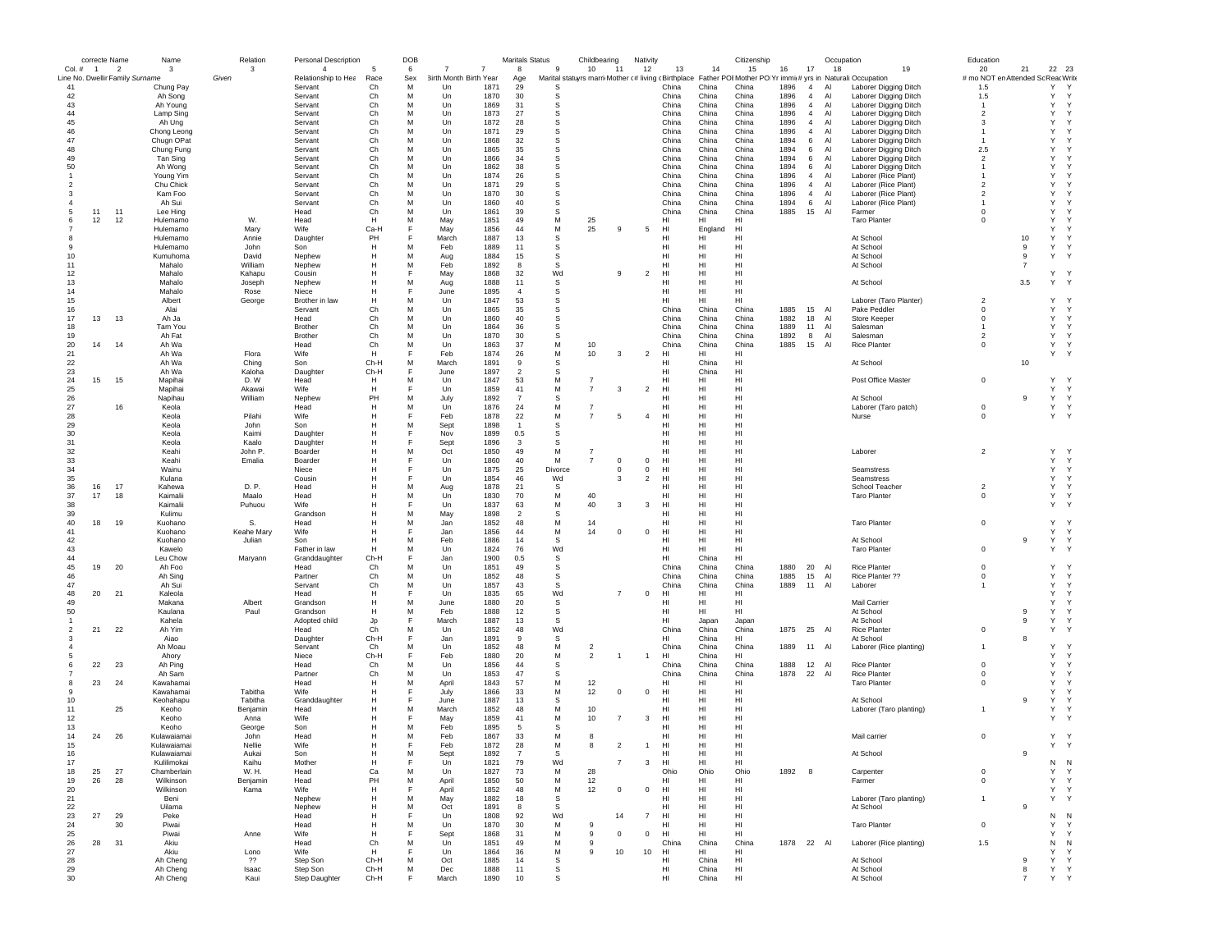|                          | correcte Name  |                                 | Name                       | Relation       | Personal Description           |              | DOB      |                              |              | <b>Maritals Status</b> |              | Childbearing   |                | Nativity       |                 |                | Citizenship                                                                                                           |              |                | Occupation |                                       | Education                                 |                |                             |  |
|--------------------------|----------------|---------------------------------|----------------------------|----------------|--------------------------------|--------------|----------|------------------------------|--------------|------------------------|--------------|----------------|----------------|----------------|-----------------|----------------|-----------------------------------------------------------------------------------------------------------------------|--------------|----------------|------------|---------------------------------------|-------------------------------------------|----------------|-----------------------------|--|
| Col. #                   | $\overline{1}$ | $\overline{\phantom{a}}$        | 3                          | 3              | $\overline{4}$                 | 5            | 6        | 7<br>7                       |              | 8                      | $\mathbf{g}$ | 10             | -11            | 12             | 13              | 14             | 15                                                                                                                    | 16           | 17             | 18         | 19                                    | 20                                        | 21             | 22 23                       |  |
| 41                       |                | Line No. Dwellir Family Surname | Chung Pay                  | Given          | Relationship to Hea<br>Servant | Race<br>Ch   | Sex<br>M | 3irth Month Birth Year<br>Un | 1871         | Age<br>29              | S            |                |                |                | China           | China          | Marital statuyrs marri Mother (# living (Birthplace Father POIMother PO Yr immi(# yrs in Naturali:Occupation<br>China | 1896         | $\overline{4}$ | Al         | Laborer Digging Ditch                 | # mo NOT en Attended Sc Reac Write<br>1.5 |                | Y<br>Y                      |  |
| 42                       |                |                                 | Ah Song                    |                | Servant                        | Ch           | м        | Un                           | 1870         | 30                     | s            |                |                |                | China           | China          | China                                                                                                                 | 1896         | 4              | Al         | Laborer Digging Ditch                 | 1.5                                       |                | Y<br>Y                      |  |
| 43                       |                |                                 | Ah Young                   |                | Servant                        | Ch           | м        | Un                           | 1869         | 31                     | s            |                |                |                | China           | China          | China                                                                                                                 | 1896         | 4              | Al         | Laborer Digging Ditch                 | $\overline{1}$                            |                | Y<br>Y                      |  |
| 44                       |                |                                 | Lamp Sing                  |                | Servant                        | Ch           | м        | Un                           | 1873         | 27                     | -S           |                |                |                | China           | China          | China                                                                                                                 | 1896         | $\overline{4}$ | AI         | Laborer Digging Ditch                 | $\overline{\phantom{a}}$                  |                | Y<br>$\checkmark$           |  |
| 45                       |                |                                 | Ah Ung                     |                | Servant                        | Ch           | M        | Un                           | 1872         | 28                     | S            |                |                |                | China           | China          | China                                                                                                                 | 1896         | $\overline{4}$ | Al         | Laborer Digging Ditch                 | 3                                         |                | Υ<br>Y                      |  |
| 46                       |                |                                 | Chong Leong                |                | Servant                        | Ch           | M        | Un                           | 1871         | 29                     | S            |                |                |                | China           | China          | China                                                                                                                 | 1896         | $\overline{4}$ | Al         | Laborer Digging Ditch                 |                                           |                | Y                           |  |
| 47                       |                |                                 | Chugn OPat                 |                | Servant                        | Ch           | M        | Un                           | 1868         | 32                     | S            |                |                |                | China           | China          | China                                                                                                                 | 1894         | 6              | Al         | Laborer Digging Ditch                 | $\mathbf{1}$                              |                | Y                           |  |
| 48                       |                |                                 | Chung Fung                 |                | Servant                        | Ch           | M        | Un                           | 1865         | 35                     | S            |                |                |                | China           | China          | China                                                                                                                 | 1894         | 6              | Al         | Laborer Digging Ditch                 | 2.5                                       |                | Y                           |  |
| 49                       |                |                                 | Tan Sing                   |                | Servant                        | Ch           | M        | Un                           | 1866         | 34                     | <sub>S</sub> |                |                |                | China           | China          | China                                                                                                                 | 1894         | 6              | A          | Laborer Digging Ditch                 | $\overline{2}$                            |                | Y                           |  |
| 50                       |                |                                 | Ah Wong                    |                | Servant                        | Ch           | M        | Un                           | 1862         | 38                     | s            |                |                |                | China           | China          | China                                                                                                                 | 1894         | 6              | Al         | Laborer Digging Ditch                 | $\overline{1}$                            |                | Y                           |  |
|                          |                |                                 | Young Yim                  |                | Servant                        | Ch           | M        | Un                           | 1874         | 26                     | s            |                |                |                | China           | China          | China                                                                                                                 | 1896         | $\overline{4}$ | Al         | Laborer (Rice Plant)                  |                                           |                | Y                           |  |
|                          |                |                                 | Chu Chick                  |                | Servant                        | Ch           | M        | Un                           | 1871         | 29                     | s            |                |                |                | China           | China          | China                                                                                                                 | 1896         | $\overline{4}$ | Al         | Laborer (Rice Plant)                  | $\overline{2}$                            |                | Y                           |  |
| -3                       |                |                                 | Kam Foo<br>Ah Sui          |                | Servant<br>Servant             | Ch<br>Ch     | м<br>M   | Un                           | 1870<br>1860 | 30<br>40               | s<br>s       |                |                |                | China<br>China  | China<br>China | China<br>China                                                                                                        | 1896<br>1894 | 4<br>6         | Al<br>Al   | Laborer (Rice Plant)                  | $\overline{2}$<br>$\overline{1}$          |                | Y<br>Y                      |  |
| 5                        | 11             | 11                              |                            |                | Head                           | Ch           | M        | Un<br>Un                     | 1861         | 39                     | S            |                |                |                | China           | China          | China                                                                                                                 | 1885         | 15             | Al         | Laborer (Rice Plant)<br>Farmer        | $^{\circ}$                                |                | Y                           |  |
| 6                        | 12             | 12                              | Lee Hing<br>Hulemamo       | W.             | Head                           | H            | M        | May                          | 1851         | 49                     | M            | 25             |                |                | HI              | HI             | HI                                                                                                                    |              |                |            | <b>Taro Planter</b>                   | $\Omega$                                  |                | Y                           |  |
|                          |                |                                 | Hulemamo                   | Mary           | Wife                           | Ca-H         | F        | May                          | 1856         | 44                     | M            | 25             | 9              | 5              | HI              | England        | HI                                                                                                                    |              |                |            |                                       |                                           |                | Y                           |  |
| 8                        |                |                                 | Hulemamo                   | Annie          | Daughter                       | PH           |          | March                        | 1887         | 13                     | s            |                |                |                | HI              | HI             | HI                                                                                                                    |              |                |            | At School                             |                                           | 10             | Υ                           |  |
| -9                       |                |                                 | Hulemamo                   | John           | Son                            | н            | M        | Feb                          | 1889         | 11                     | s            |                |                |                | HI              | HI             | HI                                                                                                                    |              |                |            | At School                             |                                           | 9              | Y<br>Y                      |  |
| 10                       |                |                                 | Kumuhoma                   | David          | Nephew                         | H            | M        | Aug                          | 1884         | 15                     | s            |                |                |                | HI              | HI             | H <sub>II</sub>                                                                                                       |              |                |            | At School                             |                                           | 9              | Y<br>Y                      |  |
| 11                       |                |                                 | Mahalo                     | William        | Nephew                         | H            | M        | Feb                          | 1892         | 8                      | s            |                |                |                | HI              | HI             | HI                                                                                                                    |              |                |            | At School                             |                                           | $\overline{7}$ |                             |  |
| 12                       |                |                                 | Mahalo                     | Kahapu         | Cousin                         |              |          | May                          | 1868         | 32                     | Wd           |                | -9             | $\overline{2}$ | HI              | HI             | HI                                                                                                                    |              |                |            |                                       |                                           |                | Υ<br><sup>Y</sup>           |  |
| 13                       |                |                                 | Mahalo                     | Joseph         | Nephew                         |              | M        | Aug                          | 1888         | 11                     | S            |                |                |                | HI              | HI             | HI                                                                                                                    |              |                |            | At School                             |                                           | 3.5            | Y<br>Y                      |  |
| 14                       |                |                                 | Mahalo                     | Rose           | Niece                          | н            |          | June                         | 1895         | $\overline{a}$         | s            |                |                |                | HI              | HI             | HI                                                                                                                    |              |                |            |                                       |                                           |                |                             |  |
| 15                       |                |                                 | Albert                     | George         | Brother in law                 | Н            | м        | Un                           | 1847         | 53                     | S            |                |                |                | HI              | HI             | HI                                                                                                                    |              |                |            | Laborer (Taro Planter)                | $\overline{2}$                            |                | Y<br>$\mathbf{v}$           |  |
| 16                       |                |                                 | Alai                       |                | Servant                        | Ch           | M        | Un                           | 1865         | 35                     | S            |                |                |                | China           | China          | China                                                                                                                 | 1885         | 15             | Al         | Pake Peddler                          | $^{\circ}$                                |                | Y<br>$\mathsf{Y}$           |  |
| 17                       | 13             | 13                              | Ah Ja                      |                | Head                           | Ch           | M        | Un                           | 1860         | 40                     | S            |                |                |                | China           | China          | China                                                                                                                 | 1882         | 18             | Al         | Store Keeper                          | $^{\circ}$                                |                | Y<br>$\mathsf{Y}$           |  |
| 18                       |                |                                 | Tam You                    |                | <b>Brother</b>                 | Ch           | M        | Un                           | 1864         | 36                     | S            |                |                |                | China           | China          | China                                                                                                                 | 1889         | 11             | Al         | Salesman                              |                                           |                | Y<br>Y                      |  |
| 19<br>20                 | 14             | -14                             | Ah Fat<br>Ah Wa            |                | <b>Brother</b><br>Head         | Ch<br>Ch     | M<br>M   | Un<br>Un                     | 1870<br>1863 | 30<br>37               | s<br>M       | 10             |                |                | China<br>China  | China<br>China | China<br>China                                                                                                        | 1892<br>1885 | 8<br>15        | Al<br>Al   | Salesman                              | $\overline{2}$<br>$\Omega$                |                | Y<br>Y<br>Y<br>$\mathsf{Y}$ |  |
| 21                       |                |                                 | Ah Wa                      | Flora          | Wife                           | H            |          | Feb                          | 1874         | 26                     | M            | 10             | $\mathbf{3}$   |                | H <sub>II</sub> | HI             | HI                                                                                                                    |              |                |            | <b>Rice Planter</b>                   |                                           |                | Y                           |  |
| 22                       |                |                                 | Ah Wa                      | Ching          | Son                            | Ch-H         | M        | March                        | 1891         | 9                      | s            |                |                | $\overline{2}$ | HI              | China          | HI                                                                                                                    |              |                |            | At School                             |                                           | 10             |                             |  |
| 23                       |                |                                 | Ah Wa                      | Kaloha         | Daughter                       | Ch-H         | F        | June                         | 1897         | $\overline{2}$         | S            |                |                |                | HI              | China          | HI                                                                                                                    |              |                |            |                                       |                                           |                |                             |  |
| 24                       | 15             | 15                              | Mapihai                    | D.W            | Head                           | H            | м        | Un                           | 1847         | 53                     | М            | $\overline{7}$ |                |                | HI              | HI             | HI                                                                                                                    |              |                |            | Post Office Master                    | $\mathbf 0$                               |                | Υ<br>$\mathsf{Y}$           |  |
| 25                       |                |                                 | Mapihai                    | Akawai         | Wife                           | н            |          | Un                           | 1859         | 41                     | M            | $\overline{7}$ | 3              | $\overline{c}$ | HI              | HI             | HI                                                                                                                    |              |                |            |                                       |                                           |                | Y<br>Y                      |  |
| 26                       |                |                                 | Napihau                    | William        | Nephew                         | PH           | M        | July                         | 1892         | $\overline{7}$         | S            |                |                |                | HI              | HI             | HI                                                                                                                    |              |                |            | At School                             |                                           | 9              | Y<br>Y                      |  |
| 27                       |                | 16                              | Keola                      |                | Head                           | н            | M        | Un                           | 1876         | 24                     | M            | $\overline{7}$ |                |                | HI              | HI             | HI                                                                                                                    |              |                |            | Laborer (Taro patch)                  | $\mathbf 0$                               |                | Y<br>Y                      |  |
| 28                       |                |                                 | Keola                      | Pilahi         | Wife                           | H            |          | Feb                          | 1878         | 22                     | M            | $\overline{7}$ | -5             | $\overline{4}$ | HI              | HI             | HI                                                                                                                    |              |                |            | Nurse                                 | $^{\circ}$                                |                | Y Y                         |  |
| 29                       |                |                                 | Keola                      | John           | Son                            | Н            | M        | Sept                         | 1898         | $\overline{1}$         | s            |                |                |                | нı              | HI             | HI                                                                                                                    |              |                |            |                                       |                                           |                |                             |  |
| 30                       |                |                                 | Keola                      | Kaimi          | Daughter                       | н            | F        | Nov                          | 1899         | 0.5                    | s            |                |                |                | HI              | HI             | HI                                                                                                                    |              |                |            |                                       |                                           |                |                             |  |
| 31                       |                |                                 | Keola                      | Kaalo          | Daughter                       | H            | F        | Sept                         | 1896         | $\mathbf{3}$           | s            |                |                |                | H <sub>II</sub> | HI             | H <sub>II</sub>                                                                                                       |              |                |            |                                       |                                           |                |                             |  |
| 32                       |                |                                 | Keahi                      | John P.        | Boarder                        | H            | M        | Oct                          | 1850         | 49                     | M            | -7             |                |                | H <sub>II</sub> | HI             | H <sub>II</sub>                                                                                                       |              |                |            | Laborer                               | $\overline{2}$                            |                | Y                           |  |
| 33                       |                |                                 | Keahi                      | Emalia         | Boarder                        | H            |          | Un                           | 1860         | 40                     | M            | $\overline{7}$ | $^{\circ}$     | $\mathbf 0$    | HI              | HI             | HI                                                                                                                    |              |                |            |                                       |                                           |                | Y<br>Y                      |  |
| 34                       |                |                                 | Wainu                      |                | Niece                          |              |          | Un                           | 1875         | 25                     | Divorce      |                | $^{\circ}$     | $\,0\,$        | HI              | HI             | HI                                                                                                                    |              |                |            | Seamstress                            |                                           |                | Y<br>Y                      |  |
| 35                       |                |                                 | Kulana                     |                | Cousin                         | н            |          | Un                           | 1854         | 46                     | Wd           |                | 3              | $\overline{2}$ | HI              | HI             | HI                                                                                                                    |              |                |            | Seamstress                            |                                           |                | Y<br>Y                      |  |
| 36<br>37                 | 16<br>17       | 17<br>18                        | Kahewa<br>Kaimalii         | D. P.<br>Maalo | Head<br>Head                   | н<br>н       | м<br>M   | Aug<br>Un                    | 1878<br>1830 | 21<br>70               | s<br>М       | 40             |                |                | HI<br>HI        | HI<br>HI       | HI<br>HI                                                                                                              |              |                |            | School Teacher<br><b>Taro Planter</b> | $\overline{2}$<br>$\mathbf 0$             |                | Y<br>Y<br>Y<br>$\mathsf{Y}$ |  |
| 38                       |                |                                 | Kaimalii                   | Puhuou         | Wife                           | н            |          | Un                           | 1837         | 63                     | M            | 40             | 3              | 3              | HI              | HI             | HI                                                                                                                    |              |                |            |                                       |                                           |                | Y<br>$\mathsf{Y}$           |  |
| 39                       |                |                                 | Kulimu                     |                | Grandson                       |              | M        | May                          | 1898         | $\overline{2}$         | S            |                |                |                | нı              | HI             | HI                                                                                                                    |              |                |            |                                       |                                           |                |                             |  |
| 40                       | 18             | 19                              | Kuohano                    | S.             | Head                           |              | M        | Jan                          | 1852         | 48                     | М            | 14             |                |                | HI              | HI             | HI                                                                                                                    |              |                |            | <b>Taro Planter</b>                   | $^{\circ}$                                |                | Y                           |  |
| 41                       |                |                                 | Kuohano                    | Keahe Mary     | Wife                           | н            | E        | Jan                          | 1856         | 44                     | ${\sf M}$    | 14             | $^{\circ}$     | $\mathbf 0$    | HI              | HI             | HI                                                                                                                    |              |                |            |                                       |                                           |                | $\mathsf{Y}$<br>Y           |  |
| 42                       |                |                                 | Kuohano                    | Julian         | Son                            | H            | M        | Feb                          | 1886         | 14                     | s            |                |                |                | HI              | HI.            | HI                                                                                                                    |              |                |            | At School                             |                                           | 9              | Y<br>$\mathsf{Y}$           |  |
| 43                       |                |                                 | Kawelo                     |                | Father in law                  | н            | M        | Un                           | 1824         | 76                     | Wd           |                |                |                | HI              | HI             | HI                                                                                                                    |              |                |            | <b>Taro Planter</b>                   | $^{\circ}$                                |                | Y<br>$\mathsf{Y}$           |  |
| 44                       |                |                                 | Leu Chow                   | Marvann        | Granddaughter                  | Ch-H         | F        | Jan                          | 1900         | 0.5                    | s            |                |                |                | HI              | China          | HI                                                                                                                    |              |                |            |                                       |                                           |                |                             |  |
| 45                       | 19             | 20                              | Ah Foo                     |                | Head                           | Ch           | M        | Un                           | 1851         | 49                     | s            |                |                |                | China           | China          | China                                                                                                                 | 1880         | 20             | Al         | <b>Rice Planter</b>                   | $^{\circ}$                                |                | Y                           |  |
| 46                       |                |                                 | Ah Sing                    |                | Partner                        | Ch           | м        | Un                           | 1852         | 48                     | s            |                |                |                | China           | China          | China                                                                                                                 | 1885         | 15             | Al         | Rice Planter ??                       | $^{\circ}$                                |                | Y<br>Y                      |  |
| 47                       |                |                                 | Ah Sui                     |                | Servant                        | Ch           | M        | Un                           | 1857         | 43                     | S            |                |                |                | China           | China          | China                                                                                                                 | 1889         | 11             | Al         | Laborer                               |                                           |                | Y<br>Y                      |  |
| 48                       | 20             | 21                              | Kaleola                    |                | Head                           | н            |          | Un                           | 1835         | 65                     | Wd           |                | $\overline{7}$ | $\,0\,$        | HI              | HI             | HI                                                                                                                    |              |                |            |                                       |                                           |                | Y<br>$\checkmark$           |  |
| 49                       |                |                                 | Makana                     | Albert         | Grandson                       | H            | M<br>M   | June                         | 1880         | 20                     | s            |                |                |                | HI              | HI             | HI                                                                                                                    |              |                |            | Mail Carrier                          |                                           | 9              | Y<br>$\mathsf{Y}$           |  |
| 50                       |                |                                 | Kaulana<br>Kahela          | Paul           | Grandson<br>Adopted child      | н<br>Jp      | E        | Feb<br>March                 | 1888<br>1887 | 12<br>13               | s<br>s       |                |                |                | HI<br>HI        | HI<br>Japan    | HI<br>Japan                                                                                                           |              |                |            | At School<br>At School                |                                           | 9              | Y<br>Υ<br>Y                 |  |
| $\overline{\phantom{a}}$ | 21             | 22                              | Ah Yim                     |                | Head                           | Ch           | M        | Un                           | 1852         | 48                     | Wd           |                |                |                | China           | China          | China                                                                                                                 | 1875         | 25             | Al         | <b>Rice Planter</b>                   | $^{\circ}$                                |                | $\mathsf{Y}$<br>Y           |  |
|                          |                |                                 | Aiao                       |                | Daughter                       | Ch-H         | E        | Jan                          | 1891         | $\mathbf{g}$           | s            |                |                |                | H <sub>II</sub> | China          | H <sub>II</sub>                                                                                                       |              |                |            | At School                             |                                           | 8              |                             |  |
|                          |                |                                 | Ah Moau                    |                | Servant                        | Ch           | M        | Un                           | 1852         | 48                     | M            | $\overline{2}$ |                |                | China           | China          | China                                                                                                                 | 1889         | 11 Al          |            | Laborer (Rice planting)               |                                           |                | Y                           |  |
|                          |                |                                 | Ahory                      |                | Niece                          | Ch-H         |          | Feb                          | 1880         | 20                     | М            | $\overline{2}$ |                | $\overline{1}$ | HI              | China          | HI                                                                                                                    |              |                |            |                                       |                                           |                | Y<br>Y                      |  |
|                          | 22             | 23                              | Ah Ping                    |                | Head                           | Ch           | м        | Un                           | 1856         | 44                     | S            |                |                |                | China           | China          | China                                                                                                                 | 1888         | 12             | Al         | <b>Rice Planter</b>                   | $^{\circ}$                                |                | Y<br>Y                      |  |
|                          |                |                                 | Ah Sam                     |                | Partner                        | Ch           | M        | Un                           | 1853         | 47                     | s            |                |                |                | China           | China          | China                                                                                                                 | 1878         | 22             | Al         | <b>Rice Planter</b>                   | $^{\circ}$                                |                | Y<br>Y                      |  |
| -8                       | 23             | 24                              | Kawahamai                  |                | Head                           | н            | м        | April                        | 1843         | 57                     | М            | 12             |                |                | HI              | HI             | HI                                                                                                                    |              |                |            | <b>Taro Planter</b>                   | $\Omega$                                  |                | Y<br>Y                      |  |
| 9                        |                |                                 | Kawahamai                  | Tabitha        | Wife                           | н            |          | July                         | 1866         | 33                     | M            | 12             | $\Omega$       | $\mathbf 0$    | HI              | HI             | HI                                                                                                                    |              |                |            |                                       |                                           |                | Y                           |  |
| 10                       |                |                                 | Keohahapu                  | Tabitha        | Granddaughter                  | Н            |          | June                         | 1887         | 13                     | S            |                |                |                | HI              | HI             | HI                                                                                                                    |              |                |            | At School                             |                                           | 9              | Y<br><sup>Y</sup>           |  |
| 11                       |                | 25                              | Keoho                      | Benjamin       | Head                           |              | M        | March                        | 1852         | 48                     | M            | 10             |                |                | нı              | HI             | HI                                                                                                                    |              |                |            | Laborer (Taro planting)               | $\mathbf{1}$                              |                | Y<br>Y                      |  |
| 12                       |                |                                 | Keoho                      | Anna           | Wife                           | Н            | E        | May                          | 1859         | 41                     | M<br>s       | 10             | $\overline{7}$ | 3              | HI              | HI<br>HI       | HI<br>HI                                                                                                              |              |                |            |                                       |                                           |                | Y<br>Y                      |  |
| 13                       |                |                                 | Keoho                      | George         | Son                            | Н            | M        | Feb                          | 1895         | -5                     |              |                |                |                | HI              |                |                                                                                                                       |              |                |            |                                       |                                           |                |                             |  |
| 14<br>15                 | 24             | 26                              | Kulawaiamai<br>Kulawaiamai | John<br>Nellie | Head<br>Wife                   | Н<br>н       | M        | Feb<br>Feb                   | 1867<br>1872 | 33<br>28               | M<br>M       | -8<br>8        | $\overline{2}$ | $\overline{1}$ | HI<br>HI        | HI<br>HI       | HI<br>HI                                                                                                              |              |                |            | Mail carrier                          | $^{\circ}$                                |                | Y<br>$\mathsf{Y}$<br>Y Y    |  |
| 16                       |                |                                 |                            | Aukai          | Son                            |              |          | Sep                          | 1892         |                        | s            |                |                |                |                 | HI             | HI                                                                                                                    |              |                |            | At School                             |                                           |                |                             |  |
| 17                       |                |                                 | Kulawalama<br>Kulilimokai  | Kaihu          | Mother                         | п<br>н       | F        | Un                           | 1821         | 79                     | Wd           |                | $\overline{7}$ | 3              | н<br>HI         | HI             | HI                                                                                                                    |              |                |            |                                       |                                           |                | N<br>N                      |  |
| 18                       | 25             | 27                              | Chamberlain                | W. H.          | Head                           | Ca           | M        | Un                           | 1827         | 73                     | М            | 28             |                |                | Ohio            | Ohio           | Ohio                                                                                                                  | 1892 8       |                |            | Carpenter                             | $\mathbf 0$                               |                | $\mathsf{Y}$<br>Y           |  |
| 19                       | 26             | 28                              | Wilkinson                  | Benjamin       | Head                           | PH           | M        | April                        | 1850         | 50                     | M            | 12             |                |                | HI              | HI             | HI                                                                                                                    |              |                |            | Farmer                                | $\mathbf 0$                               |                | Y<br>Y                      |  |
| 20                       |                |                                 | Wilkinson                  | Kama           | Wife                           | H            | E        | April                        | 1852         | 48                     | M            | 12             | $^{\circ}$     | $\mathsf 0$    | HI              | HI             | HI                                                                                                                    |              |                |            |                                       |                                           |                | Y<br>$\mathsf{Y}$           |  |
| 21                       |                |                                 | Beni                       |                | Nephew                         | H            | M        | May                          | 1882         | 18                     | s            |                |                |                | HI              | HI             | HI                                                                                                                    |              |                |            | Laborer (Taro planting)               | $\overline{1}$                            |                | Y                           |  |
| 22                       |                |                                 | Uilama                     |                | Nephew                         | H            | M        | Oct                          | 1891         | 8                      | s            |                |                |                | HI              | HI             | HI                                                                                                                    |              |                |            | At School                             |                                           | 9              |                             |  |
| 23                       | 27             | 29                              | Peke                       |                | Head                           | н            | F        | Un                           | 1808         | 92                     | Wd           |                | 14             | $\overline{7}$ | HI              | HI             | HI                                                                                                                    |              |                |            |                                       |                                           |                | ${\sf N}$<br>$\mathsf{N}$   |  |
| 24                       |                | 30                              | Piwai                      |                | Head                           | H            | M        | Un                           | 1870         | 30                     | M            | $\mathbf{q}$   |                |                | H <sub>II</sub> | HI             | H <sub>II</sub>                                                                                                       |              |                |            | <b>Taro Planter</b>                   | $\mathbf 0$                               |                | Y<br>Y                      |  |
| 25                       |                |                                 | Piwai                      | Anne           | Wife                           | H            |          | Sept                         | 1868         | 31                     | M            | 9              | $\mathbf 0$    | $\mathbf 0$    | HI              | HI             | HI                                                                                                                    |              |                |            |                                       |                                           |                | Υ<br>$\mathsf{Y}$           |  |
| 26                       | 28             | 31                              | Akiu                       |                | Head                           | Ch           | M        | Un                           | 1851         | 49                     | M            | 9              |                |                | China           | China          | China                                                                                                                 | 1878 22 Al   |                |            | Laborer (Rice planting)               | 1.5                                       |                | ${\sf N}$<br>N              |  |
| 27                       |                |                                 | Akiu                       | Lono           | Wife                           | H            |          | Un                           | 1864         | 36                     | М            | 9              | 10             | 10             | HI              | HI             | HI                                                                                                                    |              |                |            |                                       |                                           |                | Y<br>Y                      |  |
| 28                       |                |                                 | Ah Cheng                   | ??             | Step Son                       | Ch-H<br>Ch-H | M<br>м   | Oct                          | 1885<br>1888 | 14<br>11               | s            |                |                |                | HI<br>HI        | China<br>China | HI<br>HI                                                                                                              |              |                |            | At School<br>At School                |                                           | 9<br>8         | Y<br>Y<br>Y Y               |  |
| 29<br>30                 |                |                                 | Ah Cheng<br>Ah Cheng       | Isaac<br>Kaui  | Step Son<br>Step Daughter      | Ch-H         | F        | Dec<br>March                 | 1890         | 10                     | s<br>s       |                |                |                | HI              | China          | HI                                                                                                                    |              |                |            | At School                             |                                           | $\overline{7}$ | Y Y                         |  |
|                          |                |                                 |                            |                |                                |              |          |                              |              |                        |              |                |                |                |                 |                |                                                                                                                       |              |                |            |                                       |                                           |                |                             |  |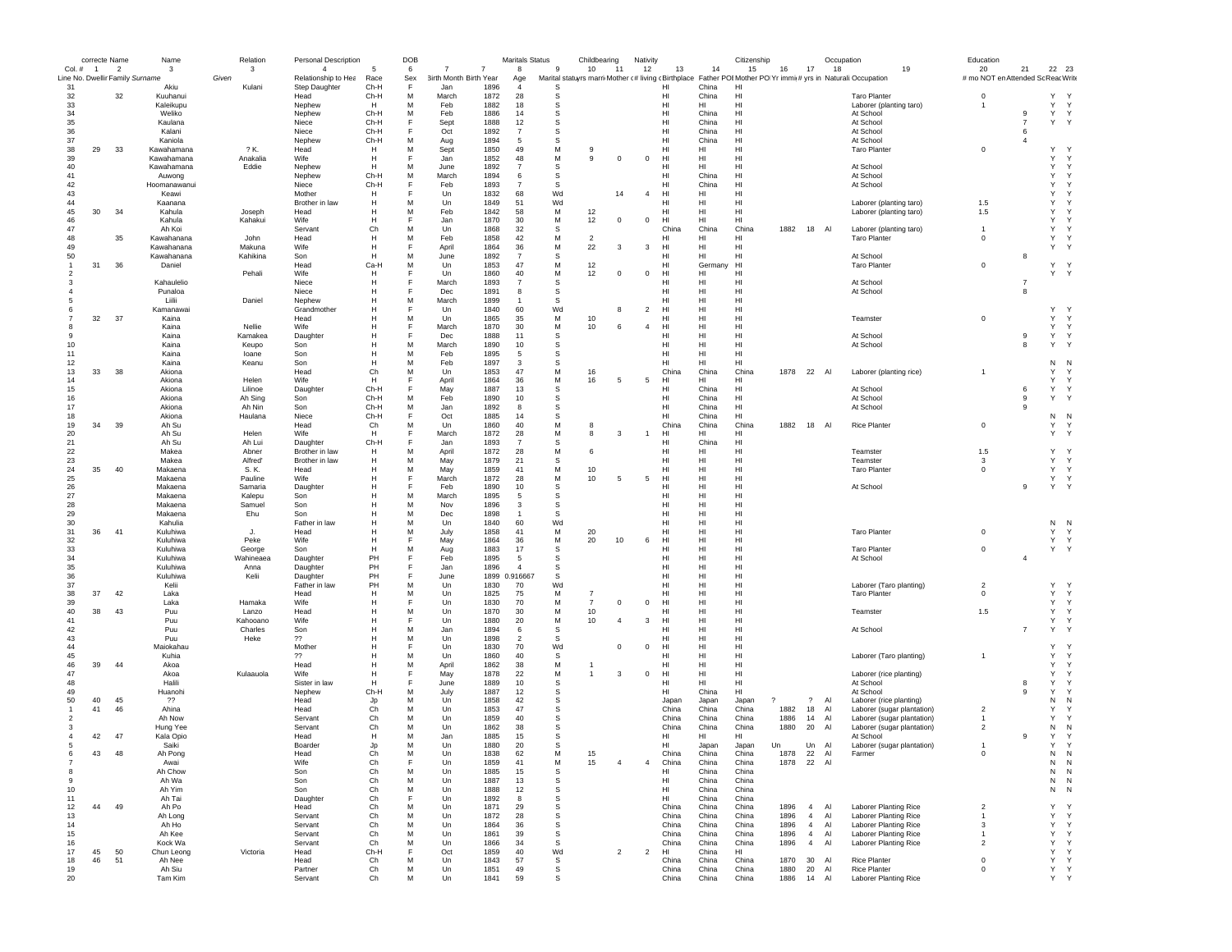|                | correcte Name  |                                                   | Name                     |       | Relation          | Personal Description                  |           | DOB      |                        |              | <b>Maritals Status</b>          |                | Childbearing                                                                                                              |                | Nativity       |                       |                | Citizenship           |              |                                  | Occupation |                                                | Education                                |                |                             |  |
|----------------|----------------|---------------------------------------------------|--------------------------|-------|-------------------|---------------------------------------|-----------|----------|------------------------|--------------|---------------------------------|----------------|---------------------------------------------------------------------------------------------------------------------------|----------------|----------------|-----------------------|----------------|-----------------------|--------------|----------------------------------|------------|------------------------------------------------|------------------------------------------|----------------|-----------------------------|--|
| $Col. \#$      | $\blacksquare$ | $\overline{2}$<br>Line No. Dwellir Family Surname | $\mathbf{3}$             | Given | 3                 | $\overline{4}$<br>Relationship to Hea | 5<br>Race | 6<br>Sex | 3irth Month Birth Year |              | 8                               | $\mathbf{g}$   | 10<br>11<br>Marital statuyrs marri Mother (# living (Birthplace Father POI Mother PO Yr immit# yrs in Naturali:Occupation |                | 12             | 13                    | 14             | 15                    | 16           | 17                               | 18         | 19                                             | 20<br># mo NOT en Attended Sc Reac Write | 21             | 22 23                       |  |
| 31             |                |                                                   | Akiu                     |       | Kulani            | Step Daughter                         | Ch-H      | F        | Jan                    | 1896         | Age                             | S              |                                                                                                                           |                |                | HI                    | China          | HI                    |              |                                  |            |                                                |                                          |                |                             |  |
| 32             |                | 32                                                | Kuuhanui                 |       |                   | Head                                  | Ch-H      | M        | March                  | 1872         | 28                              | s              |                                                                                                                           |                |                | HI                    | China          | HI                    |              |                                  |            | <b>Taro Planter</b>                            | 0                                        |                | Υ<br>Y                      |  |
| 33             |                |                                                   | Kaleikupu                |       |                   | Nephew                                | H         | M        | Feb                    | 1882         | 18                              | s              |                                                                                                                           |                |                | HI                    | HI             | HI                    |              |                                  |            | Laborer (planting taro)                        | -1                                       |                | Y<br>Υ                      |  |
| 34             |                |                                                   | Weliko                   |       |                   | Nephew                                | Ch-H      | M        | Feb                    | 1886         | 14                              | -S             |                                                                                                                           |                |                | HI                    | China          | HI                    |              |                                  |            | At School                                      |                                          | 9              | Y<br>Y                      |  |
| 35             |                |                                                   | Kaulana                  |       |                   | Niece                                 | Ch-H      | F        | Sept                   | 1888         | 12                              | -S             |                                                                                                                           |                |                | HI                    | China          | HI                    |              |                                  |            | At School                                      |                                          | $\overline{7}$ | Υ<br>Y                      |  |
| 36             |                |                                                   | Kalani                   |       |                   | Niece                                 | Ch-H      | F        | Oct                    | 1892         | $\overline{7}$                  | S              |                                                                                                                           |                |                | HI                    | China          | HI                    |              |                                  |            | At School                                      |                                          | 6              |                             |  |
| 37             |                |                                                   | Kaniola                  |       |                   | Nephew                                | Ch-H      | M        | Aug                    | 1894         | 5                               | S              |                                                                                                                           |                |                | HI                    | China          | HI                    |              |                                  |            | At School                                      |                                          | $\overline{4}$ |                             |  |
| 38             | 29             | 33                                                | Kawahamana               |       | ? K.              | Head<br><b>Wife</b>                   | H<br>H    | M<br>F   | Sept                   | 1850         | 49                              | М              | 9<br>$\mathbf{q}$                                                                                                         |                |                | HI<br>H <sub>II</sub> | HI             | HI<br>HI              |              |                                  |            | <b>Taro Planter</b>                            | $\mathbf 0$                              |                | <sup>1</sup><br>Υ<br>Y<br>Y |  |
| 39<br>40       |                |                                                   | Kawahamana<br>Kawahamana |       | Anakalia<br>Eddie | Nephew                                | н         | M        | Jan<br>June            | 1852<br>1892 | 48<br>$\overline{7}$            | M<br>s         | $\Omega$                                                                                                                  |                | $\mathbf 0$    | HI                    | HI<br>HI       | HI                    |              |                                  |            | At School                                      |                                          |                | Υ<br>Υ                      |  |
| 41             |                |                                                   | Auwona                   |       |                   | Nephew                                | Ch-H      | M        | March                  | 1894         | 6                               | s              |                                                                                                                           |                |                | HI                    | China          | HI                    |              |                                  |            | At School                                      |                                          |                | Y<br>Υ                      |  |
| 42             |                |                                                   | Hoomanawanui             |       |                   | Niece                                 | Ch-H      | F        | Feb                    | 1893         | $\overline{7}$                  | s              |                                                                                                                           |                |                | HI                    | China          | HI                    |              |                                  |            | At School                                      |                                          |                | Y<br>Y                      |  |
| 43             |                |                                                   | Keawi                    |       |                   | Mother                                | н         | F        | Un                     | 1832         | 68                              | Wd             |                                                                                                                           | 14             | $\overline{4}$ | HI                    | HI             | HI                    |              |                                  |            |                                                |                                          |                | Y<br>Y                      |  |
| 44             |                |                                                   | Kaanana                  |       |                   | Brother in law                        | н         | M        | Un                     | 1849         | 51                              | Wd             |                                                                                                                           |                |                | HI                    | HI             | HI                    |              |                                  |            | Laborer (planting taro)                        | 1.5                                      |                | Y<br>Y                      |  |
| 45             | 30             | 34                                                | Kahula                   |       | Joseph            | Head                                  | н         | M        | Feb                    | 1842         | 58                              | M              | 12                                                                                                                        |                |                | H <sub>II</sub>       | HI             | HI                    |              |                                  |            | Laborer (planting taro)                        | 1.5                                      |                | Y<br>Y                      |  |
| 46             |                |                                                   | Kahula                   |       | Kahakui           | Wife                                  | H         | F        | Jan                    | 1870         | 30                              | M              | 12                                                                                                                        | $^{\circ}$     | $\mathbf 0$    | HI                    | HI             | HI                    |              |                                  |            |                                                |                                          |                | Y<br>Y                      |  |
| 47             |                |                                                   | Ah Koi                   |       |                   | Servant                               | Ch        | M        | Un                     | 1868         | 32                              | S              |                                                                                                                           |                |                | China                 | China          | China                 | 1882         | 18 Al                            |            | Laborer (planting taro)                        | $\overline{1}$                           |                | Υ<br>Y                      |  |
| 48             |                | 35                                                | Kawahanana               |       | John              | Head                                  | н         | M        | Feb                    | 1858         | 42                              | М              | $\overline{2}$                                                                                                            |                |                | HI                    | HI             | HI                    |              |                                  |            | <b>Taro Planter</b>                            | 0                                        |                | Υ<br>Y                      |  |
| 49             |                |                                                   | Kawahanana               |       | Makuna            | Wife                                  | н         | Е        | April                  | 1864         | 36                              | M              | 22                                                                                                                        | 3              | 3              | HI                    | HI             | HI                    |              |                                  |            |                                                |                                          |                | Υ<br>Y                      |  |
| 50             |                |                                                   | Kawahanana               |       | Kahikina          | Son                                   | H         | M        | June                   | 1892         | $\overline{7}$                  | s              |                                                                                                                           |                |                | HI                    | HI             | HI                    |              |                                  |            | At School                                      |                                          | 8              |                             |  |
|                | 31             | 36                                                | Daniel                   |       |                   | Head                                  | Ca-H      | M        | Un                     | 1853         | 47                              | M              | 12                                                                                                                        |                |                | HI                    | Germany        | HI                    |              |                                  |            | <b>Taro Planter</b>                            | $\mathsf 0$                              |                | Υ<br>Y                      |  |
|                |                |                                                   |                          |       | Pehali            | Wife                                  | н         |          | Un                     | 1860         | 40                              | М              | 12                                                                                                                        | $^{\circ}$     | $^{\circ}$     | HI                    | HI             | HI                    |              |                                  |            |                                                |                                          |                | Υ<br>Y                      |  |
|                |                |                                                   | Kahaulelio               |       |                   | Niece                                 | н         |          | March                  | 1893         | $\overline{7}$                  | S              |                                                                                                                           |                |                | HI                    | HI             | HI                    |              |                                  |            | At School                                      |                                          | $\overline{7}$ |                             |  |
|                |                |                                                   | Punaloa<br>Liilii        |       |                   | Niece                                 | н         | M        | Dec                    | 1891<br>1899 | 8                               | s<br>-S        |                                                                                                                           |                |                | HI<br>HI              | HI             | HI<br>HI              |              |                                  |            | At School                                      |                                          | 8              |                             |  |
|                |                |                                                   | Kamanawai                |       | Daniel            | Nephew<br>Grandmother                 | н<br>н    |          | March<br>Un            | 1840         | -1<br>60                        | Wd             |                                                                                                                           | 8              | $\overline{2}$ | HI                    | HI<br>HI       | HI                    |              |                                  |            |                                                |                                          |                | Y<br>Υ                      |  |
|                | 32             | 37                                                | Kaina                    |       |                   | Head                                  | н         | M        | Un                     | 1865         | 35                              | M              | 10                                                                                                                        |                |                | HI                    | HI             | HI                    |              |                                  |            | Teamster                                       | $\mathbf 0$                              |                | Υ<br>Y                      |  |
|                |                |                                                   | Kaina                    |       | Nellie            | Wife                                  | н         | F        | March                  | 1870         | 30                              | М              | 10                                                                                                                        | 6              | $\overline{4}$ | HI                    | HI             | HI                    |              |                                  |            |                                                |                                          |                | Υ<br>Y                      |  |
| 9              |                |                                                   | Kaina                    |       | Kamakea           | Daughter                              | н         | F        | Dec                    | 1888         | 11                              | S              |                                                                                                                           |                |                | HI                    | HI             | HI                    |              |                                  |            | At School                                      |                                          | 9              | Υ<br>Y                      |  |
| 10             |                |                                                   | Kaina                    |       | Keupo             | Son                                   | н         | M        | March                  | 1890         | 10                              | s              |                                                                                                                           |                |                | HI                    | HI             | HI                    |              |                                  |            | At School                                      |                                          | 8              | Υ<br>Y                      |  |
| 11             |                |                                                   | Kaina                    |       | loane             | Son                                   | H         | M        | Feb                    | 1895         | 5                               | s              |                                                                                                                           |                |                | HI.                   | HI             | HI                    |              |                                  |            |                                                |                                          |                |                             |  |
| 12             |                |                                                   | Kaina                    |       | Keanu             | Son                                   | H         | M        | Feb                    | 1897         | 3                               | s              |                                                                                                                           |                |                | HI                    | HI             | HI                    |              |                                  |            |                                                |                                          |                | N<br>N                      |  |
| 13             | 33             | 38                                                | Akiona                   |       |                   | Head                                  | Ch        | M        | Un                     | 1853         | 47                              | М              | 16                                                                                                                        |                |                | China                 | China          | China                 | 1878         | 22 Al                            |            | Laborer (planting rice)                        | $\overline{1}$                           |                | Υ<br>Y                      |  |
| 14             |                |                                                   | Akiona                   |       | Helen             | Wife                                  | н         | F        | April                  | 1864         | 36                              | M              | 16                                                                                                                        | 5              | 5              | HI                    | HI             | HI                    |              |                                  |            |                                                |                                          |                | Υ<br>Y                      |  |
| 15             |                |                                                   | Akiona                   |       | Lilinoe           | Daughter                              | Ch-H      | F        | May                    | 1887         | 13                              | s              |                                                                                                                           |                |                | HI                    | China          | HI                    |              |                                  |            | At School                                      |                                          | 6              | Υ<br>Y                      |  |
| 16             |                |                                                   | Akiona                   |       | Ah Sing           | Son                                   | Ch-H      | M        | Feb                    | 1890         | 10                              | s              |                                                                                                                           |                |                | HI                    | China          | HI                    |              |                                  |            | At School                                      |                                          | 9              | Υ<br>Y                      |  |
| 17             |                |                                                   | Akiona                   |       | Ah Nin            | Son                                   | Ch-H      | М        | Jan                    | 1892         | 8                               | S              |                                                                                                                           |                |                | HI                    | China          | HI                    |              |                                  |            | At School                                      |                                          | 9              |                             |  |
| 18             |                |                                                   | Akiona                   |       | Haulana           | Niece                                 | Ch-H      | F        | Oct                    | 1885         | 14                              | S              |                                                                                                                           |                |                | HI                    | China          | HI                    |              |                                  |            |                                                |                                          |                | N<br>N                      |  |
| 19<br>20       | 34             | 39                                                | Ah Su                    |       |                   | Head<br>Wife                          | Ch<br>H   | M<br>E   | Un                     | 1860<br>1872 | 40<br>28                        | M<br>${\sf M}$ | 8                                                                                                                         | 3              | $\overline{1}$ | China<br>HI           | China          | China<br>HI           | 1882         | 18                               | Al         | <b>Rice Planter</b>                            | $\mathbf 0$                              |                | Υ<br>Y<br>Υ<br>Y            |  |
| 21             |                |                                                   | Ah Su<br>Ah Su           |       | Helen<br>Ah Lui   | Daughter                              | Ch-H      | F        | March<br>Jan           | 1893         | $\overline{7}$                  | s              |                                                                                                                           |                |                | HI                    | HI<br>China    | HI                    |              |                                  |            |                                                |                                          |                |                             |  |
| 22             |                |                                                   | Makea                    |       | Abner             | Brother in law                        | н         | M        | April                  | 1872         | 28                              | M              | -6                                                                                                                        |                |                | HI.                   | HI             | HI                    |              |                                  |            | Teamster                                       | 1.5                                      |                | Y<br>Y                      |  |
| 23             |                |                                                   | Makea                    |       | Alfred'           | Brother in law                        | H         | M        | May                    | 1879         | 21                              | s              |                                                                                                                           |                |                | HI                    | HI             | HI                    |              |                                  |            | Teamster                                       | 3                                        |                | Y<br>Y                      |  |
| 24             | 35             | 40                                                | Makaena                  |       | S. K.             | Head                                  |           | M        | May                    | 1859         | 41                              | М              | 10                                                                                                                        |                |                | HI                    | HI             | HI                    |              |                                  |            | <b>Taro Planter</b>                            | $\mathbf 0$                              |                | Υ<br>Y                      |  |
| 25             |                |                                                   | Makaena                  |       | Pauline           | Wife                                  | н         | F        | March                  | 1872         | 28                              | М              | 10                                                                                                                        | 5              | 5              | HI                    | HI             | HI                    |              |                                  |            |                                                |                                          |                | Υ<br>Y                      |  |
| 26             |                |                                                   | Makaena                  |       | Samaria           | Daughter                              | н         |          | Feb                    | 1890         | 10                              | s              |                                                                                                                           |                |                | HI                    | HI             | HI                    |              |                                  |            | At School                                      |                                          | 9              | Υ<br>Y                      |  |
| 27             |                |                                                   | Makaena                  |       | Kalepu            | Son                                   | н         | M        | March                  | 1895         | -5                              | s              |                                                                                                                           |                |                | HI                    | HI             | HI                    |              |                                  |            |                                                |                                          |                |                             |  |
| 28             |                |                                                   | Makaena                  |       | Samuel            | Son                                   | н         | M        | Nov                    | 1896         | 3                               | S              |                                                                                                                           |                |                | HI                    | HI             | HI                    |              |                                  |            |                                                |                                          |                |                             |  |
| 29             |                |                                                   | Makaena                  |       | Ehu               | Son                                   |           | M        | Dec                    | 1898         | $\overline{1}$                  | S              |                                                                                                                           |                |                | HI                    | HI             | HI                    |              |                                  |            |                                                |                                          |                |                             |  |
| 30             |                |                                                   | Kahulia                  |       |                   | Father in law                         | н         | M        | Un                     | 1840         | 60                              | Wd             |                                                                                                                           |                |                | HI                    | HI             | HI                    |              |                                  |            |                                                |                                          |                | Ν<br>N                      |  |
| 31             | 36             | 41                                                | Kuluhiwa                 |       | J.                | Head                                  | н         | M        | July                   | 1858         | 41                              | M              | 20                                                                                                                        |                |                | HI                    | HI             | HI                    |              |                                  |            | <b>Taro Planter</b>                            | 0                                        |                | Y<br>Υ                      |  |
| 32             |                |                                                   | Kuluhiwa                 |       | Peke              | Wife                                  | н         | F        | May                    | 1864         | 36                              | M              | 20                                                                                                                        | 10             | 6              | HI.                   | HI             | HI                    |              |                                  |            |                                                |                                          |                | Y<br>Y                      |  |
| 33             |                |                                                   | Kuluhiwa                 |       | George            | Son                                   | H         | M        | Aug                    | 1883         | 17                              | s              |                                                                                                                           |                |                | HI                    | HI             | HI                    |              |                                  |            | <b>Taro Planter</b>                            | $\mathsf 0$                              |                | Y<br>Y                      |  |
| 34             |                |                                                   | Kuluhiwa                 |       | Wahineaea         | Daughter                              | PH        | F        | Feb                    | 1895         | 5                               | s              |                                                                                                                           |                |                | HI                    | HI             | HI                    |              |                                  |            | At School                                      |                                          | $\overline{4}$ |                             |  |
| 35<br>36       |                |                                                   | Kuluhiwa<br>Kuluhiwa     |       | Anna<br>Kelii     | Daughter<br>Daughter                  | PH<br>PH  | F<br>F   | Jan<br>June            | 1896         | $\overline{4}$<br>1899 0.916667 | s<br>s         |                                                                                                                           |                |                | HI<br>HI              | HI<br>HI       | HI<br>HI              |              |                                  |            |                                                |                                          |                |                             |  |
| 37             |                |                                                   | Kelii                    |       |                   | Father in law                         | PH        | M        | Un                     | 1830         | 70                              | Wd             |                                                                                                                           |                |                | HI                    | HI             | HI                    |              |                                  |            | Laborer (Taro planting)                        | $\overline{2}$                           |                | Y<br>Y                      |  |
| 38             | 37             | 42                                                | Laka                     |       |                   | Head                                  | н         | M        | Un                     | 1825         | 75                              | M              | -7                                                                                                                        |                |                | HI                    | HI             | HI                    |              |                                  |            | <b>Taro Planter</b>                            | $\mathbf 0$                              |                | Y<br>Y                      |  |
| 39             |                |                                                   | Laka                     |       | Hamaka            | Wife                                  | H         | F        | Un                     | 1830         | 70                              | M              | $\overline{7}$                                                                                                            | $^{\circ}$     | $\mathbf 0$    | HI                    | HI             | HI                    |              |                                  |            |                                                |                                          |                | Y<br>Υ                      |  |
| 40             | 38             | 43                                                | Puu                      |       | Lanzo             | Head                                  | н         | M        | Un                     | 1870         | 30                              | М              | 10                                                                                                                        |                |                | HI                    | HI             | HI                    |              |                                  |            | Teamster                                       | 1.5                                      |                | Υ<br>Y                      |  |
| 41             |                |                                                   | Puu                      |       | Kahooano          | Wife                                  | н         | F        | Un                     | 1880         | 20                              | M              | 10                                                                                                                        | $\overline{a}$ | 3              | HI                    | HI             | HI                    |              |                                  |            |                                                |                                          |                | Υ<br>Y                      |  |
| 42             |                |                                                   | Puu                      |       | Charles           | Son                                   | н         | M        | Jan                    | 1894         | 6                               | s              |                                                                                                                           |                |                | HI                    | HI             | HI                    |              |                                  |            | At School                                      |                                          | $\overline{7}$ | Υ<br>Y                      |  |
| 43             |                |                                                   | Puu                      |       | Heke              | ??                                    | н         | M        | Un                     | 1898         | $\overline{2}$                  | s              |                                                                                                                           |                |                | HI                    | HI             | HI                    |              |                                  |            |                                                |                                          |                |                             |  |
| 44             |                |                                                   | Maiokahau                |       |                   | Mother                                | н         |          | Un                     | 1830         | 70                              | Wd             |                                                                                                                           | $\Omega$       | $\mathbf 0$    | HI                    | HI             | HI                    |              |                                  |            |                                                |                                          |                | Υ<br>Y.                     |  |
| 45             |                |                                                   | Kuhia                    |       |                   | ??                                    |           | M        | Un                     | 1860         | 40                              | S              |                                                                                                                           |                |                | HI                    | HI             | HI                    |              |                                  |            | Laborer (Taro planting)                        |                                          |                | Υ<br>Y                      |  |
| 46             | 39             | 44                                                | Akoa                     |       |                   | Head                                  |           | M        | April                  | 1862         | 38                              | М              |                                                                                                                           |                |                | HI                    | HI             | HI                    |              |                                  |            |                                                |                                          |                | Υ<br>Y                      |  |
| 47<br>48       |                |                                                   | Akoa<br>Halili           |       | Kulaauola         | Wife<br>Sister in law                 | н<br>н    | F        | May                    | 1878<br>1889 | 22<br>10                        | М<br>S         | $\mathbf{1}$                                                                                                              | 3              | $\mathbf 0$    | HI<br>HI              | HI<br>HI       | HI<br>H <sub>II</sub> |              |                                  |            | Laborer (rice planting)                        |                                          |                | Υ<br>Y<br>Y<br>Y            |  |
| 49             |                |                                                   | Huanohi                  |       |                   | Nephew                                | Ch-H      | М        | June<br>July           | 1887         | 12                              | S              |                                                                                                                           |                |                | HI                    | China          | HI                    |              |                                  |            | At School<br>At School                         |                                          | 8<br>9         | Y<br>Y                      |  |
| 50             | 40             | 45                                                | ??                       |       |                   | Head                                  | Jp        | M        | Un                     | 1858         | 42                              | S              |                                                                                                                           |                |                | Japan                 | Japan          | Japan                 |              | $\overline{\mathcal{E}}$         | Al         | Laborer (rice planting)                        |                                          |                | N<br>N                      |  |
|                | 41             | 46                                                | Ahina                    |       |                   | Head                                  | Ch        | M        | Un                     | 1853         | 47                              | S              |                                                                                                                           |                |                | China                 | China          | China                 | 1882         | 18                               | Al         | Laborer (sugar plantation)                     | $\overline{2}$                           |                | Y<br>Y                      |  |
| 2              |                |                                                   | Ah Now                   |       |                   | Servant                               | Ch        | M        | Un                     | 1859         | 40                              | -S             |                                                                                                                           |                |                | China                 | China          | China                 | 1886         | 14                               | Al         | Laborer (sugar plantation)                     |                                          |                | Y<br>Y                      |  |
| 3              |                |                                                   | Hung Yee                 |       |                   | Servant                               | Ch        | M        | Un                     | 1862         | 38                              | <b>S</b>       |                                                                                                                           |                |                | China                 | China          | China                 | 1880         | 20                               | Al         | Laborer (sugar plantation)                     | $\overline{2}$                           |                | N<br>N                      |  |
| Δ              | 42             | 47                                                | Kala Opio                |       |                   | Head                                  | H         | M        | Jan                    | 1885         | 15                              | <sub>S</sub>   |                                                                                                                           |                |                | HI                    | HI             | HI                    |              |                                  |            | At School                                      |                                          | 9              | Y<br>Y                      |  |
|                |                |                                                   | Saiki                    |       |                   | Boarder                               | .In       | M        | Un                     | 1880         | 20                              | S              |                                                                                                                           |                |                | HI                    | Japan          | Japan                 | Un           | Un Al                            |            | Laborer (sugar plantation)                     | $\mathbf{1}$                             |                | Y<br>Υ                      |  |
|                | 43             | 48                                                | Ah Pong                  |       |                   | Head                                  | ◡⊓        | M        | Un                     | 1838         | 62                              |                | 15                                                                                                                        |                |                | China                 | China          | China                 | 1878         | 22                               | Al         | rarmer                                         |                                          |                | N<br>-N                     |  |
| $\overline{7}$ |                |                                                   | Awai                     |       |                   | Wife                                  | Ch        | F        | Un                     | 1859         | 41                              | М              | 15                                                                                                                        | $\overline{4}$ | $\overline{4}$ | China                 | China          | China                 | 1878         | 22                               | Al         |                                                |                                          |                | N<br>N                      |  |
| 8              |                |                                                   | Ah Chow                  |       |                   | Son                                   | Ch        | М        | Un                     | 1885         | 15                              | s              |                                                                                                                           |                |                | HI                    | China          | China                 |              |                                  |            |                                                |                                          |                | ${\sf N}$<br>N              |  |
| -9             |                |                                                   | Ah Wa                    |       |                   | Son                                   | Ch        | M        | Un                     | 1887         | 13                              | s              |                                                                                                                           |                |                | HI                    | China          | China                 |              |                                  |            |                                                |                                          |                | ${\sf N}$<br>N              |  |
| 10             |                |                                                   | Ah Yim                   |       |                   | Son                                   | Ch        | M        | Un                     | 1888         | 12                              | s              |                                                                                                                           |                |                | HI                    | China          | China                 |              |                                  |            |                                                |                                          |                | N<br>N                      |  |
| 11             |                |                                                   | Ah Tai                   |       |                   | Daughter                              | Ch        | F        | Un                     | 1892         | 8                               | s              |                                                                                                                           |                |                | HI                    | China          | China                 |              |                                  |            |                                                |                                          |                |                             |  |
| 12             | 44             | 49                                                | Ah Po                    |       |                   | Head                                  | Ch        | M        | Un                     | 1871         | 29                              | s              |                                                                                                                           |                |                | China                 | China          | China                 | 1896         | $\overline{4}$                   | Al         | Laborer Planting Rice                          | $\overline{2}$                           |                | Y<br>Y<br>Υ                 |  |
| 13<br>14       |                |                                                   | Ah Long<br>Ah Ho         |       |                   | Servant<br>Servant                    | Ch<br>Ch  | M<br>M   | Un<br>Un               | 1872<br>1864 | 28<br>36                        | s<br>s         |                                                                                                                           |                |                | China<br>China        | China<br>China | China<br>China        | 1896<br>1896 | $\overline{4}$<br>$\overline{4}$ | Al<br>Al   | Laborer Planting Rice<br>Laborer Planting Rice | $\mathbf{1}$<br>3                        |                | $\mathsf Y$<br>Y<br>Y       |  |
| 15             |                |                                                   | Ah Kee                   |       |                   | Servant                               | Ch        | M        | Un                     | 1861         | 39                              | s              |                                                                                                                           |                |                | China                 | China          | China                 | 1896         | $\overline{4}$                   | Al         | Laborer Planting Rice                          | $\mathbf{1}$                             |                | Υ<br>Y                      |  |
| 16             |                |                                                   | Kock Wa                  |       |                   | Servant                               | Ch        | M        | Un                     | 1866         | 34                              | s              |                                                                                                                           |                |                | China                 | China          | China                 | 1896         | $\overline{4}$                   | Al         | Laborer Planting Rice                          | $\overline{2}$                           |                | Υ<br>Y                      |  |
| 17             | 45             | 50                                                | Chun Leong               |       | Victoria          | Head                                  | Ch-H      | F        | Oct                    | 1859         | 40                              | Wd             |                                                                                                                           | $\overline{2}$ | $\overline{c}$ | HI                    | China          | HL                    |              |                                  |            |                                                |                                          |                | Υ<br>Y                      |  |
| 18             | 46             | 51                                                | Ah Nee                   |       |                   | Head                                  | Ch        | М        | Un                     | 1843         | 57                              | s              |                                                                                                                           |                |                | China                 | China          | China                 | 1870         | 30                               | Al         | <b>Rice Planter</b>                            | $\mathbf 0$                              |                | Υ<br>Y                      |  |
| 19             |                |                                                   | Ah Siu                   |       |                   | Partner                               | Ch        | M        | Un                     | 1851         | 49                              | s              |                                                                                                                           |                |                | China                 | China          | China                 | 1880         | 20                               | Al         | Rice Planter                                   | $\mathbf 0$                              |                | Υ<br>Y                      |  |
| $20\,$         |                |                                                   | Tam Kim                  |       |                   | Servant                               | Ch        | M        | Un                     | 1841         | 59                              | s              |                                                                                                                           |                |                | China                 | China          | China                 | 1886         | 14 Al                            |            | Laborer Planting Rice                          |                                          |                | Y Y                         |  |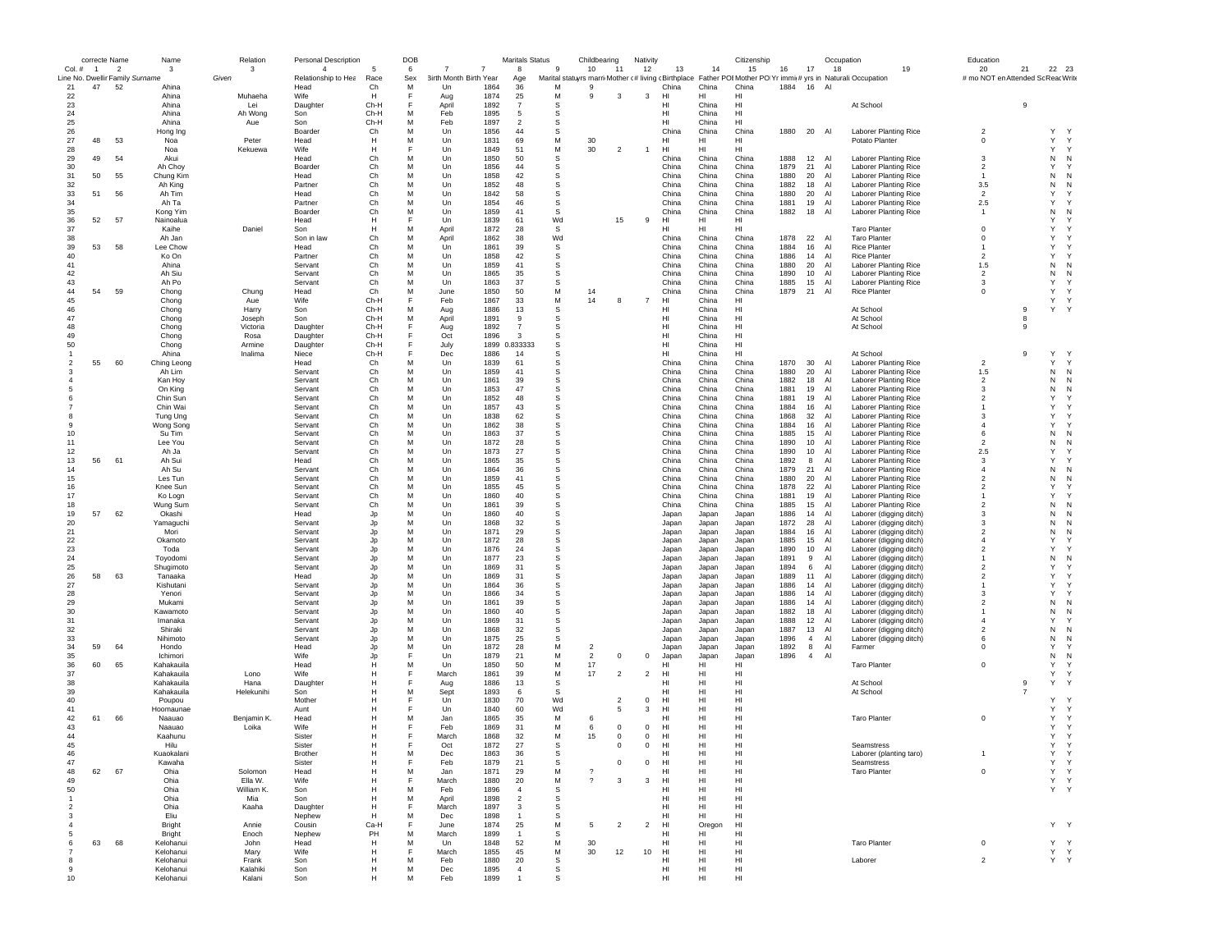|                     | correcte Name  |                          | Name                                  | Relation       | <b>Personal Description</b>           |                | DOB      |                               |              | <b>Maritals Status</b> |           | Childbearing       |                | Nativity       |                       |                | Citizenship    |              |                                  | Occupation                                                                                                                | Education                                |                     |                          |
|---------------------|----------------|--------------------------|---------------------------------------|----------------|---------------------------------------|----------------|----------|-------------------------------|--------------|------------------------|-----------|--------------------|----------------|----------------|-----------------------|----------------|----------------|--------------|----------------------------------|---------------------------------------------------------------------------------------------------------------------------|------------------------------------------|---------------------|--------------------------|
| $Col. \#$           | $\overline{1}$ | $\overline{\phantom{a}}$ | -3<br>Line No. Dwellir Family Surname | 3<br>Given     | $\overline{4}$<br>Relationship to Hea | Race           | 6<br>Sex | <b>3irth Month Birth Year</b> | 7            | $\mathbf{8}$<br>Age    | -9        | 10                 | 11             | 12             | 13                    | 14             | 15             | 16           | 17                               | 18<br>19<br>Marital statuyrs marri Mother (# living (Birthplace Father POI Mother PO Yr immi(# yrs in Naturali:Occupation | 20<br># mo NOT en Attended Sc Reac Write | 21                  | 22 23                    |
| 21                  | 47             | 52                       | Ahina                                 |                | Head                                  | Ch             | M        | Un                            | 1864         | 36                     | M         | 9                  |                |                | China                 | China          | China          | 1884         | 16<br>A <sub>l</sub>             |                                                                                                                           |                                          |                     |                          |
| 22                  |                |                          | Ahina                                 | Muhaeha        | Wife                                  | н              | F        | Aug                           | 1874         | 25                     | М         | -9                 | 3              | 3              | HI                    | HI             | HI             |              |                                  |                                                                                                                           |                                          |                     |                          |
| 23                  |                |                          | Ahina                                 | Lei            | Daughter                              | Ch-H           | F        | April                         | 1892         | $\overline{7}$         | s         |                    |                |                | HI                    | China          | HI             |              |                                  | At School                                                                                                                 |                                          | 9                   |                          |
| 24<br>25            |                |                          | Ahina<br>Ahina                        | Ah Wong<br>Aue | Son<br>Son                            | Ch-H<br>Ch-H   | M<br>M   | Feb<br>Feb                    | 1895<br>1897 | -5<br>$\overline{2}$   | -S<br>S   |                    |                |                | HI<br>HI              | China<br>China | HI<br>HI       |              |                                  |                                                                                                                           |                                          |                     |                          |
| 26                  |                |                          | Hong Ing                              |                | Boarder                               | Ch             | М        | Un                            | 1856         | 44                     | s         |                    |                |                | China                 | China          | China          | 1880         | 20<br>Al                         | Laborer Planting Rice                                                                                                     | $\overline{2}$                           |                     | Y<br>$\mathsf{Y}$        |
| 27                  | 48             | 53                       | Noa                                   | Peter          | Head                                  | Н              | М        | Un                            | 1831         | 69                     | M         | 30                 |                |                | HI                    | HI             | HI             |              |                                  | Potato Planter                                                                                                            | $^{\circ}$                               |                     | Υ<br>Υ                   |
| 28                  |                |                          | Noa                                   | Kekuewa        | Wife                                  | н              | F        | Un                            | 1849         | 51                     | ${\sf M}$ | 30                 | $\overline{2}$ | $\mathbf{1}$   | HI                    | HI             | HI             |              |                                  |                                                                                                                           |                                          |                     | Υ<br>Y                   |
| 29                  | 49             | 54                       | Akui                                  |                | Head                                  | C <sub>h</sub> | M        | Un                            | 1850         | 50                     | s         |                    |                |                | China                 | China          | China          | 1888         | 12 Al                            | <b>Laborer Planting Rice</b>                                                                                              | 3                                        |                     | $\mathsf N$<br>N         |
| 30<br>31            | 50             | 55                       | Ah Choy<br>Chung Kim                  |                | Boarder<br>Head                       | Сh<br>Сh       | М<br>М   | Un<br>Un                      | 1856<br>1858 | 44<br>42               | S<br>s    |                    |                |                | China<br>China        | China<br>China | China<br>China | 1879<br>1880 | 21<br>Al<br>20<br>Al             | <b>Laborer Planting Rice</b><br>Laborer Planting Rice                                                                     | $\overline{2}$<br>$\mathbf{1}$           |                     | Υ<br>Υ<br>N<br>N         |
| 32                  |                |                          | Ah King                               |                | Partner                               | Сh             | М        | Un                            | 1852         | 48                     | s         |                    |                |                | China                 | China          | China          | 1882         | 18<br>Al                         | Laborer Planting Rice                                                                                                     | 3.5                                      |                     | N<br>N                   |
| 33                  | 51             | 56                       | Ah Tim                                |                | Head                                  | Ch             | м        | Un                            | 1842         | 58                     | S         |                    |                |                | China                 | China          | China          | 1880         | 20<br>Al                         | <b>Laborer Planting Rice</b>                                                                                              | $\overline{2}$                           |                     | Υ<br>Υ                   |
| 34                  |                |                          | Ah Ta                                 |                | Partner                               | Ch             | М        | Un                            | 1854         | 46                     | S         |                    |                |                | China                 | China          | China          | 1881         | 19<br>Al                         | Laborer Planting Rice                                                                                                     | 2.5                                      |                     | Y<br>Y                   |
| 35                  |                |                          | Kong Yim                              |                | Boarder                               | Ch             | М        | Un                            | 1859         | 41                     | S         |                    |                |                | China                 | China          | China          | 1882         | 18<br>AI                         | Laborer Planting Rice                                                                                                     | $\mathbf{1}$                             |                     | N<br>N                   |
| 36                  | 52             | 57                       | Nainoalua                             |                | Head                                  | H              | F        | Un                            | 1839         | 61                     | Wd        |                    | 15             | 9              | HI                    | HI             | HI             |              |                                  |                                                                                                                           | $^{\circ}$                               |                     | Y<br>Υ<br>Y<br>Y         |
| 37<br>38            |                |                          | Kaihe<br>Ah Jan                       | Daniel         | Son<br>Son in law                     | Н<br>Ch        | М<br>М   | April<br>April                | 1872<br>1862 | 28<br>38               | s<br>Wd   |                    |                |                | нı<br>China           | HI<br>China    | HI<br>China    | 1878         | 22<br>Al                         | <b>Taro Planter</b><br><b>Taro Planter</b>                                                                                | $^{\circ}$                               |                     | Υ<br>Y                   |
| 39                  | 53             | 58                       | Lee Chow                              |                | Head                                  | Ch             | M        | Un                            | 1861         | 39                     | s         |                    |                |                | China                 | China          | China          | 1884         | 16<br>Al                         | <b>Rice Planter</b>                                                                                                       | $\overline{1}$                           |                     | Υ<br>Y                   |
| 40                  |                |                          | Ko On                                 |                | Partner                               | Ch             | M        | Un                            | 1858         | 42                     | s         |                    |                |                | China                 | China          | China          | 1886         | 14<br>A1                         | <b>Rice Planter</b>                                                                                                       | $\overline{\phantom{a}}$                 |                     | Y<br>Y                   |
| 41                  |                |                          | Ahina                                 |                | Servant                               | Сh             | М        | Un                            | 1859         | 41                     | S         |                    |                |                | China                 | China          | China          | 1880         | 20<br>Al                         | <b>Laborer Planting Rice</b>                                                                                              | 1.5                                      |                     | N<br>N                   |
| 42                  |                |                          | Ah Siu                                |                | Servant                               | Сh             | М        | Un                            | 1865         | 35                     | S         |                    |                |                | China                 | China          | China          | 1890         | 10<br>Al                         | Laborer Planting Rice                                                                                                     | $\overline{2}$                           |                     | N<br>N                   |
| 43<br>44            | 54             | 59                       | Ah Po                                 |                | Servant                               | Сh<br>Ch       | М<br>м   | Un                            | 1863<br>1850 | 37<br>50               | s<br>M    |                    |                |                | China                 | China          | China          | 1885         | 15<br>Al<br>Al                   | Laborer Planting Rice                                                                                                     | 3<br>$\Omega$                            |                     | Υ<br>Y<br>Υ<br>Y         |
| 45                  |                |                          | Chong<br>Chong                        | Chung<br>Aue   | Head<br>Wife                          | Ch-H           | F        | June<br>Feb                   | 1867         | 33                     | M         | 14<br>14           | 8              | $\overline{7}$ | China<br>HI           | China<br>China | China<br>HL    | 1879         | 21                               | <b>Rice Planter</b>                                                                                                       |                                          |                     | Υ<br>Y                   |
| 46                  |                |                          | Chong                                 | Harry          | Son                                   | Ch-H           | М        | Aug                           | 1886         | 13                     | s         |                    |                |                | HI                    | China          | HI             |              |                                  | At School                                                                                                                 |                                          | 9                   | Υ<br>Y                   |
| 47                  |                |                          | Chong                                 | Joseph         | Son                                   | Ch-H           | М        | April                         | 1891         | 9                      | S         |                    |                |                | HI                    | China          | HI             |              |                                  | At School                                                                                                                 |                                          | 8                   |                          |
| 48                  |                |                          | Chong                                 | Victoria       | Daughter                              | Ch-H           | F        | Aug                           | 1892         | $\overline{7}$         | s         |                    |                |                | HI                    | China          | HI             |              |                                  | At School                                                                                                                 |                                          | 9                   |                          |
| 49<br>50            |                |                          | Chong                                 | Rosa<br>Armine | Daughter                              | Ch-H<br>Ch-H   | F<br>F   | Oct                           | 1896<br>1899 | -3<br>0.833333         | s<br>s    |                    |                |                | HI<br>HI              | China<br>China | HI<br>HI       |              |                                  |                                                                                                                           |                                          |                     |                          |
|                     |                |                          | Chong<br>Ahina                        | Inalima        | Daughter<br>Niece                     | Ch-H           | F        | July<br>Dec                   | 1886         | 14                     | s         |                    |                |                | HI                    | China          | HI             |              |                                  | At School                                                                                                                 |                                          | 9                   | Y<br>Y                   |
| $\mathcal{P}$       | 55             | 60                       | Ching Leong                           |                | Head                                  | Ch             | М        | Un                            | 1839         | 61                     | S         |                    |                |                | China                 | China          | China          | 1870         | 30<br>Al                         | <b>Laborer Planting Rice</b>                                                                                              | $\overline{2}$                           |                     | Y<br>Υ                   |
|                     |                |                          | Ah Lim                                |                | Servant                               | Сh             | М        | Un                            | 1859         | 41                     | s         |                    |                |                | China                 | China          | China          | 1880         | 20<br>Al                         | <b>Laborer Planting Rice</b>                                                                                              | 1.5                                      |                     | N<br>N                   |
|                     |                |                          | Kan Hoy                               |                | Servant                               | Ch             | М        | Un                            | 1861         | 39                     | S         |                    |                |                | China                 | China          | China          | 1882         | 18<br>Al                         | <b>Laborer Planting Rice</b>                                                                                              | $\overline{\mathbf{2}}$                  |                     | N<br>N                   |
|                     |                |                          | On King                               |                | Servant                               | Ch             | М        | Un                            | 1853         | 47                     | s         |                    |                |                | China                 | China          | China          | 1881         | 19<br>Al                         | <b>Laborer Planting Rice</b>                                                                                              | 3                                        |                     | N<br>N                   |
|                     |                |                          | Chin Sun<br>Chin Wai                  |                | Servant<br>Servant                    | Ch<br>Сh       | M<br>M   | Un<br>Un                      | 1852<br>1857 | 48<br>43               | s<br>S    |                    |                |                | China<br>China        | China<br>China | China<br>China | 1881<br>1884 | 19<br>Al<br>16<br>Al             | Laborer Planting Rice<br><b>Laborer Planting Rice</b>                                                                     | $\overline{\phantom{a}}$<br>$\mathbf{1}$ |                     | Y<br>Y<br>Y<br>Y         |
|                     |                |                          | Tung Ung                              |                | Servant                               | Сh             | М        | Un                            | 1838         | 62                     | S         |                    |                |                | China                 | China          | China          | 1868         | 32<br>Al                         | <b>Laborer Planting Rice</b>                                                                                              | 3                                        |                     | Y<br>Y                   |
|                     |                |                          | Wong Song                             |                | Servant                               | Сh             | М        | Un                            | 1862         | 38                     | s         |                    |                |                | China                 | China          | China          | 1884         | 16<br>Al                         | Laborer Planting Rice                                                                                                     | $\overline{4}$                           |                     | Y<br>Y                   |
| 10                  |                |                          | Su Tim                                |                | Servant                               | Ch             | M        | Un                            | 1863         | 37                     | s         |                    |                |                | China                 | China          | China          | 1885         | 15<br>Al                         | <b>Laborer Planting Rice</b>                                                                                              | 6                                        |                     | N<br>N                   |
| 11                  |                |                          | Lee You                               |                | Servant                               | Ch             | M        | Un                            | 1872         | 28                     | s         |                    |                |                | China                 | China          | China          | 1890         | A1<br>10                         | Laborer Planting Rice                                                                                                     | $\mathfrak{p}$                           |                     | N<br>N                   |
| 12                  |                |                          | Ah Ja                                 |                | Servant                               | C <sub>h</sub> | M        | Un                            | 1873         | 27                     | s         |                    |                |                | China                 | China          | China          | 1890         | 10<br>A                          | <b>Laborer Planting Rice</b>                                                                                              | 2.5                                      |                     | Y<br>Y                   |
| 13<br>14            | 56             | 61                       | Ah Sui<br>Ah Su                       |                | Head<br>Servant                       | Сh<br>Сh       | М<br>М   | Un<br>Un                      | 1865<br>1864 | 35<br>36               | S<br>s    |                    |                |                | China<br>China        | China<br>China | China<br>China | 1892<br>1879 | 8<br>Al<br>21<br>Al              | <b>Laborer Planting Rice</b><br><b>Laborer Planting Rice</b>                                                              | 3<br>$\overline{4}$                      |                     | Y<br>Υ<br>N<br>N         |
| 15                  |                |                          | Les Tun                               |                | Servant                               | Ch             | м        | Un                            | 1859         | 41                     | S         |                    |                |                | China                 | China          | China          | 1880         | 20<br>Al                         | <b>Laborer Planting Rice</b>                                                                                              | $\overline{2}$                           |                     | N<br>N                   |
| 16                  |                |                          | Knee Sun                              |                | Servant                               | Ch             | М        | Un                            | 1855         | 45                     | S         |                    |                |                | China                 | China          | China          | 1878         | 22<br>Al                         | <b>Laborer Planting Rice</b>                                                                                              | $\overline{\phantom{a}}$                 |                     | Υ<br>Y                   |
| 17                  |                |                          | Ko Logn                               |                | Servant                               | Ch             | M        | Un                            | 1860         | 40                     | -S        |                    |                |                | China                 | China          | China          | 1881         | 19<br>Al                         | <b>Laborer Planting Rice</b>                                                                                              |                                          |                     | Y<br>Y                   |
| 18                  |                |                          | Wung Sum                              |                | Servant                               | Сh             | M        | Un                            | 1861         | 39                     | S         |                    |                |                | China                 | China          | China          | 1885         | 15<br>Al                         | <b>Laborer Planting Rice</b>                                                                                              | $\overline{2}$                           |                     | N<br>N                   |
| 19                  | 57             | 62                       | Okashi                                |                | Head                                  | Jp             | М        | Un                            | 1860         | 40                     | s         |                    |                |                | Japan                 | Japan          | Japan          | 1886         | 14<br>Al                         | Laborer (digging ditch)                                                                                                   | 3                                        |                     | N<br>N                   |
| 20<br>21            |                |                          | Yamaguchi<br>Mori                     |                | Servant<br>Servant                    | Jp<br>Jp       | М<br>M   | Un<br>Un                      | 1868<br>1871 | 32<br>29               | s<br>s    |                    |                |                | Japan<br>Japan        | Japan<br>Japan | Japan<br>Japan | 1872<br>1884 | 28<br>Al<br>Al<br>16             | Laborer (digging ditch)<br>Laborer (digging ditch)                                                                        | 3<br>$\overline{2}$                      |                     | N<br>N<br>N<br>N         |
| 22                  |                |                          | Okamoto                               |                | Servant                               | Jp             | M        | Un                            | 1872         | 28                     | s         |                    |                |                | Japan                 | Japan          | Japan          | 1885         | A1<br>15                         | Laborer (digging ditch)                                                                                                   | $\overline{4}$                           |                     | Y<br>Y                   |
| 23                  |                |                          | Toda                                  |                | Servant                               | Jo             | М        | Un                            | 1876         | 24                     | S         |                    |                |                | Japan                 | Japan          | Japan          | 1890         | 10<br>Al                         | Laborer (digging ditch)                                                                                                   | $\overline{2}$                           |                     | Y                        |
| 24                  |                |                          | Toyodomi                              |                | Servant                               | Jo             | М        | Un                            | 1877         | 23                     | S         |                    |                |                | Japan                 | Japan          | Japan          | 1891         | 9<br>Al                          | Laborer (digging ditch)                                                                                                   | $\overline{1}$                           |                     | N<br>N                   |
| 25                  |                |                          | Shugimoto                             |                | Servant                               | Jo             | М        | Un                            | 1869         | 31                     | s         |                    |                |                | Japan                 | Japan          | Japan          | 1894         | 6<br>Al                          | Laborer (digging ditch)                                                                                                   | $\overline{2}$                           |                     | Y<br>Y                   |
| 26<br>27            | 58             | 63                       | Tanaaka<br>Kishutani                  |                | Head<br>Servant                       | Jp<br>Jp       | M<br>М   | Un<br>Un                      | 1869<br>1864 | 31<br>36               | s<br>s    |                    |                |                | Japan<br>Japan        | Japan<br>Japan | Japan<br>Japan | 1889<br>1886 | 11<br>Al<br>14<br>Al             | Laborer (digging ditch)<br>Laborer (digging ditch)                                                                        | $\overline{2}$<br>$\mathbf{1}$           |                     | Υ<br>Y<br>Y              |
| 28                  |                |                          | Yenori                                |                | Servant                               | Jp             | M        | Un                            | 1866         | 34                     | s         |                    |                |                | Japan                 | Japan          | Japan          | 1886         | 14<br>Al                         | Laborer (digging ditch)                                                                                                   | 3                                        |                     | Y<br>Y                   |
| 29                  |                |                          | Mukami                                |                | Servant                               | Jo             | M        | Un                            | 1861         | 39                     | S         |                    |                |                | Japan                 | Japan          | Japan          | 1886         | 14<br>Al                         | Laborer (digging ditch)                                                                                                   | $\overline{2}$                           |                     | N<br>N                   |
| 30                  |                |                          | Kawamoto                              |                | Servant                               | Jp             | М        | Un                            | 1860         | 40                     | s         |                    |                |                | Japan                 | Japan          | Japan          | 1882         | 18<br>Al                         | Laborer (digging ditch)                                                                                                   |                                          |                     | N<br>N                   |
| 31                  |                |                          | Imanaka                               |                | Servant                               | Jp             | М        | Un                            | 1869         | 31                     | s         |                    |                |                | Japan                 | Japan          | Japan          | 1888         | 12<br>Al                         | Laborer (digging ditch)                                                                                                   | $\Delta$                                 |                     | Υ<br>Y                   |
| 32<br>33            |                |                          | Shiraki<br>Nihimoto                   |                | Servant<br>Servant                    | Jp<br>Jo       | M<br>M   | Un<br>Un                      | 1868<br>1875 | 32<br>25               | s<br>s    |                    |                |                | Japan                 | Japan          | Japan          | 1887<br>1896 | 13<br>Al<br>$\overline{4}$<br>A  | Laborer (digging ditch)                                                                                                   | $\overline{\phantom{a}}$<br>6            |                     | N<br>N<br>${\sf N}$<br>N |
| 34                  | 59             | 64                       | Hondo                                 |                | Head                                  | Jo             | М        | Un                            | 1872         | 28                     | M         | $\overline{2}$     |                |                | Japan<br>Japan        | Japan<br>Japan | Japan<br>Japan | 1892         | 8<br>Al                          | Laborer (digging ditch)<br>Farmer                                                                                         | $^{\circ}$                               |                     | Y<br>Υ                   |
| 35                  |                |                          | Ichimori                              |                | Wife                                  | Jo             | F        | Un                            | 1879         | 21                     | M         | $\overline{c}$     | $\theta$       | $\mathbf 0$    | Japan                 | Japan          | Japan          | 1896         | $\overline{4}$<br>A <sub>l</sub> |                                                                                                                           |                                          |                     | N<br>N                   |
| 36                  | 60             | 65                       | Kahakauila                            |                | Head                                  |                | М        | Un                            | 1850         | 50                     | M         | 17                 |                |                | HI                    | HI             | HI             |              |                                  | <b>Taro Planter</b>                                                                                                       | $^{\circ}$                               |                     | Υ<br>Y                   |
| 37                  |                |                          | Kahakauila                            | Lono           | Wife                                  | н              | F        | March                         | 1861         | 39                     | М         | 17                 | $\overline{2}$ | $\overline{2}$ | HI                    | HI             | HI             |              |                                  |                                                                                                                           |                                          |                     | Υ<br>Y                   |
| 38                  |                |                          | Kahakauila                            | Hana           | Daughter                              | н              | F        | Aug                           | 1886         | 13                     | S         |                    |                |                | HI                    | HI             | HI             |              |                                  | At School                                                                                                                 |                                          | 9<br>$\overline{7}$ | Y<br><b>Y</b>            |
| 39<br>40            |                |                          | Kahakauila<br>Poupou                  | Helekunihi     | Son<br>Mother                         | н<br>н         | М<br>F   | Sept<br>Un                    | 1893<br>1830 | 6<br>70                | S<br>Wd   |                    | $\overline{2}$ | $^{\circ}$     | HI<br>HI              | HI<br>HI       | HI<br>HI       |              |                                  | At School                                                                                                                 |                                          |                     | Y<br>Y                   |
| 41                  |                |                          | Hoomaunae                             |                | Aunt                                  |                | F        | Un                            | 1840         | 60                     | Wd        |                    | 5              | 3              | HI                    | HI             | HI             |              |                                  |                                                                                                                           |                                          |                     | Υ<br>Υ                   |
| 42                  | 61             | 66                       | Naauao                                | Benjamin K.    | Head                                  |                | M        | Jan                           | 1865         | 35                     | M         | 6                  |                |                | HI                    | HI             | HI             |              |                                  | <b>Taro Planter</b>                                                                                                       | $^{\circ}$                               |                     | Υ<br>Y                   |
| 43                  |                |                          | Naauao                                | Loika          | Wife                                  |                | F        | Feb                           | 1869         | 31                     | M         | 6                  | $\mathbf 0$    | $^{\circ}$     | HI                    | H              | HI             |              |                                  |                                                                                                                           |                                          |                     | Y<br>Y                   |
| 44                  |                |                          | Kaahunu                               |                | Sister                                | H              | F        | March                         | 1868         | 32                     | M         | 15                 | $\mathbf 0$    | $\overline{0}$ | HI                    | H              | HI             |              |                                  |                                                                                                                           |                                          |                     | Y<br>Y                   |
| 45                  |                |                          | Hilu                                  |                | Sister                                | н              | F        | Oct                           | 1872         | 27                     | S         |                    | $^{\circ}$     | $^{\circ}$     | HI                    | HI             | HI             |              |                                  | Seamstress                                                                                                                |                                          |                     | Y<br>Y                   |
| 47                  |                |                          | Kuaokalani<br>Kawaha                  |                | <b>Brother</b><br>Sister              | п<br>H         | F        | Dec<br>Feb                    | 1863<br>1879 | 36<br>21               | ъ<br>s    |                    | $\mathbf 0$    | $\mathbf 0$    | ыı<br>HI              | HI<br>HI       | HI<br>HI       |              |                                  | Laborer (planting taro)<br>Seamstress                                                                                     |                                          |                     | Υ<br>Y                   |
| 48                  | 62             | 67                       | Ohia                                  | Solomon        | Head                                  | Н              | М        | Jan                           | 1871         | 29                     | М         | $\overline{\cdot}$ |                |                | HI                    | HI             | HI             |              |                                  | <b>Taro Planter</b>                                                                                                       | $\mathbf 0$                              |                     | Υ<br>Y                   |
| 49                  |                |                          | Ohia                                  | Ella W.        | Wife                                  | н              | E        | March                         | 1880         | 20                     | M         | $\gamma$           | 3              | $\mathbf{3}$   | HI                    | HI             | HI             |              |                                  |                                                                                                                           |                                          |                     | Y.<br>Y                  |
| 50                  |                |                          | Ohia                                  | William K.     | Son                                   | Н              | М        | Feb                           | 1896         | $\overline{4}$         | S         |                    |                |                | HI                    | HI             | HI             |              |                                  |                                                                                                                           |                                          |                     | Y Y                      |
| $\overline{1}$      |                |                          | Ohia                                  | Mia            | Son                                   | Н              | М        | April                         | 1898         | $\overline{2}$         | s         |                    |                |                | HI                    | HI             | HI             |              |                                  |                                                                                                                           |                                          |                     |                          |
| $\overline{2}$      |                |                          | Ohia                                  | Kaaha          | Daughter                              | Н              | F        | March                         | 1897         | 3                      | S         |                    |                |                | HI                    | HI             | HI             |              |                                  |                                                                                                                           |                                          |                     |                          |
| 3                   |                |                          | Eliu                                  |                | Nephew                                | H              | M<br>F   | Dec                           | 1898<br>1874 | $\overline{1}$         | -S<br>M   |                    |                |                | HI<br>H <sub>II</sub> | HI.            | HI<br>H1       |              |                                  |                                                                                                                           |                                          |                     |                          |
| $\overline{4}$<br>5 |                |                          | Bright<br>Bright                      | Annie<br>Enoch | Cousin<br>Nephew                      | Ca-H<br>PH     | М        | .lune<br>March                | 1899         | 25<br>$\overline{1}$   | S         | -5                 | $\overline{2}$ | $\overline{2}$ | HI                    | Oregon<br>HI   | HI             |              |                                  |                                                                                                                           |                                          |                     | Y Y                      |
| 6                   | 63             | 68                       | Kelohanui                             | John           | Head                                  | н              | М        | Un                            | 1848         | 52                     | M         | 30                 |                |                | HI                    | HI             | HI             |              |                                  | <b>Taro Planter</b>                                                                                                       | $^{\circ}$                               |                     | Y Y                      |
|                     |                |                          | Kelohanui                             | Mary           | Wife                                  | Н              | F        | March                         | 1855         | 45                     | м         | 30                 | 12             | 10             | HI                    | HI             | HI             |              |                                  |                                                                                                                           |                                          |                     | Y Y                      |
| 8                   |                |                          | Kelohanui                             | Frank          | Son                                   | н              | M        | Feb                           | 1880         | 20                     | s         |                    |                |                | HI                    | HI             | HI             |              |                                  | Laborer                                                                                                                   | $\overline{2}$                           |                     | Y Y                      |
| 9                   |                |                          | Kelohanui                             | Kalahiki       | Son                                   | н              | М        | Dec                           | 1895         | $\overline{4}$         | s         |                    |                |                | HI                    | HI             | HI             |              |                                  |                                                                                                                           |                                          |                     |                          |
| 10                  |                |                          | Kelohanui                             | Kalani         | Son                                   |                | M        | Feb                           | 1899         |                        | -S        |                    |                |                | HI                    | HI             | HI             |              |                                  |                                                                                                                           |                                          |                     |                          |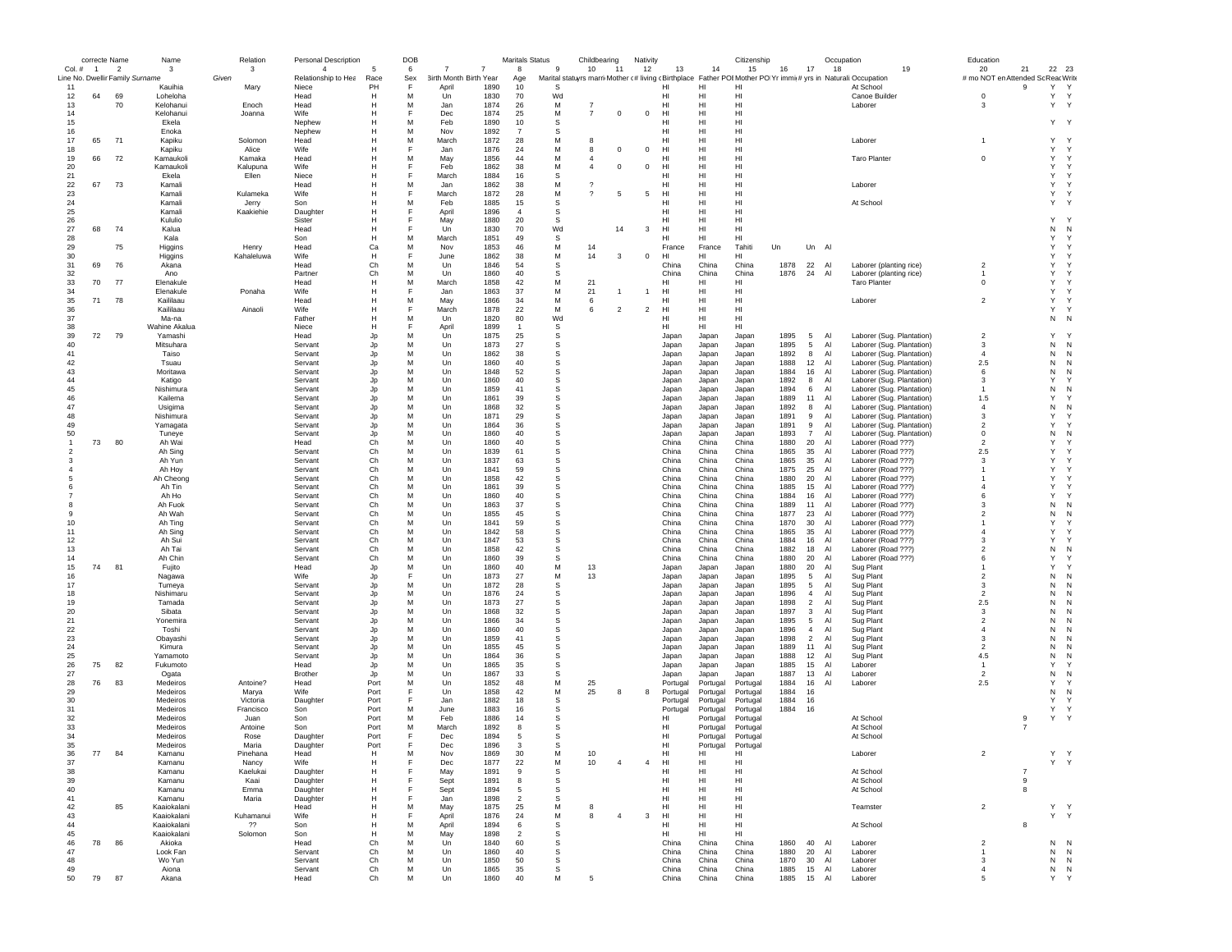|                | correcte Name  |                | Name                                       | Relation           | Personal Description         |                     | DOB      |                                 |                | <b>Maritals Status</b> |                | Childbearing                     |                | Nativity       |                       |                | Citizenship    |              |                      | Occupation                                                                                                                  | Education                          |                     |                             |  |
|----------------|----------------|----------------|--------------------------------------------|--------------------|------------------------------|---------------------|----------|---------------------------------|----------------|------------------------|----------------|----------------------------------|----------------|----------------|-----------------------|----------------|----------------|--------------|----------------------|-----------------------------------------------------------------------------------------------------------------------------|------------------------------------|---------------------|-----------------------------|--|
| $Col. \#$      | $\overline{1}$ | $\overline{2}$ | 3                                          | 3                  | $\overline{4}$               | -5                  | 6        | -7                              | $\overline{7}$ | 8                      | 9              | 10                               | 11             | 12             | 13                    | 14             | 15             | 16           | 17                   | 18<br>19                                                                                                                    | 20                                 | 21                  | 22 23                       |  |
| 11             |                |                | Line No. Dwellir Family Surname<br>Kauihia | Given<br>Mary      | Relationship to Hea<br>Niece | Race<br>PH          | Sex<br>F | 3irth Month Birth Year<br>April | 1890           | Age<br>10              | S              |                                  |                |                | HI                    | н              | н              |              |                      | Marital statuyrs marri Mother (# living (Birthplace Father POI Mother PO Yr immi(# yrs in Naturali: Occupation<br>At School | # mo NOT en Attended Sc Reac Write | 9                   | Y<br>$\mathsf{Y}$           |  |
| 12             | 64             | 69             | Loheloha                                   |                    | Head                         | н                   | M        | Un                              | 1830           | 70                     | Wd             |                                  |                |                | HI                    | H              | HI             |              |                      | Canoe Builder                                                                                                               | $\mathbf 0$                        |                     | Υ<br>Y                      |  |
| 13             |                | 70             | Kelohanui                                  | Enoch              | Head                         |                     | М        | Jan                             | 1874           | 26                     | М              |                                  |                |                | HI                    | HI             | HI             |              |                      | Laborer                                                                                                                     | -3                                 |                     | Y Y                         |  |
| 14             |                |                | Kelohanui                                  | Joanna             | Wife                         | н                   |          | Dec                             | 1874           | 25                     | M              | $\overline{7}$                   | $^{\circ}$     | $\mathbf 0$    | HI                    | HI             | HI             |              |                      |                                                                                                                             |                                    |                     |                             |  |
| 15             |                |                | Ekela                                      |                    | Nephew                       | н                   | M        | Feb                             | 1890           | 10                     | -S             |                                  |                |                | HI                    | HI             | HI             |              |                      |                                                                                                                             |                                    |                     | Y Y                         |  |
| 16             |                |                | Enoka                                      |                    | Nephew                       | н                   | M        | Nov                             | 1892           | $\overline{7}$         | S              |                                  |                |                | HI                    | HI             | HI             |              |                      |                                                                                                                             |                                    |                     |                             |  |
| 17             | 65             | 71             | Kapiku                                     | Solomon            | Head                         | н                   | M        | March                           | 1872           | 28                     | M              | 8                                |                |                | HI                    | HI             | HI             |              |                      | Laborer                                                                                                                     | $\overline{1}$                     |                     | Y.<br>$\mathsf{Y}$          |  |
| 18             |                |                | Kapiku                                     | Alice              | Wife                         | н                   | F        | Jan                             | 1876           | 24<br>44               | M              | 8                                | $^{\circ}$     | $\mathbf 0$    | HI                    | HI             | HI<br>HI       |              |                      |                                                                                                                             | $\mathbf 0$                        |                     | Y<br>Y                      |  |
| 19<br>20       | 66             | 72             | Kamaukoli<br>Kamaukoli                     | Kamaka<br>Kalupuna | Head<br>Wife                 | н<br>н              | М<br>F   | May<br>Feb                      | 1856<br>1862   | 38                     | M<br>M         | $\overline{4}$<br>$\overline{4}$ | $\mathbf 0$    | $\mathbf 0$    | HI<br>H <sub>II</sub> | HI<br>HI       | HI             |              |                      | <b>Taro Planter</b>                                                                                                         |                                    |                     | Y<br>Y<br>Y<br>Y            |  |
| 21             |                |                | Ekela                                      | Ellen              | Niece                        | н                   | F        | March                           | 1884           | 16                     | s              |                                  |                |                | HI                    | HI             | HI             |              |                      |                                                                                                                             |                                    |                     | Y<br>Y                      |  |
| 22             | 67             | 73             | Kamali                                     |                    | Head                         | н                   | M        | Jan                             | 1862           | 38                     | M              | $\boldsymbol{\gamma}$            |                |                | HI                    | HI             | HI             |              |                      | Laborer                                                                                                                     |                                    |                     | Y<br>Y                      |  |
| 23             |                |                | Kamali                                     | Kulameka           | Wife                         |                     | F        | March                           | 1872           | 28                     | м              | $\gamma$                         | 5              | 5              | HI                    | HI             | HI             |              |                      |                                                                                                                             |                                    |                     | Y                           |  |
| 24             |                |                | Kamali                                     | Jerry              | Son                          | н                   | М        | Feb                             | 1885           | 15                     | s              |                                  |                |                | HI                    | HI             | HI             |              |                      | At School                                                                                                                   |                                    |                     | Y                           |  |
| 25             |                |                | Kamali                                     | Kaakiehie          | Daughter                     | н                   | E        | April                           | 1896           | $\overline{4}$         | s              |                                  |                |                | HI                    | HI             | HI             |              |                      |                                                                                                                             |                                    |                     |                             |  |
| 26             |                |                | Kululio                                    |                    | Sister                       | н                   | F        | May                             | 1880           | 20                     | S              |                                  |                |                | HI                    | HI             | HI             |              |                      |                                                                                                                             |                                    |                     | Y                           |  |
| 27             | 68             | 74             | Kalua                                      |                    | Head                         | н                   | F        | Un                              | 1830           | 70                     | Wd             |                                  | 14             | 3              | HI                    | HI             | HI             |              |                      |                                                                                                                             |                                    |                     | N<br>N                      |  |
| 28             |                |                | Kala                                       |                    | Son                          | н                   | M        | March                           | 1851           | 49                     | s              |                                  |                |                | нı                    | HI             | HI             |              |                      |                                                                                                                             |                                    |                     | Y<br>Y                      |  |
| 29             |                | 75             | Higgins                                    | Henry              | Head                         | Ca                  | M<br>F   | Nov                             | 1853           | 46                     | M              | 14                               |                |                | France                | France         | Tahiti         | Un           | Un Al                |                                                                                                                             |                                    |                     | Y<br>Y                      |  |
| 30<br>31       | 69             | 76             | Higgins<br>Akana                           | Kahaleluwa         | Wife<br>Head                 | н<br>C <sub>h</sub> | M        | June<br>Un                      | 1862<br>1846   | 38<br>54               | ${\sf M}$<br>s | 14                               | 3              | $^{\circ}$     | HI<br>China           | HI<br>China    | HI<br>China    | 1878         | 22<br>Al             | Laborer (planting rice)                                                                                                     | $\overline{2}$                     |                     | Y<br>Y<br>Y<br>Y            |  |
| 32             |                |                | Ano                                        |                    | Partner                      | Ch                  | M        | Un                              | 1860           | 40                     | S              |                                  |                |                | China                 | China          | China          | 1876         | 24<br>Al             | Laborer (planting rice)                                                                                                     | $\mathbf{1}$                       |                     | Y                           |  |
| 33             | 70             | 77             | Elenakule                                  |                    | Head                         | H                   | M        | March                           | 1858           | 42                     | M              | 21                               |                |                | HI                    | HI             | HI             |              |                      | <b>Taro Planter</b>                                                                                                         | $\mathbf 0$                        |                     | Y                           |  |
| 34             |                |                | Elenakule                                  | Ponaha             | Wife                         | н                   | F        | Jan                             | 1863           | 37                     | M              | 21                               |                |                | HI                    | HI             | HI             |              |                      |                                                                                                                             |                                    |                     | Y<br>Y                      |  |
| 35             | 71             | 78             | Kaililaau                                  |                    | Head                         | н                   | М        | May                             | 1866           | 34                     | M              | 6                                |                |                | HI                    | HI             | HI             |              |                      | Laborer                                                                                                                     | $\overline{2}$                     |                     | Y<br>Y                      |  |
| 36             |                |                | Kaililaau                                  | Ainaoli            | Wife                         | н                   | F        | March                           | 1878           | 22                     | M              | 6                                | $\overline{2}$ | $\overline{2}$ | HI                    | HI             | HI             |              |                      |                                                                                                                             |                                    |                     | Y<br>$\mathsf{Y}$           |  |
| 37             |                |                | Ma-na                                      |                    | Father                       | н                   | M        | Un                              | 1820           | 80                     | Wd             |                                  |                |                | HI                    | HI             | HI             |              |                      |                                                                                                                             |                                    |                     | N<br>N                      |  |
| 38             |                |                | Wahine Akalua                              |                    | Niece                        | н                   | F        | April                           | 1899           | $\overline{1}$         | S              |                                  |                |                | HI                    | HI             | HI             |              |                      |                                                                                                                             |                                    |                     |                             |  |
| 39             | 72             | 79             | Yamashi                                    |                    | Head                         | Jp                  | M        | Un                              | 1875           | 25                     | s              |                                  |                |                | Japan                 | Japan          | Japan          | 1895         | 5<br>Al              | Laborer (Sug. Plantation)                                                                                                   | $\overline{2}$                     |                     | Y                           |  |
| 40             |                |                | Mitsuhara                                  |                    | Servant                      | Jp                  | M        | Un                              | 1873           | 27                     | s              |                                  |                |                | Japan                 | Japan          | Japan          | 1895         | Al<br>5              | Laborer (Sug. Plantation)                                                                                                   | 3                                  |                     | N<br>$\mathsf{N}$           |  |
| 41<br>42       |                |                | Taiso                                      |                    | Servant<br>Servant           | Jp<br>Jp            | M<br>M   | Un<br>Un                        | 1862<br>1860   | 38<br>40               | s<br>s         |                                  |                |                | Japan                 | Japan          | Japan          | 1892<br>1888 | 8<br>Al<br>12<br>AI  | Laborer (Sug. Plantation)<br>Laborer (Sug. Plantation)                                                                      | $\overline{4}$<br>2.5              |                     | N<br>N<br>N<br>N            |  |
| 43             |                |                | Tsuau<br>Moritawa                          |                    | Servant                      | Jp                  | M        | Un                              | 1848           | 52                     | S              |                                  |                |                | Japan<br>Japan        | Japan<br>Japan | Japan<br>Japan | 1884         | 16<br>Al             | Laborer (Sug. Plantation)                                                                                                   | 6                                  |                     | N<br>N                      |  |
| 44             |                |                | Katigo                                     |                    | Servant                      | Jp                  | M        | Un                              | 1860           | 40                     | s              |                                  |                |                | Japan                 | Japan          | Japan          | 1892         | 8<br>Al              | Laborer (Sug. Plantation)                                                                                                   | 3                                  |                     | Y                           |  |
| 45             |                |                | Nishimura                                  |                    | Servant                      | Jp                  | M        | Un                              | 1859           | 41                     | s              |                                  |                |                | Japan                 | Japan          | Japan          | 1894         | 6<br>Al              | Laborer (Sug. Plantation)                                                                                                   | $\mathbf{1}$                       |                     | N<br>N                      |  |
| 46             |                |                | Kailema                                    |                    | Servant                      | Jp                  | Μ        | Un                              | 1861           | 39                     | s              |                                  |                |                | Japan                 | Japan          | Japan          | 1889         | 11<br>Al             | Laborer (Sug. Plantation)                                                                                                   | 1.5                                |                     | Y                           |  |
| 47             |                |                | Usigima                                    |                    | Servant                      | Jp                  | M        | Un                              | 1868           | 32                     | s              |                                  |                |                | Japan                 | Japan          | Japan          | 1892         | 8<br>Al              | Laborer (Sug. Plantation)                                                                                                   | $\overline{4}$                     |                     | N<br>N                      |  |
| 48             |                |                | Nishimura                                  |                    | Servant                      | Jp                  | M        | Un                              | 1871           | 29                     | s              |                                  |                |                | Japan                 | Japan          | Japan          | 1891         | 9<br>Al              | Laborer (Sug. Plantation)                                                                                                   | 3                                  |                     | Y                           |  |
| 49             |                |                | Yamagata                                   |                    | Servant                      | Jp                  | M        | Un                              | 1864           | 36                     | S              |                                  |                |                | Japan                 | Japan          | Japan          | 1891         | 9<br>Al              | Laborer (Sug. Plantation)                                                                                                   | $\overline{2}$                     |                     | Y                           |  |
| 50             |                |                | Tuneye                                     |                    | Servant                      | Jp                  | M        | Un                              | 1860           | 40                     | s              |                                  |                |                | Japan                 | Japan          | Japan          | 1893         | $\overline{7}$<br>Al | Laborer (Sug. Plantation)                                                                                                   | $\mathbf 0$                        |                     | N<br>N                      |  |
| $\mathbf{1}$   | 73             | 80             | Ah Wai                                     |                    | Head                         | Ch                  | M        | Un                              | 1860           | 40                     | s              |                                  |                |                | China                 | China          | China          | 1880         | 20<br>Al             | Laborer (Road ???)                                                                                                          | $\overline{2}$                     |                     | Y<br>Y                      |  |
| $\overline{2}$ |                |                | Ah Sing                                    |                    | Servant                      | Ch<br>Ch            | M<br>M   | Un<br>Un                        | 1839<br>1837   | 61                     | s              |                                  |                |                | China<br>China        | China<br>China | China          | 1865<br>1865 | 35<br>Al<br>A1       | Laborer (Road ???)                                                                                                          | 2.5<br>$\mathbf{3}$                |                     | Y<br>Y<br>Y<br>$\checkmark$ |  |
| 3              |                |                | Ah Yun<br>Ah Hoy                           |                    | Servant<br>Servant           | Ch                  | M        | Un                              | 1841           | 63<br>59               | s<br>S         |                                  |                |                | China                 | China          | China<br>China | 1875         | 35<br>25<br>Al       | Laborer (Road ???)<br>Laborer (Road ???)                                                                                    | $\mathbf{1}$                       |                     | Y                           |  |
|                |                |                | Ah Cheong                                  |                    | Servant                      | Ch                  | M        | Un                              | 1858           | 42                     | s              |                                  |                |                | China                 | China          | China          | 1880         | 20<br>Al             | Laborer (Road ???)                                                                                                          |                                    |                     | Y                           |  |
|                |                |                | Ah Tin                                     |                    | Servant                      | Ch                  | M        | Un                              | 1861           | 39                     | s              |                                  |                |                | China                 | China          | China          | 1885         | 15<br>Al             | Laborer (Road ???)                                                                                                          | $\overline{4}$                     |                     | Y                           |  |
|                |                |                | Ah Ho                                      |                    | Servant                      | Ch                  | м        | Un                              | 1860           | 40                     | s              |                                  |                |                | China                 | China          | China          | 1884         | 16<br>Al             | Laborer (Road ???)                                                                                                          | 6                                  |                     | Y<br>Y                      |  |
| 8              |                |                | Ah Fuok                                    |                    | Servant                      | Ch                  | M        | Un                              | 1863           | 37                     | S              |                                  |                |                | China                 | China          | China          | 1889         | 11<br>Al             | Laborer (Road ???)                                                                                                          | -3                                 |                     | N<br>N                      |  |
| 9              |                |                | Ah Wah                                     |                    | Servant                      | Ch                  | M        | Un                              | 1855           | 45                     | S              |                                  |                |                | China                 | China          | China          | 1877         | 23<br>Al             | Laborer (Road ???)                                                                                                          | $\overline{2}$                     |                     | $\,$ N<br>N                 |  |
| 10             |                |                | Ah Ting                                    |                    | Servant                      | Ch                  | M        | Un                              | 1841           | 59                     | S              |                                  |                |                | China                 | China          | China          | 1870         | 30<br>Al             | Laborer (Road ???)                                                                                                          |                                    |                     | Y                           |  |
| 11             |                |                | Ah Sing                                    |                    | Servant                      | Ch                  | M        | Un                              | 1842           | 58                     | s              |                                  |                |                | China                 | China          | China          | 1865         | 35<br>Al             | Laborer (Road ???)                                                                                                          | $\overline{4}$                     |                     | Y                           |  |
| 12             |                |                | Ah Sui                                     |                    | Servant                      | Ch                  | M        | Un                              | 1847           | 53                     | s              |                                  |                |                | China                 | China          | China          | 1884         | 16<br>Al             | Laborer (Road ???)                                                                                                          | -3                                 |                     | Y                           |  |
| 13             |                |                | Ah Tai<br>Ah Chin                          |                    | Servant                      | Ch<br>Ch            | M<br>M   | Un<br>Un                        | 1858<br>1860   | 42                     | s<br>s         |                                  |                |                | China                 | China<br>China | China          | 1882<br>1880 | 18<br>AI<br>A        | Laborer (Road ???)                                                                                                          | $\overline{\phantom{a}}$<br>6      |                     | N<br>N<br>Y                 |  |
| 14<br>15       | 74             | 81             | Fuilto                                     |                    | Servant<br>Head              | Jp                  | M        | Un                              | 1860           | 39<br>40               | M              | 13                               |                |                | China<br>Japan        | Japan          | China<br>Japan | 1880         | 20<br>20<br>Al       | Laborer (Road ???)<br>Sug Plant                                                                                             |                                    |                     | Y                           |  |
| 16             |                |                | Nagawa                                     |                    | Wife                         | Jp                  | F        | Un                              | 1873           | 27                     | м              | 13                               |                |                | Japan                 | Japan          | Japan          | 1895         | 5<br>Al              | Sug Plant                                                                                                                   | $\overline{2}$                     |                     | N<br>N                      |  |
| 17             |                |                | Tumeya                                     |                    | Servant                      | Jp                  | М        | Un                              | 1872           | 28                     | s              |                                  |                |                | Japan                 | Japan          | Japan          | 1895         | 5<br>Al              | Sug Plant                                                                                                                   | 3                                  |                     | N<br>N                      |  |
| 18             |                |                | Nishimaru                                  |                    | Servant                      | Jp                  | М        | Un                              | 1876           | 24                     | s              |                                  |                |                | Japan                 | Japan          | Japan          | 1896         | $\overline{4}$<br>Al | Sug Plant                                                                                                                   | $\overline{2}$                     |                     | N<br>N                      |  |
| 19             |                |                | Tamada                                     |                    | Servant                      | Jp                  | м        | Un                              | 1873           | 27                     | s              |                                  |                |                | Japan                 | Japan          | Japan          | 1898         | $\overline{2}$<br>Al | Sug Plant                                                                                                                   | 2.5                                |                     | N<br>N                      |  |
| 20             |                |                | Sibata                                     |                    | Servant                      | Jp                  | M        | Un                              | 1868           | 32                     | S              |                                  |                |                | Japan                 | Japan          | Japan          | 1897         | 3<br>Al              | Sug Plant                                                                                                                   | 3                                  |                     | N<br>N                      |  |
| 21             |                |                | Yonemira                                   |                    | Servant                      | Jp                  | M        | Un                              | 1866           | 34                     | s              |                                  |                |                | Japan                 | Japan          | Japan          | 1895         | 5<br>Al              | Sug Plant                                                                                                                   | $\overline{2}$                     |                     | N                           |  |
| 22             |                |                | Toshi                                      |                    | Servant                      | Jp                  | M        | Un                              | 1860           | 40                     | s              |                                  |                |                | Japan                 | Japan          | Japan          | 1896         | $\overline{4}$<br>Al | Sug Plant                                                                                                                   | $\overline{4}$                     |                     | N<br>N                      |  |
| 23             |                |                | Obayashi                                   |                    | Servant                      | Jp                  | M<br>M   | Un                              | 1859           | 41                     | s              |                                  |                |                | Japan                 | Japan          | Japan          | 1898         | $\overline{2}$<br>Al | Sug Plant                                                                                                                   | -3                                 |                     | N<br>N                      |  |
| 24<br>25       |                |                | Kimura<br>Yamamoto                         |                    | Servant<br>Servant           | Jp<br>Jp            | M        | Un<br>Un                        | 1855<br>1864   | 45<br>36               | s<br>S         |                                  |                |                | Japan                 | Japan<br>Japan | Japan<br>Japan | 1889<br>1888 | 11<br>AI<br>12<br>Al | Sug Plant<br>Sug Plant                                                                                                      | $\overline{\phantom{a}}$<br>4.5    |                     | N<br>N<br>N<br>N            |  |
| 26             | 75             | 82             | Fukumoto                                   |                    | Head                         | Jp                  | M        | Un                              | 1865           | 35                     | S              |                                  |                |                | Japan<br>Japan        | Japan          | Japan          | 1885         | 15<br>Al             | Laborer                                                                                                                     | $\overline{1}$                     |                     | Y                           |  |
| 27             |                |                | Ogata                                      |                    | Brother                      | Jp                  | M        | Un                              | 1867           | 33                     | s              |                                  |                |                | Japan                 | Japan          | Japan          | 1887         | 13<br>Al             | Laborer                                                                                                                     | $\overline{2}$                     |                     | N<br>N                      |  |
| 28             | 76             | 83             | Medeiros                                   | Antoine?           | Head                         | Port                | M        | Un                              | 1852           | 48                     | М              | 25                               |                |                | Portugal              | Portugal       | Portugal       | 1884         | 16<br>Al             | Laborer                                                                                                                     | 2.5                                |                     | Y                           |  |
| 29             |                |                | Medeiros                                   | Marya              | Wife                         | Port                | F        | Un                              | 1858           | 42                     | M              | 25                               | 8              | 8              | Portugal              | Portugal       | Portugal       | 1884         | 16                   |                                                                                                                             |                                    |                     | N<br>N                      |  |
| 30             |                |                | Medeiros                                   | Victoria           | Daughter                     | Port                | F        | Jan                             | 1882           | 18                     | S              |                                  |                |                | Portugal              | Portugal       | Portugal       | 1884         | 16                   |                                                                                                                             |                                    |                     | Y                           |  |
| 31             |                |                | Medeiros                                   | Francisco          | Son                          | Port                | M        | June                            | 1883           | 16                     | S              |                                  |                |                | Portugal              | Portugal       | Portugal       | 1884         | 16                   |                                                                                                                             |                                    |                     | Υ<br>$\mathsf{Y}$           |  |
| 32             |                |                | Medeiros                                   | Juan               | Son                          | Port                | M        | Feb                             | 1886           | 14                     | s              |                                  |                |                | нı                    | Portugal       | Portugal       |              |                      | At School                                                                                                                   |                                    | 9                   | Y                           |  |
| 33             |                |                | Medeiros                                   | Antoine            | Son                          | Port                | M        | March                           | 1892           | 8                      | s              |                                  |                |                | HI                    | Portugal       | Portugal       |              |                      | At School                                                                                                                   |                                    | $\overline{7}$      |                             |  |
| 34             |                |                | Medeiros                                   | Rose               | Daughter                     | Port                | F        | Dec                             | 1894           | -5                     | -S             |                                  |                |                | HI                    | Portugal       | Portugal       |              |                      | At School                                                                                                                   |                                    |                     |                             |  |
| 35             |                |                | Medeiros                                   | Maria              | Daughter                     | Port                | F        | Dec                             | 1896           | $\mathbf{3}$           | <b>S</b>       |                                  |                |                | HI                    | Portugal       | Portugal       |              |                      |                                                                                                                             |                                    |                     |                             |  |
| 36             | 77             | 84             | Kamanu                                     | Pinehana           | Head                         |                     | м        | Nov                             | 1869           | 30                     | M              | 10                               |                |                | ні                    | н              | н              |              |                      | Laborer                                                                                                                     |                                    |                     |                             |  |
| 37             |                |                | Kamanu                                     | Nancy              | Wife                         | н                   | F        | Dec                             | 1877           | 22                     | M              | 10                               | $\overline{4}$ | $\overline{4}$ | HI                    | HI             | HI             |              |                      |                                                                                                                             |                                    |                     | Y Y                         |  |
| 38             |                |                | Kamanu                                     | Kaelukai           | Daughter                     | н                   | F<br>F   | May                             | 1891           | 9                      | s              |                                  |                |                | HI<br>HI              | HI<br>HI       | HI             |              |                      | At School<br>At School                                                                                                      |                                    | $\overline{7}$<br>9 |                             |  |
| 39<br>40       |                |                | Kamanu<br>Kamanu                           | Kaai<br>Emma       | Daughter<br>Daughter         | н<br>н              | E        | Sept<br>Sept                    | 1891<br>1894   | 8<br>5                 | S<br>-S        |                                  |                |                | HI                    | HI             | HI<br>HI       |              |                      | At School                                                                                                                   |                                    | 8                   |                             |  |
| 41             |                |                | Kamanu                                     | Maria              | Daughter                     | н                   | F        | Jan                             | 1898           | $\overline{2}$         | S              |                                  |                |                | HI                    | HI             | HI             |              |                      |                                                                                                                             |                                    |                     |                             |  |
| 42             |                | 85             | Kaaiokalani                                |                    | Head                         | н                   | M        | May                             | 1875           | 25                     | M              | 8                                |                |                | HI                    | HI             | HI             |              |                      | Teamster                                                                                                                    | $\overline{c}$                     |                     | Y Y                         |  |
| 43             |                |                | Kaaiokalani                                | Kuhamanui          | Wife                         | н                   | F        | April                           | 1876           | 24                     | M              | 8                                | $\overline{4}$ | 3              | HI                    | HI             | HI             |              |                      |                                                                                                                             |                                    |                     | Y Y                         |  |
| 44             |                |                | Kaaiokalani                                | ??                 | Son                          | н                   | М        | April                           | 1894           | 6                      | s              |                                  |                |                | HI                    | HI             | HI             |              |                      | At School                                                                                                                   |                                    | $\bf8$              |                             |  |
| 45             |                |                | Kaaiokalani                                | Solomon            | Son                          | н                   | M        | May                             | 1898           | $\overline{2}$         | s              |                                  |                |                | HI                    | HI.            | HI             |              |                      |                                                                                                                             |                                    |                     |                             |  |
| 46             | 78             | 86             | Akioka                                     |                    | Head                         | C <sub>h</sub>      | M        | Un                              | 1840           | 60                     | s              |                                  |                |                | China                 | China          | China          | 1860         | 40 Al                | Laborer                                                                                                                     | $\overline{c}$                     |                     | $N\,$ $\,$ $\,$ $N$         |  |
| 47             |                |                | Look Fan                                   |                    | Servant                      | Ch                  | M        | Un                              | 1860           | 40                     | s              |                                  |                |                | China                 | China          | China          | 1880         | 20<br>Al             | Laborer                                                                                                                     | $\overline{1}$                     |                     | N<br>N                      |  |
| 48             |                |                | Wo Yun                                     |                    | Servant                      | Ch                  | М        | Un                              | 1850           | 50                     | s              |                                  |                |                | China                 | China          | China          | 1870         | 30<br>Al             | Laborer                                                                                                                     | 3                                  |                     | N<br>N                      |  |
| 49             |                |                | Aiona                                      |                    | Servant                      | Ch                  | м        | Un                              | 1865           | 35                     | S              |                                  |                |                | China                 | China          | China          | 1885         | 15<br>Al             | Laborer                                                                                                                     | $\overline{4}$                     |                     | N<br>N                      |  |
| 50             | 79             | 87             | Akana                                      |                    | Head                         | Ch                  | M        | Un                              | 1860           | 40                     | м              | -5                               |                |                | China                 | China          | China          | 1885         | 15<br>Al             | Laborer                                                                                                                     | 5                                  |                     | Υ<br>Y                      |  |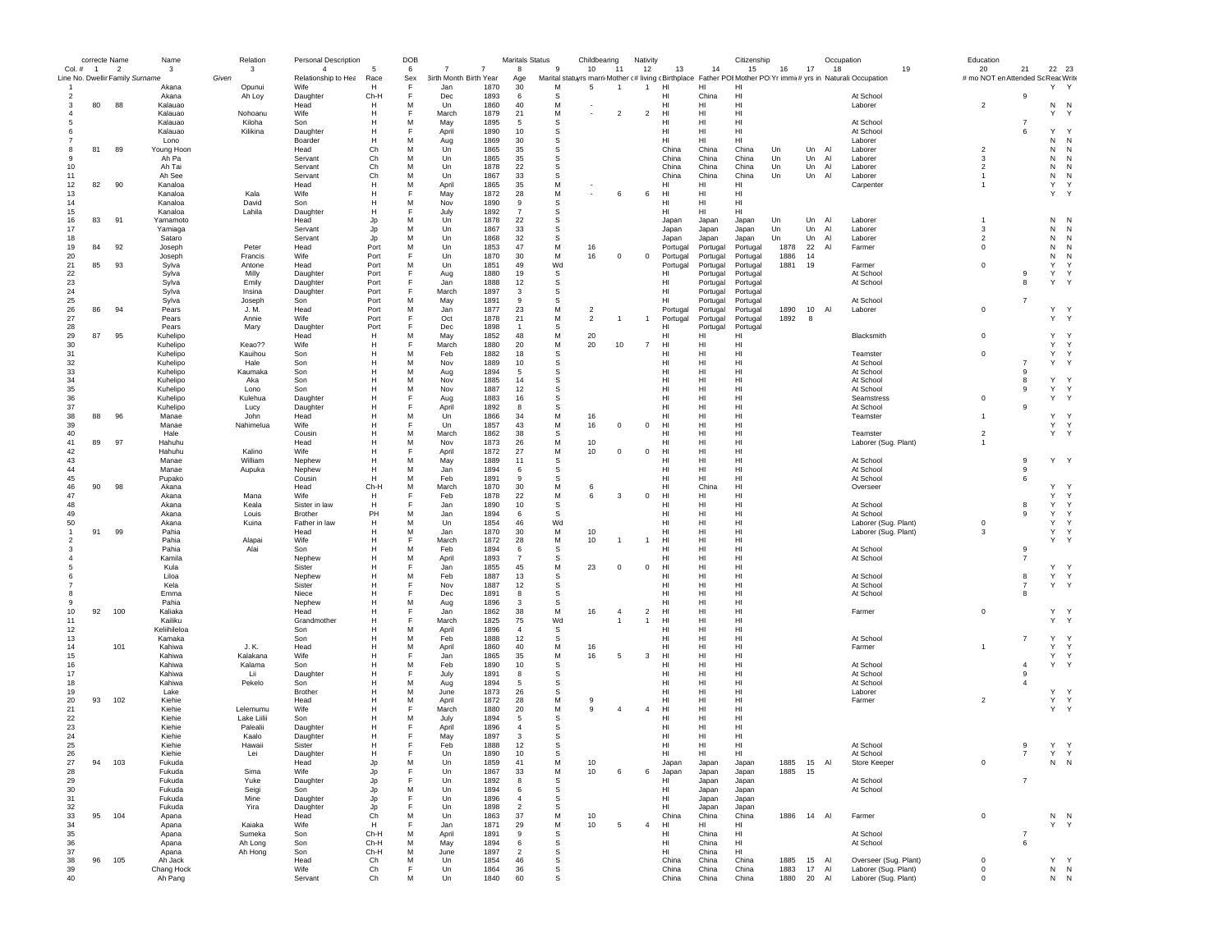|              | correcte Name |                                                             | Name                  | Relation                | Personal Description                  |              | DOB      |                                  |              | <b>Maritals Status</b> |              | Childbearing   |                          | Nativity       |                 |                      | Citizenship           |              |             | Occupation |                                                                                                                     | Education                                |                     |                            |                              |
|--------------|---------------|-------------------------------------------------------------|-----------------------|-------------------------|---------------------------------------|--------------|----------|----------------------------------|--------------|------------------------|--------------|----------------|--------------------------|----------------|-----------------|----------------------|-----------------------|--------------|-------------|------------|---------------------------------------------------------------------------------------------------------------------|------------------------------------------|---------------------|----------------------------|------------------------------|
| Col. # 1     |               | $\overline{\phantom{a}}$<br>Line No. Dwellir Family Surname | 3                     | 3<br>Given              | $\overline{4}$<br>Relationship to Hea | 5<br>Race    | 6<br>Sex | 7<br>7<br>3irth Month Birth Year |              | 8                      | $\mathbf{g}$ | 10             | 11                       | 12             | 13              | 14                   | 15                    | 16           | 17          | 18         | 19<br>Marital statuyrs marri Mother (# living (Birthplace Father POI Mother PO Yr immit# yrs in Naturali:Occupation | 20<br># mo NOT en Attended Sc Reac Write | 21                  | 22 23                      |                              |
|              |               |                                                             | Akana                 | Opunui                  | Wife                                  | н            | F        | Jan                              | 1870         | Age<br>30              | М            | 5              |                          | $\overline{1}$ | HI              | HI                   | HI                    |              |             |            |                                                                                                                     |                                          |                     | Y Y                        |                              |
|              |               |                                                             | Akana                 | Ah Loy                  | Daughter                              | Ch-H         | F        | Dec                              | 1893         | 6                      | -S           |                |                          |                | HI              | China                | HI                    |              |             |            | At School                                                                                                           |                                          | 9                   |                            |                              |
| 3            | 80            | 88                                                          | Kalauao               |                         | Head                                  | н            | м        | Un                               | 1860         | 40                     | М            |                |                          |                | HI              | HI                   | HI                    |              |             |            | Laborer                                                                                                             | $\overline{2}$                           |                     | N N                        |                              |
|              |               |                                                             | Kalauao               | Nohoanu                 | Wife                                  | н            |          | March                            | 1879         | 21                     | M            |                | $\overline{\phantom{a}}$ | $\overline{c}$ | HI              | HI                   | HI                    |              |             |            |                                                                                                                     |                                          |                     | Y                          | Y                            |
|              |               |                                                             | Kalauao<br>Kalauao    | Kiloha<br>Kilikina      | Son<br>Daughter                       | н<br>Н       | M<br>F   | May<br>April                     | 1895<br>1890 | -5<br>10               | S<br>S       |                |                          |                | HI<br>HI        | HI<br>HI             | HI<br>HI              |              |             |            | At School<br>At School                                                                                              |                                          | $\overline{7}$<br>6 | Y                          |                              |
|              |               |                                                             | Lono                  |                         | Boarder                               | н            | M        | Aug                              | 1869         | 30                     | S            |                |                          |                | HI              | HI                   | HI                    |              |             |            | Laborer                                                                                                             |                                          |                     | N                          | N                            |
| 8            | 81            | 89                                                          | Young Hoon            |                         | Head                                  | Ch           | м        | Un                               | 1865         | 35                     | -S           |                |                          |                | China           | China                | China                 | Un           | Un          | Al         | Laborer                                                                                                             | $\overline{2}$                           |                     | N                          | N                            |
| -9           |               |                                                             | Ah Pa                 |                         | Servant                               | Ch           | M        | Un                               | 1865         | 35                     | s            |                |                          |                | China           | China                | China                 | Un           | Un          | Al         | Laborer                                                                                                             | 3                                        |                     | N                          | N                            |
| 10           |               |                                                             | Ah Tai                |                         | Servant                               | Ch           | M        | Un                               | 1878         | 22                     | s            |                |                          |                | China           | China                | China                 | Un           | Un          | Al         | Laborer                                                                                                             | $\overline{2}$                           |                     | $\,$ N                     | N                            |
| 11           |               |                                                             | Ah See                |                         | Servant                               | Ch           | M        | Un                               | 1867         | 33                     | s            |                |                          |                | China           | China                | China                 | Un           | Un          | Al         | Laborer                                                                                                             | $\overline{1}$                           |                     | N                          | N                            |
| 12           | 82            | 90                                                          | Kanaloa               |                         | Head                                  | н            | M<br>E   | April                            | 1865         | 35                     | М            |                |                          |                | HI              | HI                   | HI                    |              |             |            | Carpenter                                                                                                           | $\mathbf{1}$                             |                     | Y<br>Y                     | Y                            |
| 13<br>14     |               |                                                             | Kanaloa<br>Kanaloa    | Kala<br>David           | Wife<br>Son                           | н<br>H       | M        | May<br>Nov                       | 1872<br>1890 | 28<br>9                | М<br>s       |                | 6                        | 6              | HI<br>HI        | HI<br>HI             | HI<br>HI              |              |             |            |                                                                                                                     |                                          |                     |                            |                              |
| 15           |               |                                                             | Kanaloa               | Lahila                  | Daughter                              | н            | F        | July                             | 1892         | $\overline{7}$         | S            |                |                          |                | H <sub>II</sub> | HI                   | HI                    |              |             |            |                                                                                                                     |                                          |                     |                            |                              |
| 16           | 83            | 91                                                          | Yamamoto              |                         | Head                                  | Jp           | M        | Un                               | 1878         | 22                     | s            |                |                          |                | Japan           | Japan                | Japan                 | Un           | Un          | Al         | Laborer                                                                                                             | $\overline{1}$                           |                     | N                          | N                            |
| 17           |               |                                                             | Yamiaga               |                         | Servant                               | Jp           | M        | Un                               | 1867         | 33                     | s            |                |                          |                | Japan           | Japan                | Japan                 | Un           | Un          | Al         | Laborer                                                                                                             | 3                                        |                     | N                          | N                            |
| 18           |               |                                                             | Sataro                |                         | Servant                               | Jp           | м        | Un                               | 1868         | 32                     | s            |                |                          |                | Japan           | Japan                | Japan                 | Un           | Un          | Al         | Laborer                                                                                                             | $\overline{2}$                           |                     | N                          | N                            |
| 19           | 84            | 92                                                          | Joseph                | Peter                   | Head                                  | Port         | м        | Un                               | 1853         | 47                     | M            | 16             |                          |                | Portugal        | Portugal             | Portugal              | 1878         | 22          | Al         | Farmer                                                                                                              | $^{\circ}$                               |                     | N                          | N                            |
| 20           |               |                                                             | Joseph                | Francis                 | Wife                                  | Port         | F<br>M   | Un                               | 1870         | 30                     | M            | 16             | $\Omega$                 | $\mathbf 0$    | Portugal        | Portugal             | Portugal              | 1886         | 14          |            |                                                                                                                     | $\mathbf 0$                              |                     | N<br>Y                     | N                            |
| 21<br>22     | 85            | 93                                                          | Svlva<br>Sylva        | Antone<br>Milly         | Head<br>Daughter                      | Port<br>Port | F        | Un<br>Aug                        | 1851<br>1880 | 49<br>19               | Wd<br>s      |                |                          |                | Portugal<br>HI  | Portugal<br>Portugal | Portugal<br>Portugal  | 1881         | 19          |            | Farmer<br>At School                                                                                                 |                                          | 9                   | Y                          |                              |
| 23           |               |                                                             | Sylva                 | Emily                   | Daughter                              | Port         |          | Jan                              | 1888         | 12                     | s            |                |                          |                | HI              | Portugal             | Portugal              |              |             |            | At School                                                                                                           |                                          | 8                   | Y                          |                              |
| 24           |               |                                                             | Sylva                 | Insina                  | Daughter                              | Port         | F        | March                            | 1897         | 3                      | s            |                |                          |                | HI              | Portugal             | Portugal              |              |             |            |                                                                                                                     |                                          |                     |                            |                              |
| 25           |               |                                                             | Sylva                 | Joseph                  | Son                                   | Port         | M        | May                              | 1891         | -9                     | -S           |                |                          |                | HI              | Portugal             | Portugal              |              |             |            | At School                                                                                                           |                                          | $\overline{7}$      |                            |                              |
| 26           | 86            | 94                                                          | Pears                 | J. M.                   | Head                                  | Port         | M        | Jan                              | 1877         | 23                     | M            | $\overline{2}$ |                          |                | Portugal        | Portugal             | Portugal              | 1890         | 10 Al       |            | Laborer                                                                                                             | $\mathbf 0$                              |                     | Y Y                        |                              |
| 27           |               |                                                             | Pears                 | Annie                   | Wife                                  | Port         |          | Oct                              | 1878         | 21                     | M            | $\overline{2}$ |                          | $\mathbf{1}$   | Portugal        | Portugal             | Portugal              | 1892         | 8           |            |                                                                                                                     |                                          |                     | Y Y                        |                              |
| 28           |               |                                                             | Pears                 | Mary                    | Daughter                              | Port         |          | Dec                              | 1898         | $\overline{1}$         | S            |                |                          |                | нı              | Portugal             | Portugal              |              |             |            |                                                                                                                     |                                          |                     |                            |                              |
| 29<br>30     | 87            | 95                                                          | Kuhelipo              | Keao??                  | Head<br>Wife                          | н<br>н       | м<br>Е   | May<br>March                     | 1852<br>1880 | 48<br>20               | М<br>M       | 20<br>20       | 10                       | $\overline{7}$ | HI<br>HI        | HI<br>HI             | HI<br>HI              |              |             |            | Blacksmith                                                                                                          | $\mathbf 0$                              |                     | Y<br>Y                     | Y<br>Y                       |
| 31           |               |                                                             | Kuhelipo<br>Kuhelipo  | Kauihou                 | Son                                   | H            | M        | Feb                              | 1882         | 18                     | s            |                |                          |                | HI              | HI                   | H <sub>II</sub>       |              |             |            | Teamster                                                                                                            | $\mathbf 0$                              |                     | Y                          | $\checkmark$                 |
| 32           |               |                                                             | Kuhelipo              | Hale                    | Son                                   | H            | M        | Nov                              | 1889         | 10                     | s            |                |                          |                | HI              | HI                   | HI                    |              |             |            | At School                                                                                                           |                                          | $\overline{7}$      | Y                          | Y                            |
| 33           |               |                                                             | Kuhelipo              | Kaumaka                 | Son                                   | Н            | M        | Aug                              | 1894         | 5                      | s            |                |                          |                | HI              | HI                   | HI                    |              |             |            | At School                                                                                                           |                                          | 9                   |                            |                              |
| 34           |               |                                                             | Kuhelipo              | Aka                     | Son                                   | н            | м        | Nov                              | 1885         | 14                     | s            |                |                          |                | HI              | HI                   | HI                    |              |             |            | At School                                                                                                           |                                          | 8                   | Υ                          |                              |
| 35           |               |                                                             | Kuhelipo              | Lono                    | Son                                   | н            | м        | Nov                              | 1887         | 12                     | s            |                |                          |                | HI              | HI                   | HI                    |              |             |            | At School                                                                                                           |                                          | 9                   | Y                          | Y                            |
| 36           |               |                                                             | Kuhelipo              | Kulehua                 | Daughter                              | H            | F        | Aug                              | 1883         | 16                     | S            |                |                          |                | HI              | HI                   | HI                    |              |             |            | Seamstress                                                                                                          | $\mathbf 0$                              |                     | Y                          | Y                            |
| 37           |               |                                                             | Kuhelipo              | Lucy                    | Daughter                              | H            |          | April                            | 1892         | -8                     | S            |                |                          |                | HI              | HI                   | HI                    |              |             |            | At School                                                                                                           |                                          | 9                   |                            |                              |
| 38           | 88            | 96                                                          | Manae                 | John                    | Head<br>Wife                          | H<br>Н       | M        | Un                               | 1866         | 34<br>43               | M<br>M       | 16             | $^{\circ}$               | $^{\circ}$     | HI<br>HI        | HI                   | HI<br>HI              |              |             |            | Teamster                                                                                                            | $\overline{1}$                           |                     | Υ<br>Y                     | $\mathsf{Y}$<br>Y            |
| 39<br>40     |               |                                                             | Manae<br>Hale         | Nahimelua               | Cousin                                | н            | м        | Un<br>March                      | 1857<br>1862 | 38                     | s            | 16             |                          |                | HI              | HI<br>HI             | HI                    |              |             |            | Teamster                                                                                                            | $\overline{2}$                           |                     | Y Y                        |                              |
| 41           | 89            | 97                                                          | Hahuhu                |                         | Head                                  | H            | M        | Nov                              | 1873         | 26                     | M            | 10             |                          |                | H <sub>II</sub> | HI                   | H <sub>II</sub>       |              |             |            | Laborer (Sug. Plant)                                                                                                | $\overline{1}$                           |                     |                            |                              |
| 42           |               |                                                             | Hahuhu                | Kalino                  | Wife                                  | H            | Е        | April                            | 1872         | 27                     | M            | 10             | $\Omega$                 | $\mathbf 0$    | H <sub>II</sub> | HI                   | H <sub>II</sub>       |              |             |            |                                                                                                                     |                                          |                     |                            |                              |
| 43           |               |                                                             | Manae                 | William                 | Nephew                                | H            | M        | May                              | 1889         | 11                     | s            |                |                          |                | HI              | HI                   | HI                    |              |             |            | At School                                                                                                           |                                          | 9                   | Y Y                        |                              |
| 44           |               |                                                             | Manae                 | Aupuka                  | Nephew                                | н            | м        | Jan                              | 1894         | 6                      | s            |                |                          |                | HI              | HI                   | HI                    |              |             |            | At School                                                                                                           |                                          | 9                   |                            |                              |
| 45           |               |                                                             | Pupako                |                         | Cousin                                | н            | м        | Feb                              | 1891         | 9                      | s            |                |                          |                | HI              | HI                   | HI                    |              |             |            | At School                                                                                                           |                                          | 6                   |                            |                              |
| 46           | 90            | 98                                                          | Akana                 |                         | Head                                  | Ch-H         | м        | March                            | 1870         | 30                     | М            | 6              |                          |                | HI              | China                | HI                    |              |             |            | Overseer                                                                                                            |                                          |                     | Y                          | $\mathbf{v}$                 |
| 47<br>48     |               |                                                             | Akana<br>Akana        | Mana<br>Keala           | Wife<br>Sister in law                 | н<br>н       |          | Feb<br>Jan                       | 1878<br>1890 | 22<br>10               | M<br>s       | 6              | $\mathbf{3}$             | $\mathbf 0$    | HI<br>HI        | HI<br>HI             | HI<br>HI              |              |             |            | At School                                                                                                           |                                          | 8                   | Y<br>Y                     | $\mathsf{Y}$<br>$\mathsf{Y}$ |
| 49           |               |                                                             | Akana                 | Louis                   | Brother                               | PH           | M        | Jan                              | 1894         | 6                      | S            |                |                          |                | HI              | HI                   | HI                    |              |             |            | At School                                                                                                           |                                          | 9                   | Y                          | Y                            |
| 50           |               |                                                             | Akana                 | Kuina                   | Father in law                         | н            | M        | Un                               | 1854         | 46                     | Wd           |                |                          |                | HI              | HI                   | HI                    |              |             |            | Laborer (Sug. Plant)                                                                                                | $\mathbf 0$                              |                     | Y                          | Y                            |
| $\mathbf{1}$ | 91            | 99                                                          | Pahia                 |                         | Head                                  | н            | м        | Jan                              | 1870         | 30                     | М            | 10             |                          |                | HI              | HI                   | HI                    |              |             |            | Laborer (Sug. Plant)                                                                                                | 3                                        |                     | Y                          | Y                            |
| -2           |               |                                                             | Pahia                 | Alapai                  | Wife                                  | H            | F        | March                            | 1872         | 28                     | M            | 10             |                          | $\overline{1}$ | H <sub>II</sub> | HI                   | H <sub>II</sub>       |              |             |            |                                                                                                                     |                                          |                     | Y                          | $\mathsf{Y}$                 |
|              |               |                                                             | Pahia                 | Alai                    | Son                                   | H            | M        | Feb                              | 1894         | 6                      | s            |                |                          |                | HI              | HI                   | HI                    |              |             |            | At School                                                                                                           |                                          | 9                   |                            |                              |
|              |               |                                                             | Kamila                |                         | Nephew                                | H            | M        | April                            | 1893         | $\overline{7}$         | s            |                |                          |                | HI              | HI                   | HI                    |              |             |            | At School                                                                                                           |                                          | $\overline{7}$      |                            |                              |
|              |               |                                                             | Kula                  |                         | Sister                                | Н<br>н       | F<br>м   | Jan                              | 1855<br>1887 | 45                     | М<br>s       | 23             | $^{\circ}$               | $^{\circ}$     | HI<br>HI        | HI<br>HI             | HI                    |              |             |            | At School                                                                                                           |                                          | 8                   | Y<br>Y                     | Y<br>Y                       |
|              |               |                                                             | Liloa<br>Kela         |                         | Nephew<br>Sister                      | н            |          | Feb<br>Nov                       | 1887         | 13<br>12               | s            |                |                          |                | HI              | HI                   | HI<br>HI              |              |             |            | At School                                                                                                           |                                          | $\overline{7}$      | Y                          | Y                            |
|              |               |                                                             | Emma                  |                         | Niece                                 | H            | F        | Dec                              | 1891         | 8                      | S            |                |                          |                | HI              | HI                   | HI                    |              |             |            | At School                                                                                                           |                                          | 8                   |                            |                              |
|              |               |                                                             | Pahia                 |                         | Nephew                                | н            | M        | Aug                              | 1896         | 3                      | S            |                |                          |                | HI              | HI                   | HI                    |              |             |            |                                                                                                                     |                                          |                     |                            |                              |
| 10           | 92            | 100                                                         | Kaliaka               |                         | Head                                  | Н            | F        | Jan                              | 1862         | 38                     | М            | 16             | $\overline{4}$           | $\overline{2}$ | HI              | HI                   | HI                    |              |             |            | Farmer                                                                                                              | $^{\circ}$                               |                     | Y                          | Y                            |
| 11           |               |                                                             | Kailiku               |                         | Grandmother                           | н            | E        | March                            | 1825         | 75                     | Wd           |                |                          | $\overline{1}$ | HI              | HI                   | HI                    |              |             |            |                                                                                                                     |                                          |                     | Y                          | Y                            |
| 12           |               |                                                             | Keliihileloa          |                         | Son                                   | н<br>H       | M<br>M   | April                            | 1896<br>1888 | $\overline{4}$         | s<br>s       |                |                          |                | HI              | HI<br>HI             | HI<br>H <sub>II</sub> |              |             |            |                                                                                                                     |                                          | $\overline{7}$      | Y                          | $\checkmark$                 |
| 13<br>14     |               | 101                                                         | Kamaka<br>Kahiwa      | J. K.                   | Son<br>Head                           | H            | M        | Feb<br>April                     | 1860         | 12<br>40               | M            | 16             |                          |                | HI<br>HI        | HI                   | HI                    |              |             |            | At School<br>Farmer                                                                                                 | $\mathbf{1}$                             |                     | Y                          | $\mathsf{Y}$                 |
| 15           |               |                                                             | Kahiwa                | Kalakana                | Wife                                  |              |          | Jan                              | 1865         | 35                     | М            | 16             | -5                       | 3              | HI              | HI                   | HI                    |              |             |            |                                                                                                                     |                                          |                     | Y                          | Y                            |
| 16           |               |                                                             | Kahiwa                | Kalama                  | Son                                   |              | M        | Feb                              | 1890         | 10                     | S            |                |                          |                | HI              | HI                   | HI                    |              |             |            | At School                                                                                                           |                                          | $\overline{4}$      | Y                          | Y                            |
| 17           |               |                                                             | Kahiwa                | Lii                     | Daughter                              | н            |          | July                             | 1891         | 8                      | s            |                |                          |                | HI              | HI                   | HI                    |              |             |            | At School                                                                                                           |                                          | 9                   |                            |                              |
| 18           |               |                                                             | Kahiwa                | Pekelo                  | Son                                   | н            | м        | Aug                              | 1894         | -5                     | -S           |                |                          |                | HI              | HI                   | HI                    |              |             |            | At School                                                                                                           |                                          | $\overline{4}$      |                            |                              |
| 19           |               |                                                             | Lake                  |                         | Brother                               | н            | M        | June                             | 1873         | 26                     | S            |                |                          |                | HI              | HI                   | HI                    |              |             |            | Laborer                                                                                                             |                                          |                     | Y.                         | -Y                           |
| 20           | 93            | 102                                                         | Kiehie                |                         | Head                                  | н            | M        | April                            | 1872         | 28                     | M            | 9              |                          |                | HI              | HI                   | HI                    |              |             |            | Farmer                                                                                                              | $\overline{2}$                           |                     | Y Y                        |                              |
| 21           |               |                                                             | Kiehie                | Lelemumu<br>Lake Liilii | Wife                                  | н            | м        | March                            | 1880<br>1894 | 20                     | М<br>S       | 9              | $\overline{4}$           | $\overline{4}$ | HI<br>HI        | HI<br>HI             | HI<br>HI              |              |             |            |                                                                                                                     |                                          |                     | Y Y                        |                              |
| 22<br>23     |               |                                                             | Kiehie<br>Kiehie      | Palealii                | Son<br>Daughter                       | н            |          | July<br>April                    | 1896         | 5<br>$\overline{4}$    | S            |                |                          |                | H <sub>II</sub> | HI                   | H <sub>II</sub>       |              |             |            |                                                                                                                     |                                          |                     |                            |                              |
| 24           |               |                                                             | Kiehie                | Kaalo                   | Daughter                              | H            |          | May                              | 1897         | $\mathbf{3}$           | <sub>S</sub> |                |                          |                | HI              | HI                   | HI                    |              |             |            |                                                                                                                     |                                          |                     |                            |                              |
| 25           |               |                                                             | Kiehie                | Hawaii                  | Sister                                | н            |          | Feb                              | 1888         | 12                     | <b>S</b>     |                |                          |                | HI              | HI                   | HI                    |              |             |            | At School                                                                                                           |                                          | 9                   | Y Y                        |                              |
| 26           |               |                                                             | Kiehie                | Lei                     | Daughter                              | п            |          | Un                               | 1890         | 10                     |              |                |                          |                | HI              | HI                   | HI                    |              |             |            | AT SCROOL                                                                                                           |                                          |                     |                            | $\mathsf{v}$                 |
| 27           | 94            | 103                                                         | Fukuda                |                         | Head                                  | Jp           | M        | Un                               | 1859         | 41                     | M            | 10             |                          |                | Japan           | Japan                | Japan                 | 1885         | 15          | Al         | Store Keeper                                                                                                        | $\mathbf 0$                              |                     | ${\sf N}$ ${\sf N}$        |                              |
| 28           |               |                                                             | Fukuda                | Sima                    | Wife                                  | Jp           | F        | Un                               | 1867         | 33                     | М            | $10$           | 6                        | 6              | Japan           | Japan                | Japan                 | 1885         | 15          |            |                                                                                                                     |                                          |                     |                            |                              |
| 29           |               |                                                             | Fukuda                | Yuke                    | Daughter                              | Jp           | F        | Un                               | 1892         | 8                      | s<br>S       |                |                          |                | HI              | Japan                | Japan                 |              |             |            | At School                                                                                                           |                                          | $\overline{7}$      |                            |                              |
| 30<br>31     |               |                                                             | Fukuda<br>Fukuda      | Seigi<br>Mine           | Son<br>Daughter                       | Jp<br>Jp     | M<br>F   | Un<br>Un                         | 1894<br>1896 | 6<br>$\overline{4}$    | s            |                |                          |                | HI<br>HI        | Japan<br>Japan       | Japan<br>Japan        |              |             |            | At School                                                                                                           |                                          |                     |                            |                              |
| 32           |               |                                                             | Fukuda                | Yira                    | Daughter                              | Jp           | F        | Un                               | 1898         | $\overline{2}$         | S            |                |                          |                | HI              | Japan                | Japan                 |              |             |            |                                                                                                                     |                                          |                     |                            |                              |
| 33           | 95            | 104                                                         | Apana                 |                         | Head                                  | Ch           | м        | Un                               | 1863         | 37                     | М            | 10             |                          |                | China           | China                | China                 | 1886         | 14 Al       |            | Farmer                                                                                                              | $\mathbf 0$                              |                     | N <sub>N</sub>             |                              |
| 34           |               |                                                             | Apana                 | Kaiaka                  | Wife                                  | H            | F        | Jan                              | 1871         | 29                     | M            | $10$           | 5                        | $\overline{4}$ | HI              | HL                   | HI                    |              |             |            |                                                                                                                     |                                          |                     | Υ                          | Y                            |
| 35           |               |                                                             | Apana                 | Sumeka                  | Son                                   | Ch-H         | M        | April                            | 1891         | 9                      | s            |                |                          |                | HI              | China                | HI                    |              |             |            | At School                                                                                                           |                                          | $\overline{7}$      |                            |                              |
| 36           |               |                                                             | Apana                 | Ah Long                 | Son                                   | Ch-H         | M        | May                              | 1894         | 6                      | s            |                |                          |                | HI              | China                | HI                    |              |             |            | At School                                                                                                           |                                          | 6                   |                            |                              |
| 37           |               |                                                             | Apana                 | Ah Hong                 | Son                                   | Ch-H         | M        | June                             | 1897         | $\overline{2}$         | s            |                |                          |                | HI              | China                | HI                    |              |             |            |                                                                                                                     |                                          |                     |                            |                              |
| 38<br>39     | 96            | 105                                                         | Ah Jack<br>Chang Hock |                         | Head<br>Wife                          | Ch<br>Ch     | M<br>F   | Un<br>Un                         | 1854<br>1864 | 46<br>36               | s<br>s       |                |                          |                | China<br>China  | China<br>China       | China<br>China        | 1885<br>1883 | 15 Al<br>17 | Al         | Overseer (Sug. Plant)<br>Laborer (Sug. Plant)                                                                       | $\mathbf 0$<br>$\,0\,$                   |                     | Y Y<br>${\sf N}$ ${\sf N}$ |                              |
| 40           |               |                                                             | Ah Pang               |                         | Servant                               | Ch           | M        | Un                               | 1840         | 60                     | s            |                |                          |                | China           | China                | China                 | 1880         | 20 Al       |            | Laborer (Sug. Plant)                                                                                                | $^{\circ}$                               |                     | ${\sf N}$ ${\sf N}$        |                              |
|              |               |                                                             |                       |                         |                                       |              |          |                                  |              |                        |              |                |                          |                |                 |                      |                       |              |             |            |                                                                                                                     |                                          |                     |                            |                              |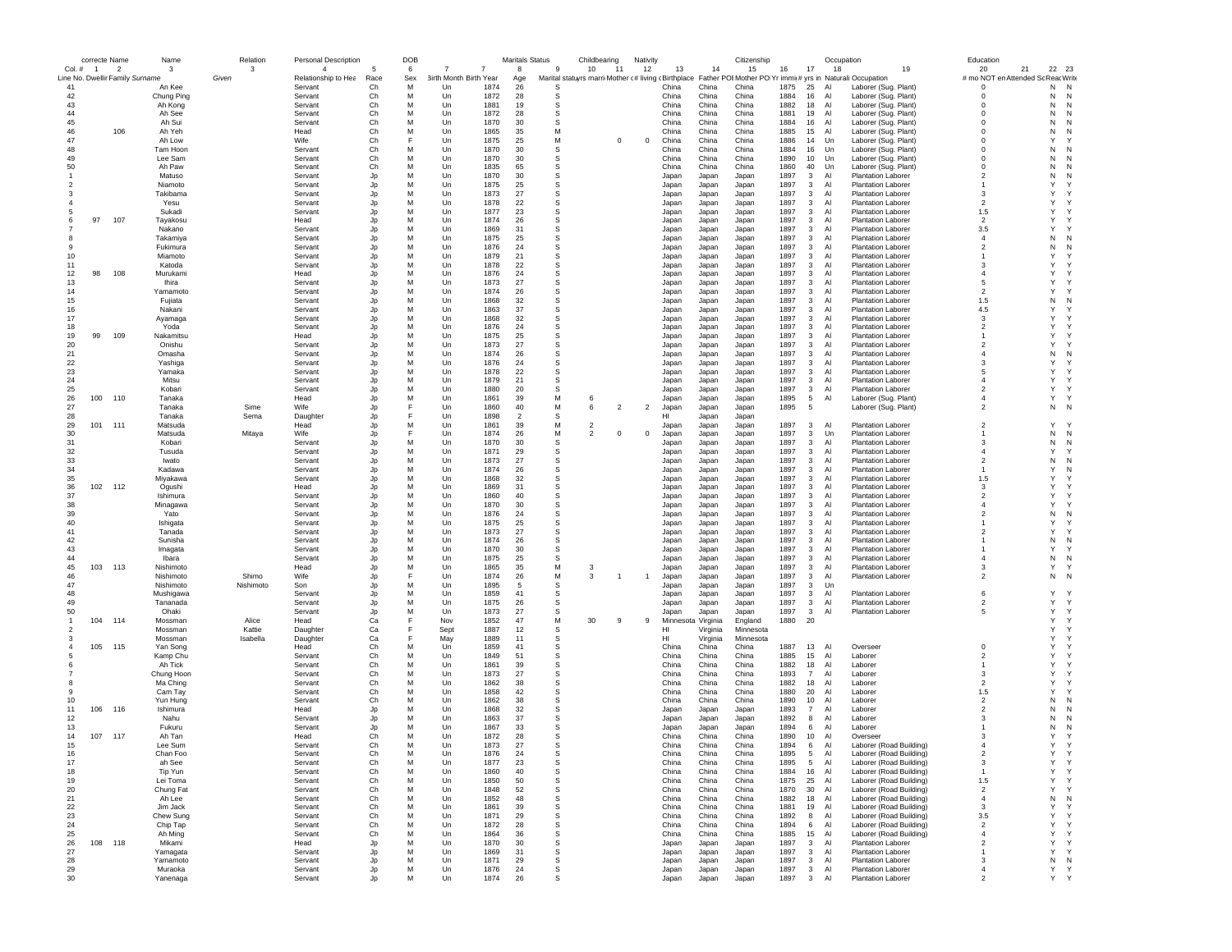|              |                | correcte Name                   | Name                 | Relation  | <b>Personal Description</b> |          | <b>DOB</b> |                        |              | <b>Maritals Status</b> |                                                     | Childbearing            |                | Nativity       |                    |                | Citizenship                                                |              |                              | Occupation |                                                        | Education                        |                   |
|--------------|----------------|---------------------------------|----------------------|-----------|-----------------------------|----------|------------|------------------------|--------------|------------------------|-----------------------------------------------------|-------------------------|----------------|----------------|--------------------|----------------|------------------------------------------------------------|--------------|------------------------------|------------|--------------------------------------------------------|----------------------------------|-------------------|
| Col. #       | $\blacksquare$ | $\overline{2}$                  | 3                    | 3         | $\overline{4}$              | 5        | 6          |                        |              | 8                      | 9                                                   | 10                      | 11             | 12             | 13                 | 14             | 15                                                         | 16           | 17                           | 18         | 19                                                     | 20<br>21                         | 22 23             |
|              |                | Line No. Dwellir Family Surname |                      | Given     | Relationship to Hea         | Race     | Sex        | 3irth Month Birth Year |              | Age                    | Marital statuyrs marri Mother (# living (Birthplace |                         |                |                |                    |                | Father POI Mother PO Yr immi(# yrs in Naturali: Occupation |              |                              |            |                                                        | # mo NOT en Attended So          | Reac Write        |
| 41<br>42     |                |                                 | An Kee<br>Chung Ping |           | Servant<br>Servant          | Ch<br>Ch | м<br>M     | Un<br>Un               | 1874<br>1872 | 26<br>28               | s<br>s                                              |                         |                |                | China<br>China     | China<br>China | China<br>China                                             | 1875<br>1884 | 25<br>16                     | Al<br>Al   | Laborer (Sug. Plant)                                   | 0<br>$\Omega$                    | N<br>Ν<br>Ν<br>N  |
| 43           |                |                                 | Ah Kong              |           | Servant                     | Ch       | M          | Un                     | 1881         | 19                     | s                                                   |                         |                |                | China              | China          | China                                                      | 1882         | 18                           | Al         | Laborer (Sug. Plant)<br>Laborer (Sug. Plant)           | $\Omega$                         | N<br>N            |
| 44           |                |                                 | Ah See               |           | Servant                     | Ch       | M          | Un                     | 1872         | 28                     | S                                                   |                         |                |                | China              | China          | China                                                      | 1881         | 19                           | Al         | Laborer (Sug. Plant)                                   | 0                                | N<br>N            |
| 45           |                |                                 | Ah Sui               |           | Servant                     | Ch       | M          | Un                     | 1870         | 30                     | s                                                   |                         |                |                | China              | China          | China                                                      | 1884         | 16                           | Al         | Laborer (Sug. Plant)                                   | $^{\circ}$                       | Ν<br>N            |
| 46           |                | 106                             | Ah Yeh               |           | Head                        | Ch       | M          | Un                     | 1865         | 35                     | M                                                   |                         |                |                | China              | China          | China                                                      | 1885         | 15                           | Al         | Laborer (Sug. Plant)                                   | 0                                | Ν<br>N            |
| 47           |                |                                 | Ah Low               |           | Wife                        | Ch       | F          | Un                     | 1875         | 25                     | M                                                   |                         | $^{\circ}$     | $^{\circ}$     | China              | China          | China                                                      | 1886         | 14                           | Un         | Laborer (Sug. Plant)                                   | 0                                | Y<br>Y.           |
| 48           |                |                                 | Tam Hoon             |           | Servant                     | Ch       | M          | Un                     | 1870         | 30                     | S                                                   |                         |                |                | China              | China          | China                                                      | 1884         | 16                           | Un         | Laborer (Sug. Plant)                                   | $\Omega$                         | N<br>N            |
| 49           |                |                                 | Lee Sam              |           | Servant                     | Ch       | M          | Un                     | 1870         | 30                     | S                                                   |                         |                |                | China              | China          | China                                                      | 1890         | 10                           | Un         | Laborer (Sug. Plant)                                   | $\mathbf 0$                      | N<br>N            |
| 50           |                |                                 | Ah Paw               |           | Servant                     | Ch       | M          | Un                     | 1835         | 65                     | s                                                   |                         |                |                | China              | China          | China                                                      | 1860         | 40                           | Un         | Laborer (Sug. Plant)                                   | $\mathbf 0$                      | Ν<br>N            |
|              |                |                                 | Matuso               |           | Servant                     | Jp       | M          | Un                     | 1870         | 30                     | s                                                   |                         |                |                | Japan              | Japan          | Japan                                                      | 1897         | 3                            | Al         | <b>Plantation Laborer</b>                              | $\overline{2}$                   | Ν<br>N            |
| -2           |                |                                 | Niamoto              |           | Servant                     | Jp       | M          | Un                     | 1875         | 25                     | s                                                   |                         |                |                | Japan              | Japan          | Japan                                                      | 1897         | $\mathbf{3}$                 | Al         | <b>Plantation Laborer</b>                              | -1                               | Y<br>Y            |
|              |                |                                 | Takibama             |           | Servant                     | Jp       | M          | Un                     | 1873         | 27                     | s                                                   |                         |                |                | Japan              | Japan          | Japan                                                      | 1897         | 3                            | Al         | <b>Plantation Laborer</b>                              | 3                                | Y<br>Y            |
|              |                |                                 | Yesu                 |           | Servant                     | Jp       | M          | Un                     | 1878         | 22                     | S                                                   |                         |                |                | Japan              | Japan          | Japan                                                      | 1897         | $\mathbf{3}$                 | Al         | <b>Plantation Laborer</b>                              | $\overline{2}$                   | Y<br>Y            |
|              |                |                                 | Sukadi               |           | Servant                     | Jp       | M          | Un                     | 1877         | 23                     | S                                                   |                         |                |                | Japan              | Japan          | Japan                                                      | 1897         | $\mathbf{3}$                 | Al         | <b>Plantation Laborer</b>                              | 1.5                              | Y<br>Y            |
|              | 97             | 107                             | Tayakosu             |           | Head                        | Jp       | M<br>M     | Un                     | 1874         | 26                     | s                                                   |                         |                |                | Japan              | Japan          | Japan                                                      | 1897         | 3                            | A          | <b>Plantation Laborer</b>                              | $\overline{2}$                   | Y<br>Y<br>Y       |
| -8           |                |                                 | Nakano               |           | Servant<br>Servant          | Jp       | M          | Un<br>Un               | 1869<br>1875 | 31<br>25               | s<br>s                                              |                         |                |                | Japan              | Japan          | Japan                                                      | 1897<br>1897 | $\mathbf{3}$                 | Al<br>AI   | <b>Plantation Laborer</b>                              | 3.5<br>$\overline{a}$            | Y<br>N<br>N       |
| 9            |                |                                 | Takamiya<br>Fukimura |           | Servant                     | Jp<br>Jp | M          | $_{\text{Un}}$         | 1876         | 24                     | s                                                   |                         |                |                | Japan              | Japan          | Japan<br>Japan                                             | 1897         | $\mathbf{3}$<br>3            | AI         | <b>Plantation Laborer</b><br><b>Plantation Laborer</b> | $\mathfrak{p}$                   | N<br>N            |
| 10           |                |                                 | Miamoto              |           | Servant                     | Jo       | M          | Un                     | 1879         | 21                     | S                                                   |                         |                |                | Japan<br>Japan     | Japan<br>Japan | Japan                                                      | 1897         | 3                            | Al         | Plantation Laborer                                     | $\mathbf{1}$                     | Y<br>Y            |
| 11           |                |                                 | Katoda               |           | Servant                     | Jp       | M          | Un                     | 1878         | 22                     | s                                                   |                         |                |                | Japan              | Japan          | Japan                                                      | 1897         | 3                            | Al         | <b>Plantation Laborer</b>                              | 3                                | Y<br>Y            |
| 12           | 98             | 108                             | Murukami             |           | Head                        | Jp       | M          | Un                     | 1876         | 24                     | s                                                   |                         |                |                | Japan              | Japan          | Japan                                                      | 1897         | 3                            | Al         | <b>Plantation Laborer</b>                              | $\overline{4}$                   | Y<br>Y            |
| 13           |                |                                 | Ihira                |           | Servant                     | Jp       | M          | Un                     | 1873         | 27                     | s                                                   |                         |                |                | Japan              | Japan          | Japan                                                      | 1897         | 3                            | Al         | <b>Plantation Laborer</b>                              | 5                                | Υ<br>Y            |
| 14           |                |                                 | Yamamoto             |           | Servant                     | Jp       | M          | Un                     | 1874         | 26                     | S                                                   |                         |                |                | Japan              | Japan          | Japan                                                      | 1897         | 3                            | Al         | <b>Plantation Laborer</b>                              | $\mathfrak{p}$                   | Y<br>Y            |
| 15           |                |                                 | Fuijata              |           | Servant                     | Jp       | M          | Un                     | 1868         | 32                     | S                                                   |                         |                |                | Japan              | Japan          | Japan                                                      | 1897         | 3                            | Al         | <b>Plantation Laborer</b>                              | 1.5                              | N<br>N            |
| 16           |                |                                 | Nakani               |           | Servant                     | Jp       | M          | Un                     | 1863         | 37                     | s                                                   |                         |                |                | Japan              | Japan          | Japan                                                      | 1897         | 3                            | Al         | <b>Plantation Laborer</b>                              | 4.5                              | Y<br>Y            |
| 17           |                |                                 | Ayamaga              |           | Servant                     | Jp       | M          | Un                     | 1868         | 32                     | s                                                   |                         |                |                | Japan              | Japan          | Japan                                                      | 1897         | 3                            | Al         | Plantation Laborer                                     | 3                                | Υ<br>Y            |
| 18           |                |                                 | Yoda                 |           | Servant                     | Jp       | M          | Un                     | 1876         | 24                     | s                                                   |                         |                |                | Japan              | Japan          | Japan                                                      | 1897         | $\mathbf{3}$                 | Al         | <b>Plantation Laborer</b>                              | $\overline{2}$                   | Y<br>Y            |
| 19           | 99             | 109                             | Nakamitsu            |           | Head                        | Jp       | M          | Un                     | 1875         | 25                     | s                                                   |                         |                |                | Japan              | Japan          | Japan                                                      | 1897         | 3                            | AI         | <b>Plantation Laborer</b>                              | -1                               | Y<br>Y            |
| 20           |                |                                 | Onishu               |           | Servant                     | Jo       | M          | Un                     | 1873         | 27                     | S                                                   |                         |                |                | Japan              | Japan          | Japan                                                      | 1897         | 3                            | Al         | <b>Plantation Laborer</b>                              | $\overline{2}$                   | Y<br>Y            |
| 21           |                |                                 | Omasha               |           | Servant                     | Jp       | M          | Un                     | 1874         | 26                     | S                                                   |                         |                |                | Japan              | Japan          | Japan                                                      | 1897         | 3                            | Al         | <b>Plantation Laborer</b>                              | $\overline{4}$                   | N<br>N            |
| 22           |                |                                 | Yashiga              |           | Servant                     | Jp       | M          | Un                     | 1876         | 24                     | s                                                   |                         |                |                | Japan              | Japan          | Japan                                                      | 1897         | 3                            | Al         | <b>Plantation Laborer</b>                              | 3                                | Y<br>Y            |
| 23           |                |                                 | Yamaka               |           | Servant                     | Jp       | M          | Un                     | 1878         | 22                     | s                                                   |                         |                |                | Japan              | Japan          | Japan                                                      | 1897         | $\mathbf{3}$                 | Al         | <b>Plantation Laborer</b>                              | 5                                | Y<br>Y            |
| 24           |                |                                 | Mitsu                |           | Servant                     | Jp       | M          | Un                     | 1879         | 21                     | s                                                   |                         |                |                | Japan              | Japan          | Japan                                                      | 1897         | $\mathbf{3}$                 | Al         | <b>Plantation Laborer</b>                              | $\overline{a}$                   | Y<br>Y<br>Y       |
| 25           |                |                                 | Kobari               |           | Servant                     | Jp       | M          | Un                     | 1880         | 20                     | s                                                   |                         |                |                | Japan              | Japan          | Japan                                                      | 1897         | $\mathbf{3}$                 | Al         | <b>Plantation Laborer</b>                              | $\overline{2}$<br>$\overline{4}$ | Y<br>Y            |
| 26           | 100            | 110                             | Tanaka<br>Tanaka     | Sime      | Head<br>Wife                | Jp       | M<br>F     | Un<br>Un               | 1861<br>1860 | 39<br>40               | M<br>M                                              | 6<br>6                  | $\overline{2}$ |                | Japan              | Japan          | Japan                                                      | 1895         | 5<br>5                       | Al         | Laborer (Sug. Plant)                                   | $\overline{2}$                   | Υ<br>- N          |
| 27<br>28     |                |                                 | Tanaka               | Sema      |                             | Jp       |            | Un                     | 1898         | $\overline{2}$         | s                                                   |                         |                | $\overline{2}$ | Japan<br>HI        | Japan          | Japan                                                      | 1895         |                              |            | Laborer (Sug. Plant)                                   |                                  | Ν                 |
| 29           | 101            | 111                             | Matsuda              |           | Daughter<br>Head            | Jp<br>Jp | M          | Un                     | 1861         | 39                     | M                                                   | $\overline{\mathbf{2}}$ |                |                | Japan              | Japan<br>Japan | Japan<br>Japan                                             | 1897         | $\mathbf{3}$                 | Al         | <b>Plantation Laborer</b>                              | $\overline{2}$                   | Y<br>$\mathbf{v}$ |
| 30           |                |                                 | Matsuda              | Mitaya    | Wife                        | Jp       |            | $_{\text{Un}}$         | 1874         | 26                     | M                                                   | $\overline{2}$          | $\mathbf 0$    | $^{\circ}$     | Japan              | Japan          | Japan                                                      | 1897         | $\mathbf{3}$                 | Un         | <b>Plantation Laborer</b>                              | -1                               | N<br>N            |
| 31           |                |                                 | Kobari               |           | Servant                     | Jo       | M          | Un                     | 1870         | 30                     | s                                                   |                         |                |                | Japan              | Japan          | Japan                                                      | 1897         | 3                            | Al         | <b>Plantation Laborer</b>                              | 3                                | N<br>N            |
| 32           |                |                                 | Tusuda               |           | Servant                     | Jo       | M          | Un                     | 1871         | 29                     | S                                                   |                         |                |                | Japan              | Japan          | Japan                                                      | 1897         | 3                            | Al         | <b>Plantation Laborer</b>                              | $\overline{4}$                   | Y<br>Y            |
| 33           |                |                                 | Iwato                |           | Servant                     | Jp       | M          | Un                     | 1873         | 27                     | s                                                   |                         |                |                | Japan              | Japan          | Japan                                                      | 1897         | 3                            | Al         | <b>Plantation Laborer</b>                              | $\overline{2}$                   | Ν<br>N            |
| 34           |                |                                 | Kadawa               |           | Servant                     | Jp       | M          | Un                     | 1874         | 26                     | s                                                   |                         |                |                | Japan              | Japan          | Japan                                                      | 1897         | $\mathbf{3}$                 | Al         | <b>Plantation Laborer</b>                              | -1                               | Y<br>N            |
| 35           |                |                                 | Miyakawa             |           | Servant                     | Jp       | M          | Un                     | 1868         | 32                     | s                                                   |                         |                |                | Japan              | Japan          | Japan                                                      | 1897         | 3                            | Al         | <b>Plantation Laborer</b>                              | 1.5                              | Y<br>Y.           |
| 36           | 102            | 112                             | Ogushi               |           | Head                        | Jp       | M          | Un                     | 1869         | 31                     | S                                                   |                         |                |                | Japan              | Japan          | Japan                                                      | 1897         | 3                            | AI         | <b>Plantation Laborer</b>                              | 3                                | Y<br>Y.           |
| 37           |                |                                 | Ishimura             |           | Servant                     | Jp       | M          | Un                     | 1860         | 40                     | S                                                   |                         |                |                | Japan              | Japan          | Japan                                                      | 1897         | 3                            | Al         | <b>Plantation Laborer</b>                              | $\overline{2}$                   | Y<br>Y            |
| 38           |                |                                 | Minagawa             |           | Servant                     | Jp       | M          | Un                     | 1870         | 30                     | s                                                   |                         |                |                | Japan              | Japan          | Japan                                                      | 1897         | 3                            | Al         | <b>Plantation Laborer</b>                              | $\overline{4}$                   | Y<br>Y.           |
| 39           |                |                                 | Yato                 |           | Servant                     | Jp       | M          | Un                     | 1876         | 24                     | s                                                   |                         |                |                | Japan              | Japan          | Japan                                                      | 1897         | $\mathbf{3}$                 | Al         | <b>Plantation Laborer</b>                              | $\overline{2}$                   | Ν<br>N            |
| 40           |                |                                 | Ishigata             |           | Servant                     | Jp       | M          | Un                     | 1875         | 25                     | s                                                   |                         |                |                | Japan              | Japan          | Japan                                                      | 1897         | 3                            | Al         | <b>Plantation Laborer</b>                              | -1                               | Υ<br>Y            |
| 41           |                |                                 | Tanada               |           | Servant                     | Jp       | M          | Un                     | 1873         | 27                     | s                                                   |                         |                |                | Japan              | Japan          | Japan                                                      | 1897         | 3                            | AI         | <b>Plantation Laborer</b>                              | $\overline{2}$                   | Y<br>Y.           |
| 42           |                |                                 | Sunisha              |           | Servant                     | Jo       | M          | Un                     | 1874         | 26                     | S                                                   |                         |                |                | Japan              | Japan          | Japan                                                      | 1897         | 3                            | Al         | <b>Plantation Laborer</b>                              | -1                               | N<br>N            |
| 43           |                |                                 | Imagata              |           | Servant                     | Jp       | M          | Un                     | 1870         | 30                     | s                                                   |                         |                |                | Japan              | Japan          | Japan                                                      | 1897         | 3                            | Al         | <b>Plantation Laborer</b>                              |                                  | Υ<br>Y            |
| 44           |                |                                 | Ibara                |           | Servant                     | Jp       | M          | Un                     | 1875         | 25                     | s                                                   |                         |                |                | Japan              | Japan          | Japan                                                      | 1897         | 3                            | Al         | <b>Plantation Laborer</b>                              | $\overline{4}$                   | Ν<br>N            |
| 45           | 103            | 113                             | Nishimoto            |           | Head                        | Jp       | M          | Un                     | 1865         | 35                     | M                                                   | 3                       |                |                | Japan              | Japan          | Japan                                                      | 1897         | $\mathbf{3}$                 | Al         | <b>Plantation Laborer</b>                              | 3                                | Y<br>Y            |
| 46           |                |                                 | Nishimoto            | Shimo     | Wife                        | Jp       | E<br>M     | Un                     | 1874         | 26                     | M<br>S                                              | 3                       | $\mathbf{1}$   | $\overline{1}$ | Japan              | Japan          | Japan                                                      | 1897         | $\mathbf{3}$                 | Al         | <b>Plantation Laborer</b>                              | $\overline{2}$                   | N<br>N            |
| 47           |                |                                 | Nishimoto            | Nishimoto | Son                         | Jp       | M          | Un                     | 1895         | -5                     |                                                     |                         |                |                | Japan              | Japan          | Japan                                                      | 1897         | $\mathbf{3}$                 | Un         |                                                        | 6                                | Y<br>Y            |
| 48<br>49     |                |                                 | Mushigawa            |           | Servant<br>Servant          | Jp       | M          | Un<br>Un               | 1859<br>1875 | 41<br>26               | s<br>s                                              |                         |                |                | Japan              | Japan          | Japan                                                      | 1897<br>1897 | $\mathbf{3}$<br>$\mathbf{3}$ | Al<br>Al   | <b>Plantation Laborer</b>                              | $\overline{\mathbf{c}}$          | Υ<br>Y            |
| 50           |                |                                 | Tananada<br>Ohaki    |           | Servant                     | Jp<br>Jp | M          | Un                     | 1873         | 27                     | s                                                   |                         |                |                | Japan<br>Japar     | Japan<br>Japan | Japan<br>Japan                                             | 1897         | $\overline{\mathbf{3}}$      | Al         | <b>Plantation Laborer</b><br><b>Plantation Laborer</b> | 5                                | Y<br>Y            |
| $\mathbf{1}$ | 104            | 114                             | Mossman              | Alice     | Head                        | Ca       |            | Nov                    | 1852         | 47                     | M                                                   | 30                      | 9              | 9              | Minnesota Virginia |                | England                                                    | 1880         | 20                           |            |                                                        |                                  | Y<br>Υ            |
| -2           |                |                                 | Mossman              | Kattie    | Daughter                    | Ca       |            | Sept                   | 1887         | 12                     | s                                                   |                         |                |                | HI                 | Virginia       | Minnesota                                                  |              |                              |            |                                                        |                                  | Y<br>Y            |
| 3            |                |                                 | Mossman              | Isabella  | Daughter                    | Ca       |            | May                    | 1889         | 11                     | S                                                   |                         |                |                | HI                 | Virginia       | Minnesota                                                  |              |                              |            |                                                        |                                  | Y<br>Y            |
|              | 105            | 115                             | Yan Song             |           | Head                        | Ch       | M          | Un                     | 1859         | 41                     | s                                                   |                         |                |                | China              | China          | China                                                      | 1887         | 13                           | Al         | Overseer                                               | $\mathbf 0$                      | Υ<br>Y            |
|              |                |                                 | Kamp Chu             |           | Servant                     | Ch       | M          | Un                     | 1849         | 51                     | s                                                   |                         |                |                | China              | China          | China                                                      | 1885         | 15                           | Al         | Laborer                                                | $\overline{\mathbf{c}}$          | Y<br>Y            |
|              |                |                                 | Ah Tick              |           | Servant                     | Ch       | M          | Un                     | 1861         | 39                     | s                                                   |                         |                |                | China              | China          | China                                                      | 1882         | 18                           | Al         | Laborer                                                | $\mathbf{1}$                     | Y<br>Y.           |
|              |                |                                 | Chung Hoon           |           | Servant                     | Ch       | M          | Un                     | 1873         | 27                     | s                                                   |                         |                |                | China              | China          | China                                                      | 1893         | $\overline{7}$               | Al         | Laborer                                                | 3                                | Y<br>Y            |
|              |                |                                 | Ma Ching             |           | Servant                     | Ch       | M          | Un                     | 1862         | 38                     | S                                                   |                         |                |                | China              | China          | China                                                      | 1882         | 18                           | Al         | Laborer                                                | $\overline{2}$                   | Y<br>Y            |
|              |                |                                 | Cam Tay              |           | Servant                     | Ch       | M          | Un                     | 1858         | 42                     | s                                                   |                         |                |                | China              | China          | China                                                      | 1880         | 20                           | Al         | Laborer                                                | 1.5                              | Y<br>Y            |
| 10           |                |                                 | Yun Hung             |           | Servant                     | Ch       | M          | Un                     | 1862         | 38                     | s                                                   |                         |                |                | China              | China          | China                                                      | 1890         | 10                           | Al         | Laborer                                                | $\overline{2}$                   | N<br>N            |
| 11           | 106            | 116                             | Ishimura             |           | Head                        | Jp       | M          | Un                     | 1868         | 32                     | s                                                   |                         |                |                | Japan              | Japan          | Japan                                                      | 1893         | $\overline{7}$               | Al         | Laborer                                                | $\overline{2}$                   | Ν<br>N            |
| 12           |                |                                 | Nahu                 |           | Servant                     | Jp       | M<br>M     | Un                     | 1863         | 37                     | S<br>S                                              |                         |                |                | Japan              | Japan          | Japan                                                      | 1892         | 8                            | AI         | Laborer                                                | 3                                | N<br>N            |
| 13<br>14     | 107            | 117                             | Fukuru<br>Ah Tan     |           | Servant<br>Head             | Jo<br>Ch | M          | Un<br>Un               | 1867<br>1872 | 33<br>28               | S                                                   |                         |                |                | Japan<br>China     | Japan<br>China | Japan<br>China                                             | 1894<br>1890 | 6<br>10                      | Al<br>Al   | Laborer<br>Overseer                                    | 3                                | N<br>N<br>Υ<br>Y  |
| 15           |                |                                 | Lee Sum              |           | Servant                     | Ch       | M          | Un                     | 1873         | 27                     | s                                                   |                         |                |                | China              | China          | China                                                      | 1894         | 6                            | Al         | Laborer (Road Building)                                |                                  | Υ<br>Y            |
| 16           |                |                                 | Chan Foc             |           | Servan                      | Ch       | M          | Un                     | 1876         | 24                     |                                                     |                         |                |                | China              |                | China                                                      | 1895         |                              |            |                                                        |                                  | $\checkmark$      |
| 17           |                |                                 | ah See               |           | Servant                     | Ch       | M          | Un                     | 1877         | 23                     | s                                                   |                         |                |                | China              | China          | China                                                      | 1895         | $\sqrt{5}$                   | Al         | Laborer (Road Building)                                | 3                                | Υ<br>Υ            |
| 18           |                |                                 | Tip Yun              |           | Servant                     | Ch       | M          | Un                     | 1860         | 40                     | s                                                   |                         |                |                | China              | China          | China                                                      | 1884         | 16                           | Al         | Laborer (Road Building)                                | $\mathbf{1}$                     | Y<br>Υ            |
| 19           |                |                                 | Lei Toma             |           | Servant                     | Ch       | M          | Un                     | 1850         | 50                     | s                                                   |                         |                |                | China              | China          | China                                                      | 1875         | 25                           | Al         | Laborer (Road Building)                                | 1.5                              | Υ<br>Y            |
| 20           |                |                                 | Chung Fat            |           | Servant                     | Ch       | M          | Un                     | 1848         | 52                     | s                                                   |                         |                |                | China              | China          | China                                                      | 1870         | 30                           | Al         | Laborer (Road Building)                                | $\overline{\mathbf{c}}$          | Υ<br>Y            |
| 21           |                |                                 | Ah Lee               |           | Servant                     | Ch       | M          | Un                     | 1852         | 48                     | s                                                   |                         |                |                | China              | China          | China                                                      | 1882         | 18                           | Al         | Laborer (Road Building)                                | $\overline{4}$                   | Ν<br>N            |
| $22\,$       |                |                                 | Jim Jack             |           | Servant                     | Ch       | M          | Un                     | 1861         | 39                     | s                                                   |                         |                |                | China              | China          | China                                                      | 1881         | 19                           | Al         | Laborer (Road Building)                                | 3                                | Υ<br>Υ            |
| 23           |                |                                 | Chew Sung            |           | Servant                     | Ch       | M          | Un                     | 1871         | 29                     | s                                                   |                         |                |                | China              | China          | China                                                      | 1892         | 8                            | Al         | Laborer (Road Building)                                | 3.5                              | Y<br>Υ            |
| 24           |                |                                 | Chip Tap             |           | Servant                     | Ch       | M          | Un                     | 1872         | 28                     | s                                                   |                         |                |                | China              | China          | China                                                      | 1894         | 6                            | Al         | Laborer (Road Building)                                | $\overline{2}$                   | Υ<br>Υ            |
| 25           |                |                                 | Ah Ming              |           | Servant                     | Ch       | M          | Un                     | 1864         | 36                     | s                                                   |                         |                |                | China              | China          | China                                                      | 1885         | 15                           | Al         | Laborer (Road Building)                                | $\overline{4}$                   | Υ<br>Υ            |
| 26           | 108            | 118                             | Mikami               |           | Head                        | Jp       | M          | Un                     | 1870         | 30                     | s                                                   |                         |                |                | Japan              | Japan          | Japan                                                      | 1897         | $\mathbf{3}$                 | Al         | Plantation Laborer                                     | $\overline{2}$                   | Υ<br>Y            |
| 27           |                |                                 | Yamagata             |           | Servant                     | Jp       | M          | Un                     | 1869         | 31                     | s                                                   |                         |                |                | Japan              | Japan          | Japan                                                      | 1897         | $\mathbf{3}$                 | Al         | <b>Plantation Laborer</b>                              |                                  | Υ<br>Y            |
| 28           |                |                                 | Yamamoto             |           | Servant                     | Jp       | M          | Un                     | 1871         | 29                     | s                                                   |                         |                |                | Japan              | Japan          | Japan                                                      | 1897         | $\mathbf{3}$                 | Al         | Plantation Laborer                                     | 3                                | ${\sf N}$<br>N    |
| 29           |                |                                 | Muraoka              |           | Servant                     | Jp       | M          | Un                     | 1876         | 24                     | S                                                   |                         |                |                | Japan              | Japan          | Japan                                                      | 1897         | $\mathbf{3}$                 | Al         | <b>Plantation Laborer</b>                              | $\overline{4}$                   | Υ<br>Y            |
| 30           |                |                                 | Yanenaga             |           | Servant                     | Jr       | M          | Un                     | 1874         | 26                     | S                                                   |                         |                |                | Japan              | Japan          | Japan                                                      | 1897         | $\overline{\mathbf{3}}$      | Al         | <b>Plantation Laborer</b>                              | $\overline{2}$                   | Υ<br>Y            |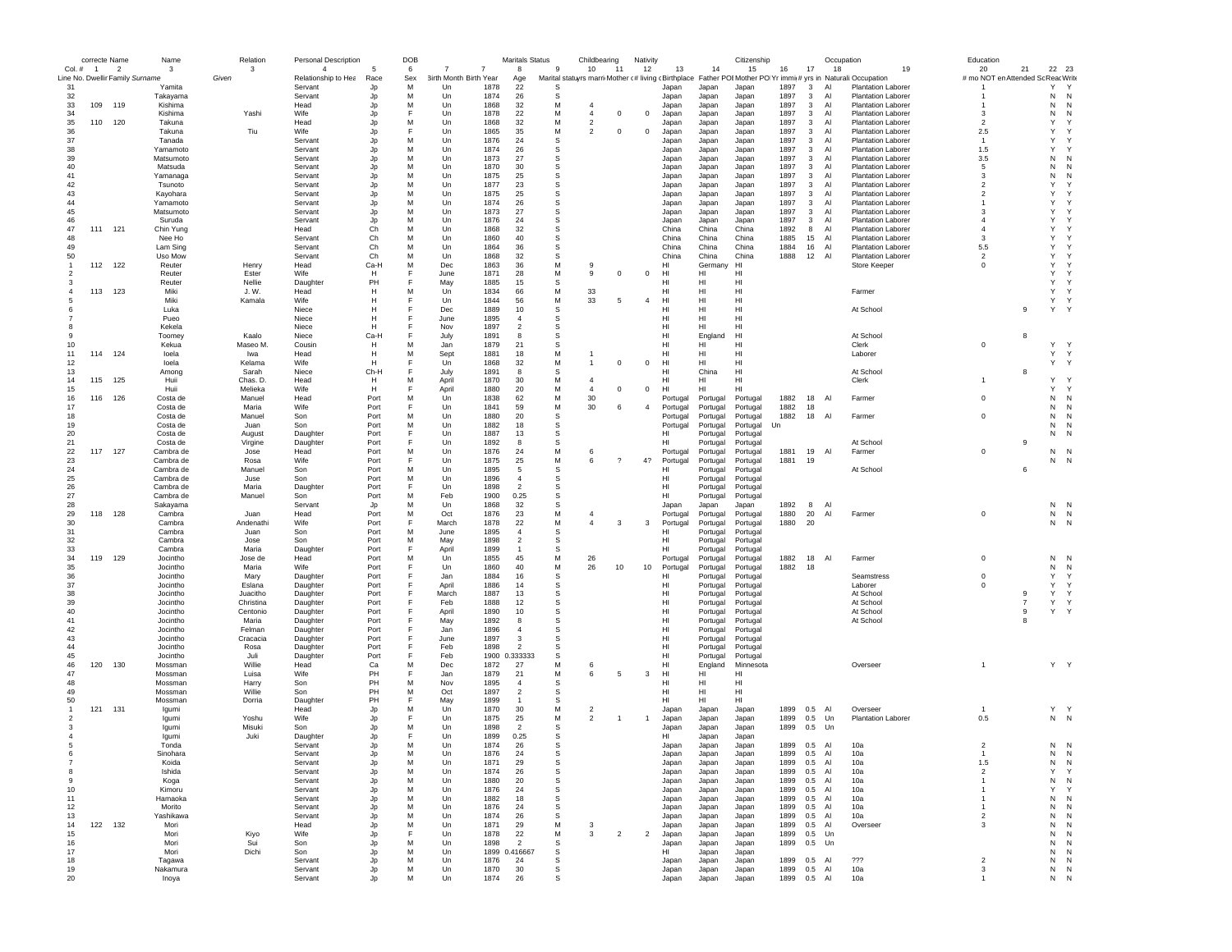|                                 | correcte Name |                | Name                 | Relation         | <b>Personal Description</b> |              | DOB    |                        |              | <b>Maritals Status</b> |           | Childbearing                     |                       | Nativity                |                |                      | Citizenship                                                                                                  |              |                              | Occupation |                                                        | Education                          |                |                   |  |
|---------------------------------|---------------|----------------|----------------------|------------------|-----------------------------|--------------|--------|------------------------|--------------|------------------------|-----------|----------------------------------|-----------------------|-------------------------|----------------|----------------------|--------------------------------------------------------------------------------------------------------------|--------------|------------------------------|------------|--------------------------------------------------------|------------------------------------|----------------|-------------------|--|
| Col. # 1                        |               | $\overline{2}$ | 3                    | 3                | $\overline{4}$              |              | 6      |                        |              | 8                      | 9         | 10                               | 11                    | 12                      | 13             | 14                   | 15                                                                                                           | 16           | 17                           | 18         | 19                                                     | 20                                 | 21             | 22<br>23          |  |
| Line No. Dwellir Family Surname |               |                |                      | Given            | Relationship to Hea         | Race         | Sex    | 3irth Month Birth Year |              | Age                    |           |                                  |                       |                         |                |                      | Marital statuyrs marri Mother (# living (Birthplace Father POIMother PO Yr immi(# yrs in Naturali:Occupation |              |                              |            |                                                        | # mo NOT en Attended Sc Reac Write |                |                   |  |
| 31                              |               |                | Yamita               |                  | Servant                     | Jp           | м      | Un                     | 1878         | 22                     | s         |                                  |                       |                         | Japan          | Japan                | Japan                                                                                                        | 1897         | 3                            | Al         | <b>Plantation Laborer</b>                              |                                    |                | Y<br>Y            |  |
| 32                              |               |                | Takayama             |                  | Servant                     | Jp           | M      | Un                     | 1874         | 26                     | s         |                                  |                       |                         | Japan          | Japan                | Japan                                                                                                        | 1897         | $\mathbf{3}$                 | Al         | <b>Plantation Laborer</b>                              |                                    |                | N<br>N            |  |
| 33                              | 109           | 119            | Kishima              |                  | Head                        | Jp           | M      | Un                     | 1868         | 32                     | М         | $\overline{4}$                   |                       |                         | Japan          | Japan                | Japan                                                                                                        | 1897         | $\mathbf{3}$                 | Al         | <b>Plantation Laborer</b>                              |                                    |                | N<br>N            |  |
| 34                              |               |                | Kishima              | Yashi            | Wife                        | Jp           | F      | Un                     | 1878         | 22                     | М         | $\overline{4}$                   | $^{\circ}$            | $^{\circ}$              | Japan          | Japan                | Japan                                                                                                        | 1897         | $\overline{\mathbf{3}}$      | Al         | Plantation Laborer                                     | 3                                  |                | Ν<br>N<br>Y       |  |
| 35<br>36                        | 110 120       |                | Takuna<br>Takuna     | Tiu              | Head<br><b>Wife</b>         | Jp           | м<br>F | Un<br>$_{\text{Un}}$   | 1868<br>1865 | 32<br>35               | М<br>M    | $\overline{2}$<br>$\mathfrak{p}$ | $\mathbf 0$           | $^{\circ}$              | Japan          | Japan                | Japan<br>Japan                                                                                               | 1897<br>1897 | $\mathbf{3}$                 | Al<br>AI   | <b>Plantation Laborer</b><br><b>Plantation Laborer</b> | $\overline{2}$<br>2.5              |                | Υ<br>Y<br>Y       |  |
| 37                              |               |                | Tanada               |                  | Servant                     | Jp           | M      | $_{\text{Un}}$         | 1876         | 24                     | s         |                                  |                       |                         | Japan          | Japan                | Japan                                                                                                        | 1897         | $\mathbf{3}$<br>$\mathbf{3}$ | AI         | <b>Plantation Laborer</b>                              | $\mathbf{1}$                       |                | Y<br>Y            |  |
| 38                              |               |                | Yamamoto             |                  | Servant                     | Jp<br>Jp     | M      | Un                     | 1874         | 26                     | s         |                                  |                       |                         | Japan<br>Japan | Japan<br>Japan       | Japan                                                                                                        | 1897         | 3                            | Al         | <b>Plantation Laborer</b>                              | 1.5                                |                | Y<br>Y            |  |
| 39                              |               |                | Matsumoto            |                  | Servant                     | Jp           | M      | Un                     | 1873         | 27                     | s         |                                  |                       |                         | Japan          | Japan                | Japan                                                                                                        | 1897         | $\mathbf{3}$                 | Al         | <b>Plantation Laborer</b>                              | 3.5                                |                | Ν<br>N            |  |
| 40                              |               |                | Matsuda              |                  | Servant                     | Jp           | M      | Un                     | 1870         | 30                     | s         |                                  |                       |                         | Japan          | Japan                | Japan                                                                                                        | 1897         | $\mathbf{3}$                 | Al         | <b>Plantation Laborer</b>                              | 5                                  |                | Ν<br>N            |  |
| 41                              |               |                | Yamanaga             |                  | Servant                     |              | м      | Un                     | 1875         | 25                     | s         |                                  |                       |                         | Japan          | Japan                | Japan                                                                                                        | 1897         | $\mathbf{3}$                 | Al         | <b>Plantation Laborer</b>                              | 3                                  |                | Ν<br>N            |  |
| 42                              |               |                | Tsunoto              |                  | Servant                     | Jp           | M      | Un                     | 1877         | 23                     | s         |                                  |                       |                         | Japan          | Japan                | Japan                                                                                                        | 1897         | $\mathbf{3}$                 | Al         | <b>Plantation Laborer</b>                              | $\overline{2}$                     |                | Y<br>Y            |  |
| 43                              |               |                | Kayohara             |                  | Servant                     | Jp<br>Jp     | M      | Un                     | 1875         | 25                     | s         |                                  |                       |                         | Japan          | Japan                | Japan                                                                                                        | 1897         | $\mathbf{3}$                 | Al         | <b>Plantation Laborer</b>                              | $\overline{2}$                     |                | Y<br>Y            |  |
| 44                              |               |                | Yamamoto             |                  | Servant                     | Jp           | M      | Un                     | 1874         | 26                     | s         |                                  |                       |                         | Japan          | Japan                | Japan                                                                                                        | 1897         | $\mathbf{3}$                 | Al         | <b>Plantation Laborer</b>                              | $\overline{1}$                     |                | Υ<br>Y            |  |
| 45                              |               |                | Matsumoto            |                  | Servant                     | Jp           | M      | Un                     | 1873         | 27                     | s         |                                  |                       |                         | Japan          | Japan                | Japan                                                                                                        | 1897         | $\mathbf{3}$                 | Al         | <b>Plantation Laborer</b>                              | 3                                  |                | Υ<br>Y            |  |
| 46                              |               |                | Suruda               |                  | Servant                     | Jp           | M      | Un                     | 1876         | 24                     | s         |                                  |                       |                         | Japan          | Japan                | Japan                                                                                                        | 1897         | $\mathbf{3}$                 | Al         | <b>Plantation Laborer</b>                              | $\overline{4}$                     |                | Υ<br>Y            |  |
| 47                              | 111           | 121            | Chin Yung            |                  | Head                        | Ch           | M      | $_{\text{Un}}$         | 1868         | 32                     | s         |                                  |                       |                         | China          | China                | China                                                                                                        | 1892         | 8                            | AI         | <b>Plantation Laborer</b>                              | $\overline{4}$                     |                | Y<br>Y            |  |
| 48                              |               |                | Nee Ho               |                  | Servant                     | Ch           | M      | Un                     | 1860         | 40                     | s         |                                  |                       |                         | China          | China                | China                                                                                                        | 1885         | 15                           | Al         | <b>Plantation Laborer</b>                              | 3                                  |                | Υ<br>Y            |  |
| 49                              |               |                | Lam Sing             |                  | Servant                     | Ch           | M      | Un                     | 1864         | 36                     | s         |                                  |                       |                         | China          | China                | China                                                                                                        | 1884         | 16                           | Al         | <b>Plantation Laborer</b>                              | 5.5                                |                | Υ<br>Y            |  |
| 50                              |               |                | Uso Mow              |                  | Servant                     | Ch           | M      | Un                     | 1868         | 32                     | s         |                                  |                       |                         | China          | China                | China                                                                                                        | 1888         | 12                           | Al         | <b>Plantation Laborer</b>                              | $\overline{2}$                     |                | Υ<br>Y            |  |
|                                 | 112           | 122            | Reuter               | Henry            | Head                        | Ca-H         | M      | Dec                    | 1863         | 36                     | М         | 9                                |                       |                         | HI             | Germany              | HI                                                                                                           |              |                              |            | Store Keeper                                           | $^{\circ}$                         |                | Υ<br>Y            |  |
| $\overline{\phantom{a}}$        |               |                | Reuter               | Ester            | Wife                        | H            | F      | June                   | 1871         | 28                     | М         | 9                                | $\mathbf 0$           | $^{\circ}$              | HI             | HI                   | HI                                                                                                           |              |                              |            |                                                        |                                    |                | Y<br>Y            |  |
|                                 |               |                | Reuter               | Nellie           | Daughter                    | PH           | E      |                        | 1885         | 15                     | s         |                                  |                       |                         | HI             | HI                   | HI                                                                                                           |              |                              |            |                                                        |                                    |                | Y<br>Y            |  |
|                                 | 113 123       |                | Miki                 | J. W.            | Head                        | H            | M      | May<br>Un              | 1834         | 66                     | М         | 33                               |                       |                         | HI             | HI                   | HI                                                                                                           |              |                              |            | Farmer                                                 |                                    |                | Υ<br>$\mathsf{Y}$ |  |
|                                 |               |                | Miki                 | Kamala           | Wife                        | Н            | F      | Un                     | 1844         | 56                     | М         | 33                               | 5                     | $\overline{4}$          | HI             | HI                   | HI                                                                                                           |              |                              |            |                                                        |                                    |                | Υ<br>Y            |  |
|                                 |               |                | Luka                 |                  | Niece                       | H            | F      | Dec                    | 1889         | 10                     | s         |                                  |                       |                         | HI             | HI                   | HI                                                                                                           |              |                              |            | At School                                              |                                    | 9              | Υ<br>Y            |  |
|                                 |               |                | Pueo                 |                  | Niece                       | H            | F      | June                   | 1895         | $\overline{a}$         | s         |                                  |                       |                         | HI             | HI                   | H <sub>II</sub>                                                                                              |              |                              |            |                                                        |                                    |                |                   |  |
|                                 |               |                | Kekela               |                  | <b>Niece</b>                | H            | F      | Nov                    | 1897         | $\overline{2}$         | s         |                                  |                       |                         | HI             | HI                   | H <sub>II</sub>                                                                                              |              |                              |            |                                                        |                                    |                |                   |  |
|                                 |               |                | Toomey               | Kaalo            | Niece                       | Ca-H         | E      | July                   | 1891         | 8                      | s         |                                  |                       |                         | HI             | England              | HI                                                                                                           |              |                              |            | At School                                              |                                    | 8              |                   |  |
| 10                              |               |                | Kekua                | Maseo M.         | Cousin                      | H            | M      | Jan                    | 1879         | 21                     | s         |                                  |                       |                         | HI             | HI                   | HI                                                                                                           |              |                              |            | Clerk                                                  | $\mathsf 0$                        |                | Υ<br>Y            |  |
| 11                              | 114           | 124            | loela                | Iwa              | Head                        | H            | M      | Sept                   | 1881         | 18                     | М         |                                  |                       |                         | HI             | HI                   | HI                                                                                                           |              |                              |            | Laborer                                                |                                    |                | Υ<br>Y            |  |
| 12                              |               |                | loela                | Kelama           | Wife                        | H            | E      | Un                     | 1868         | 32                     | М         | 1                                | 0                     | $\mathbf 0$             | HI             | HI                   | HI                                                                                                           |              |                              |            |                                                        |                                    |                | Υ<br>Y            |  |
| 13                              |               |                | Among                | Sarah            | Niece                       | Ch-H         | F      | July                   | 1891         | -8                     | -S        |                                  |                       |                         | HI             | China                | HI                                                                                                           |              |                              |            | At School                                              |                                    | 8              |                   |  |
| 14                              | 115           | 125            | Huii                 | Chas. D.         | Head                        | H            | M      | April                  | 1870         | 30                     | М         | $\overline{4}$                   |                       |                         | HI             | HI                   | HI                                                                                                           |              |                              |            | Clerk                                                  | $\mathbf{1}$                       |                | Y<br>Y            |  |
| 15                              |               |                | Huii                 | Melieka          | Wife                        | H            | F      | April                  | 1880         | 20                     | M         | $\overline{4}$                   | $\mathbf 0$           | $^{\circ}$              | HI             | HI                   | HI                                                                                                           |              |                              |            |                                                        |                                    |                | Υ<br>Y            |  |
| 16                              | 116           | 126            | Costa de             | Manuel           | Head                        | Port         | M      | Un                     | 1838         | 62                     | М         | 30                               |                       |                         | Portugal       | Portugal             | Portugal                                                                                                     | 1882         | 18                           | Al         | Farmer                                                 | $\mathbf 0$                        |                | Ν<br>N            |  |
| 17                              |               |                | Costa de             | Maria            | Wife                        | Port         | F      | Un                     | 1841         | 59                     | ${\sf M}$ | 30                               | 6                     | $\overline{4}$          | Portugal       | Portugal             | Portugal                                                                                                     | 1882         | 18                           |            |                                                        |                                    |                | N<br>Ν            |  |
| 18                              |               |                | Costa de             | Manuel           | Son                         | Port         | M      | Un                     | 1880         | 20                     | s         |                                  |                       |                         | Portugal       | Portugal             | Portugal                                                                                                     | 1882         | 18                           | Al         | Farmer                                                 | $\mathbf 0$                        |                | Ν<br>N            |  |
| 19                              |               |                | Costa de             | Juan             | Son                         | Port         | M      | $_{\text{Un}}$         | 1882         | 18                     | s         |                                  |                       |                         | Portugal       | Portugal             | Portugal                                                                                                     | Un           |                              |            |                                                        |                                    |                | N<br>N            |  |
| 20                              |               |                | Costa de             | August           | Daughter                    | Port         |        | Un                     | 1887         | 13                     | s         |                                  |                       |                         | HI             | Portugal             | Portugal                                                                                                     |              |                              |            |                                                        |                                    |                | N<br>N            |  |
| 21                              |               |                | Costa de             | Virgine          | Daughter                    | Port         |        | Un                     | 1892         | 8                      | s         |                                  |                       |                         | HI             | Portugal             | Portugal                                                                                                     |              |                              |            | At School                                              |                                    | 9              |                   |  |
| 22                              | 117           | 127            | Cambra de            |                  | Head                        | Port         | M      | Un                     | 1876         | 24                     | М         | 6                                |                       |                         | Portugal       |                      |                                                                                                              | 1881         | 19                           | Al         |                                                        | $\mathbf 0$                        |                | N<br>N            |  |
| 23                              |               |                | Cambra de            | Jose<br>Rosa     | Wife                        | Port         |        | Un                     | 1875         | 25                     | М         | 6                                | $\boldsymbol{\gamma}$ | 4?                      |                | Portugal<br>Portugal | Portugal<br>Portugal                                                                                         | 1881         | 19                           |            | Farmer                                                 |                                    |                | Ν<br>- N          |  |
| 24                              |               |                | Cambra de            | Manuel           | Son                         | Port         | M      | Un                     | 1895         | 5                      | s         |                                  |                       |                         | Portugal<br>н  | Portugal             | Portugal                                                                                                     |              |                              |            | At School                                              |                                    | 6              |                   |  |
| 25                              |               |                | Cambra de            | Juse             | Son                         | Port         | M      | Un                     | 1896         | $\overline{4}$         | s         |                                  |                       |                         | HI             | Portugal             | Portugal                                                                                                     |              |                              |            |                                                        |                                    |                |                   |  |
| 26                              |               |                | Cambra de            | Maria            |                             | Port         | F      | Un                     | 1898         | $\overline{2}$         |           |                                  |                       |                         | HI             |                      | Portugal                                                                                                     |              |                              |            |                                                        |                                    |                |                   |  |
| 27                              |               |                | Cambra de            |                  | Daughter                    | Port         | M      |                        | 1900         | 0.25                   | s<br>s    |                                  |                       |                         | HI             | Portugal             |                                                                                                              |              |                              |            |                                                        |                                    |                |                   |  |
|                                 |               |                |                      | Manuel           | Son                         |              | M      | Feb                    |              |                        | s         |                                  |                       |                         |                | Portugal             | Portugal                                                                                                     |              |                              |            |                                                        |                                    |                |                   |  |
| 28<br>29                        | 118           | 128            | Sakayama<br>Cambra   | Juan             | Servant<br>Head             | Jp<br>Port   | M      | Un<br>Oct              | 1868<br>1876 | 32<br>23               | M         | 4                                |                       |                         | Japan          | Japan                | Japan                                                                                                        | 1892<br>1880 | 8<br>20                      | Al<br>Al   | Farmer                                                 | $\mathsf 0$                        |                | N<br>N<br>N<br>N  |  |
| 30                              |               |                | Cambra               | Andenathi        | Wife                        | Port         | E      | March                  | 1878         | 22                     | М         | $\overline{4}$                   | 3                     |                         | Portugal       | Portugal             | Portugal                                                                                                     | 1880         | 20                           |            |                                                        |                                    |                | N<br>N            |  |
| 31                              |               |                | Cambra               | Juan             | Son                         | Port         | M      | June                   | 1895         | $\overline{4}$         | s         |                                  |                       | 3                       | Portugal<br>HI | Portugal<br>Portugal | Portugal<br>Portugal                                                                                         |              |                              |            |                                                        |                                    |                |                   |  |
| 32                              |               |                |                      |                  |                             | Port         | M      | May                    | 1898         | $\overline{2}$         | s         |                                  |                       |                         | HI             |                      |                                                                                                              |              |                              |            |                                                        |                                    |                |                   |  |
| 33                              |               |                | Cambra<br>Cambra     | Jose<br>Maria    | Son<br>Daughter             | Port         | E      | April                  | 1899         | $\overline{1}$         | s         |                                  |                       |                         | HI             | Portugal<br>Portugal | Portugal<br>Portugal                                                                                         |              |                              |            |                                                        |                                    |                |                   |  |
|                                 |               | 129            |                      |                  |                             |              |        |                        |              |                        |           |                                  |                       |                         |                |                      |                                                                                                              |              |                              | Al         |                                                        |                                    |                |                   |  |
| 34<br>35                        | 119           |                | Jocintho<br>Jocintho | Jose de<br>Maria | Head<br>Wife                | Port<br>Port | M<br>E | Un<br>Un               | 1855<br>1860 | 45<br>40               | М<br>М    | 26<br>26                         | 10                    | 10                      | Portugal       | Portugal<br>Portugal | Portugal<br>Portugal                                                                                         | 1882<br>1882 | 18<br>18                     |            | Farmer                                                 | $\mathbf 0$                        |                | Ν<br>N<br>N<br>N  |  |
| 36                              |               |                | Jocintho             | Mary             | Daughter                    | Port         |        | Jan                    | 1884         | 16                     | s         |                                  |                       |                         | Portugal<br>HI | Portugal             | Portugal                                                                                                     |              |                              |            | Seamstress                                             | $\mathbf 0$                        |                | Υ<br>Υ            |  |
| 37                              |               |                | Jocintho             | Eslana           | Daughter                    | Port         |        | April                  | 1886         | 14                     | s         |                                  |                       |                         | HI             | Portugal             | Portugal                                                                                                     |              |                              |            | Laborer                                                | $\mathbf 0$                        |                | Υ<br>Y            |  |
| 38                              |               |                | Jocintho             | Juacitho         | Daughter                    | Port         | F      | March                  | 1887         | 13                     | s         |                                  |                       |                         | HI             | Portugal             | Portugal                                                                                                     |              |                              |            | At School                                              |                                    | 9              | Υ<br>Y            |  |
| 39                              |               |                | Jocintho             | Christina        | Daughter                    | Port         |        | Feb                    | 1888         | 12                     | s         |                                  |                       |                         | HI             | Portugal             | Portugal                                                                                                     |              |                              |            | At School                                              |                                    | $\overline{7}$ | Υ<br>$\mathbf Y$  |  |
| 40                              |               |                | Jocintho             | Centonio         | Daughter                    | Port         |        | April                  | 1890         | 10                     | s         |                                  |                       |                         | HI.            | Portugal             | Portugal                                                                                                     |              |                              |            | At School                                              |                                    | 9              | Υ<br>Y            |  |
| 41                              |               |                | Jocintho             | Maria            | Daughter                    | Port         |        | May                    | 1892         | 8                      | s         |                                  |                       |                         | HI             | Portugal             | Portugal                                                                                                     |              |                              |            | At School                                              |                                    | 8              |                   |  |
| 42                              |               |                | Jocintho             | Felman           | Daughter                    | Port         |        | Jan                    | 1896         | $\overline{4}$         | s         |                                  |                       |                         | HI             | Portugal             | Portugal                                                                                                     |              |                              |            |                                                        |                                    |                |                   |  |
| 43                              |               |                | Jocintho             | Cracacia         | Daughter                    | Port         |        | June                   | 1897         | 3                      | s         |                                  |                       |                         | HI             | Portugal             | Portugal                                                                                                     |              |                              |            |                                                        |                                    |                |                   |  |
| 44                              |               |                | Jocintho             | Rosa             | Daughter                    | Port         |        | Feb                    | 1898         | $\overline{2}$         | s         |                                  |                       |                         | HI             | Portugal             | Portugal                                                                                                     |              |                              |            |                                                        |                                    |                |                   |  |
| 45                              |               |                | Jocintho             | Juli             | Daughter                    | Port         |        | Feb                    |              | 1900 0.333333          | s         |                                  |                       |                         | HI             | Portugal             | Portugal                                                                                                     |              |                              |            |                                                        |                                    |                |                   |  |
| 46                              | 120           | 130            | Mossman              | Willie           | Head                        | Ca           | M      | Dec                    | 1872         | 27                     | M         | 6                                |                       |                         | HI             | England              | Minnesota                                                                                                    |              |                              |            | Overseer                                               | $\overline{1}$                     |                | Y Y               |  |
| 47                              |               |                | Mossman              | Luisa            | Wife                        | PH           |        | Jan                    | 1879         | 21                     | М         | 6                                | 5                     | 3                       | HI             | HI                   | H                                                                                                            |              |                              |            |                                                        |                                    |                |                   |  |
| 48                              |               |                | Mossman              | Harry            | Son                         | PH           | M      | Nov                    | 1895         | $\overline{4}$         | s         |                                  |                       |                         | HI             | HI                   | HI                                                                                                           |              |                              |            |                                                        |                                    |                |                   |  |
| 49                              |               |                | Mossman              | Willie           | Son                         | PH           | м      | Oct                    | 1897         | $\overline{2}$         | s         |                                  |                       |                         | HI             | HI                   | HI                                                                                                           |              |                              |            |                                                        |                                    |                |                   |  |
| 50                              |               |                |                      |                  |                             | PH           |        |                        |              | $\overline{1}$         | s         |                                  |                       |                         | HI             | HI                   | H <sub>II</sub>                                                                                              |              |                              |            |                                                        |                                    |                |                   |  |
| -1                              | 121           | 131            | Mossman<br>Iqumi     | Dorria           | Daughter<br>Head            | Jp           | M      | May<br>Un              | 1899<br>1870 | 30                     | M         | $\overline{2}$                   |                       |                         | Japan          | Japan                | Japan                                                                                                        | 1899         | 0.5                          | Al         | Overseer                                               |                                    |                | Y Y               |  |
| $\overline{\phantom{a}}$        |               |                | laumi                | Yoshu            | Wife                        | Jp           |        | Un                     | 1875         | 25                     | М         | $\overline{2}$                   | $\mathbf{1}$          | $\mathbf{1}$            | Japan          | Japan                | Japan                                                                                                        | 1899         | 0.5                          | Un         | <b>Plantation Laborer</b>                              | 0.5                                |                | $N$ $N$           |  |
|                                 |               |                |                      |                  |                             |              | M      | Un                     | 1898         | $\overline{2}$         | s         |                                  |                       |                         |                |                      |                                                                                                              |              | 0.5                          | Un         |                                                        |                                    |                |                   |  |
|                                 |               |                | Igumi<br>laumi       | Misuki<br>Juki   | Son                         | Jp           | F      | Un                     | 1899         | 0.25                   | s         |                                  |                       |                         | Japan<br>HI    | Japan                | Japan                                                                                                        | 1899         |                              |            |                                                        |                                    |                |                   |  |
|                                 |               |                |                      |                  | Daughter                    | Jp           | M      |                        |              |                        | s         |                                  |                       |                         |                | Japan                | Japan                                                                                                        |              |                              | Al         |                                                        | $\overline{2}$                     |                |                   |  |
|                                 |               |                | Tonda<br>Sinohars    |                  | Servant                     | Jp           | M      | Un<br>1 In             | 1874<br>1876 | 26<br>24               |           |                                  |                       |                         | Japan<br>lanar | Japan<br>lanan       | Japan<br>Janan                                                                                               | 1899<br>1899 | 0.5<br>0.5                   | ΑI         | 10a<br>10a                                             |                                    |                | N N<br>N<br>N     |  |
| $\overline{7}$                  |               |                | Koida                |                  | Servant<br>Servant          |              | M      | Un                     | 1871         | 29                     | s         |                                  |                       |                         |                |                      |                                                                                                              | 1899         |                              | Al         | 10a                                                    | 1.5                                |                | Ν<br>N            |  |
| 8                               |               |                | Ishida               |                  | Servant                     | Jp           | M      | Un                     | 1874         | 26                     |           |                                  |                       |                         | Japan          | Japan                | Japan<br>Japan                                                                                               | 1899         | 0.5<br>0.5                   | Al         | 10a                                                    | $\overline{2}$                     |                | Υ<br>Υ            |  |
| 9                               |               |                |                      |                  |                             | Jp           | M      | Un                     | 1880         | 20                     | s<br>s    |                                  |                       |                         | Japan          | Japan                |                                                                                                              | 1899         | 0.5                          | Al         |                                                        | $\overline{1}$                     |                | Ν<br>N            |  |
|                                 |               |                | Koga                 |                  | Servant                     | Jp           | м      |                        | 1876         |                        | s         |                                  |                       |                         | Japan          | Japan                | Japan                                                                                                        | 1899         |                              |            | 10a                                                    | -1                                 |                | Y<br>Υ            |  |
| 10<br>11                        |               |                | Kimoru<br>Hamaoka    |                  | Servant<br>Servant          | Jp           | M      | Un<br>Un               | 1882         | 24<br>18               | s         |                                  |                       |                         | Japan          | Japan                | Japan<br>Japan                                                                                               | 1899         | 0.5<br>0.5                   | Al<br>Al   | 10a<br>10a                                             | $\mathbf{1}$                       |                | Ν<br>N            |  |
| 12                              |               |                | Morito               |                  | Servant                     | Jp           | M      | Un                     | 1876         | 24                     | s         |                                  |                       |                         | Japan          | Japan                |                                                                                                              | 1899         | 0.5 AI                       |            | 10a                                                    | $\overline{1}$                     |                | ${\sf N}$<br>N    |  |
| 13                              |               |                | Yashikawa            |                  | Servant                     | Jp<br>Jp     | M      | Un                     | 1874         | 26                     | s         |                                  |                       |                         | Japan<br>Japan | Japan                | Japan<br>Japan                                                                                               | 1899         | 0.5 AI                       |            | 10a                                                    | $\overline{2}$                     |                | N<br>N            |  |
| 14                              | 122           | 132            | Mori                 |                  |                             |              | M      | Un                     | 1871         | 29                     | М         | 3                                |                       |                         |                | Japan                |                                                                                                              | 1899         | 0.5                          | Al         |                                                        | 3                                  |                | Ν<br>N            |  |
|                                 |               |                |                      |                  | Head                        | Jp           | F      |                        |              |                        |           |                                  |                       |                         | Japan          | Japan                | Japan                                                                                                        |              |                              |            | Overseer                                               |                                    |                |                   |  |
| 15                              |               |                | Mori                 | Kiyo             | Wife                        | Jp           |        | Un                     | 1878         | 22                     | М         | 3                                | $\overline{2}$        | $\overline{\mathbf{2}}$ | Japan          | Japan                | Japan                                                                                                        | 1899         | 0.5                          | Un         |                                                        |                                    |                | Ν<br>N            |  |
| 16                              |               |                | Mori                 | Sui              | Son                         | Jp           | м      | Un                     | 1898         | $\overline{2}$         | s         |                                  |                       |                         | Japan<br>HI    | Japan                | Japan                                                                                                        | 1899         | 0.5                          | Un         |                                                        |                                    |                | N<br>N            |  |
| 17                              |               |                | Mori                 | Dichi            | Son                         | Jp           | м      | Un                     |              | 1899 0.416667          | s         |                                  |                       |                         |                | Japan                | Japan                                                                                                        |              |                              |            |                                                        |                                    |                | ${\sf N}$<br>N    |  |
| 18<br>19                        |               |                | Tagawa               |                  | Servant                     | Jp           | M<br>М | Un                     | 1876         | 24                     | s<br>s    |                                  |                       |                         | Japan          | Japan                | Japan                                                                                                        | 1899         | 0.5 AI                       |            | ???                                                    | $\overline{2}$                     |                | ${\sf N}$<br>N    |  |
|                                 |               |                | Nakamura             |                  | Servant                     | Jp           |        | Un                     | 1870         | 30                     |           |                                  |                       |                         | Japan          | Japan                | Japan                                                                                                        | 1899         | 0.5 AI                       |            | 10a                                                    | 3<br>$\mathbf{1}$                  |                | N<br>N            |  |
| 20                              |               |                | Inoya                |                  | Servant                     | Jp           | М      | Un                     | 1874         | 26                     | s         |                                  |                       |                         | Japan          | Japan                | Japan                                                                                                        | 1899         | 0.5 AI                       |            | 10a                                                    |                                    |                | N N               |  |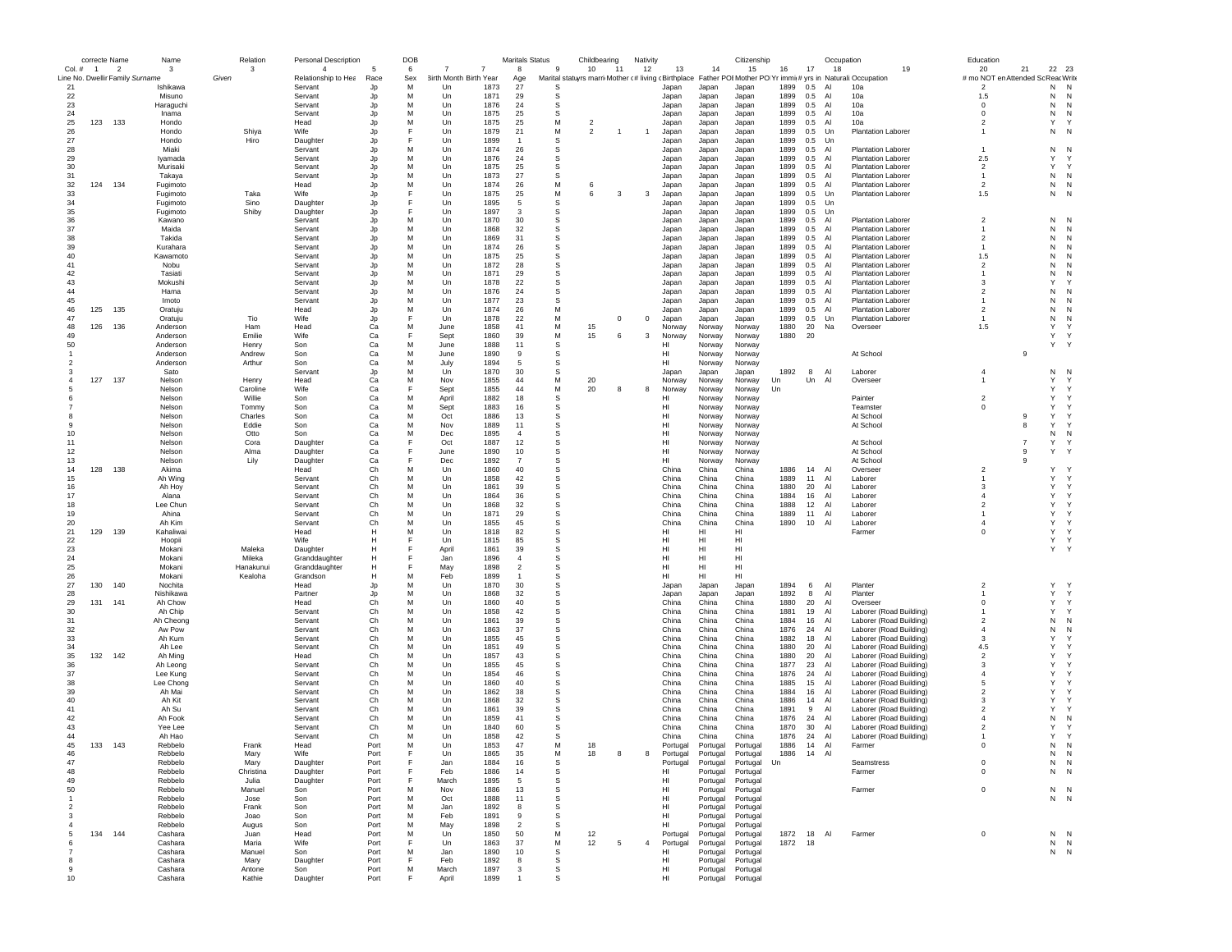|                | correcte Name  |                                 | Name                  | Relation          | <b>Personal Description</b> |                | DOB    |                              |                                  | <b>Maritals Status</b> |          | Childbearing   | Nativity       |                  |                      | Citizenship          |              |            | Occupation |                                                                                                               | Education                          |                     |              |
|----------------|----------------|---------------------------------|-----------------------|-------------------|-----------------------------|----------------|--------|------------------------------|----------------------------------|------------------------|----------|----------------|----------------|------------------|----------------------|----------------------|--------------|------------|------------|---------------------------------------------------------------------------------------------------------------|------------------------------------|---------------------|--------------|
| $Col.$ #       | $\overline{1}$ | - 2                             | $\mathbf{3}$          | 3                 | $\overline{4}$              |                | 6      | 7<br>7                       | 8                                |                        | -9       | 10<br>$-11$    | 12             | 13               | 14                   | 15                   | 16           | 17         | 18         | 19                                                                                                            | 20                                 | 21                  | 22<br>23     |
|                |                | Line No. Dwellir Family Surname |                       | Given             | Relationship to Hea         | Race           | Sex    | 3irth Month Birth Year       | Age                              |                        |          |                |                |                  |                      |                      |              |            |            | Marital statuyrs marri Mother (# living (Birthplace Father POI Mother PO Yr immi(# yrs in Naturali:Occupation | # mo NOT en Attended Sc Reac Write |                     |              |
| 21<br>22       |                |                                 | Ishikawa<br>Misuno    |                   | Servant<br>Servant          | Jp<br>Jp       | M<br>M | 1873<br>Un<br>1871<br>Un     | 27<br>29                         |                        | S<br>s   |                |                | Japan<br>Japan   | Japan<br>Japan       | Japan<br>Japan       | 1899<br>1899 | 0.5<br>0.5 | AI<br>Al   | 10a<br>10a                                                                                                    | $\overline{2}$<br>1.5              | N<br>N              | N<br>N       |
| 23             |                |                                 | Haraguchi             |                   | Servant                     | Jp             | M      | Un<br>1876                   | 24                               |                        | s        |                |                | Japan            | Japan                | Japan                | 1899         | 0.5        | Al         | 10a                                                                                                           | $^{\circ}$                         | N                   | N            |
| 24             |                |                                 | Inama                 |                   | Servant                     | Jp             | M      | 1875<br>Un                   | 25                               |                        | S        |                |                | Japan            | Japan                | Japan                | 1899         | 0.5        | Al         | 10a                                                                                                           | $\Omega$                           | N                   | N            |
| 25             | 123            | 133                             | Hondo                 |                   | Head                        | Jp             | M      | Un<br>1875                   | 25                               |                        | M        | $\overline{2}$ |                | Japan            | Japan                | Japan                | 1899         | 0.5        | Al         | 10a                                                                                                           | $\overline{2}$                     | Y                   |              |
| 26             |                |                                 | Hondo                 | Shiya             | Wife                        | Jp             | E      | 1879<br>Un                   | 21                               |                        | M        | $\overline{2}$ |                | Japan            | Japan                | Japan                | 1899         | 0.5        | Un         | <b>Plantation Laborer</b>                                                                                     |                                    | N                   | $\mathsf{N}$ |
| 27             |                |                                 | Hondo                 | Hiro              | Daughter                    | Jp             | E      | Un<br>1899                   | $\overline{1}$                   |                        | S        |                |                | Japan            | Japan                | Japan                | 1899         | 0.5        | Un         |                                                                                                               |                                    |                     |              |
| 28             |                |                                 | Miaki                 |                   | Servant                     | Jp             | M      | 1874<br>Un                   | 26                               |                        | s        |                |                | Japan            | Japan                | Japan                | 1899         | 0.5        | Al         | <b>Plantation Laborer</b>                                                                                     | $\overline{1}$                     | N                   | $\mathsf{N}$ |
| 29             |                |                                 | Ivamada               |                   | Servant                     | Jp             | M      | 1876<br>Un                   | 24                               |                        | S        |                |                | Japan            | Japan                | Japan                | 1899         | 0.5        | Al         | <b>Plantation Laborer</b>                                                                                     | 2.5                                | $\mathsf{Y}$        |              |
| 30             |                |                                 | Murisaki              |                   | Servant                     | Jp             | M<br>M | Un<br>1875                   | 25                               |                        | S        |                |                | Japan            | Japan                | Japan                | 1899         | 0.5        | Al         | <b>Plantation Laborer</b>                                                                                     | $\overline{2}$                     | Y                   | Y            |
| 31<br>32       | 124            | 134                             | Takaya<br>Fugimoto    |                   | Servant<br>Head             | Jp<br>Jp       | M      | Un<br>1873<br>Un<br>1874     | 27<br>26                         |                        | S<br>M   | 6              |                | Japan<br>Japan   | Japan<br>Japan       | Japan<br>Japan       | 1899<br>1899 | 0.5<br>0.5 | Al<br>Al   | <b>Plantation Laborer</b><br><b>Plantation Laborer</b>                                                        | $\overline{1}$<br>$\overline{2}$   | ${\sf N}$<br>N      | N<br>N       |
| 33             |                |                                 | Fugimoto              | Taka              | Wife                        | Jp             | E      | 1875<br>Un                   | 25                               |                        | М        | 6<br>3         | 3              | Japan            | Japan                | Japan                | 1899         | 0.5        | Un         | <b>Plantation Laborer</b>                                                                                     | 1.5                                | N                   | $\mathsf{N}$ |
| 34             |                |                                 | Fugimoto              | Sino              | Daughter                    | Jp             |        | 1895<br>Un                   | -5                               |                        | s        |                |                | Japan            | Japan                | Japan                | 1899         | 0.5        | Un         |                                                                                                               |                                    |                     |              |
| 35             |                |                                 | Fugimoto              | Shiby             | Daughter                    | Jp             | E      | Un<br>1897                   | $\mathbf{3}$                     |                        | s        |                |                | Japan            | Japan                | Japan                | 1899         | 0.5        | Un         |                                                                                                               |                                    |                     |              |
| 36             |                |                                 | Kawano                |                   | Servant                     | Jp             | M      | Un<br>1870                   | 30                               |                        | S        |                |                | Japan            | Japan                | Japan                | 1899         | 0.5        | Al         | <b>Plantation Laborer</b>                                                                                     | $\overline{2}$                     | N                   | N            |
| 37             |                |                                 | Maida                 |                   | Servant                     | Jp             | M      | Un<br>1868                   | 32                               |                        | s        |                |                | Japan            | Japan                | Japan                | 1899         | 0.5        | Al         | <b>Plantation Laborer</b>                                                                                     |                                    | N                   | N            |
| 38             |                |                                 | Takida                |                   | Servant                     | Jp             | M      | Un<br>1869                   | 31                               |                        | s        |                |                | Japan            | Japan                | Japan                | 1899         | 0.5        | Al         | <b>Plantation Laborer</b>                                                                                     | $\overline{2}$                     | N                   | $\mathsf{N}$ |
| 39             |                |                                 | Kurahara              |                   | Servant                     | Jp             | M      | 1874<br>Un                   | 26                               |                        | S        |                |                | Japan            | Japan                | Japan                | 1899         | 0.5        | Al         | <b>Plantation Laborer</b>                                                                                     | $\overline{1}$                     | N                   | N            |
| 40             |                |                                 | Kawamoto              |                   | Servant                     | Jp             | M      | 1875<br>$_{\text{Un}}$       | 25                               |                        | S        |                |                | Japan            | Japan                | Japan                | 1899         | 0.5        | Al         | <b>Plantation Laborer</b>                                                                                     | 1.5                                | N                   | N            |
| 41<br>42       |                |                                 | Nobu                  |                   | Servant                     | Jp             | M<br>M | Un<br>1872<br>Un<br>1871     | 28<br>29                         |                        | S<br>s   |                |                | Japan            | Japan                | Japan                | 1899<br>1899 | 0.5<br>0.5 | Al<br>Al   | <b>Plantation Laborer</b>                                                                                     | $\overline{2}$                     | N<br>N              | N            |
| 43             |                |                                 | Tasiati<br>Mokushi    |                   | Servant<br>Servant          | Jp<br>Jp       | M      | Un<br>1878                   | 22                               |                        | s        |                |                | Japan<br>Japan   | Japan<br>Japan       | Japan<br>Japan       | 1899         | 0.5        | Al         | <b>Plantation Laborer</b><br><b>Plantation Laborer</b>                                                        | 3                                  | Y                   |              |
| 44             |                |                                 | Hama                  |                   | Servant                     | Jp             | M      | Un<br>1876                   | 24                               |                        | s        |                |                | Japan            | Japan                | Japan                | 1899         | 0.5        | Al         | <b>Plantation Laborer</b>                                                                                     | $\overline{2}$                     | N                   | N            |
| 45             |                |                                 | Imoto                 |                   | Servant                     | Jp             | M      | 1877<br>Un                   | 23                               |                        | S        |                |                | Japan            | Japan                | Japan                | 1899         | 0.5        | Al         | <b>Plantation Laborer</b>                                                                                     |                                    | N                   | N            |
| 46             | 125            | 135                             | Oratuiu               |                   | Head                        | Jp             | M      | Un<br>1874                   | 26                               |                        | M        |                |                | Japan            | Japan                | Japan                | 1899         | 0.5        | Al         | Plantation Laborer                                                                                            | $\overline{2}$                     | N                   | N            |
| 47             |                |                                 | Oratuju               | Tio               | Wife                        | Jp             | F      | Un<br>1878                   | 22                               |                        | M        | $^{\circ}$     | $^{\circ}$     | Japan            | Japan                | Japan                | 1899         | 0.5        | Un         | Plantation Laborer                                                                                            | $\mathbf{1}$                       | N                   | N            |
| 48             | 126            | 136                             | Anderson              | Ham               | Head                        | Ca             | M      | 1858<br>June                 | 41                               |                        | M        | 15             |                | Norway           | Norway               | Norway               | 1880         | 20         | Na         | Overseer                                                                                                      | 1.5                                | Y                   |              |
| 49             |                |                                 | Anderson              | Emilie            | Wife                        | Ca             | F      | 1860<br>Sept                 | 39                               |                        | М        | 15<br>6        | 3              | Norway           | Norway               | Norway               | 1880         | 20         |            |                                                                                                               |                                    | Υ                   |              |
| 50             |                |                                 | Anderson              | Henry             | Son                         | Ca             | M      | 1888<br>June                 | 11                               |                        | S        |                |                | нı               | Norway               | Norway               |              |            |            |                                                                                                               |                                    | Υ                   |              |
|                |                |                                 | Anderson              | Andrew            | Son                         | Ca             | M      | 1890<br>June                 | 9                                |                        | S        |                |                | HI               | Norway               | Norway               |              |            |            | At School                                                                                                     |                                    | 9                   |              |
| 2              |                |                                 | Anderson              | Arthur            | Son                         | Ca             | M      | July<br>1894                 | 5                                |                        | S        |                |                | HI               | Norway               | Norway               |              |            |            |                                                                                                               |                                    |                     |              |
| $\overline{4}$ | 127            | 137                             | Sato                  |                   | Servant                     | Jp             | M<br>M | Un<br>1870                   | 30<br>44                         |                        | s<br>М   | 20             |                | Japan            | Japan                | Japan                | 1892         | 8          | Al<br>Al   | Laborer                                                                                                       | $\overline{4}$<br>$\mathbf{1}$     | Ν<br>Y              | N<br>Y       |
|                |                |                                 | Nelson<br>Nelson      | Henry<br>Caroline | Head<br>Wife                | Ca<br>Ca       | F      | Nov<br>1855<br>Sept<br>1855  | 44                               |                        | M        | 20<br>8        | 8              | Norway<br>Norway | Norway<br>Norway     | Norway<br>Norway     | Un<br>Un     | Un         |            | Overseer                                                                                                      |                                    | Y                   | Y            |
|                |                |                                 | Nelson                | Willie            | Son                         | Ca             | M      | 1882<br>April                | 18                               |                        | s        |                |                | HI               | Norway               | Norway               |              |            |            | Painter                                                                                                       | $\overline{2}$                     | Y                   | Y            |
|                |                |                                 | Nelson                | Tommy             | Son                         | Ca             | M      | 1883<br>Sept                 | 16                               |                        | s        |                |                | HI               | Norway               | Norway               |              |            |            | Teamster                                                                                                      | $^{\circ}$                         | Υ                   | $\mathsf{Y}$ |
|                |                |                                 | Nelson                | Charles           | Son                         | Ca             | M      | Oct<br>1886                  | 13                               |                        | S        |                |                | HI               | Norway               | Norway               |              |            |            | At School                                                                                                     |                                    | Υ<br>9              | Y            |
|                |                |                                 | Nelson                | Eddie             | Son                         | Ca             | M      | 1889<br>Nov                  | 11                               |                        | s        |                |                | HI               | Norway               | Norway               |              |            |            | At School                                                                                                     |                                    | 8<br>Y              | Y            |
| 10             |                |                                 | Nelson                | Otto              | Son                         | Ca             | M      | Dec<br>1895                  | $\overline{4}$                   |                        | s        |                |                | HI               | Norway               | Norway               |              |            |            |                                                                                                               |                                    | N                   | $\mathsf{N}$ |
| 11             |                |                                 | Nelson                | Cora              | Daughter                    | Ca             |        | 1887<br>Oct                  | 12                               |                        | S        |                |                | HI.              | Norway               | Norway               |              |            |            | At School                                                                                                     |                                    | Y<br>$\overline{7}$ | Y            |
| 12             |                |                                 | Nelson                | Alma              | Daughter                    | Ca             |        | 1890<br>June                 | 10                               |                        | S        |                |                | HI.              | Norway               | Norway               |              |            |            | At School                                                                                                     |                                    | Y<br>9              |              |
| 13             |                |                                 | Nelson                | Lily              | Daughter                    | Ca             |        | Dec<br>1892                  | $\overline{7}$                   |                        | S        |                |                | HI               | Norway               | Norway               |              |            |            | At School                                                                                                     |                                    | 9                   |              |
| 14             | 128            | 138                             | Akima                 |                   | Head                        | Ch             | M      | Un<br>1860                   | 40                               |                        | s        |                |                | China            | China                | China                | 1886         | 14         | Al         | Overseer                                                                                                      | $\overline{2}$                     | Y<br>Y              |              |
| 15             |                |                                 | Ah Wing               |                   | Servant                     | Ch             | M<br>M | Un<br>1858                   | 42<br>39                         |                        | s        |                |                | China            | China                | China                | 1889         | 11         | Al<br>Al   | Laborer<br>Laborer                                                                                            | 3                                  | Y                   | Y<br>Y       |
| 16<br>17       |                |                                 | Ah Hoy<br>Alana       |                   | Servant<br>Servant          | Ch<br>Ch       | M      | Un<br>1861<br>1864<br>Un     | 36                               |                        | s<br>s   |                |                | China<br>China   | China<br>China       | China<br>China       | 1880<br>1884 | 20<br>16   | Al         | Laborer                                                                                                       | $\overline{4}$                     | Y                   | $\checkmark$ |
| 18             |                |                                 | Lee Chun              |                   | Servant                     | Ch             | M      | Un<br>1868                   | 32                               |                        | S        |                |                | China            | China                | China                | 1888         | 12         | Al         | Laborer                                                                                                       | $\overline{2}$                     | Y                   |              |
| 19             |                |                                 | Ahina                 |                   | Servant                     | Ch             | M      | 1871<br>Un                   | 29                               |                        | s        |                |                | China            | China                | China                | 1889         | 11         | Al         | Laborer                                                                                                       |                                    | Y                   |              |
| 20             |                |                                 | Ah Kim                |                   | Servant                     | Ch             | M      | Un<br>1855                   | 45                               |                        | s        |                |                | China            | China                | China                | 1890         | 10         | Al         | Laborer                                                                                                       | $\overline{4}$                     | Y                   |              |
| 21             | 129            | 139                             | Kahaliwai             |                   | Head                        | Н              | M      | Un<br>1818                   | 82                               |                        | s        |                |                | HI               | HI                   | HI                   |              |            |            | Farmer                                                                                                        | $^{\circ}$                         | Y                   | Y            |
| 22             |                |                                 | Hoopii                |                   | Wife                        | H              |        | $_{\text{Un}}$<br>1815       | 85                               |                        | S        |                |                | HI               | HI                   | HI                   |              |            |            |                                                                                                               |                                    | Y                   | Y            |
| 23             |                |                                 | Mokani                | Maleka            | Daughter                    | н              |        | April<br>1861                | 39                               |                        | S        |                |                | HI               | HI                   | HI                   |              |            |            |                                                                                                               |                                    |                     | Y.           |
| 24             |                |                                 | Mokani                | Mileka            | Granddaughter               | н              | E      | Jan<br>1896                  | $\overline{4}$                   |                        | S        |                |                | HI               | HI                   | HI                   |              |            |            |                                                                                                               |                                    |                     |              |
| 25             |                |                                 | Mokani                | Hanakunui         | Granddaughter               | н              |        | May<br>1898                  | $\overline{2}$<br>$\overline{1}$ |                        | s        |                |                | HI               | HI                   | HI                   |              |            |            |                                                                                                               |                                    |                     |              |
| 26<br>27       | 130            | 140                             | Mokani<br>Nochita     | Kealoha           | Grandson<br>Head            | н              | M<br>M | Feb<br>1899<br>1870<br>Un    | 30                               |                        | s<br>s   |                |                | HI<br>Japan      | HI<br>Japan          | HI<br>Japan          | 1894         | 6          | Al         | Planter                                                                                                       | $\overline{2}$                     | Y                   |              |
| 28             |                |                                 | Nishikawa             |                   | Partner                     | Jp<br>Jp       | M      | Un<br>1868                   | 32                               |                        | s        |                |                | Japan            | Japan                | Japan                | 1892         | 8          | AI         | Planter                                                                                                       |                                    | Y                   | Y            |
| 29             | 131            | 141                             | Ah Chow               |                   | Head                        | Ch             | M      | Un<br>1860                   | 40                               |                        | S        |                |                | China            | China                | China                | 1880         | 20         | Al         | Overseer                                                                                                      | $^{\circ}$                         | Y                   | $\mathsf{Y}$ |
| 30             |                |                                 | Ah Chip               |                   | Servant                     | Ch             | M      | Un<br>1858                   | 42                               |                        | s        |                |                | China            | China                | China                | 1881         | 19         | Al         | Laborer (Road Building)                                                                                       |                                    | Y                   | Y            |
| 31             |                |                                 | Ah Cheong             |                   | Servant                     | Ch             | M      | Un<br>1861                   | 39                               |                        | s        |                |                | China            | China                | China                | 1884         | 16         | Al         | Laborer (Road Building)                                                                                       | $\overline{2}$                     | N                   | $\mathsf{N}$ |
| 32             |                |                                 | Aw Pow                |                   | Servant                     | Ch             | M      | 1863<br>Un                   | 37                               |                        | s        |                |                | China            | China                | China                | 1876         | 24         | Al         | Laborer (Road Building)                                                                                       | $\overline{4}$                     | N                   | N            |
| 33             |                |                                 | Ah Kum                |                   | Servant                     | Ch             | M      | 1855<br>$_{\text{Un}}$       | 45                               |                        | S        |                |                | China            | China                | China                | 1882         | 18         | A          | Laborer (Road Building)                                                                                       | 3                                  | $\mathsf{Y}$        |              |
| 34             |                |                                 | Ah Lee                |                   | Servant                     | Ch             | M      | Un<br>1851                   | 49                               |                        | S        |                |                | China            | China                | China                | 1880         | 20         | Al         | Laborer (Road Building)                                                                                       | 4.5                                | Y                   |              |
| 35             | 132            | 142                             | Ah Ming               |                   | Head                        | Ch             | M      | Un<br>1857                   | 43                               |                        | s        |                |                | China            | China                | China                | 1880         | 20         | Al         | Laborer (Road Building)                                                                                       | $\overline{2}$                     | Y                   |              |
| 36<br>37       |                |                                 | Ah Leong              |                   | Servant                     | Ch             | M<br>M | Un<br>1855                   | 45<br>46                         |                        | s        |                |                | China            | China                | China                | 1877         | 23         | Al         | Laborer (Road Building)                                                                                       | 3<br>$\overline{4}$                | Y<br>Y              |              |
| 38             |                |                                 | Lee Kung<br>Lee Chong |                   | Servant<br>Servant          | Ch<br>Ch       | M      | Un<br>1854<br>1860<br>Un     | 40                               |                        | s<br>s   |                |                | China<br>China   | China<br>China       | China<br>China       | 1876<br>1885 | 24<br>15   | Al<br>Al   | Laborer (Road Building)<br>Laborer (Road Building)                                                            | -5                                 | Y                   |              |
| 39             |                |                                 | Ah Mai                |                   | Servant                     | Ch             | M      | Un<br>1862                   | 38                               |                        | S        |                |                | China            | China                | China                | 1884         | 16         | Al         | Laborer (Road Building)                                                                                       | $\overline{2}$                     | Y                   |              |
| 40             |                |                                 | Ah Kit                |                   | Servant                     | Ch             | M      | Un<br>1868                   | 32                               |                        | S        |                |                | China            | China                | China                | 1886         | 14         | Al         | Laborer (Road Building)                                                                                       | 3                                  | Υ                   |              |
| 41             |                |                                 | Ah Su                 |                   | Servant                     | Ch             | M      | 1861<br>Un                   | 39                               |                        | s        |                |                | China            | China                | China                | 1891         | 9          | Al         | Laborer (Road Building)                                                                                       | $\overline{2}$                     | Y                   |              |
| 42             |                |                                 | Ah Fook               |                   | Servant                     | Ch             | M      | Un<br>1859                   | 41                               |                        | s        |                |                | China            | China                | China                | 1876         | 24         | Al         | Laborer (Road Building)                                                                                       | $\Delta$                           | N                   | $\mathsf{N}$ |
| 43             |                |                                 | Yee Lee               |                   | Servant                     | Ch             | M      | 1840<br>Un                   | 60                               |                        | S        |                |                | China            | China                | China                | 1870         | 30         | Al         | Laborer (Road Building)                                                                                       | $\overline{\phantom{a}}$           | Y                   |              |
| 44             |                |                                 | Ah Hao                |                   | Servant                     | C <sub>h</sub> | M      | 1858<br>Un                   | 42                               |                        | S        |                |                | China            | China                | China                | 1876         | 24         | A          | Laborer (Road Building)                                                                                       | $\mathbf{1}$                       | Y                   |              |
| 45             | 133            | 143                             | Rebbelo               | Frank             | Head                        | Port           | M      | Un<br>1853                   | 47                               |                        | M        | 18             |                | Portugal         | Portugal             | Portugal             | 1886         | 14         | Al         | Farmer                                                                                                        | $^{\circ}$                         | N                   | N            |
| 46             |                |                                 | Keppelo               | <b>Mary</b>       | Wife                        | ноп            |        | Un<br>1865                   | 35                               |                        | M        | 18             |                | Portuga          | Portugal             | Portugal             | 1886         | 14         |            |                                                                                                               |                                    | N                   |              |
| 47             |                |                                 | Rebbelo               | Mary              | Daughter                    | Port           | F      | Jan<br>1884                  | 16                               |                        | s        |                |                | Portugal         | Portugal             | Portugal             | Un           |            |            | Seamstress                                                                                                    | $\mathbf 0$                        | N                   | N            |
| 48             |                |                                 | Rebbelo<br>Rebbelo    | Christina         | Daughter                    | Port           | F<br>E | 1886<br>Feb                  | 14<br>-5                         |                        | s        |                |                | HI               | Portugal             | Portugal             |              |            |            | Farmer                                                                                                        | $\mathbf 0$                        | N                   | N            |
| 49<br>50       |                |                                 | Rebbelo               | Julia<br>Manuel   | Daughter<br>Son             | Port<br>Port   | M      | March<br>1895<br>Nov<br>1886 | 13                               |                        | s<br>S   |                |                | HI<br>HI         | Portugal<br>Portugal | Portugal<br>Portugal |              |            |            | Farmer                                                                                                        | $\mathbf 0$                        |                     | $N$ N        |
| $\overline{1}$ |                |                                 | Rebbelo               | Jose              | Son                         | Port           | M      | Oct<br>1888                  | 11                               |                        | s        |                |                | HI               | Portugal             | Portugal             |              |            |            |                                                                                                               |                                    |                     | N N          |
| $\overline{2}$ |                |                                 | Rebbelo               | Frank             | Son                         | Port           | M      | 1892<br>Jan                  | 8                                |                        | s        |                |                | HI               | Portugal             | Portugal             |              |            |            |                                                                                                               |                                    |                     |              |
| 3              |                |                                 | Rebbelo               | Joao              | Son                         | Port           | M      | Feb<br>1891                  | 9                                |                        | S        |                |                | HI               | Portugal             | Portugal             |              |            |            |                                                                                                               |                                    |                     |              |
| $\overline{4}$ |                |                                 | Rebbelo               | Augus             | Son                         | Port           | M      | 1898<br>May                  | $\overline{2}$                   |                        | <b>s</b> |                |                | H <sub>II</sub>  | Portugal             | Portugal             |              |            |            |                                                                                                               |                                    |                     |              |
| 5              | 134            | 144                             | Cashara               | Juan              | Head                        | Port           | M      | Un<br>1850                   | 50                               |                        | М        | 12             |                | Portugal         | Portugal             | Portugal             | 1872         | 18 Al      |            | Farmer                                                                                                        | $^{\circ}$                         |                     | $N$ $N$      |
| 6              |                |                                 | Cashara               | Maria             | Wife                        | Port           | F      | Un<br>1863                   | 37                               |                        | M        | 12<br>5        | $\overline{4}$ | Portugal         | Portugal             | Portugal             | 1872         | 18         |            |                                                                                                               |                                    |                     | $N$ $N$      |
|                |                |                                 | Cashara               | Manuel            | Son                         | Port           | M      | Jan<br>1890                  | 10                               |                        | S        |                |                | HI               | Portugal             | Portugal             |              |            |            |                                                                                                               |                                    |                     | N N          |
| 8              |                |                                 | Cashara               | Mary              | Daughter                    | Port           | F      | Feb<br>1892                  | 8                                |                        | s        |                |                | HI               | Portugal             | Portugal             |              |            |            |                                                                                                               |                                    |                     |              |
| -9             |                |                                 | Cashara               | Antone            | Son                         | Port           | M      | March<br>1897                | 3                                |                        | s        |                |                | HI               | Portugal             | Portugal             |              |            |            |                                                                                                               |                                    |                     |              |
| 10             |                |                                 | Cashara               | Kathie            | Daughter                    | Port           | F      | April<br>1899                |                                  |                        | S        |                |                | HI               | Portugal             | Portugal             |              |            |            |                                                                                                               |                                    |                     |              |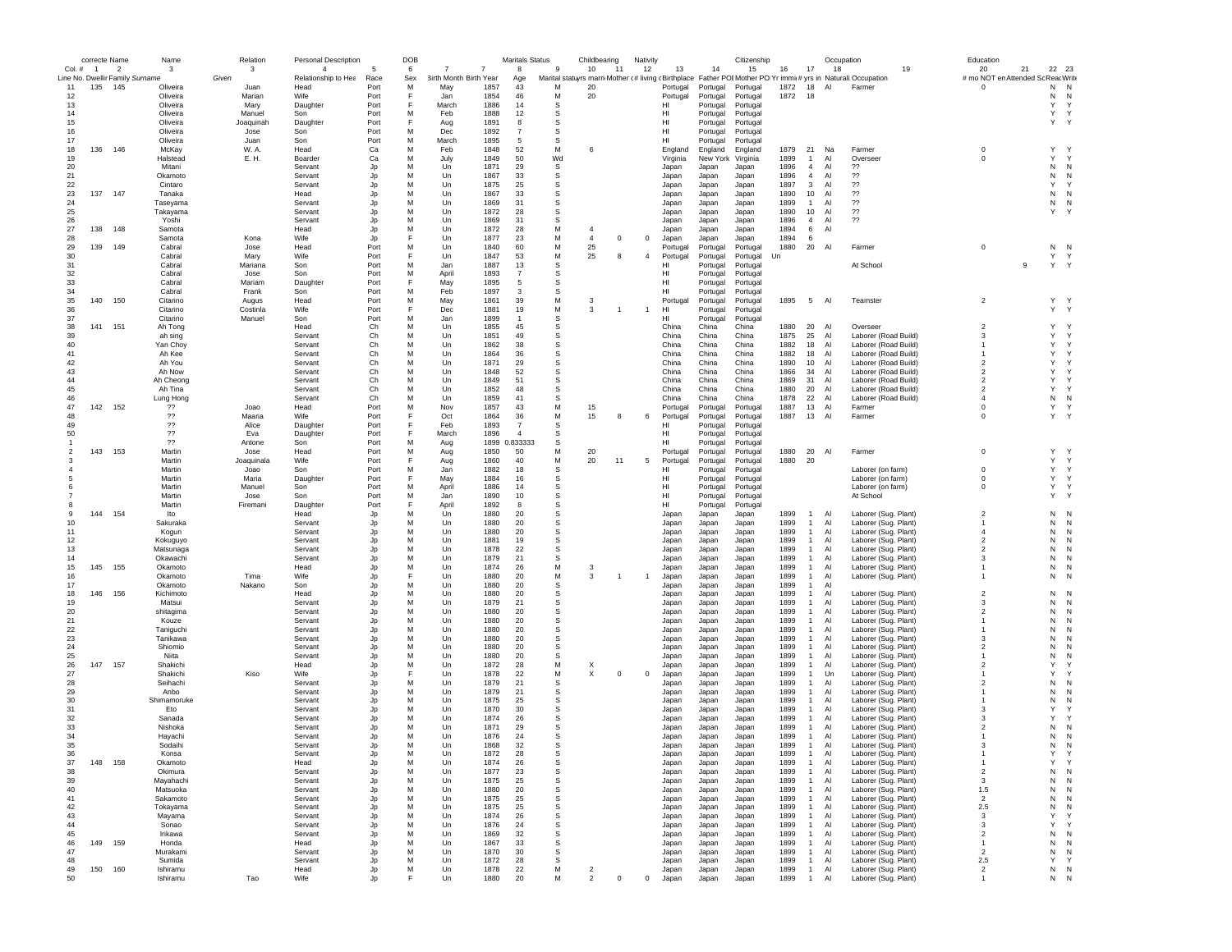|               | correcte Name  |                                 | Name                 | Relation       | <b>Personal Description</b> |              | DOB |                        |              | Maritals Status |             | Childbearing   |              | Nativity       |                |                      | Citizenship          |              |                | Occupation     |                                                                                                               | Education                          |    |                   |             |
|---------------|----------------|---------------------------------|----------------------|----------------|-----------------------------|--------------|-----|------------------------|--------------|-----------------|-------------|----------------|--------------|----------------|----------------|----------------------|----------------------|--------------|----------------|----------------|---------------------------------------------------------------------------------------------------------------|------------------------------------|----|-------------------|-------------|
| Col. #        | $\overline{1}$ | $\overline{\phantom{a}}$        | 3                    | 3              | $\overline{4}$              | 5            | 6   | 7                      | 7            | 8               | 9           | 10             | 11           | 12             | 13             | 14                   | 15                   | 16           | 17             | 18             | 19                                                                                                            | 20                                 | 21 | 22 23             |             |
|               |                | Line No. Dwellir Family Surname |                      | Given          | Relationship to Hea         | Race         | Sex | 3irth Month Birth Year |              | Age             |             |                |              |                |                |                      |                      |              |                |                | Marital statuyrs marri Mother (# living (Birthplace Father POI Mother PO Yr immi(# yrs in Naturali:Occupation | # mo NOT en Attended Sc Reac Write |    |                   |             |
| 11            | 135            | 145                             | Oliveira             | Juan           | Head<br>Wife                | Port         | M   | May                    | 1857<br>1854 | 43<br>46        | M<br>M      | 20             |              |                | Portugal       | Portugal             | Portugal             | 1872<br>1872 | 18<br>18       | Al             | Farmer                                                                                                        | $^{\circ}$                         |    | N<br>N<br>N<br>N  |             |
| 12<br>13      |                |                                 | Oliveira<br>Oliveira | Marian<br>Mary | Daughter                    | Port<br>Port |     | Jan<br>March           | 1886         | 14              | s           | 20             |              |                | Portugal<br>HI | Portugal<br>Portugal | Portugal<br>Portugal |              |                |                |                                                                                                               |                                    |    | Υ                 | $\mathbf Y$ |
| 14            |                |                                 | Oliveira             | Manuel         | Son                         | Port         | M   | Feb                    | 1888         | 12              | s           |                |              |                | HI             | Portugal             | Portugal             |              |                |                |                                                                                                               |                                    |    | Y<br>Y            |             |
| 15            |                |                                 | Oliveira             | Joaquinah      | Daughter                    | Port         |     | Aug                    | 1891         | 8               | S           |                |              |                | HI             | Portugal             | Portugal             |              |                |                |                                                                                                               |                                    |    | Υ<br>Y            |             |
| 16            |                |                                 | Oliveira             | Jose           | Son                         | Port         | M   | Dec                    | 1892         | $\overline{7}$  | s           |                |              |                | HI             | Portugal             | Portugal             |              |                |                |                                                                                                               |                                    |    |                   |             |
| 17            |                |                                 | Oliveira             | Juan           | Son                         | Port         | M   | March                  | 1895         | 5               | s           |                |              |                | HI             | Portugal             | Portugal             |              |                |                |                                                                                                               |                                    |    |                   |             |
| 18            | 136            | 146                             | McKay                | W. A.          | Head                        | Ca           | M   | Feb                    | 1848         | 52              | M           | 6              |              |                | England        | England              | England              | 1879         | 21             | Na             | Farmer                                                                                                        | $\mathbf 0$                        |    | Υ<br>$\gamma$     |             |
| 19            |                |                                 | Halstead             | E. H.          | Boarder                     | Ca           | M   | July                   | 1849         | 50              | Wd          |                |              |                | Virginia       | New York             | Virginia             | 1899         | $\overline{1}$ | AI             | Overseer                                                                                                      | $\mathbf 0$                        |    | Y                 | Y           |
| 20            |                |                                 | Mitani               |                | Servant                     | Jp           | M   | Un                     | 1871         | 29              | s           |                |              |                | Japan          | Japan                | Japan                | 1896         | $\overline{4}$ | Al             | ??                                                                                                            |                                    |    | N                 | N           |
| 21            |                |                                 | Okamoto              |                | Servant                     | Jp           | M   | Un                     | 1867         | 33              | s           |                |              |                | Japan          | Japan                | Japan                | 1896         | $\overline{4}$ | Al             | ??                                                                                                            |                                    |    | N<br>N            |             |
| 22            |                |                                 | Cintaro              |                | Servant                     | Jp           | M   | Un                     | 1875         | 25              | s           |                |              |                | Japan          | Japan                | Japan                | 1897         | 3              | $\overline{A}$ | ??                                                                                                            |                                    |    | Υ                 | Υ           |
| 23            | 137            | 147                             | Tanaka               |                | Head                        | Jp           | M   | Un                     | 1867         | 33              | s           |                |              |                | Japan          | Japan                | Japan                | 1890         | 10             | Al             | ??                                                                                                            |                                    |    | N                 | N           |
| 24            |                |                                 | Taseyama             |                | Servant                     | Jp           | M   | Un                     | 1869         | 31              | S           |                |              |                | Japan          | Japan                | Japan                | 1899         | $\overline{1}$ | Al             | 22                                                                                                            |                                    |    | Ν                 | N           |
| 25            |                |                                 | Takayama             |                | Servant                     | Jp           | M   | Un                     | 1872         | 28              | S           |                |              |                | Japan          | Japan                | Japan                | 1890         | 10             | Al             | 22                                                                                                            |                                    |    | Υ<br>Y            |             |
| 26            |                |                                 | Yoshi                |                | Servant                     | Jp           | M   | Un                     | 1869         | 31              | S           |                |              |                | Japan          | Japan                | Japan                | 1896         | $\overline{4}$ | Al             | 22                                                                                                            |                                    |    |                   |             |
| 27            | 138            | 148                             | Samota               |                | Head                        | Jp           | M   | Un                     | 1872         | 28              | M           | $\overline{4}$ |              |                | Japan          | Japan                | Japan                | 1894         | 6              | Al             |                                                                                                               |                                    |    |                   |             |
| 28            |                |                                 | Samota               | Kona           | Wife                        | Jp           | E   | Un                     | 1877         | 23              | M           | $\overline{4}$ | 0            | $^{\circ}$     | Japan          | Japan                | Japan                | 1894         | 6              |                |                                                                                                               |                                    |    |                   |             |
| 29            | 139            | 149                             | Cabral               | Jose           | Head                        | Port         | M   | Un                     | 1840         | 60              | M           | 25             |              |                | Portugal       | Portugal             | Portugal             | 1880         | 20             | Al             | Farmer                                                                                                        | $\mathsf 0$                        |    | N<br>N            |             |
| 30            |                |                                 | Cabral               | Mary           | Wife                        | Port         | E   | $_{\text{Un}}$         | 1847         | 53              | M           | 25             | 8            | $\overline{4}$ | Portugal       | Portugal             | Portugal             | Un           |                |                |                                                                                                               |                                    |    | Y                 | Y           |
| 31            |                |                                 | Cabral               | Mariana        | Son                         | Port         | M   | Jan                    | 1887         | 13              | s           |                |              |                | HI             | Portugal             | Portugal             |              |                |                | At School                                                                                                     |                                    | 9  | Y Y               |             |
| 32            |                |                                 | Cabral               | Jose           | Son                         | Port         | M   | April                  | 1893         | $\overline{7}$  | s           |                |              |                | HI             | Portugal             | Portugal             |              |                |                |                                                                                                               |                                    |    |                   |             |
| 33            |                |                                 | Cabral               | Mariam         | Daughter                    | Port         | F   | May                    | 1895         | 5               | s           |                |              |                | HI             | Portugal             | Portugal             |              |                |                |                                                                                                               |                                    |    |                   |             |
| 34            |                |                                 | Cabral               | Frank          | Son                         | Port         | M   | Feb                    | 1897         | 3               | s           |                |              |                | HI             | Portugal             | Portugal             |              |                |                |                                                                                                               |                                    |    |                   |             |
| 35            | 140            | 150                             | Citarino             | Augus          | Head                        | Port         | M   | May                    | 1861         | 39              | M           | 3              |              |                | Portugal       | Portugal             | Portugal             | 1895         | 5              | Al             | Teamster                                                                                                      | $\overline{2}$                     |    | Y Y               |             |
| 36            |                |                                 | Citarino             | Costinla       | Wife                        | Port         | F   | Dec                    | 1881         | 19              | M           | 3              |              | $\overline{1}$ | HI             | Portugal             | Portugal             |              |                |                |                                                                                                               |                                    |    | Y<br>Y            |             |
| 37            |                |                                 | Citarino             | Manuel         | Son                         | Port         | M   | Jan                    | 1899         | $\overline{1}$  | S           |                |              |                | HI             | Portugal             | Portugal             |              |                |                |                                                                                                               |                                    |    |                   |             |
| 38            | 141 151        |                                 | Ah Tong              |                | Head                        | Ch           | M   | Un                     | 1855         | 45              | s           |                |              |                | China          | China                | China                | 1880         | 20             | Al             | Overseer                                                                                                      | $\overline{2}$                     |    | Υ<br>$\gamma$     |             |
| 39            |                |                                 | ah sing              |                | Servant                     | Ch           | M   | Un                     | 1851         | 49              | s           |                |              |                | China          | China                | China                | 1875         | 25             | Al             | Laborer (Road Build)                                                                                          | 3                                  |    | Υ<br>Y            |             |
| 40            |                |                                 | Yan Choy             |                | Servant                     | Ch           | M   | Un                     | 1862         | 38              | s           |                |              |                | China          | China                | China                | 1882         | 18             | AI             | Laborer (Road Build)                                                                                          | $\mathbf{1}$                       |    | Y                 | Υ           |
| 41            |                |                                 | Ah Kee               |                | Servant                     | Ch           | M   | $_{\text{Un}}$         | 1864         | 36              | s           |                |              |                | China          | China                | China                | 1882         | 18             | AI             | Laborer (Road Build)                                                                                          | -1                                 |    | Y                 | Y           |
| 42            |                |                                 | Ah You               |                | Servant                     | Ch           | M   | Un                     | 1871         | 29              | S           |                |              |                | China          | China                | China                | 1890         | 10             | Al             | Laborer (Road Build)                                                                                          | $\overline{2}$                     |    | Υ                 | Y           |
| 43            |                |                                 | Ah Now               |                | Servant                     | Ch           | M   | Un                     | 1848         | 52              | s           |                |              |                | China          | China                | China                | 1866         | 34             | Al             | Laborer (Road Build)                                                                                          | $\overline{2}$                     |    | Υ                 | Y           |
| 44            |                |                                 | Ah Cheong            |                | Servant                     | Ch           | M   | Un                     | 1849         | 51              | s           |                |              |                | China          | China                | China                | 1869         | 31             | Al             | Laborer (Road Build)                                                                                          | $\overline{\mathbf{c}}$            |    | Υ<br>Y            |             |
| 45            |                |                                 | Ah Tina              |                | Servant                     | Ch           | M   | Un                     | 1852         | 48              | s           |                |              |                | China          | China                | China                | 1880         | 20             | Al             | Laborer (Road Build)                                                                                          | $\overline{2}$                     |    | Υ<br>Y            |             |
| 46            |                |                                 | Lung Hong            |                | Servant                     | Ch           | M   | Un                     | 1859         | 41              | S           |                |              |                | China          | China                | China                | 1878         | 22             | AI             | Laborer (Road Build)                                                                                          | $\overline{4}$                     |    | N                 | N           |
| 47            | 142            | 152                             | ??                   | Joao           | Head                        | Port         | M   | Nov                    | 1857         | 43              | M           | 15             |              |                | Portugal       | Portugal             | Portugal             | 1887         | 13             | Al             | Farmer                                                                                                        | $\mathbf 0$                        |    | Υ                 | Y           |
| 48            |                |                                 | ??                   | Maaria         | Wife                        | Port         | F   | Oct                    | 1864         | 36              | M           | 15             | 8            | 6              | Portugal       | Portugal             | Portugal             | 1887         | 13             | Al             | Farmer                                                                                                        | $\mathbf 0$                        |    | Y<br>Y            |             |
| 49            |                |                                 | ??                   | Alice          | Daughter                    | Port         | F   | Feb                    | 1893         | $\overline{7}$  | s           |                |              |                | HI             | Portugal             | Portugal             |              |                |                |                                                                                                               |                                    |    |                   |             |
| 50            |                |                                 | ??                   | Eva            | Daughter                    | Port         | F   | March                  | 1896         | $\overline{4}$  | s           |                |              |                | HI             | Portugal             | Portugal             |              |                |                |                                                                                                               |                                    |    |                   |             |
|               |                |                                 | ??                   | Antone         | Son                         | Port         | M   | Aug                    | 1899         | 0.833333        | s           |                |              |                | HI             | Portugal             | Portugal             |              |                |                |                                                                                                               |                                    |    |                   |             |
| $\mathcal{P}$ | 143            | 153                             | Martin               | Jose           | Head                        | Port         | M   | Aug                    | 1850         | 50              | M           | 20             |              |                | Portugal       | Portugal             | Portugal             | 1880         | 20             | Al             | Farmer                                                                                                        | $\mathsf 0$                        |    | Y<br>Y            |             |
| -3            |                |                                 | Martin               | Joaquinala     | Wife                        | Port         |     | Aug                    | 1860         | 40              | M           | 20             | 11           | 5              | Portugal       | Portugal             | Portugal             | 1880         | 20             |                |                                                                                                               |                                    |    | Υ                 | Y           |
|               |                |                                 | Martin               | Joao           | Son                         | Port         | M   | Jan                    | 1882         | 18              | s           |                |              |                | HI             | Portugal             | Portugal             |              |                |                | Laborer (on farm)                                                                                             | $\mathbf 0$                        |    | Υ<br>Y            |             |
|               |                |                                 | Martin               | Maria          | Daughter                    | Port         |     | May                    | 1884         | 16              | s           |                |              |                | HI             | Portugal             | Portugal             |              |                |                | Laborer (on farm)                                                                                             | 0                                  |    | Υ                 | $\mathbf Y$ |
|               |                |                                 | Martin               | Manuel         | Son                         | Port         | M   | April                  | 1886         | 14              | s           |                |              |                | HI             | Portugal             | Portugal             |              |                |                | Laborer (on farm)                                                                                             | 0                                  |    | Υ                 | $\mathbf Y$ |
|               |                |                                 | Martin               | Jose           | Son                         | Port         | M   | Jan                    | 1890         | 10              | s           |                |              |                | HI             | Portugal             | Portugal             |              |                |                | At School                                                                                                     |                                    |    | Υ<br>Y            |             |
|               |                |                                 | Martin               | Firemani       | Daughter                    | Port         | F   | April                  | 1892         | 8               | S           |                |              |                | HI             | Portugal             | Portugal             |              |                |                |                                                                                                               |                                    |    |                   |             |
| 9             | 144            | 154                             | Ito                  |                | Head                        | Jp           | M   | Un                     | 1880         | 20              | s           |                |              |                | Japan          | Japan                | Japan                | 1899         | $\mathbf{1}$   | Al             | Laborer (Sug. Plant)                                                                                          | $\overline{2}$                     |    | Ν<br>N            |             |
| 10            |                |                                 | Sakuraka             |                | Servant                     | Jp           | M   | Un                     | 1880         | 20              | s           |                |              |                | Japan          | Japan                | Japan                | 1899         | $\overline{1}$ | Al             | Laborer (Sug. Plant)                                                                                          | $\overline{1}$                     |    | Ν                 | N           |
| 11            |                |                                 | Kogun                |                | Servant                     | Jp           | M   | Un                     | 1880         | 20              | s           |                |              |                | Japan          | Japan                | Japan                | 1899         | $\overline{1}$ | Al             | Laborer (Sug. Plant)                                                                                          | $\Delta$                           |    | Ν                 | N           |
| 12            |                |                                 | Kokuguyo             |                | Servant                     | Jp           | M   | Un                     | 1881         | 19              | s           |                |              |                | Japan          | Japan                | Japan                | 1899         | $\mathbf{1}$   | Al             | Laborer (Sug. Plant)                                                                                          | $\overline{2}$                     |    | N<br>N            |             |
| 13            |                |                                 | Matsunaga            |                | Servant                     | Jp           | M   | Un                     | 1878         | 22              | S           |                |              |                | Japan          | Japan                | Japan                | 1899         | 1              | Al             | Laborer (Sug. Plant)                                                                                          | $\overline{2}$                     |    | N                 | N           |
| 14            |                |                                 | Okawachi             |                | Servant                     | Jp           | M   | Un                     | 1879         | 21              | S           |                |              |                | Japan          | Japan                | Japan                | 1899         | $\mathbf{1}$   | Al             | Laborer (Sug. Plant)                                                                                          | 3                                  |    | N                 | N           |
| 15            | 145            | 155                             | Okamoto              |                | Head                        | Jp           | M   | Un                     | 1874         | 26              | M           | 3              |              |                | Japan          | Japan                | Japan                | 1899         | $\mathbf{1}$   | Al             | Laborer (Sug. Plant)                                                                                          | $\mathbf{1}$                       |    | Ν                 | N           |
| 16            |                |                                 | Okamoto              | Tima           | Wife                        | Jp           | E   | Un                     | 1880         | 20              | М           | 3              | $\mathbf{1}$ | $\mathbf{1}$   | Japan          | Japan                | Japan                | 1899         | $\mathbf{1}$   | Al             | Laborer (Sug. Plant)                                                                                          | -1                                 |    | Ν<br>- N          |             |
| 17            |                |                                 | Okamoto              | Nakano         | Son                         | Jp           | M   | Un                     | 1880         | 20              | s           |                |              |                | Japan          | Japan                | Japan                | 1899         | $\mathbf{1}$   | Al             |                                                                                                               |                                    |    |                   |             |
| 18            | 146            | 156                             | Kichimoto            |                | Head                        | Jp           | M   | Un                     | 1880         | 20              | s           |                |              |                | Japan          | Japan                | Japan                | 1899         | $\overline{1}$ | Al             | Laborer (Sug. Plant)                                                                                          | $\overline{2}$                     |    | N<br>N            |             |
| 19            |                |                                 | Matsui               |                | Servant                     | Jp           | M   | Un                     | 1879         | 21              | S           |                |              |                | Japan          | Japan                | Japan                | 1899         | $\overline{1}$ | Al             | Laborer (Sug. Plant)                                                                                          | 3                                  |    | N                 | N           |
| 20            |                |                                 | shitagima            |                | Servant                     | Jp           | M   | Un                     | 1880         | 20              | s           |                |              |                | Japan          | Japan                | Japan                | 1899         | $\overline{1}$ | Al             | Laborer (Sug. Plant)                                                                                          | $\overline{2}$                     |    | Ν                 | N           |
| 21            |                |                                 | Kouze                |                | Servant                     | Jp           | M   | Un                     | 1880         | 20              | s           |                |              |                | Japan          | Japan                | Japan                | 1899         | $\overline{1}$ | Al             | Laborer (Sug. Plant)                                                                                          | $\overline{1}$                     |    | Ν<br>N            |             |
| $22\,$        |                |                                 | Taniguchi            |                | Servant                     | Jp           | M   | Un                     | 1880         | 20              | s           |                |              |                | Japan          | Japan                | Japan                | 1899         | $\overline{1}$ | Al             | Laborer (Sug. Plant)                                                                                          | $\overline{1}$                     |    | Ν                 | N           |
| 23            |                |                                 | Tanikawa             |                | Servant                     | Jp           | M   | $_{\text{Un}}$         | 1880         | 20              | s           |                |              |                | Japan          | Japan                | Japan                | 1899         | $\mathbf{1}$   | AI             | Laborer (Sug. Plant)                                                                                          | 3                                  |    | N<br>N            |             |
| 24            |                |                                 | Shiomio              |                | Servant                     | Jp           | M   | Un                     | 1880         | 20              | S           |                |              |                | Japan          | Japan                | Japan                | 1899         | $\mathbf{1}$   | Al             | Laborer (Sug. Plant)                                                                                          | $\overline{2}$                     |    | N                 | N           |
| 25            |                |                                 | Niita                |                | Servant                     | Jp           | M   | Un                     | 1880         | 20              | s           |                |              |                | Japan          | Japan                | Japan                | 1899         | $\mathbf{1}$   | Al             | Laborer (Sug. Plant)                                                                                          |                                    |    | Ν                 | N           |
| 26            | 147            | 157                             | Shakichi             |                | Head                        | Jp           | M   | Un                     | 1872         | 28              | M           | X              |              |                | Japan          | Japan                | Japan                | 1899         | $\mathbf{1}$   | Al             | Laborer (Sug. Plant)                                                                                          | $\overline{2}$                     |    | Υ<br><sup>1</sup> |             |
| 27            |                |                                 | Shakichi             | Kiso           | Wife                        | Jp           |     | Un                     | 1878         | 22              | М           | X              | 0            | $^{\circ}$     | Japan          | Japan                | Japan                | 1899         | $\mathbf{1}$   | Un             | Laborer (Sug. Plant)                                                                                          |                                    |    | Υ                 | Y           |
| 28            |                |                                 | Seihachi             |                | Servant                     | Jp           | M   | Un                     | 1879         | 21              | S           |                |              |                | Japan          | Japan                | Japan                | 1899         | $\mathbf{1}$   | Al             | Laborer (Sug. Plant)                                                                                          | $\mathcal{P}$                      |    | N                 | N           |
| 29            |                |                                 | Anbo                 |                | Servant                     | Jp           | M   | Un                     | 1879         | 21              | S           |                |              |                | Japan          | Japan                | Japan                | 1899         | $\mathbf{1}$   | Al             | Laborer (Sug. Plant)                                                                                          |                                    |    | N                 | N           |
| 30            |                |                                 | Shimamoruke          |                | Servant                     | Jp           | M   | Un                     | 1875         | 25              | S           |                |              |                | Japan          | Japan                | Japan                | 1899         | $\mathbf{1}$   | Al             | Laborer (Sug. Plant)                                                                                          |                                    |    | N<br>N            |             |
| 31            |                |                                 | Eto                  |                | Servant                     | Jp           | M   | Un                     | 1870         | 30              | s           |                |              |                | Japan          | Japan                | Japan                | 1899         | $\mathbf{1}$   | Al             | Laborer (Sug. Plant)                                                                                          | 3                                  |    | Υ<br>Y            |             |
| 32            |                |                                 | Sanada               |                | Servant                     | Jp           | M   | Un                     | 1874         | 26              | s           |                |              |                | Japan          | Japan                | Japan                | 1899         | $\overline{1}$ | Al             | Laborer (Sug. Plant)                                                                                          | 3                                  |    | Y<br>Y            |             |
| 33            |                |                                 | Nishoka              |                | Servant                     | Jp           | M   | Un                     | 1871         | 29              | s           |                |              |                | Japan          | Japan                | Japan                | 1899         | $\mathbf{1}$   | Al             | Laborer (Sug. Plant)                                                                                          | $\overline{2}$                     |    | N                 | N           |
| 34            |                |                                 | Hayachi              |                | Servant                     | Jp           | M   | Un                     | 1876         | 24              | <b>S</b>    |                |              |                | Japan          | Japan                | Japan                | 1899         | $\mathbf{1}$   | AI             | Laborer (Sug. Plant)                                                                                          | $\mathbf{1}$                       |    | N<br>N            |             |
| 35            |                |                                 | Sodaihi              |                | Servant                     | .ln          | M   | Un                     | 1868         | 32              | <b>S</b>    |                |              |                | Japan          | Japan                | Japan                | 1899         | $\overline{1}$ | Al             | Laborer (Sug. Plant)                                                                                          | 3                                  |    | N<br>N            |             |
| 36            |                |                                 | Konsa                |                | servant                     | Jļ           |     | Un                     | 1872         | -28             | ు           |                |              |                | Japar          | Japan                | Japan                | 1899         |                | A              | Laborer (Sug. Plant                                                                                           |                                    |    |                   |             |
| 37            | 148            | 158                             | Okamoto              |                | Head                        | Jp           | M   | Un                     | 1874         | 26              | s           |                |              |                | Japan          | Japan                | Japan                | 1899         | $\overline{1}$ | Al             | Laborer (Sug. Plant)                                                                                          | $\mathbf{1}$                       |    | Υ                 | Υ           |
| 38            |                |                                 | Okimura              |                | Servant                     | Jp           | М   | Un                     | 1877         | 23              | s           |                |              |                | Japan          | Japan                | Japan                | 1899         | $\overline{1}$ | Al             | Laborer (Sug. Plant)                                                                                          | $\overline{2}$                     |    | N                 | N           |
| 39            |                |                                 | Mayahachi            |                | Servant                     | Jp           | M   | Un                     | 1875         | 25              | s           |                |              |                | Japan          | Japan                | Japan                | 1899         | $\overline{1}$ | Al             | Laborer (Sug. Plant)                                                                                          | 3                                  |    | N                 | N           |
| 40            |                |                                 | Matsuoka             |                | Servant                     | Jp           | M   | Un                     | 1880         | 20              | s           |                |              |                | Japan          | Japan                | Japan                | 1899         | $\overline{1}$ | Al             | Laborer (Sug. Plant)                                                                                          | 1.5                                |    | N                 | N           |
| 41            |                |                                 | Sakamoto             |                | Servant                     | Jp           | M   | Un                     | 1875         | 25              | s           |                |              |                | Japan          | Japan                | Japan                | 1899         | $\overline{1}$ | Al             | Laborer (Sug. Plant)                                                                                          | $\overline{2}$                     |    | Ν<br>N            |             |
| 42            |                |                                 | Tokayama             |                | Servant                     | Jp           | M   | Un                     | 1875         | 25              | s           |                |              |                | Japan          | Japan                | Japan                | 1899         | $\overline{1}$ | Al             | Laborer (Sug. Plant)                                                                                          | 2.5                                |    | Ν<br>N            |             |
| 43            |                |                                 | Mayama               |                | Servant                     | Jp           | M   | Un                     | 1874         | 26              | s           |                |              |                | Japan          | Japan                | Japan                | 1899         | $\overline{1}$ | Al             | Laborer (Sug. Plant)                                                                                          | 3                                  |    | Υ                 | $\mathsf Y$ |
| 44            |                |                                 | Sonao                |                | Servant                     | Jp           | M   | Un                     | 1876         | 24              | $\mathbb S$ |                |              |                | Japan          | Japan                | Japan                | 1899         | $\mathbf{1}$   | AI             | Laborer (Sug. Plant)                                                                                          | 3                                  |    | Y                 | Y           |
| 45            |                |                                 | Irikawa              |                | Servant                     | Jp           | M   | Un                     | 1869         | 32              | s           |                |              |                | Japan          | Japan                | Japan                | 1899         | $\mathbf{1}$   | Al             | Laborer (Sug. Plant)                                                                                          | $\overline{2}$                     |    | N                 | N           |
| 46            | 149            | 159                             | Honda                |                | Head                        | Jp           | M   | Un                     | 1867         | 33              | s           |                |              |                | Japan          | Japan                | Japan                | 1899         | $\mathbf{1}$   | Al             | Laborer (Sug. Plant)                                                                                          | $\mathbf{1}$                       |    | N                 | N           |
| 47            |                |                                 | Murakami             |                | Servant                     | Jp           | M   | Un                     | 1870         | 30              | s           |                |              |                | Japan          | Japan                | Japan                | 1899         | $\mathbf{1}$   | Al             | Laborer (Sug. Plant)                                                                                          | $\overline{2}$                     |    | Ν                 | N           |
| 48            |                |                                 | Sumida               |                | Servant                     | Jp           | М   | Un                     | 1872         | 28              | s           |                |              |                | Japan          | Japan                | Japan                | 1899         | $\overline{1}$ | Al             | Laborer (Sug. Plant)                                                                                          | 2.5                                |    | Υ                 | Y           |
| 49            | 150            | 160                             | Ishiramu             |                | Head                        | Jp           | M   | Un                     | 1878         | 22              | M           | $\overline{2}$ |              |                | Japan          | Japan                | Japan                | 1899         | $\overline{1}$ | Al             | Laborer (Sug. Plant)                                                                                          | $\overline{2}$                     |    | N<br>N            |             |
| 50            |                |                                 | Ishiramu             | Tao            | Wife                        |              |     | Un                     | 1880         | 20              | M           | $\overline{2}$ | $\Omega$     | $^{\circ}$     | Japan          | Japan                | Japan                | 1899         | $\overline{1}$ | Al             | Laborer (Sug. Plant)                                                                                          |                                    |    | Ν                 | N           |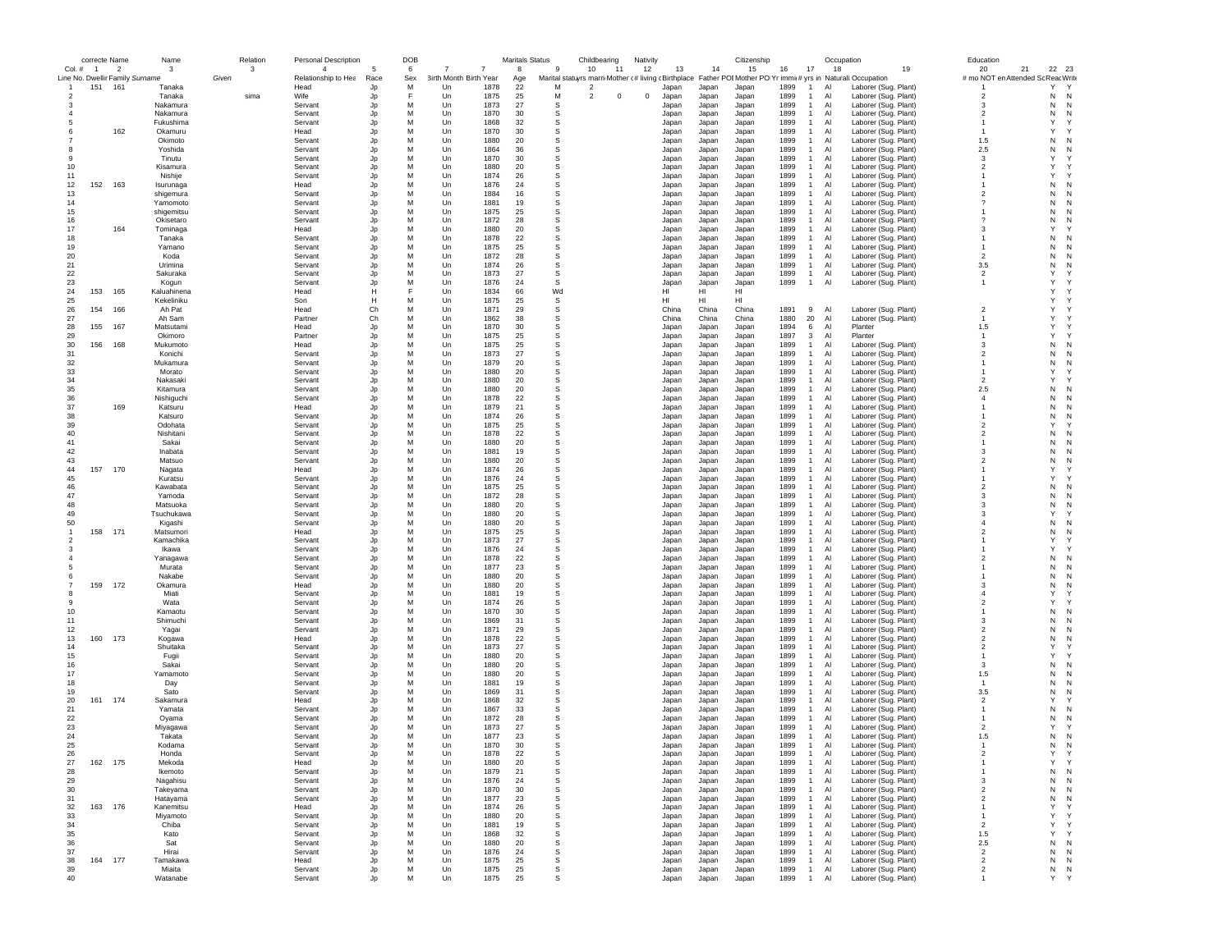|                | correcte Name |                                 | Name                   |       | Relation | <b>Personal Description</b> |          | DOB    |                               |                | <b>Maritals Status</b> |                     | Childbearing | Nativity   |                |                | Citizenship    |              |                              | Occupation                                                                                                   |    | Education                  |                        |
|----------------|---------------|---------------------------------|------------------------|-------|----------|-----------------------------|----------|--------|-------------------------------|----------------|------------------------|---------------------|--------------|------------|----------------|----------------|----------------|--------------|------------------------------|--------------------------------------------------------------------------------------------------------------|----|----------------------------|------------------------|
|                | Col. # 1      | - 2                             | 3                      |       | 3        | $\overline{4}$              |          | 6      | $\overline{7}$                | $\overline{7}$ | 8                      | 9                   | 10<br>-11    | 12         | 13             | 14             | 15             | 16           | 17                           | 18                                                                                                           | 19 | 21<br>20                   | 22 23                  |
|                |               | Line No. Dwellir Family Surname |                        | Given |          | Relationship to Hea         | Race     | Sex    | <b>3irth Month Birth Year</b> |                | Age                    |                     |              |            |                |                |                |              |                              | Marital statuyrs marri Mother (# living (Birthplace Father POIMother PO Yr immi(# yrs in Naturali:Occupation |    | # mo NOT en Attended So    | ReacWrite              |
|                | 151           | 161                             | Tanaka                 |       |          | Head                        | Jp       | М      | Un                            | 1878           | 22                     | M<br>$\overline{2}$ |              |            | Japan          | Japan          | Japan          | 1899         | -1                           | Laborer (Sug. Plant)<br>Al                                                                                   |    |                            | Y<br>$\mathsf{Y}$      |
| $\overline{2}$ |               |                                 | Tanaka                 |       | sima     | Wife                        | Jp       |        | Un                            | 1875           | 25                     | М<br>$\overline{2}$ | 0            | $^{\circ}$ | Japan          | Japan          | Japan          | 1899         | $\mathbf{1}$                 | Laborer (Sug. Plant)<br>Al                                                                                   |    | $\overline{2}$             | N<br>N                 |
|                |               |                                 | Nakamura               |       |          | Servant                     | Jp       | М      | Un                            | 1873           | 27                     | s                   |              |            | Japan          | Japan          | Japan          | 1899         | $\mathbf{1}$                 | Laborer (Sug. Plant)<br>Al                                                                                   |    | 3                          | N<br>N                 |
|                |               |                                 | Nakamura               |       |          | Servant                     | Jp       | M      | Un                            | 1870           | 30                     | s                   |              |            | Japan          | Japan          | Japan          | 1899         | $\mathbf{1}$                 | Al<br>Laborer (Sug. Plant)                                                                                   |    | $\overline{2}$             | N<br>N                 |
|                |               |                                 | Fukushima              |       |          | Servant                     | Jp       | M      | Un                            | 1868           | 32                     | S                   |              |            | Japan          | Japan          | Japan          | 1899         | $\mathbf{1}$                 | Al<br>Laborer (Sug. Plant)                                                                                   |    | $\overline{1}$             | $\mathsf{Y}$<br>Y      |
| 6              |               | 162                             | Okamuru                |       |          | Head                        | Jp       | М      | Un                            | 1870           | 30                     | s                   |              |            | Japan          | Japan          | Japan          | 1899         | -1                           | Al<br>Laborer (Sug. Plant)                                                                                   |    | $\overline{1}$             | Y                      |
|                |               |                                 | Okimoto                |       |          | Servant                     | Jp       | М      | Un                            | 1880           | 20                     | s                   |              |            | Japan          | Japan          | Japan          | 1899         | $\mathbf{1}$                 | Al<br>Laborer (Sug. Plant)                                                                                   |    | 1.5                        | N<br>N                 |
|                |               |                                 | Yoshida                |       |          | Servant                     | Jp       | М      | Un                            | 1864           | 36                     | s                   |              |            | Japan          | Japan          | Japan          | 1899         | $\mathbf{1}$                 | Laborer (Sug. Plant)<br>Al                                                                                   |    | 2.5                        | N<br>N                 |
|                |               |                                 | Tinutu                 |       |          | Servant                     | Jp       | М      | Un                            | 1870           | 30                     | s                   |              |            | Japan          | Japan          | Japan          | 1899         | $\mathbf{1}$                 | Al<br>Laborer (Sug. Plant)                                                                                   |    | 3                          | Y                      |
| 10             |               |                                 | Kisamura               |       |          | Servant                     | Jp       | М      | Un                            | 1880           | 20                     | s                   |              |            | Japan          | Japan          | Japan          | 1899         | $\mathbf{1}$                 | Al<br>Laborer (Sug. Plant)                                                                                   |    | $\overline{2}$             | Y                      |
| 11             |               |                                 | Nishije                |       |          | Servant                     | Jp       | M      | Un                            | 1874           | 26                     | s                   |              |            | Japan          | Japan          | Japan          | 1899         | $\mathbf{1}$                 | Laborer (Sug. Plant)<br>Al                                                                                   |    | $\mathbf{1}$               | Y                      |
| 12             | 152           | 163                             | Isurunaga              |       |          | Head                        | Jp       | M      | Un                            | 1876           | 24                     | S                   |              |            | Japan          | Japan          | Japan          | 1899         | $\mathbf{1}$                 | Al<br>Laborer (Sug. Plant)                                                                                   |    | $\mathbf{1}$               | N<br>N                 |
| 13             |               |                                 | shigemura              |       |          | Servant                     | Jp       | M      | Un                            | 1884           | 16                     | s                   |              |            | Japan          | Japan          | Japan          | 1899         | $\mathbf{1}$                 | Laborer (Sug. Plant)<br>Al                                                                                   |    | $\overline{2}$             | N                      |
| 14             |               |                                 | Yamomoto               |       |          | Servant                     | Jp       | М      | Un                            | 1881           | 19                     | s                   |              |            | Japan          | Japan          | Japan          | 1899         | $\mathbf{1}$                 | Al<br>Laborer (Sug. Plant)                                                                                   |    | $\boldsymbol{\mathcal{P}}$ | N<br>N                 |
| 15             |               |                                 | shigemitsu             |       |          | Servant                     | Jp       | М      | Un                            | 1875           | 25                     | s                   |              |            | Japan          | Japan          | Japan          | 1899         | $\mathbf{1}$                 | Al<br>Laborer (Sug. Plant)                                                                                   |    | $\mathbf{1}$               | N<br>N                 |
| 16             |               |                                 | Okisetaro              |       |          | Servant                     | Jp       | M      | Un                            | 1872           | 28                     | s                   |              |            | Japan          | Japan          | Japan          | 1899         | $\mathbf{1}$                 | Al<br>Laborer (Sug. Plant)                                                                                   |    | $\mathcal{P}$              | N<br>N                 |
| 17             |               | 164                             | Tominaga               |       |          | Head                        | Jp       | M      | Un                            | 1880           | 20                     | s                   |              |            | Japan          | Japan          | Japan          | 1899         | $\mathbf{1}$                 | Al<br>Laborer (Sug. Plant)                                                                                   |    | 3                          | Υ                      |
| 18             |               |                                 | Tanaka                 |       |          | Servant                     | Jr       | М      | Un                            | 1878           | 22                     | S                   |              |            | Japan          | Japan          | Japan          | 1899         | $\mathbf{1}$                 | Al<br>Laborer (Sug. Plant)                                                                                   |    |                            | N<br>N                 |
| 19             |               |                                 | Yamano                 |       |          | Servant                     | Jp       | M      | Un                            | 1875           | 25                     | S                   |              |            | Japan          | Japan          | Japan          | 1899         | $\mathbf{1}$                 | Laborer (Sug. Plant)<br>Al                                                                                   |    |                            | N<br>N                 |
| 20             |               |                                 | Koda                   |       |          | Servant                     | Jp       | M      | Un                            | 1872           | 28                     | s                   |              |            | Japan          | Japan          | Japan          | 1899         | $\mathbf{1}$                 | Al<br>Laborer (Sug. Plant)                                                                                   |    | $\overline{2}$             | N<br>N                 |
| 21             |               |                                 | Urimina                |       |          | Servant                     | Jp       | M      | Un                            | 1874           | 26                     | S                   |              |            | Japan          | Japan          | Japan          | 1899         | $\mathbf{1}$                 | Al<br>Laborer (Sug. Plant)                                                                                   |    | 3.5                        | N<br>N                 |
| 22             |               |                                 | Sakuraka               |       |          | Servant                     | Jp       | M      | Un                            | 1873           | 27                     | S                   |              |            | Japan          | Japan          | Japan          | 1899         | $\mathbf{1}$                 | Al<br>Laborer (Sug. Plant)                                                                                   |    | $\overline{2}$             | Y                      |
| 23             |               |                                 | Kogun                  |       |          | Servant                     | Jp       | M      | Un                            | 1876           | 24                     | S                   |              |            | Japan          | Japan          | Japan          | 1899         | $\mathbf{1}$                 | Al<br>Laborer (Sug. Plant)                                                                                   |    | $\overline{1}$             | Y                      |
| 24             | 153           | 165                             | Kaluahinena            |       |          | Head                        | н        |        | Un                            | 1834           | 66                     | Wd                  |              |            | н              | HI             | HI             |              |                              |                                                                                                              |    |                            | Y                      |
| 25             |               |                                 | Kekeliniku             |       |          | Son                         | н        | M      | Un                            | 1875           | 25                     | s                   |              |            | HI             | HI             | HI             |              |                              |                                                                                                              |    |                            | Y                      |
| 26             | 154           | 166                             | Ah Pat                 |       |          | Head                        | Ch       | M      | Un                            | 1871           | 29                     | s                   |              |            | China          | China          | China          | 1891         | 9                            | Al<br>Laborer (Sug. Plant)                                                                                   |    | $\overline{2}$             | Y                      |
| 27             |               |                                 | Ah Sam                 |       |          | Partner                     | Ch       | M      | Un                            | 1862           | 38                     | s                   |              |            | China          | China          | China          | 1880         | 20                           | Al<br>Laborer (Sug. Plant)                                                                                   |    | $\overline{1}$             | Y                      |
| 28             | 155           | 167                             | Matsutami              |       |          | Head                        | Jp       | M      | Un                            | 1870           | 30                     | S                   |              |            | Japan          | Japan          | Japan          | 1894         | 6                            | Al<br>Planter                                                                                                |    | 1.5                        | Y                      |
| 29             |               |                                 | Okimoro                |       |          | Partner                     | Jp       | М      | Un                            | 1875           | 25                     | s                   |              |            | Japan          | Japan          | Japan          | 1897         | 3                            | Al<br>Planter                                                                                                |    | $\overline{1}$             | Y                      |
| 30             | 156           | 168                             | Mukumoto               |       |          | Head                        | Jp       | М      | Un                            | 1875           | 25                     | s                   |              |            | Japan          | Japan          | Japan          | 1899         | $\mathbf{1}$                 | Al<br>Laborer (Sug. Plant)                                                                                   |    | 3                          | N<br>N                 |
| 31             |               |                                 | Konichi                |       |          | Servant                     | Jp       | М      | Un                            | 1873           | 27                     | s                   |              |            | Japan          | Japan          | Japan          | 1899         | $\mathbf{1}$                 | Laborer (Sug. Plant)<br>Al                                                                                   |    | $\overline{2}$             | N<br>N                 |
| 32             |               |                                 | Mukamura               |       |          | Servant                     | Jp       | М      | Un                            | 1879           | 20                     | S                   |              |            | Japan          | Japan          | Japan          | 1899         | $\mathbf{1}$                 | Laborer (Sug. Plant)<br>Al                                                                                   |    | -1                         | N<br>N                 |
| 33             |               |                                 | Morato                 |       |          | Servant                     | Jp       | M      | Un                            | 1880           | 20                     | S                   |              |            | Japan          | Japan          | Japan          | 1899         | $\mathbf{1}$                 | Al<br>Laborer (Sug. Plant)                                                                                   |    | $\overline{1}$             | Υ                      |
| 34             |               |                                 | Nakasaki               |       |          | Servant                     | Jp       | М      | Un                            | 1880           | 20                     | s                   |              |            | Japan          | Japan          | Japan          | 1899         | $\mathbf{1}$                 | Al<br>Laborer (Sug. Plant)                                                                                   |    | $\overline{2}$             | Y                      |
| 35             |               |                                 | Kitamura               |       |          | Servant                     | Jp       | М      | Un                            | 1880           | 20                     | s                   |              |            | Japan          | Japan          | Japan          | 1899         | $\mathbf{1}$                 | Laborer (Sug. Plant)<br>Al                                                                                   |    | 2.5                        | N                      |
| 36             |               |                                 | Nishiguchi             |       |          | Servant                     | Jp       | М      | Un                            | 1878           | 22                     | s                   |              |            | Japan          | Japan          | Japan          | 1899         | $\mathbf{1}$                 | Al<br>Laborer (Sug. Plant)                                                                                   |    | $\overline{4}$             | N<br>N                 |
| 37             |               | 169                             | Katsuru                |       |          | Head                        | Jp       | M      | Un                            | 1879           | 21                     | S                   |              |            | Japan          | Japan          | Japan          | 1899         | -1                           | Al<br>Laborer (Sug. Plant)                                                                                   |    | $\overline{1}$             | N<br>N                 |
| 38             |               |                                 | Katsuro                |       |          | Servant                     | Jp       | M      | Un                            | 1874           | 26                     | S                   |              |            | Japan          | Japan          | Japan          | 1899         | $\mathbf{1}$                 | Al<br>Laborer (Sug. Plant)                                                                                   |    | $\mathbf{1}$               | N<br>N                 |
| 39             |               |                                 | Odohata                |       |          | Servant                     | Jr       | M      | Un                            | 1875           | 25                     | S                   |              |            | Japan          | Japan          | Japan          | 1899         | -1                           | Al<br>Laborer (Sug. Plant)                                                                                   |    | $\overline{2}$             | Υ                      |
| 40             |               |                                 | Nishitani              |       |          | Servant                     | Jp       | M      | Un                            | 1878           | 22                     | S                   |              |            | Japan          | Japan          | Japan          | 1899         | $\mathbf{1}$                 | Al<br>Laborer (Sug. Plant)                                                                                   |    | $\overline{2}$             | N<br>N                 |
| 41             |               |                                 | Sakai                  |       |          | Servant                     | Jp       | M      | Un                            | 1880           | 20                     | s                   |              |            | Japan          | Japan          | Japan          | 1899         | $\mathbf{1}$                 | Al<br>Laborer (Sug. Plant)                                                                                   |    |                            | N<br>N                 |
| 42             |               |                                 | Inabata                |       |          | Servant                     | Jp       | М      | Un                            | 1881           | 19                     | s                   |              |            | Japan          | Japan          | Japan          | 1899         | $\mathbf{1}$                 | Al<br>Laborer (Sug. Plant)                                                                                   |    | -3                         | N<br>N                 |
| 43             |               |                                 | Matsuo                 |       |          | Servant                     | Jp       | M<br>M | Un                            | 1880           | 20                     | S<br>S              |              |            | Japan          | Japan          | Japan          | 1899         | $\mathbf{1}$<br>$\mathbf{1}$ | Al<br>Laborer (Sug. Plant)                                                                                   |    | $\overline{2}$             | N<br>N<br>Y            |
| 44<br>45       | 157           | 170                             | Nagata                 |       |          | Head                        | Jp       | M      | Un                            | 1874<br>1876   | 26<br>24               | s                   |              |            | Japan          | Japan          | Japan          | 1899<br>1899 | $\mathbf{1}$                 | Al<br>Laborer (Sug. Plant)<br>Al                                                                             |    |                            | Y                      |
|                |               |                                 | Kuratsu                |       |          | Servant                     | Jp       |        | Un                            |                |                        |                     |              |            | Japan          | Japan          | Japan          |              |                              | Laborer (Sug. Plant)                                                                                         |    | $\overline{2}$             | N                      |
| 46<br>47       |               |                                 | Kawabata               |       |          | Servant                     | Jp<br>Jp | М<br>М | Un                            | 1875<br>1872   | 25<br>28               | s<br>s              |              |            | Japan          | Japan          | Japan          | 1899         | $\mathbf{1}$<br>$\mathbf{1}$ | Laborer (Sug. Plant)<br>Al                                                                                   |    | -3                         | N<br>N<br>N            |
| 48             |               |                                 | Yamoda                 |       |          | Servant                     |          | M      | Un<br>Un                      | 1880           | 20                     | S                   |              |            | Japan          | Japan          | Japan          | 1899<br>1899 | $\mathbf{1}$                 | Al<br>Laborer (Sug. Plant)<br>Al                                                                             |    | $\mathbf{3}$               | N<br>N                 |
| 49             |               |                                 | Matsuoka<br>Tsuchukawa |       |          | Servant<br>Servant          | Jp<br>Jp | M      | Un                            | 1880           | 20                     | S                   |              |            | Japan<br>Japan | Japan<br>Japan | Japan<br>Japan | 1899         | -1                           | Laborer (Sug. Plant)<br>Al<br>Laborer (Sug. Plant)                                                           |    | 3                          | Y                      |
| 50             |               |                                 |                        |       |          | Servant                     | Jp       | M      | Un                            | 1880           | 20                     | S                   |              |            |                | Japan          |                | 1899         | -1                           | Al<br>Laborer (Sug. Plant)                                                                                   |    | $\overline{4}$             | N<br>N                 |
|                | 158           | 171                             | Kigashi<br>Matsumori   |       |          | Head                        | Jp       | М      | Un                            | 1875           | 25                     | s                   |              |            | Japan<br>Japan | Japan          | Japan<br>Japan | 1899         | $\mathbf{1}$                 | Laborer (Sug. Plant)<br>Al                                                                                   |    | $\overline{2}$             | N                      |
| 2              |               |                                 | Kamachika              |       |          | Servant                     | Jp       | М      | Un                            | 1873           | 27                     | s                   |              |            | Japan          | Japan          | Japan          | 1899         | $\mathbf{1}$                 | Al<br>Laborer (Sug. Plant)                                                                                   |    |                            | Y                      |
|                |               |                                 | Ikawa                  |       |          | Servant                     | Jp       | М      | Un                            | 1876           | 24                     | s                   |              |            | Japan          | Japan          | Japan          | 1899         | $\mathbf{1}$                 | Al<br>Laborer (Sug. Plant)                                                                                   |    |                            | Y                      |
|                |               |                                 | Yanagawa               |       |          | Servant                     | Jp       | М      | Un                            | 1878           | 22                     | s                   |              |            | Japan          | Japan          | Japan          | 1899         | $\mathbf{1}$                 | Laborer (Sug. Plant)<br>Al                                                                                   |    | $\overline{2}$             | N<br>N                 |
|                |               |                                 | Murata                 |       |          | Servant                     | Jp       | M      | Un                            | 1877           | 23                     | S                   |              |            | Japan          | Japan          | Japan          | 1899         | $\mathbf{1}$                 | Al<br>Laborer (Sug. Plant)                                                                                   |    | -1                         | N<br>N                 |
|                |               |                                 | Nakabe                 |       |          | Servant                     | Jp       | М      | Un                            | 1880           | 20                     | s                   |              |            | Japan          | Japan          | Japan          | 1899         | $\mathbf{1}$                 | Laborer (Sug. Plant)<br>Al                                                                                   |    |                            | N                      |
|                | 159           | 172                             | Okamura                |       |          | Head                        | Jp       | М      | Un                            | 1880           | 20                     | s                   |              |            | Japan          | Japan          | Japan          | 1899         | $\mathbf{1}$                 | Al<br>Laborer (Sug. Plant)                                                                                   |    | -3                         | N<br>N                 |
| 8              |               |                                 | Miati                  |       |          | Servant                     | Jp       | М      | Un                            | 1881           | 19                     | s                   |              |            | Japan          | Japan          | Japan          | 1899         | $\mathbf{1}$                 | Al<br>Laborer (Sug. Plant)                                                                                   |    | $\overline{4}$             | Y<br>Υ                 |
| -9             |               |                                 | Wata                   |       |          | Servant                     | Jp       | M      | Un                            | 1874           | 26                     | s                   |              |            | Japan          | Japan          | Japan          | 1899         | $\mathbf{1}$                 | AI<br>Laborer (Sug. Plant)                                                                                   |    | $\overline{\phantom{a}}$   | Y                      |
| 10             |               |                                 | Kamaotu                |       |          | Servant                     | Jp       | M      | Un                            | 1870           | 30                     | S                   |              |            | Japan          | Japan          | Japan          | 1899         | $\mathbf{1}$                 | Al<br>Laborer (Sug. Plant)                                                                                   |    | $\mathbf{1}$               | N<br>N                 |
| 11             |               |                                 | Shimuchi               |       |          | Servant                     | Jp       | M      | Un                            | 1869           | 31                     | S                   |              |            | Japan          | Japan          | Japan          | 1899         | $\mathbf{1}$                 | Al<br>Laborer (Sug. Plant)                                                                                   |    | 3                          | N<br>N                 |
| 12             |               |                                 | Yagai                  |       |          | Servant                     | Jp       | M      | Un                            | 1871           | 29                     | S                   |              |            | Japan          | Japan          | Japan          | 1899         | $\mathbf{1}$                 | Laborer (Sug. Plant)<br>Al                                                                                   |    | $\overline{2}$             | N<br>N                 |
| 13             | 160           | 173                             | Kogawa                 |       |          | Head                        | Jp       | M      | Un                            | 1878           | 22                     | s                   |              |            | Japan          | Japan          | Japan          | 1899         | $\mathbf{1}$                 | Al<br>Laborer (Sug. Plant)                                                                                   |    | $\overline{2}$             | N<br>N                 |
| 14             |               |                                 | Shuitaka               |       |          | Servant                     | Jp       | M      | Un                            | 1873           | 27                     | S                   |              |            | Japan          | Japan          | Japan          | 1899         | -1                           | Al<br>Laborer (Sug. Plant)                                                                                   |    | $\overline{2}$             | Y                      |
| 15             |               |                                 | Fugii                  |       |          | Servant                     | Jp       | M      | Un                            | 1880           | 20                     | S                   |              |            | Japan          | Japan          | Japan          | 1899         | $\mathbf{1}$                 | Al<br>Laborer (Sug. Plant)                                                                                   |    | -1                         | Y                      |
| 16             |               |                                 | Sakai                  |       |          | Servant                     | Jp       | M      | Un                            | 1880           | 20                     | S                   |              |            | Japan          | Japan          | Japan          | 1899         | $\mathbf{1}$                 | Al<br>Laborer (Sug. Plant)                                                                                   |    | 3                          | N<br>N                 |
| 17             |               |                                 | Yamamoto               |       |          | Servant                     | Jp       | M      | Un                            | 1880           | 20                     | s                   |              |            | Japan          | Japan          | Japan          | 1899         | $\mathbf{1}$                 | Laborer (Sug. Plant)<br>Al                                                                                   |    | 1.5                        | N                      |
| 18             |               |                                 | Day                    |       |          | Servant                     | Jp       | М      | Un                            | 1881           | 19                     | s                   |              |            | Japan          | Japan          | Japan          | 1899         | $\mathbf{1}$                 | Al<br>Laborer (Sug. Plant)                                                                                   |    | $\overline{1}$             | N<br>N                 |
| 19             |               |                                 | Sato                   |       |          | Servant                     | Jp       | M      | Un                            | 1869           | 31                     | S                   |              |            | Japan          | Japan          | Japan          | 1899         | $\mathbf{1}$                 | Al<br>Laborer (Sug. Plant)                                                                                   |    | 3.5                        | N<br>N                 |
| 20             | 161           | 174                             | Sakamura               |       |          | Head                        | Jp       | M      | Un                            | 1868           | 32                     | s                   |              |            | Japan          | Japan          | Japan          | 1899         | $\mathbf{1}$                 | Al<br>Laborer (Sug. Plant)                                                                                   |    | $\overline{\phantom{a}}$   | Y                      |
| 21             |               |                                 | Yamata                 |       |          | Servant                     |          | M      | Un                            | 1867           | 33                     | S                   |              |            | Japan          | Japan          | Japan          | 1899         | -1                           | Al<br>Laborer (Sug. Plant)                                                                                   |    | $\overline{1}$             | N<br>N                 |
| 22             |               |                                 | Oyama                  |       |          | Servant                     |          | М      | Un                            | 1872           | 28                     | S                   |              |            | Japan          | Japan          | Japan          | 1899         | $\mathbf{1}$                 | Al<br>Laborer (Sug. Plant)                                                                                   |    |                            | N<br>N                 |
| 23             |               |                                 | Miyagawa               |       |          | Servant                     | Jp       | M      | Un                            | 1873           | 27                     | s                   |              |            | Japan          | Japan          | Japan          | 1899         | $\mathbf{1}$                 | Al<br>Laborer (Sug. Plant)                                                                                   |    | $\overline{2}$             | Y<br>Y                 |
| 24             |               |                                 | Takata                 |       |          | Servant                     | Jp       | M      | Un                            | 1877           | 23                     | s                   |              |            | Japan          | Japan          | Japan          | 1899         | $\mathbf{1}$                 | Al<br>Laborer (Sug. Plant)                                                                                   |    | 1.5                        | N<br>N                 |
| 25             |               |                                 | Kodama                 |       |          | Servant                     | Jp       | M      | Un                            | 1870           | 30                     | <b>s</b>            |              |            | Japan          | Japan          | Japan          | 1899         | $\mathbf{1}$                 | Al<br>Laborer (Sug. Plant)                                                                                   |    |                            | N<br>N                 |
| 26             |               |                                 | Honda                  |       |          | Servant                     |          | M      | Un                            | 1878           | 22                     |                     |              |            | Janan          | Japan          | Japan          | 1899         |                              | AI<br>Laborer (Sug. Plant)                                                                                   |    |                            |                        |
| 27             | 162           | 175                             | Mekoda                 |       |          | Head                        | Jp       | М      | Un                            | 1880           | 20                     | s                   |              |            | Japan          | Japan          | Japan          | 1899         | $\mathbf{1}$                 | Laborer (Sug. Plant)<br>Al                                                                                   |    | $\overline{1}$             | Y<br>Y                 |
| 28             |               |                                 | Ikemoto                |       |          | Servant                     | Jp       | М      | Un                            | 1879           | 21                     | $\mathbb S$         |              |            | Japan          | Japan          | Japan          | 1899         | $\mathbf{1}$                 | Al<br>Laborer (Sug. Plant)                                                                                   |    | $\overline{1}$             | N<br>N                 |
| 29             |               |                                 | Nagahisu               |       |          | Servant                     | Jp       | М      | Un                            | 1876           | 24                     | s                   |              |            | Japan          | Japan          | Japan          | 1899         | $\mathbf{1}$                 | Al<br>Laborer (Sug. Plant)                                                                                   |    | 3                          | ${\sf N}$<br>N         |
| 30             |               |                                 | Takeyama               |       |          | Servant                     | Jp       | M      | Un                            | 1870           | 30                     | s                   |              |            | Japan          | Japan          | Japan          | 1899         | $\overline{1}$               | Al<br>Laborer (Sug. Plant)                                                                                   |    | $\overline{2}$             | ${\sf N}$<br>${\sf N}$ |
| 31             |               |                                 | Hatayama               |       |          | Servant                     | Jp       | M      | Un                            | 1877           | 23                     | s                   |              |            | Japan          | Japan          | Japan          | 1899         | $\mathbf{1}$                 | Al<br>Laborer (Sug. Plant)                                                                                   |    | $\overline{2}$             | ${\sf N}$<br>N         |
| 32             | 163           | 176                             | Kanemitsu              |       |          | Head                        | Jp       | М      | Un                            | 1874           | 26                     | s                   |              |            | Japan          | Japan          | Japan          | 1899         | $\mathbf{1}$                 | Al<br>Laborer (Sug. Plant)                                                                                   |    | $\overline{1}$             | Y<br>Y                 |
| 33             |               |                                 | Miyamoto               |       |          | Servant                     | Jp       | М      | Un                            | 1880           | 20                     | s                   |              |            | Japan          | Japan          | Japan          | 1899         | $\mathbf{1}$                 | Al<br>Laborer (Sug. Plant)                                                                                   |    | $\overline{1}$             | Y<br>Y                 |
| 34             |               |                                 | Chiba                  |       |          | Servant                     | Jp       | М      | Un                            | 1881           | 19                     | s                   |              |            | Japan          | Japan          | Japan          | 1899         | $\mathbf{1}$                 | Al<br>Laborer (Sug. Plant)                                                                                   |    | $\overline{2}$             | Y<br>Y                 |
| 35             |               |                                 | Kato                   |       |          | Servant                     | Jp       | М      | Un                            | 1868           | 32                     | s                   |              |            | Japan          | Japan          | Japan          | 1899         | $\mathbf{1}$                 | Laborer (Sug. Plant)<br>Al                                                                                   |    | 1.5                        | Y<br>Y                 |
| 36             |               |                                 | Sat                    |       |          | Servant                     | Jp       | М      | Un                            | 1880           | 20                     | s                   |              |            | Japan          | Japan          | Japan          | 1899         | $\overline{1}$               | Al<br>Laborer (Sug. Plant)                                                                                   |    | $2.5\,$                    | ${\sf N}$<br>N         |
| 37             |               |                                 | Hirai                  |       |          | Servant                     | Jp       | М      | Un                            | 1876           | 24                     | S                   |              |            | Japan          | Japan          | Japan          | 1899         | $\mathbf{1}$                 | Al<br>Laborer (Sug. Plant)                                                                                   |    | $\overline{c}$             | ${\sf N}$<br>N         |
| 38             | 164           | 177                             | Tamakawa               |       |          | Head                        | Jp       | М      | Un                            | 1875           | 25                     | s                   |              |            | Japan          | Japan          | Japan          | 1899         | $\mathbf{1}$                 | Al<br>Laborer (Sug. Plant)                                                                                   |    | $\overline{2}$             | N<br>N                 |
| 39             |               |                                 | Miaita                 |       |          | Servant                     | Jp       | М<br>M | Un                            | 1875           | 25                     | s                   |              |            | Japan          | Japan          | Japan          | 1899         | $\mathbf{1}$                 | Al<br>Laborer (Sug. Plant)                                                                                   |    | $\overline{2}$             | ${\sf N}$<br>N<br>Y    |
| 40             |               |                                 | Watanabe               |       |          | Servant                     | Jp       |        | Un                            | 1875           | 25                     | s                   |              |            | Japan          | Japan          | Japan          | 1899         | $\mathbf{1}$                 | Al<br>Laborer (Sug. Plant)                                                                                   |    | $\overline{1}$             | Y                      |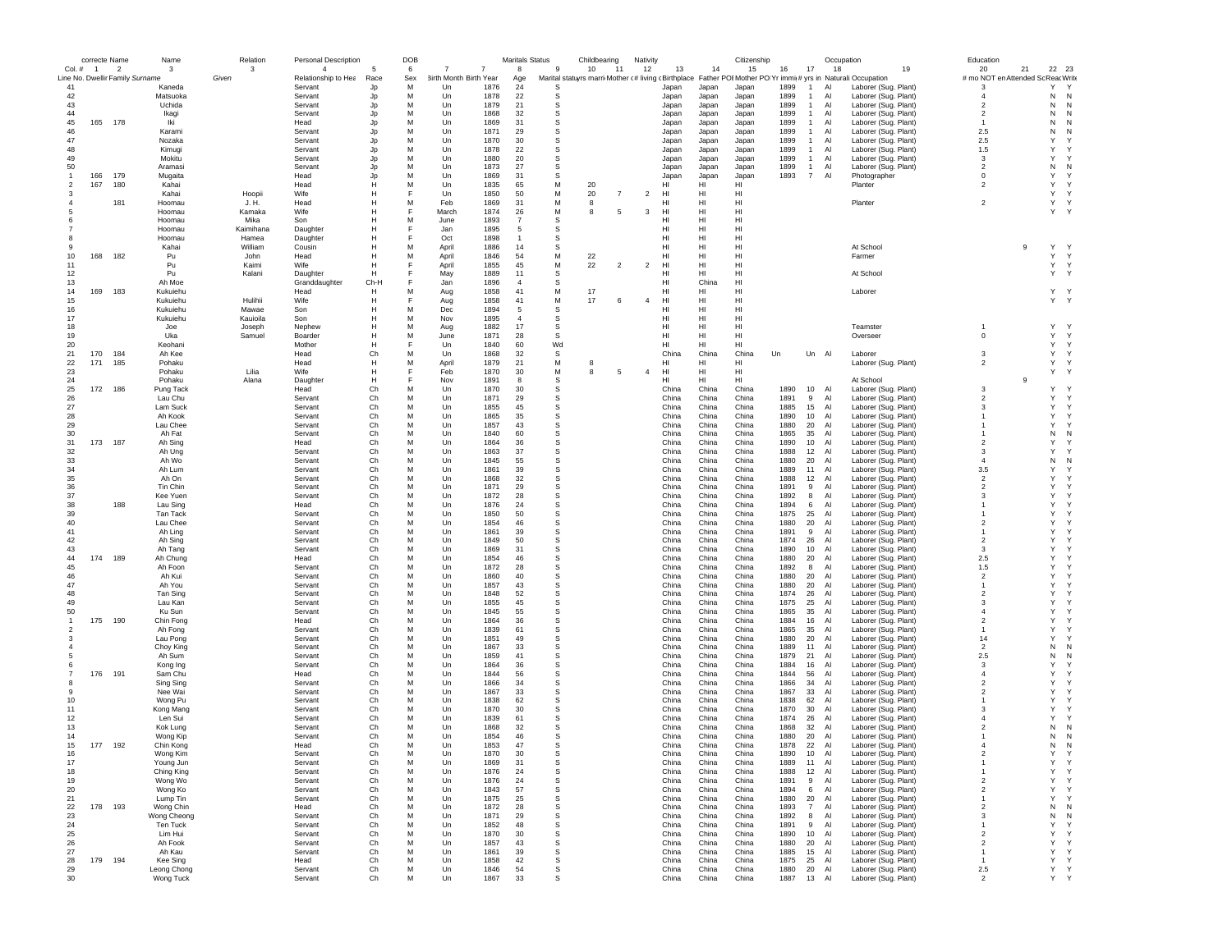|                | correcte Name |                                 | Name             | Relation       | <b>Personal Description</b> |                | DOB    |                        |              | Maritals Status |             | Childbearing |                | Nativity       |                |                | Citizenship     |              |                                | Occupation    |                                                                                                              | Education                          |    |                   |
|----------------|---------------|---------------------------------|------------------|----------------|-----------------------------|----------------|--------|------------------------|--------------|-----------------|-------------|--------------|----------------|----------------|----------------|----------------|-----------------|--------------|--------------------------------|---------------|--------------------------------------------------------------------------------------------------------------|------------------------------------|----|-------------------|
| Col. # 1       |               | $\overline{2}$                  | 3                | 3              | $\overline{4}$              | 5              | 6      |                        |              | 8               | 9           | 10           | 11             | 12             | 13             | 14             | 15              | 16           | 17                             | 18            | 19                                                                                                           | 20                                 | 21 | 22<br>23          |
|                |               | Line No. Dwellir Family Surname |                  | Given          | Relationship to Hea         | Race           | Sex    | 3irth Month Birth Year |              | Age             |             |              |                |                |                |                |                 |              |                                |               | Marital statuyrs marri Mother (# living cBirthplace Father POIMother PO Yr immit# yrs in Naturali:Occupation | # mo NOT en Attended Sc Reac Write |    |                   |
| 41             |               |                                 | Kaneda           |                | Servant                     | Jp             | M      | Un                     | 1876         | 24              | S           |              |                |                | Japan          | Japan          | Japan           | 1899         | $\mathbf{1}$                   | Al            | Laborer (Sug. Plant)                                                                                         | 3                                  |    | Y<br>Y            |
| 42             |               |                                 | Matsuoka         |                | Servant                     | Jp             | M      | Un                     | 1878         | 22              | s           |              |                |                | Japan          | Japan          | Japan           | 1899         | $\overline{1}$                 | Al            | Laborer (Sug. Plant)                                                                                         | 4                                  |    | N<br>N            |
| 43             |               |                                 | Uchida           |                | Servant                     | Jp             | M      | Un                     | 1879         | 21              | s           |              |                |                | Japan          | Japan          | Japan           | 1899         | $\overline{1}$                 | Al            | Laborer (Sug. Plant)                                                                                         | $\overline{2}$                     |    | N<br>N<br>N       |
| 44<br>45       | 165           | 178                             | Ikagi<br>Iki     |                | Servant                     | Jp             | M<br>M | Un                     | 1868<br>1869 | 32<br>31        | s<br>s      |              |                |                | Japan          | Japan          | Japan           | 1899         | $\overline{1}$<br>$\mathbf{1}$ | Al            | Laborer (Sug. Plant)                                                                                         | $\overline{2}$<br>-1               |    | N<br>Ν            |
| 46             |               |                                 | Karami           |                | Head<br>Servant             | Jp<br>Jp       | M      | Un<br>Un               | 1871         | 29              | s           |              |                |                | Japan<br>Japan | Japan          | Japan<br>Japan  | 1899<br>1899 | $\overline{1}$                 | Al<br>Al      | Laborer (Sug. Plant)<br>Laborer (Sug. Plant)                                                                 | 2.5                                |    | N<br>N<br>N       |
| 47             |               |                                 | Nozaka           |                | Servant                     | Jp             | M      | Un                     | 1870         | 30              | s           |              |                |                | Japan          | Japan          | Japan           | 1899         | $\overline{1}$                 | AI            |                                                                                                              | 2.5                                |    | Y<br>Y            |
| 48             |               |                                 | Kimugi           |                | Servant                     | Jp             | M      | Un                     | 1878         | 22              | s           |              |                |                | Japan          | Japan<br>Japan | Japan           | 1899         | $\mathbf{1}$                   | Al            | Laborer (Sug. Plant)<br>Laborer (Sug. Plant)                                                                 | 1.5                                |    | Υ<br>Y            |
| 49             |               |                                 | Mokitu           |                | Servant                     | Jp             | M      | Un                     | 1880         | 20              | s           |              |                |                | Japan          | Japan          | Japan           | 1899         | $\overline{1}$                 | Al            | Laborer (Sug. Plant)                                                                                         | 3                                  |    | Y<br>Y            |
| 50             |               |                                 | Aramasi          |                | Servant                     | Jp             | M      | Un                     | 1873         | 27              | s           |              |                |                | Japan          | Japan          | Japan           | 1899         | $\overline{1}$                 | Al            | Laborer (Sug. Plant)                                                                                         | $\overline{\mathbf{c}}$            |    | N<br>N            |
| $\mathbf{1}$   | 166           | 179                             |                  |                |                             |                | M      |                        | 1869         | 31              |             |              |                |                |                |                |                 |              | $\overline{7}$                 | Al            |                                                                                                              |                                    |    | Y<br><sup>Y</sup> |
| 2              | 167           | 180                             | Mugaita<br>Kahai |                | Head<br>Head                | Jp<br>Н        | M      | Un<br>Un               | 1835         | 65              | s<br>M      | 20           |                |                | Japan<br>HI    | Japan<br>HI    | Japan<br>HI     | 1893         |                                |               | Photographer<br>Planter                                                                                      | 0<br>$\overline{\mathbf{c}}$       |    | Y<br><sup>Y</sup> |
| -3             |               |                                 | Kahai            | Hoopii         | Wife                        | Н              | F      | Un                     | 1850         | 50              | M           | 20           | $\overline{7}$ | $\overline{2}$ | HI             | HI             | HI              |              |                                |               |                                                                                                              |                                    |    | Y<br><sup>Y</sup> |
|                |               | 181                             | Hoomau           | J. H.          | Head                        | Н              | M      | Feb                    | 1869         | 31              | М           | 8            |                |                | HI             | HI             | HI              |              |                                |               | Planter                                                                                                      | $\overline{2}$                     |    | Y<br>Y            |
|                |               |                                 |                  |                | Wife                        | Н              | F      | March                  | 1874         | 26              | М           | 8            | 5              | 3              | HI             | HI             | HI              |              |                                |               |                                                                                                              |                                    |    | Y<br>Y            |
|                |               |                                 | Hoomau<br>Hoomau | Kamaka<br>Mika | Son                         | Н              | M      | June                   | 1893         | $\overline{7}$  | $\mathbb S$ |              |                |                | HI             | HI             | HI              |              |                                |               |                                                                                                              |                                    |    |                   |
|                |               |                                 | Hoomau           | Kaimihana      | Daughter                    | Н              | E      | Jan.                   | 1895         | 5               | s           |              |                |                | HI             | HI             | H1              |              |                                |               |                                                                                                              |                                    |    |                   |
|                |               |                                 | Hoomau           | Hamea          | Daughter                    | Н              | F      | Oct                    | 1898         | $\overline{1}$  | s           |              |                |                | HI             | HI             | HI              |              |                                |               |                                                                                                              |                                    |    |                   |
|                |               |                                 | Kahai            | William        | Cousin                      | Н              | M      | April                  | 1886         | 14              | s           |              |                |                | HI             | HI             | HI              |              |                                |               | At School                                                                                                    |                                    | 9  | Υ<br>Y            |
| 10             | 168           | 182                             | Pu               | John           |                             | Н              | M      |                        | 1846         | 54              | М           | 22           |                |                | HI             | HI             | HI              |              |                                |               |                                                                                                              |                                    |    | Υ<br>Y            |
| 11             |               |                                 | Pu               | Kaimi          | Head<br>Wife                | Н              | E      | April<br>April         | 1855         | 45              | М           | 22           | $\overline{2}$ | $\overline{2}$ | HI             | HI             | HI              |              |                                |               | Farmer                                                                                                       |                                    |    | $\mathbf Y$<br>Υ  |
| 12             |               |                                 | Pu               | Kalani         | Daughter                    | H              | F      |                        | 1889         | 11              | s           |              |                |                | HI             | HI             | HI              |              |                                |               | At School                                                                                                    |                                    |    | Y<br>Y            |
| 13             |               |                                 | Ah Moe           |                |                             | Ch-H           | F      | May<br>Jan             | 1896         | $\overline{4}$  |             |              |                |                | HI             | China          | HI              |              |                                |               |                                                                                                              |                                    |    |                   |
| 14             | 169           | 183                             | Kukuiehu         |                | Granddaughter<br>Head       | Н              | M      | Aug                    | 1858         | 41              | s<br>М      | 17           |                |                | HI             | HI             | HI              |              |                                |               | Laborer                                                                                                      |                                    |    | Y Y               |
| 15             |               |                                 | Kukuiehu         | Hulihii        | Wife                        | Н              |        |                        | 1858         | 41              | М           | 17           | 6              | $\overline{4}$ | HI             | HI             | HI              |              |                                |               |                                                                                                              |                                    |    | Y Y               |
| 16             |               |                                 | Kukuiehu         | Mawae          | Son                         | Н              | M      | Aug<br>Dec             | 1894         | 5               | $\mathbb S$ |              |                |                | HI             | HI             | HI              |              |                                |               |                                                                                                              |                                    |    |                   |
| 17             |               |                                 | Kukuiehu         | Kauioila       | Son                         | Н              | M      | Nov                    | 1895         | $\overline{4}$  | s           |              |                |                | HI             | HI             | HI              |              |                                |               |                                                                                                              |                                    |    |                   |
| 18             |               |                                 | Joe              | Joseph         | Nephew                      | Н              | M      |                        | 1882         | 17              | $\mathbb S$ |              |                |                | HI             | HI             | H1              |              |                                |               | Teamster                                                                                                     | -1                                 |    | Y<br><sup>Y</sup> |
| 19             |               |                                 | Uka              | Samuel         | Boarder                     | Н              | M      | Aug<br>June            | 1871         | 28              | s           |              |                |                | HI             | HI             | HI              |              |                                |               | Overseer                                                                                                     | $\mathbf 0$                        |    | Y<br><sup>Y</sup> |
| 20             |               |                                 | Keohani          |                | Mother                      | Н              | F      | Un                     | 1840         | 60              | Wd          |              |                |                | HI             | HI             | HI              |              |                                |               |                                                                                                              |                                    |    | Y<br>Y            |
| 21             | 170           | 184                             | Ah Kee           |                | Head                        | Ch             | M      | Un                     | 1868         | 32              | s           |              |                |                | China          | China          | China           | Un           | Un Al                          |               | Laborer                                                                                                      | 3                                  |    | Υ<br><sup>Y</sup> |
| 22             | 171           | 185                             | Pohaku           |                | Head                        | H              | M      | April                  | 1879         | 21              | М           | 8            |                |                | HI             | HI             | HI              |              |                                |               | Laborer (Sug. Plant)                                                                                         | $\overline{2}$                     |    | Υ<br><sup>Y</sup> |
| 23             |               |                                 | Pohaku           | Lilia          | Wife                        | $\mathbb{H}$   | F      | Feb                    | 1870         | 30              | М           | 8            | 5              | $\overline{4}$ | HI             | HI             | H <sub>II</sub> |              |                                |               |                                                                                                              |                                    |    | Y<br>Y            |
| 24             |               |                                 | Pohaku           | Alana          | Daughter                    | H              | F      | Nov                    | 1891         | 8               | s           |              |                |                | HI             | HI             | HI              |              |                                |               | At School                                                                                                    |                                    | 9  |                   |
| 25             | 172           | 186                             | Pung Tack        |                | Head                        | Ch             | M      | Un                     | 1870         | 30              | s           |              |                |                | China          | China          | China           | 1890         | 10                             | Al            | Laborer (Sug. Plant)                                                                                         | 3                                  |    | Υ<br>Y            |
| 26             |               |                                 | Lau Chu          |                | Servant                     | Ch             | M      | Un                     | 1871         | 29              | s           |              |                |                | China          | China          | China           | 1891         | 9                              | Al            | Laborer (Sug. Plant)                                                                                         | $\overline{2}$                     |    | Y<br>Y            |
| 27             |               |                                 | Lam Suck         |                | Servant                     | Ch             | M      | Un                     | 1855         | 45              | $\mathbb S$ |              |                |                | China          | China          | China           | 1885         | 15                             | Al            | Laborer (Sug. Plant)                                                                                         | 3                                  |    | Υ<br><sup>Y</sup> |
| 28             |               |                                 | Ah Kook          |                | Servant                     | Ch             | M      | Un                     | 1865         | 35              | $\mathbb S$ |              |                |                | China          | China          | China           | 1890         | 10                             | Al            | Laborer (Sug. Plant)                                                                                         | -1                                 |    | Υ<br><sup>Y</sup> |
| 29             |               |                                 | Lau Chee         |                | Servant                     | Ch             | M      | Un                     | 1857         | 43              | s           |              |                |                | China          | China          | China           | 1880         | 20                             | AI            | Laborer (Sug. Plant)                                                                                         | -1                                 |    | Y<br><sup>Y</sup> |
| 30             |               |                                 | Ah Fat           |                | Servant                     | Ch             | M      | Un                     | 1840         | 60              | s           |              |                |                | China          | China          | China           | 1865         | 35                             | Al            | Laborer (Sug. Plant)                                                                                         | -1                                 |    | N<br>N            |
| 31             | 173           | 187                             | Ah Sing          |                | Head                        | Ch             | M      | Un                     | 1864         | 36              | s           |              |                |                | China          | China          | China           | 1890         | 10                             | Al            | Laborer (Sug. Plant)                                                                                         | $\overline{2}$                     |    | Y<br>Y            |
| 32             |               |                                 | Ah Ung           |                | Servant                     | Ch             | M      | Un                     | 1863         | 37              | s           |              |                |                | China          | China          | China           | 1888         | 12                             | Al            | Laborer (Sug. Plant)                                                                                         | 3                                  |    | Y<br>Υ            |
| 33             |               |                                 | Ah Wo            |                | Servant                     | Ch             | M      | Un                     | 1845         | 55              | s           |              |                |                | China          | China          | China           | 1880         | 20                             | $\mathsf{Al}$ | Laborer (Sug. Plant)                                                                                         | $\overline{4}$                     |    | Ν<br>N            |
| 34             |               |                                 | Ah Lum           |                | Servant                     | Ch             | M      | Un                     | 1861         | 39              | s           |              |                |                | China          | China          | China           | 1889         | 11                             | Al            | Laborer (Sug. Plant)                                                                                         | 3.5                                |    | Y<br>Y            |
| 35             |               |                                 | Ah On            |                | Servant                     | Ch             | M      | Un                     | 1868         | 32              | s           |              |                |                | China          | China          | China           | 1888         | 12                             | Al            | Laborer (Sug. Plant)                                                                                         | $\overline{2}$                     |    | Υ<br>Y            |
| 36             |               |                                 | Tin Chin         |                | Servant                     | Ch             | M      | Un                     | 1871         | 29              | s           |              |                |                | China          | China          | China           | 1891         | 9                              | Al            | Laborer (Sug. Plant)                                                                                         | $\overline{2}$                     |    | Y<br>Y            |
| 37             |               |                                 | Kee Yuen         |                | Servant                     | Ch             | M      | Un                     | 1872         | 28              | s           |              |                |                | China          | China          | China           | 1892         | 8                              | Al            | Laborer (Sug. Plant)                                                                                         | 3                                  |    | Y<br>Y            |
| 38             |               | 188                             | Lau Sing         |                | Head                        | Ch             | M      | Un                     | 1876         | 24              | s           |              |                |                | China          | China          | China           | 1894         | 6                              | Al            | Laborer (Sug. Plant)                                                                                         | -1                                 |    | Y<br>Y            |
| 39             |               |                                 | Tan Tack         |                | Servant                     | Ch             | M      | Un                     | 1850         | 50              | $\mathbb S$ |              |                |                | China          | China          | China           | 1875         | 25                             | Al            | Laborer (Sug. Plant)                                                                                         | -1                                 |    | Y<br>Y            |
| 40             |               |                                 | Lau Chee         |                | Servant                     | Ch             | M      | Un                     | 1854         | 46              | s           |              |                |                | China          | China          | China           | 1880         | 20                             | Al            | Laborer (Sug. Plant)                                                                                         | $\overline{2}$                     |    | Y<br>Υ            |
| 41             |               |                                 | Ah Ling          |                | Servant                     | Ch             | M      | Un                     | 1861         | 39              | s           |              |                |                | China          | China          | China           | 1891         | 9                              | Al            | Laborer (Sug. Plant)                                                                                         | $\mathbf{1}$                       |    | Υ<br>Y            |
| 42             |               |                                 | Ah Sing          |                | Servant                     | Ch             | M      | Un                     | 1849         | 50              | s           |              |                |                | China          | China          | China           | 1874         | 26                             | Al            | Laborer (Sug. Plant)                                                                                         | $\overline{2}$                     |    | Y<br>Υ            |
| 43             |               |                                 | Ah Tang          |                | Servant                     | Ch             | M      | Un                     | 1869         | 31              | s           |              |                |                | China          | China          | China           | 1890         | 10                             | $\mathsf{Al}$ | Laborer (Sug. Plant)                                                                                         | 3                                  |    | Y<br>Y            |
| 44             | 174           | 189                             | Ah Chung         |                | Head                        | Ch             | M      | Un                     | 1854         | 46              | s           |              |                |                | China          | China          | China           | 1880         | 20                             | Al            | Laborer (Sug. Plant)                                                                                         | 2.5                                |    | Y<br>Y            |
| 45             |               |                                 | Ah Foon          |                | Servant                     | Ch             | M      | Un                     | 1872         | 28              | s           |              |                |                | China          | China          | China           | 1892         | 8                              | Al            | Laborer (Sug. Plant)                                                                                         | 1.5                                |    | Y<br>Υ            |
| 46             |               |                                 | Ah Kui           |                | Servant                     | Ch             | M      | Un                     | 1860         | 40              | s           |              |                |                | China          | China          | China           | 1880         | 20                             | Al            | Laborer (Sug. Plant)                                                                                         | $\overline{2}$                     |    | Υ<br>Υ            |
| 47             |               |                                 | Ah You           |                | Servant                     | Ch             | M      | Un                     | 1857         | 43              | s           |              |                |                | China          | China          | China           | 1880         | 20                             | Al            | Laborer (Sug. Plant)                                                                                         | $\mathbf{1}$                       |    | Y<br>Y            |
| 48             |               |                                 | Tan Sing         |                | Servant                     | Ch             | M      | Un                     | 1848         | 52              | s           |              |                |                | China          | China          | China           | 1874         | 26                             | Al            | Laborer (Sug. Plant)                                                                                         | $\overline{2}$                     |    | Y<br>Y            |
| 49             |               |                                 | Lau Kan          |                | Servant                     | Ch             | M      | Un                     | 1855         | 45              | $\mathbb S$ |              |                |                | China          | China          | China           | 1875         | 25                             | Al            | Laborer (Sug. Plant)                                                                                         | 3                                  |    | Υ<br>Y            |
| 50             |               |                                 | Ku Sun           |                | Servant                     | Ch             | M      | Un                     | 1845         | 55              | s           |              |                |                | China          | China          | China           | 1865         | 35                             | AI            | Laborer (Sug. Plant)                                                                                         | $\overline{4}$                     |    | Y<br>Y            |
| $\overline{1}$ | 175           | 190                             | Chin Fong        |                | Head                        | Ch             | M      | Un                     | 1864         | 36              | s           |              |                |                | China          | China          | China           | 1884         | 16                             | Al            | Laborer (Sug. Plant)                                                                                         | $\overline{2}$                     |    | Υ<br>Y            |
|                |               |                                 | Ah Fong          |                | Servant                     | Ch             | M      | Un                     | 1839         | 61              | s           |              |                |                | China          | China          | China           | 1865         | 35                             | Al            | Laborer (Sug. Plant)                                                                                         | $\mathbf{1}$                       |    | Υ<br>Y            |
|                |               |                                 | Lau Pong         |                | Servant                     | Ch             | M      | Un                     | 1851         | 49              | s           |              |                |                | China          | China          | China           | 1880         | 20                             | Al            | Laborer (Sug. Plant)                                                                                         | 14                                 |    | Y<br>Y            |
|                |               |                                 | Choy King        |                | Servant                     | Ch             | M      | Un                     | 1867         | 33              | s           |              |                |                | China          | China          | China           | 1889         | 11                             | $\mathsf{Al}$ | Laborer (Sug. Plant)                                                                                         | $\overline{\mathbf{c}}$            |    | Ν<br>N            |
|                |               |                                 | Ah Sum           |                | Servant                     | Ch             | M      | Un                     | 1859         | 41              | s           |              |                |                | China          | China          | China           | 1879         | 21                             | Al            | Laborer (Sug. Plant)                                                                                         | 2.5                                |    | Ν<br>N            |
|                |               |                                 | Kong Ing         |                | Servant                     | Ch             | M      | Un                     | 1864         | 36              | s           |              |                |                | China          | China          | China           | 1884         | 16                             | Al            | Laborer (Sug. Plant)                                                                                         | 3                                  |    | Y<br>Y            |
|                | 176           | 19'                             | Sam Chu          |                | Head                        | Ch             | M      | Un                     | 1844         | 56              | s           |              |                |                | China          | China          | China           | 1844         | 56                             | Al            | Laborer (Sug. Plant)                                                                                         | $\overline{4}$                     |    | Υ<br>Y            |
|                |               |                                 | Sing Sing        |                | Servant                     | Ch             | M      | Un                     | 1866         | 34              | s           |              |                |                | China          | China          | China           | 1866         | 34                             | Al            | Laborer (Sug. Plant)                                                                                         | $\overline{2}$                     |    | Y<br>Y            |
| 9              |               |                                 | Nee Wai          |                | Servant                     | Ch             | M      | Un                     | 1867         | 33              | s           |              |                |                | China          | China          | China           | 1867         | 33                             | Al            | Laborer (Sug. Plant)                                                                                         | $\overline{\mathbf{c}}$            |    | Y<br>Y            |
| 10             |               |                                 | Wong Pu          |                | Servant                     | Ch             | M      | Un                     | 1838         | 62              | $\mathbb S$ |              |                |                | China          | China          | China           | 1838         | 62                             | Al            | Laborer (Sug. Plant)                                                                                         | -1                                 |    | Υ<br>Y            |
| 11             |               |                                 | Kong Mang        |                | Servant                     | Ch             | M      | Un                     | 1870         | 30              | s           |              |                |                | China          | China          | China           | 1870         | 30                             | AI            | Laborer (Sug. Plant)                                                                                         | 3                                  |    | Y<br>Y            |
| 12             |               |                                 | Len Sui          |                | Servant                     | Ch             | M      | Un                     | 1839         | 61              | s           |              |                |                | China          | China          | China           | 1874         | 26                             | Al            | Laborer (Sug. Plant)                                                                                         | $\overline{4}$                     |    | Υ<br>Y            |
| 13             |               |                                 | Kok Lung         |                | Servant                     | Ch             | M      | Un                     | 1868         | 32              | s           |              |                |                | China          | China          | China           | 1868         | 32                             | Al            | Laborer (Sug. Plant)                                                                                         | $\overline{2}$                     |    | N<br>N            |
| 14             |               |                                 | Wong Kip         |                | Servant                     | Ch             | M      | Un                     | 1854         | 46              | s           |              |                |                | China          | China          | China           | 1880         | 20                             | Al            | Laborer (Sug. Plant)                                                                                         |                                    |    | N<br>N            |
| 15             | 177           | 192                             | Chin Kong        |                | Head                        | Ch             | M      | Un                     | 1853         | 47              | s           |              |                |                | China          | China          | China           | 1878         | 22                             | Al            | Laborer (Sug. Plant)                                                                                         | Δ                                  |    | Ν<br>N            |
| 16             |               |                                 | Wong Kim         |                | Servan                      | C <sub>h</sub> | M      | 1 In                   | 1870         | 30              |             |              |                |                | China          | China          | China           | 1890         | 10                             | Al            | Laborer (Sug. Plant)                                                                                         |                                    |    | Y<br>Y            |
| 17             |               |                                 | Young Jun        |                | Servant                     | Ch             | M      | Un                     | 1869         | 31              | s           |              |                |                | China          | China          | China           | 1889         | 11                             | Al            | Laborer (Sug. Plant)                                                                                         | $\mathbf{1}$                       |    | Y<br>Y            |
| 18             |               |                                 | Ching King       |                | Servant                     | Ch             | M      | Un                     | 1876         | 24              | $\mathbb S$ |              |                |                | China          | China          | China           | 1888         | 12                             | Al            | Laborer (Sug. Plant)                                                                                         | $\mathbf{1}$                       |    | Y<br>Y            |
| 19             |               |                                 | Wong Wo          |                | Servant                     | Ch             | M      | Un                     | 1876         | 24              | s           |              |                |                | China          | China          | China           | 1891         | 9                              | Al            | Laborer (Sug. Plant)                                                                                         | $\overline{c}$                     |    | Y<br>Y            |
| 20             |               |                                 | Wong Ko          |                | Servant                     | Ch             | M      | Un                     | 1843         | 57              | $\mathbb S$ |              |                |                | China          | China          | China           | 1894         | 6                              | Al            | Laborer (Sug. Plant)                                                                                         | $\overline{c}$                     |    | Y<br>Y            |
| 21             |               |                                 | Lump Tin         |                | Servant                     | Ch             | M      | Un                     | 1875         | 25              | $\mathbb S$ |              |                |                | China          | China          | China           | 1880         | 20                             | Al            | Laborer (Sug. Plant)                                                                                         | $\mathbf{1}$                       |    | Y<br>Y            |
| 22             | 178           | 193                             | Wong Chin        |                | Head                        | Ch             | M      | Un                     | 1872         | 28              | $\mathbb S$ |              |                |                | China          | China          | China           | 1893         | $\overline{7}$                 | Al            | Laborer (Sug. Plant)                                                                                         | $\overline{2}$                     |    | N<br>N            |
| 23             |               |                                 | Wong Cheong      |                | Servant                     | Ch             | M      | Un                     | 1871         | 29              | s           |              |                |                | China          | China          | China           | 1892         | 8                              | Al            | Laborer (Sug. Plant)                                                                                         | 3                                  |    | N<br>N            |
| 24             |               |                                 | Ten Tuck         |                | Servant                     | Ch             | M      | Un                     | 1852         | 48              | s           |              |                |                | China          | China          | China           | 1891         | 9                              | Al            | Laborer (Sug. Plant)                                                                                         | $\mathbf{1}$                       |    | Υ<br>Y            |
| 25             |               |                                 | Lim Hui          |                | Servant                     | Ch             | М      | Un                     | 1870         | 30              | s           |              |                |                | China          | China          | China           | 1890         | 10                             | Al            | Laborer (Sug. Plant)                                                                                         | $\overline{\mathbf{c}}$            |    | Υ<br>Y            |
| 26             |               |                                 | Ah Fook          |                | Servant                     | Ch             | М      | Un                     | 1857         | 43              | s           |              |                |                | China          | China          | China           | 1880         | 20                             | Al            | Laborer (Sug. Plant)                                                                                         | $\overline{\mathbf{c}}$            |    | Υ<br>Y            |
| 27             |               |                                 | Ah Kau           |                | Servant                     | Ch             | M      | Un                     | 1861         | 39              | s           |              |                |                | China          | China          | China           | 1885         | 15                             | Al            | Laborer (Sug. Plant)                                                                                         | -1                                 |    | Υ<br>Y            |
| 28             | 179 194       |                                 | Kee Sing         |                | Head                        | Ch             | M      | Un                     | 1858         | 42              | s           |              |                |                | China          | China          | China           | 1875         | 25                             | Al            | Laborer (Sug. Plant)                                                                                         | $\mathbf{1}$                       |    | Υ<br>Y            |
| 29             |               |                                 | Leong Chong      |                | Servant                     | Ch             | М      | Un                     | 1846         | 54              | s           |              |                |                | China          | China          | China           | 1880         | 20                             | Al            | Laborer (Sug. Plant)                                                                                         | 2.5                                |    | Y<br>Y            |
| 30             |               |                                 | Wong Tuck        |                | Servant                     | Ch             | М      | Un                     | 1867         | 33              | s           |              |                |                | China          | China          | China           | 1887 13 Al   |                                |               | Laborer (Sug. Plant)                                                                                         | $\overline{a}$                     |    | Y Y               |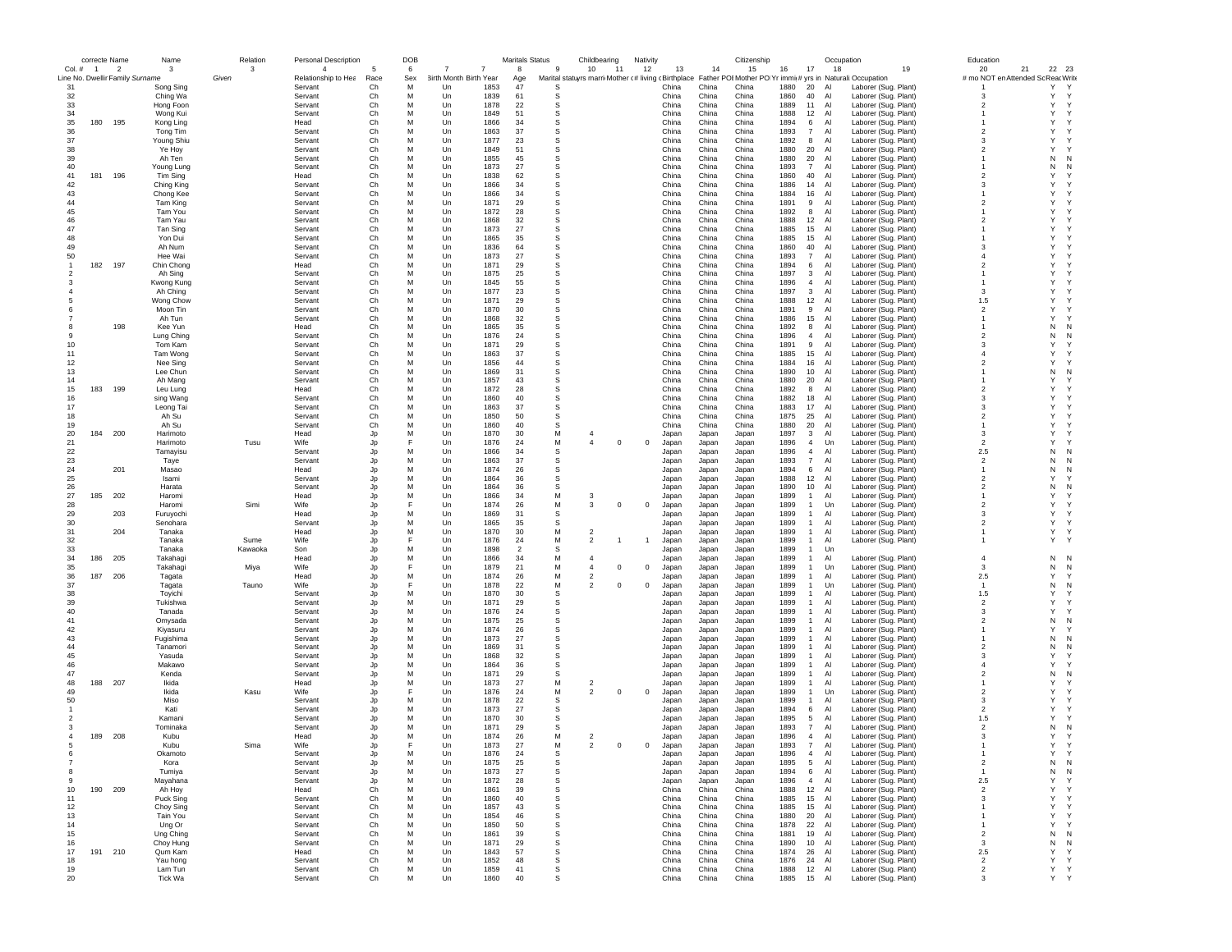|                | correcte Name |                                 | Name                   | Relation | <b>Personal Description</b> |                | DOB    |                               |              | <b>Maritals Status</b> |        | Childbearing                                        | Nativity   |                |                | Citizenship    |              |                                           | Occupation                                                 |                                              | Education                         |                             |
|----------------|---------------|---------------------------------|------------------------|----------|-----------------------------|----------------|--------|-------------------------------|--------------|------------------------|--------|-----------------------------------------------------|------------|----------------|----------------|----------------|--------------|-------------------------------------------|------------------------------------------------------------|----------------------------------------------|-----------------------------------|-----------------------------|
| Col. # 1       |               | $\overline{2}$                  | 3                      | 3        | $\overline{4}$              | 5              | 6      | 7                             |              | 8                      | 9      | 10<br>11                                            | 12         | 13             | 14             | 15             | 16           | 17                                        | 18                                                         | 19                                           | 20<br>21                          | 22 23                       |
|                |               | Line No. Dwellir Family Surname |                        | Given    | Relationship to Hea         | Race           | Sex    | <b>3irth Month Birth Year</b> |              | Age                    |        | Marital statuyrs marri Mother (# living (Birthplace |            |                |                |                |              |                                           | Father POI Mother PO Yr immi(# yrs in Naturali: Occupation |                                              | # mo NOT en Attended Sc ReacWrite |                             |
| 31<br>32       |               |                                 | Song Sing              |          | Servant                     | Ch<br>Ch       | м<br>M | Un<br>Un                      | 1853<br>1839 | 47<br>61               | s<br>s |                                                     |            | China<br>China | China<br>China | China<br>China | 1880<br>1860 | 20<br>40                                  | Al<br>Al                                                   | Laborer (Sug. Plant)                         | -3                                | Υ<br>Y<br>Y<br>Y            |
| 33             |               |                                 | Ching Wa<br>Hong Foon  |          | Servant<br>Servant          | C <sub>h</sub> | M      | Un                            | 1878         | 22                     | s      |                                                     |            | China          | China          | China          | 1889         | 11                                        | AI                                                         | Laborer (Sug. Plant)<br>Laborer (Sug. Plant) | $\mathcal{P}$                     | Y<br>Y                      |
| 34             |               |                                 | Wong Kui               |          | Servant                     | Ch             | M      | Un                            | 1849         | 51                     | S      |                                                     |            | China          | China          | China          | 1888         | 12                                        | Al                                                         | Laborer (Sug. Plant)                         |                                   | Y<br>$\mathsf{Y}$           |
| 35             | 180           | 195                             | Kong Ling              |          | Head                        | Ch             | M      | Un                            | 1866         | 34                     | s      |                                                     |            | China          | China          | China          | 1894         | 6                                         | Al                                                         | Laborer (Sug. Plant)                         |                                   | Y<br>Y                      |
| 36             |               |                                 | Tong Tim               |          | Servant                     | Ch             | M      | Un                            | 1863         | 37                     | s      |                                                     |            | China          | China          | China          | 1893         | $\overline{7}$                            | Al                                                         | Laborer (Sug. Plant)                         | $\overline{2}$                    | Y<br>Y                      |
| 37             |               |                                 | Young Shiu             |          | Servant                     | Ch             | M      | Un                            | 1877         | 23                     | s      |                                                     |            | China          | China          | China          | 1892         | 8                                         | Al                                                         | Laborer (Sug. Plant)                         | 3                                 | Y<br>Y                      |
| 38             |               |                                 | Ye Hoy                 |          | Servant                     | Ch             | M      | Un                            | 1849         | 51                     | s      |                                                     |            | China          | China          | China          | 1880         | 20                                        | AI                                                         | Laborer (Sug. Plant)                         | $\mathcal{P}$                     | Y<br>Y                      |
| 39             |               |                                 | Ah Ten                 |          | Servant                     | Ch             | M      | Un                            | 1855         | 45                     | S      |                                                     |            | China          | China          | China          | 1880         | 20                                        | Al                                                         | Laborer (Sug. Plant)                         | $\mathbf{1}$                      | N<br>N                      |
| 40             |               |                                 | Young Lung             |          | Servant                     | Ch             | M      | Un                            | 1873         | 27                     | s      |                                                     |            | China          | China          | China          | 1893         | $\overline{7}$                            | Al                                                         | Laborer (Sug. Plant)                         |                                   | N<br>N                      |
| 41             | 181           | 196                             | Tim Sing               |          | Head                        | Ch             | М      | Un                            | 1838         | 62                     | s      |                                                     |            | China          | China          | China          | 1860         | 40                                        | Al                                                         | Laborer (Sug. Plant)                         | $\overline{2}$                    | Υ<br>Υ                      |
| 42             |               |                                 | Ching King             |          | Servant                     | Ch             | M      | Un                            | 1866         | 34                     | s      |                                                     |            | China          | China          | China          | 1886         | 14                                        | Al                                                         | Laborer (Sug. Plant)                         | 3                                 | Υ<br>Y                      |
| 43             |               |                                 | Chong Kee              |          | Servant                     | Ch             | M      | Un                            | 1866         | 34                     | s      |                                                     |            | China          | China          | China          | 1884         | 16                                        | AI                                                         | Laborer (Sug. Plant)                         | $\overline{1}$                    | Y                           |
| 44             |               |                                 | Tam King               |          | Servant                     | Ch             | M      | Un                            | 1871         | 29                     | S      |                                                     |            | China          | China          | China          | 1891         | 9                                         | Al                                                         | Laborer (Sug. Plant)                         | $\overline{2}$                    | Υ<br>Y                      |
| 45             |               |                                 | Tam You                |          | Servant                     | Ch             | M      | Un                            | 1872         | 28                     | S      |                                                     |            | China          | China          | China          | 1892         | 8                                         | Al                                                         | Laborer (Sug. Plant)                         |                                   | Υ<br>Y                      |
| 46             |               |                                 | Tam Yau                |          | Servant                     | Ch             | M      | Un                            | 1868         | 32                     | s      |                                                     |            | China          | China          | China          | 1888         | 12                                        | Al                                                         | Laborer (Sug. Plant)                         | $\overline{2}$                    | Y<br>Y                      |
| 47<br>48       |               |                                 | Tan Sing<br>Yon Dui    |          | Servant                     | Ch<br>Ch       | M<br>M | Un<br>Un                      | 1873<br>1865 | 27<br>35               | s<br>s |                                                     |            | China<br>China | China<br>China | China<br>China | 1885<br>1885 | 15<br>15                                  | Al<br>A1                                                   | Laborer (Sug. Plant)                         | $\mathbf{1}$                      | Υ<br>Y<br>Y<br>$\mathsf{Y}$ |
| 49             |               |                                 |                        |          | Servant                     | Ch             | M      | $_{\text{Un}}$                | 1836         | 64                     | s      |                                                     |            | China          | China          | China          | 1860         | 40                                        | A1                                                         | Laborer (Sug. Plant)                         | $\mathbf{3}$                      | Y<br>$\mathsf{Y}$           |
| 50             |               |                                 | Ah Num<br>Hee Wai      |          | Servant<br>Servant          | Ch             | M      | Un                            | 1873         | 27                     | S      |                                                     |            | China          | China          | China          | 1893         | $\overline{7}$                            | Al                                                         | Laborer (Sug. Plant)<br>Laborer (Sug. Plant) | $\overline{4}$                    | Y<br>$\mathsf{Y}$           |
|                | 182           | 197                             | Chin Chong             |          | Head                        | Ch             | M      | Un                            | 1871         | 29                     | s      |                                                     |            | China          | China          | China          | 1894         | 6                                         | Al                                                         | Laborer (Sug. Plant)                         | $\overline{2}$                    | Y<br>$\mathsf{Y}$           |
|                |               |                                 | Ah Sing                |          | Servant                     | Ch             | M      | Un                            | 1875         | 25                     | s      |                                                     |            | China          | China          | China          | 1897         | 3                                         | Al                                                         | Laborer (Sug. Plant)                         |                                   | Υ<br>$\mathsf{Y}$           |
|                |               |                                 | Kwong Kung             |          | Servant                     | Ch             | M      | Un                            | 1845         | 55                     | s      |                                                     |            | China          | China          | China          | 1896         | $\overline{4}$                            | Al                                                         | Laborer (Sug. Plant)                         |                                   | Υ<br>Y                      |
|                |               |                                 | Ah Ching               |          | Servant                     | Ch             | M      | Un                            | 1877         | 23                     | s      |                                                     |            | China          | China          | China          | 1897         | $\mathbf{3}$                              | AI                                                         | Laborer (Sug. Plant)                         | 3                                 | Y<br>Y                      |
|                |               |                                 | Wong Chow              |          | Servant                     | Ch             | M      | Un                            | 1871         | 29                     | S      |                                                     |            | China          | China          | China          | 1888         | 12                                        | Al                                                         | Laborer (Sug. Plant)                         | 1.5                               | Y<br>Y                      |
|                |               |                                 | Moon Tin               |          | Servant                     | Ch             | M      | Un                            | 1870         | 30                     | s      |                                                     |            | China          | China          | China          | 1891         | 9                                         | Al                                                         | Laborer (Sug. Plant)                         | $\overline{2}$                    | Y<br>Y                      |
|                |               |                                 | Ah Tun                 |          | Servant                     | Ch             | M      | Un                            | 1868         | 32                     | s      |                                                     |            | China          | China          | China          | 1886         | 15                                        | Al                                                         | Laborer (Sug. Plant)                         | $\overline{1}$                    | Y<br>Y                      |
| 8              |               | 198                             | Kee Yun                |          | Head                        | Ch             | M      | Un                            | 1865         | 35                     | s      |                                                     |            | China          | China          | China          | 1892         | 8                                         | Al                                                         | Laborer (Sug. Plant)                         |                                   | N<br>N                      |
| -9             |               |                                 | Lung Ching             |          | Servant                     | Ch             | M      | $_{\text{Un}}$                | 1876         | 24                     | s      |                                                     |            | China          | China          | China          | 1896         | $\overline{4}$                            | AI                                                         | Laborer (Sug. Plant)                         | $\mathcal{P}$                     | ${\sf N}$<br>N              |
| 10             |               |                                 | Tom Kam                |          | Servant                     | Ch             | M      | Un                            | 1871         | 29                     | S      |                                                     |            | China          | China          | China          | 1891         | 9                                         | Al                                                         | Laborer (Sug. Plant)                         | 3                                 | Y<br>Y                      |
| 11             |               |                                 | Tam Wong               |          | Servant                     | Ch             | M      | Un                            | 1863         | 37                     | S      |                                                     |            | China          | China          | China          | 1885         | 15                                        | Al                                                         | Laborer (Sug. Plant)                         | $\overline{4}$                    | Υ<br>Y                      |
| 12             |               |                                 | Nee Sing               |          | Servant                     | Ch             | M      | Un                            | 1856         | 44                     | s      |                                                     |            | China          | China          | China          | 1884         | 16                                        | Al                                                         | Laborer (Sug. Plant)                         | $\overline{2}$                    | Y                           |
| 13             |               |                                 | Lee Chun               |          | Servant                     | Ch             | M      | Un                            | 1869         | 31                     | s      |                                                     |            | China          | China          | China          | 1890         | 10                                        | Al                                                         | Laborer (Sug. Plant)                         |                                   | N<br>N                      |
| 14             |               |                                 | Ah Mang                |          | Servant                     | Ch             | M      | Un                            | 1857         | 43                     | s      |                                                     |            | China          | China          | China          | 1880         | 20                                        | Al                                                         | Laborer (Sug. Plant)                         |                                   | Y                           |
| 15             | 183           | 199                             | Leu Lung               |          | Head                        | Ch             | M      | Un                            | 1872         | 28                     | S      |                                                     |            | China          | China          | China          | 1892         | 8                                         | AI                                                         | Laborer (Sug. Plant)                         | $\overline{2}$                    | Y<br>Y                      |
| 16             |               |                                 | sing Wang              |          | Servant                     | Ch             | M      | Un                            | 1860         | 40                     | S      |                                                     |            | China          | China          | China          | 1882         | 18                                        | Al                                                         | Laborer (Sug. Plant)                         | 3                                 | Υ<br>Y                      |
| 17             |               |                                 | Leong Tai              |          | Servant                     | Ch             | M      | Un                            | 1863         | 37                     | s      |                                                     |            | China          | China          | China          | 1883         | 17                                        | Al                                                         | Laborer (Sug. Plant)                         | 3                                 | Y<br>Y                      |
| 18             |               |                                 | Ah Su                  |          | Servant                     | Ch             | M      | Un                            | 1850         | 50                     | s      |                                                     |            | China          | China          | China          | 1875         | 25                                        | Al                                                         | Laborer (Sug. Plant)                         | $\overline{2}$                    | Y<br>Y                      |
| 19             | 184           |                                 | Ah Su                  |          | Servant                     | Ch             | M<br>M | Un<br>$_{\text{Un}}$          | 1860<br>1870 | 40<br>30               | s<br>M |                                                     |            | China          | China          | China          | 1880<br>1897 | 20                                        | Al<br>AI                                                   | Laborer (Sug. Plant)                         | $\overline{1}$<br>$\mathbf{3}$    | Υ<br>Y<br>Y<br>Y            |
| 20<br>21       |               | 200                             | Harimoto<br>Harimoto   | Tusu     | Head<br>Wife                | Jp<br>Jp       |        | Un                            | 1876         | 24                     | M      | $\overline{a}$<br>$\overline{4}$<br>$\mathbf 0$     | $^{\circ}$ | Japan          | Japan<br>Japan | Japan<br>Japan | 1896         | $\overline{\mathbf{3}}$<br>$\overline{4}$ | Un                                                         | Laborer (Sug. Plant)<br>Laborer (Sug. Plant) | $\overline{2}$                    | Υ<br>Υ                      |
| 22             |               |                                 | Tamayisu               |          | Servant                     | Jp             | M      | Un                            | 1866         | 34                     | s      |                                                     |            | Japan<br>Japan | Japan          | Japan          | 1896         | $\overline{4}$                            | Al                                                         |                                              | 2.5                               | N<br>N                      |
| 23             |               |                                 | Taye                   |          | Servant                     | Jp             | M      | Un                            | 1863         | 37                     | s      |                                                     |            | Japan          | Japan          | Japan          | 1893         | $\overline{7}$                            | Al                                                         | Laborer (Sug. Plant)<br>Laborer (Sug. Plant) | $\overline{2}$                    | N<br>N                      |
| 24             |               | 201                             | Masao                  |          | Head                        | Jp             | M      | Un                            | 1874         | 26                     | s      |                                                     |            | Japan          | Japan          | Japan          | 1894         | 6                                         | Al                                                         | Laborer (Sug. Plant)                         |                                   | N<br>N                      |
| 25             |               |                                 | Isami                  |          | Servant                     | Jp             | M      | Un                            | 1864         | 36                     | s      |                                                     |            | Japan          | Japan          | Japan          | 1888         | 12                                        | Al                                                         | Laborer (Sug. Plant)                         | $\overline{2}$                    | Y<br>Y                      |
| 26             |               |                                 | Harata                 |          | Servant                     | Jp             | M      | Un                            | 1864         | 36                     | S      |                                                     |            | Japan          | Japan          | Japan          | 1890         | 10                                        | Al                                                         | Laborer (Sug. Plant)                         | $\overline{2}$                    | ${\sf N}$<br>N              |
| 27             | 185           | 202                             | Haromi                 |          | Head                        | Jp             | M      | Un                            | 1866         | 34                     | M      | 3                                                   |            | Japan          | Japan          | Japan          | 1899         | $\mathbf{1}$                              | Al                                                         | Laborer (Sug. Plant)                         |                                   | Y<br>Y                      |
| 28             |               |                                 | Haromi                 | Simi     | Wife                        | Jp             |        | Un                            | 1874         | 26                     | M      | 3<br>$\mathbf 0$                                    | $^{\circ}$ | Japan          | Japan          | Japan          | 1899         | 1                                         | Un                                                         | Laborer (Sug. Plant)                         | $\overline{2}$                    | Y<br>Y                      |
| 29             |               | 203                             | Furuyochi              |          | Head                        | Jp             | M      | Un                            | 1869         | 31                     | s      |                                                     |            | Japan          | Japan          | Japan          | 1899         | 1                                         | Al                                                         | Laborer (Sug. Plant)                         | 3                                 | Υ<br>Y                      |
| 30             |               |                                 | Senohara               |          | Servant                     | Jp             | M      | Un                            | 1865         | 35                     | s      |                                                     |            | Japan          | Japan          | Japan          | 1899         | $\mathbf{1}$                              | Al                                                         | Laborer (Sug. Plant)                         | $\overline{2}$                    | Υ<br>Y                      |
| 31             |               | 204                             | Tanaka                 |          | Head                        | Jp             | M      | $_{\text{Un}}$                | 1870         | 30                     | M      | $\overline{\mathbf{2}}$                             |            | Japan          | Japan          | Japan          | 1899         | 1                                         | AI                                                         | Laborer (Sug. Plant)                         | $\mathbf{1}$                      | Y<br>Y                      |
| 32             |               |                                 | Tanaka                 | Sume     | Wife                        | Jp             |        | Un                            | 1876         | 24                     | M      | $\overline{2}$<br>$\overline{1}$                    |            | Japan          | Japan          | Japan          | 1899         | 1                                         | Al                                                         | Laborer (Sug. Plant)                         | $\overline{1}$                    | Y                           |
| 33             |               |                                 | Tanaka                 | Kawaoka  | Son                         | Jp             | M      | Un                            | 1898         | $\overline{2}$         | s      |                                                     |            | Japan          | Japan          | Japan          | 1899         | 1                                         | Un                                                         |                                              |                                   |                             |
| 34             | 186           | 205                             | Takahagi               |          | Head                        | Jp             | M      | Un                            | 1866         | 34                     | M      | $\overline{4}$                                      |            | Japan          | Japan          | Japan          | 1899         | 1                                         | Al                                                         | Laborer (Sug. Plant)                         | $\overline{4}$                    | N<br>N                      |
| 35             |               |                                 | Takahagi               | Miya     | Wife                        | Jp             |        | Un                            | 1879         | 21                     | M      | $\mathsf 0$<br>$\overline{4}$                       | 0          | Japan          | Japan          | Japan          | 1899         | 1                                         | Un                                                         | Laborer (Sug. Plant)                         | 3                                 | N<br>N                      |
| 36             |               | 187 206                         | Tagata                 |          | Head                        | Jp             | M      | Un                            | 1874         | 26                     | M      | $\overline{2}$                                      |            | Japan          | Japan          | Japan          | 1899         | 1                                         | Al                                                         | Laborer (Sug. Plant)                         | 2.5                               | Y<br>Y                      |
| 37             |               |                                 | Tagata                 | Tauno    | Wife                        | Jp             |        | Un                            | 1878         | 22                     | M      | $\mathfrak{D}$<br>$\mathbf 0$                       | $^{\circ}$ | Japan          | Japan          | Japan          | 1899         | $\mathbf{1}$                              | Un                                                         | Laborer (Sug. Plant)                         | $\overline{1}$                    | N<br>N                      |
| 38             |               |                                 | Toyichi                |          | Servant                     | Jp             | M      | Un                            | 1870         | 30                     | S      |                                                     |            | Japan          | Japan          | Japan          | 1899         | $\mathbf{1}$                              | Al                                                         | Laborer (Sug. Plant)                         | 1.5                               | Υ<br>Y                      |
| 39             |               |                                 | Tukishwa               |          | Servant                     | Jp             | M      | Un                            | 1871         | 29                     | s      |                                                     |            | Japan          | Japan          | Japan          | 1899         | $\mathbf{1}$                              | Al                                                         | Laborer (Sug. Plant)                         | $\overline{2}$                    | Y<br>Y                      |
| 40<br>41       |               |                                 | Tanada                 |          | Servant                     | Jp             | M<br>M | Un                            | 1876<br>1875 | 24<br>25               | s<br>s |                                                     |            | Japan          | Japan          | Japan          | 1899         | 1                                         | Al<br>AI                                                   | Laborer (Sug. Plant)                         | 3<br>$\mathcal{P}$                | Y<br>Y<br>${\sf N}$         |
| 42             |               |                                 | Omysada                |          | Servant                     | Jp             | M      | Un<br>$_{\text{Un}}$          | 1874         | 26                     | s      |                                                     |            | Japan          | Japan          | Japan          | 1899<br>1899 | -1                                        | AI                                                         | Laborer (Sug. Plant)                         | $\mathbf{1}$                      | N<br>Y<br>Y                 |
| 43             |               |                                 | Kiyasuru<br>Fugishima  |          | Servant<br>Servant          | Jp<br>Jp       | M      | Un                            | 1873         | 27                     | S      |                                                     |            | Japan<br>Japan | Japan<br>Japan | Japan<br>Japan | 1899         | 1<br>1                                    | Al                                                         | Laborer (Sug. Plant)<br>Laborer (Sug. Plant) |                                   | N<br>N                      |
| 44             |               |                                 | Tanamori               |          | Servant                     | Jp             | M      | Un                            | 1869         | 31                     | s      |                                                     |            | Japan          | Japan          | Japan          | 1899         |                                           | Al                                                         | Laborer (Sug. Plant)                         | $\overline{2}$                    | N<br>N                      |
| 45             |               |                                 | Yasuda                 |          | Servant                     | Jp             | M      | Un                            | 1868         | 32                     | s      |                                                     |            | Japan          | Japan          | Japan          | 1899         | 1                                         | Al                                                         | Laborer (Sug. Plant)                         | 3                                 | Υ<br>Y                      |
| 46             |               |                                 | Makawo                 |          | Servant                     | Jp             | M      | Un                            | 1864         | 36                     | s      |                                                     |            | Japan          | Japan          | Japan          | 1899         | 1                                         | Al                                                         | Laborer (Sug. Plant)                         | $\Delta$                          | Υ<br>Y                      |
| 47             |               |                                 | Kenda                  |          | Servant                     | Jp             | M      | Un                            | 1871         | 29                     | s      |                                                     |            | Japan          | Japan          | Japan          | 1899         | $\mathbf{1}$                              | AI                                                         | Laborer (Sug. Plant)                         | $\mathcal{P}$                     | N<br>N                      |
| 48             | 188           | 207                             | Ikida                  |          | Head                        | Jp             | M      | Un                            | 1873         | 27                     | M      | $\overline{2}$                                      |            | Japan          | Japan          | Japan          | 1899         | $\mathbf{1}$                              | Al                                                         | Laborer (Sug. Plant)                         |                                   | Y<br>Y                      |
| 49             |               |                                 | Ikida                  | Kasu     | Wife                        | Jp             |        | Un                            | 1876         | 24                     | M      | $\overline{2}$<br>$\mathbf 0$                       | $^{\circ}$ | Japan          | Japan          | Japan          | 1899         | $\mathbf{1}$                              | Un                                                         | Laborer (Sug. Plant)                         | $\overline{2}$                    | Y<br>Y                      |
| 50             |               |                                 | Miso                   |          | Servant                     | Jp             | M      | Un                            | 1878         | 22                     | s      |                                                     |            | Japan          | Japan          | Japan          | 1899         | $\mathbf{1}$                              | Al                                                         | Laborer (Sug. Plant)                         | 3                                 | Y<br>Y                      |
|                |               |                                 | Kati                   |          | Servant                     | Jp             | M      | Un                            | 1873         | 27                     | s      |                                                     |            | Japan          | Japan          | Japan          | 1894         | 6                                         | Al                                                         | Laborer (Sug. Plant)                         | $\mathcal{P}$                     | Y<br>Y                      |
|                |               |                                 | Kamani                 |          | Servant                     | Jp             | M      | Un                            | 1870         | 30                     | S      |                                                     |            | Japan          | Japan          | Japan          | 1895         | 5                                         | AI                                                         | Laborer (Sug. Plant)                         | 1.5                               | Y<br>$\mathsf{v}$           |
| -3             |               |                                 | Tominaka               |          | Servant                     | Jp             | M      | Un                            | 1871         | 29                     | S      |                                                     |            | Japan          | Japan          | Japan          | 1893         | $\overline{7}$                            | Al                                                         | Laborer (Sug. Plant)                         | $\overline{2}$                    | N<br>N                      |
| $\overline{4}$ | 189 208       |                                 | Kubu                   |          | Head                        | Jp             | M      | Un                            | 1874         | 26                     | M      | $\overline{2}$                                      |            | Japan          | Japan          | Japan          | 1896         | $\overline{4}$                            | Al                                                         | Laborer (Sug. Plant)                         | 3                                 | Υ<br>Y                      |
|                |               |                                 | Kubu                   | Sima     | Wife                        | Jp             |        | Un                            | 1873         | 27                     | M      | $\overline{2}$<br>$\mathbf 0$                       | $^{\circ}$ | Japan          | Japan          | Japan          | 1893         | $\overline{7}$                            | Al                                                         | Laborer (Sug. Plant)                         |                                   | Y<br>Υ                      |
|                |               |                                 | Okamot                 |          | Servan                      |                |        | Un                            | 1876         | 24                     |        |                                                     |            |                |                | Japar          | 1896         |                                           | Al                                                         | Laborer (Sug. Plant                          |                                   | v                           |
| $\overline{7}$ |               |                                 | Kora                   |          | Servant                     | Jp             | M      | Un                            | 1875         | 25                     | s      |                                                     |            | Japan          | Japan          | Japan          | 1895         | $5\overline{5}$                           | Al                                                         | Laborer (Sug. Plant)                         | $\overline{2}$                    | ${\sf N}$<br>N              |
| 8              |               |                                 | Tumiya                 |          | Servant                     | Jp             | M      | Un                            | 1873         | 27                     | s      |                                                     |            | Japan          | Japan          | Japan          | 1894         | 6                                         | Al                                                         | Laborer (Sug. Plant)<br>Laborer (Sug. Plant) | $\overline{1}$                    | ${\sf N}$<br>N              |
| 9              |               |                                 | Mayahana               |          | Servant                     | Jp             | М<br>M | Un                            | 1872         | 28                     | s      |                                                     |            | Japan          | Japan          | Japan          | 1896         | $\overline{4}$                            | Al                                                         | Laborer (Sug. Plant)                         | 2.5                               | Υ<br>Υ                      |
| 10             | 190           | 209                             | Ah Hoy                 |          | Head                        | Ch<br>Ch       | M      | Un                            | 1861<br>1860 | 39<br>40               | s<br>s |                                                     |            | China          | China          | China          | 1888         | 12<br>15                                  | Al<br>Al                                                   |                                              | $\overline{2}$<br>3               | Υ<br>Υ<br>Υ<br>Y            |
| 11<br>12       |               |                                 | Puck Sing<br>Choy Sing |          | Servant                     | Ch             | M      | Un<br>Un                      | 1857         | 43                     | s      |                                                     |            | China          | China          | China          | 1885<br>1885 | 15                                        | Al                                                         | Laborer (Sug. Plant)<br>Laborer (Sug. Plant) | $\overline{1}$                    | Υ<br>Y                      |
| 13             |               |                                 | Tain You               |          | Servant<br>Servant          | Ch             | M      | Un                            | 1854         | 46                     | s      |                                                     |            | China<br>China | China<br>China | China<br>China | 1880         | 20                                        | Al                                                         | Laborer (Sug. Plant)                         | $\mathbf{1}$                      | Y<br>Y                      |
| 14             |               |                                 | Ung Or                 |          | Servant                     | Ch             | M      | Un                            | 1850         | 50                     | s      |                                                     |            | China          | China          | China          | 1878         | 22                                        | Al                                                         | Laborer (Sug. Plant)                         | $\overline{1}$                    | Υ<br>Y                      |
| 15             |               |                                 | Ung Ching              |          | Servant                     | Ch             | М      | Un                            | 1861         | 39                     | s      |                                                     |            | China          | China          | China          | 1881         | 19                                        | Al                                                         | Laborer (Sug. Plant)                         | $\overline{2}$                    | N<br>N                      |
| 16             |               |                                 | Choy Hung              |          | Servant                     | Ch             | М      | Un                            | 1871         | 29                     | s      |                                                     |            | China          | China          | China          | 1890         | 10                                        | Al                                                         | Laborer (Sug. Plant)                         | 3                                 | N<br>N                      |
| 17             | 191           | 210                             | Qum Kam                |          | Head                        | Ch             | M      | Un                            | 1843         | 57                     | s      |                                                     |            | China          | China          | China          | 1874         | 26                                        | Al                                                         | Laborer (Sug. Plant)                         | 2.5                               | Υ<br>Y                      |
| 18             |               |                                 | Yau hong               |          | Servant                     | Ch             | M      | Un                            | 1852         | 48                     | s      |                                                     |            | China          | China          | China          | 1876         | ${\bf 24}$                                | Al                                                         | Laborer (Sug. Plant)                         | $\overline{c}$                    | Υ<br>Y                      |
| 19             |               |                                 | Lam Tun                |          | Servant                     | Ch             | М      | Un                            | 1859         | 41                     | S      |                                                     |            | China          | China          | China          | 1888         | 12                                        | Al                                                         | Laborer (Sug. Plant)                         | $\overline{2}$                    | Y Y                         |
| 20             |               |                                 | Tick Wa                |          | Servant                     | Ch             | М      | Un                            | 1860         | 40                     | S      |                                                     |            | China          | China          | China          | 1885         | 15                                        | Al                                                         | Laborer (Sug. Plant)                         | 3                                 | Y<br>Y                      |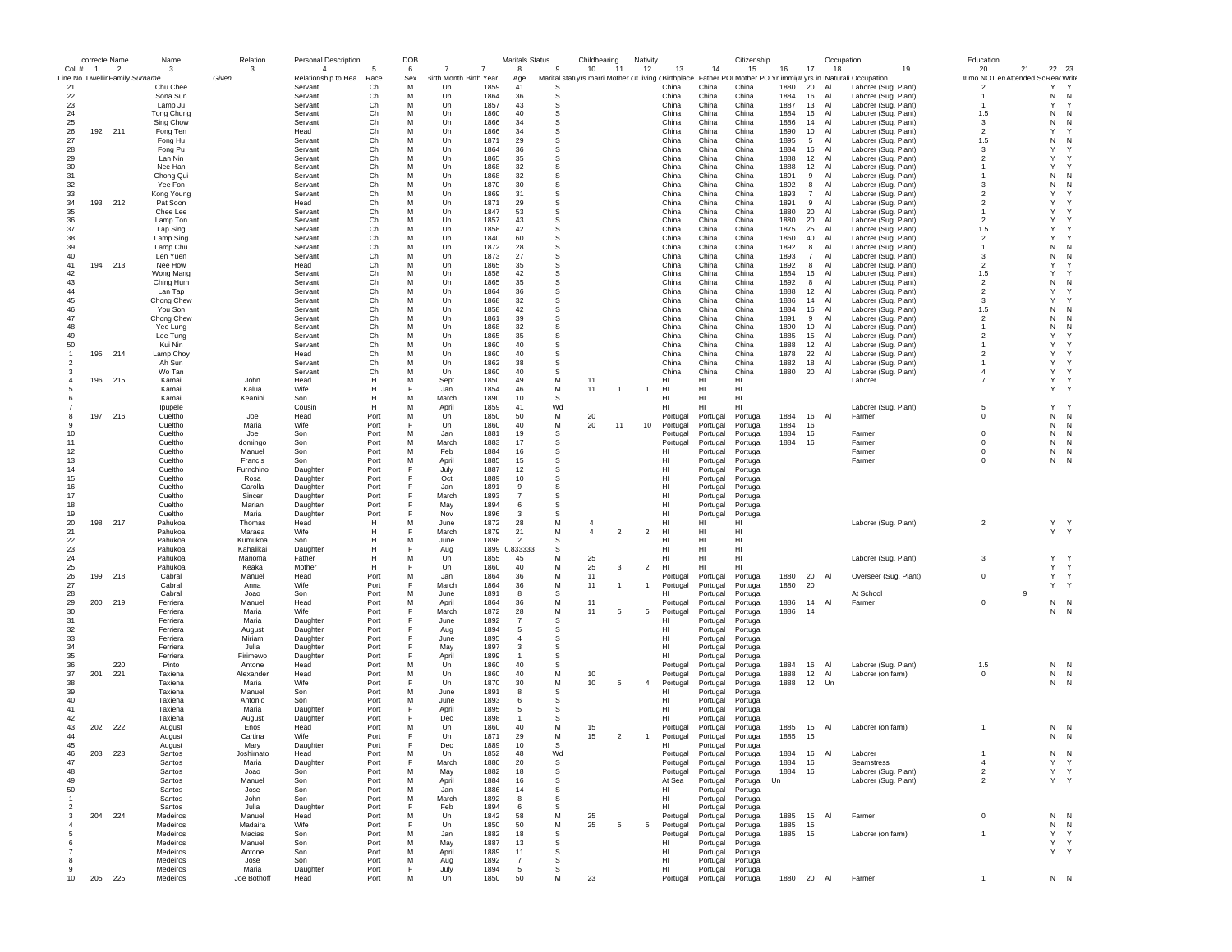|                |                | correcte Name                   | Name                 | Relation          | Personal Description           |              | DOB      |                                          |                | Maritals Status |        | Childbearing   |                | Nativity       |                      |                      | Citizenship          |              |                 | Occupation                                                                                                                                 |                       | Education                                            |           |              |
|----------------|----------------|---------------------------------|----------------------|-------------------|--------------------------------|--------------|----------|------------------------------------------|----------------|-----------------|--------|----------------|----------------|----------------|----------------------|----------------------|----------------------|--------------|-----------------|--------------------------------------------------------------------------------------------------------------------------------------------|-----------------------|------------------------------------------------------|-----------|--------------|
| Col.#          | $\overline{1}$ | $\overline{2}$                  | 3                    | 3<br>Given        | $\overline{4}$                 | -5           | 6        | $\overline{7}$<br>3irth Month Birth Year | $\overline{7}$ | 8               | 9      | 10             | 11             | 12             | 13                   | 14                   | 15                   | 16           | 17              | 18                                                                                                                                         | 19                    | 20                                                   | 21        | 22 23        |
| 21             |                | Line No. Dwellir Family Surname | Chu Chee             |                   | Relationship to Hea<br>Servant | Race<br>Ch   | Sex<br>M | Un                                       | 1859           | Age<br>41       | s      |                |                |                | China                | China                | China                | 1880         | 20              | Marital statuyrs marri Mother (# living (Birthplace Father POIMother PO Yr immi(# yrs in Naturali:Occupation<br>Al<br>Laborer (Sug. Plant) |                       | # mo NOT en Attended Sc Reac Write<br>$\overline{2}$ | Υ         | $\mathsf{Y}$ |
| 22             |                |                                 | Sona Sun             |                   | Servant                        | Ch           | M        | Un                                       | 1864           | 36              | s      |                |                |                | China                | China                | China                | 1884         | 16              | Al<br>Laborer (Sug. Plant)                                                                                                                 |                       |                                                      | N         | N            |
| 23             |                |                                 | Lamp Ju              |                   | Servant                        | Ch           | M        | Un                                       | 1857           | 43              | s      |                |                |                | China                | China                | China                | 1887         | 13              | Al<br>Laborer (Sug. Plant)                                                                                                                 |                       |                                                      | Y         | Y            |
| 24             |                |                                 | Tong Chung           |                   | Servant                        | Ch           | M        | Un                                       | 1860           | 40              | s      |                |                |                | China                | China                | China                | 1884         | 16              | Al<br>Laborer (Sug. Plant)                                                                                                                 |                       | 1.5                                                  | N         | N            |
| 25             |                |                                 | Sing Chow            |                   | Servant                        | Ch           | M        | Un                                       | 1866           | 34              | s      |                |                |                | China                | China                | China                | 1886         | 14              | Al<br>Laborer (Sug. Plant)                                                                                                                 |                       | 3                                                    | N         | N            |
| 26             |                | 192 211                         | Fong Ten             |                   | Head                           | Ch           | M        | Un                                       | 1866           | 34              | s      |                |                |                | China                | China                | China                | 1890         | 10              | Al<br>Laborer (Sug. Plant)                                                                                                                 |                       | $\overline{2}$                                       | Y         |              |
| 27             |                |                                 | Fong Hu              |                   | Servant                        | Ch           | M        | Un                                       | 1871           | 29              | s      |                |                |                | China                | China                | China                | 1895         | $5\overline{5}$ | Al<br>Laborer (Sug. Plant)                                                                                                                 |                       | 1.5                                                  | N         | N            |
| 28             |                |                                 | Fong Pu              |                   | Servant                        | Ch           | M        | Un                                       | 1864           | 36              | s      |                |                |                | China                | China                | China                | 1884         | 16              | Al<br>Laborer (Sug. Plant)                                                                                                                 |                       | 3                                                    | Y         |              |
| 29             |                |                                 | Lan Nin              |                   | Servant                        | Ch           | M<br>M   | Un                                       | 1865           | 35              | s<br>s |                |                |                | China<br>China       | China                | China                | 1888         | 12              | Al<br>Laborer (Sug. Plant)                                                                                                                 |                       | $\overline{2}$                                       | Y<br>Y    |              |
| 30             |                |                                 | Nee Han              |                   | Servant                        | Ch<br>Ch     | M        | Un<br>$_{\text{Un}}$                     | 1868<br>1868   | 32              | s      |                |                |                | China                | China<br>China       | China                | 1888<br>1891 | 12              | Al<br>Laborer (Sug. Plant)<br>$\overline{A}$                                                                                               |                       | $\mathbf{1}$                                         |           | N            |
| 31<br>32       |                |                                 | Chong Qui<br>Yee Fon |                   | Servant<br>Servant             | Ch           | M        | Un                                       | 1870           | 32<br>30        | S      |                |                |                | China                | China                | China<br>China       | 1892         | 9<br>8          | Laborer (Sug. Plant)<br>Al                                                                                                                 |                       | 3                                                    | N<br>N    | N            |
| 33             |                |                                 | Kong Young           |                   | Servant                        | Ch           | M        | Un                                       | 1869           | 31              | s      |                |                |                | China                | China                | China                | 1893         | $\overline{7}$  | Laborer (Sug. Plant)<br>Al<br>Laborer (Sug. Plant)                                                                                         |                       | $\overline{2}$                                       | Y         |              |
| 34             |                | 193 212                         | Pat Soon             |                   | Head                           | Ch           | м        | Un                                       | 1871           | 29              | s      |                |                |                | China                | China                | China                | 1891         | 9               | Al<br>Laborer (Sug. Plant)                                                                                                                 |                       | $\overline{\mathbf{2}}$                              | Y         | Y            |
| 35             |                |                                 | Chee Lee             |                   | Servant                        | Ch           | м        | Un                                       | 1847           | 53              | s      |                |                |                | China                | China                | China                | 1880         | 20              | Laborer (Sug. Plant)<br>Al                                                                                                                 |                       | $\mathbf{1}$                                         | Y         |              |
| 36             |                |                                 | Lamp Ton             |                   | Servant                        | Ch           | M        | Un                                       | 1857           | 43              | s      |                |                |                | China                | China                | China                | 1880         | 20              | Al<br>Laborer (Sug. Plant)                                                                                                                 |                       | $\mathfrak{p}$                                       | Y         |              |
| 37             |                |                                 | Lap Sing             |                   | Servant                        | Ch           | M        | Un                                       | 1858           | 42              | s      |                |                |                | China                | China                | China                | 1875         | 25              | Al<br>Laborer (Sug. Plant)                                                                                                                 |                       | 1.5                                                  | Y         |              |
| 38             |                |                                 | Lamp Sing            |                   | Servant                        | Ch           | M        | Un                                       | 1840           | 60              | s      |                |                |                | China                | China                | China                | 1860         | 40              | Al<br>Laborer (Sug. Plant)                                                                                                                 |                       | $\overline{2}$                                       | Y         |              |
| 39             |                |                                 | Lamp Chu             |                   | Servant                        | Ch           | M        | Un                                       | 1872           | 28              | s      |                |                |                | China                | China                | China                | 1892         | 8               | Al<br>Laborer (Sug. Plant)                                                                                                                 |                       | $\overline{1}$                                       | N         | N            |
| 40             |                |                                 | Len Yuen             |                   | Servant                        | Ch           | M        | Un                                       | 1873           | 27              | s      |                |                |                | China                | China                | China                | 1893         | $\overline{7}$  | Al<br>Laborer (Sug. Plant)                                                                                                                 |                       | 3                                                    | N         | N            |
| 41             |                | 194 213                         | Nee How              |                   | Head                           | Ch           | M        | $_{\text{Un}}$                           | 1865           | 35              | s      |                |                |                | China                | China                | China                | 1892         | 8               | $\overline{A}$<br>Laborer (Sug. Plant)                                                                                                     |                       | $\mathfrak{p}$                                       | Y         | Y            |
| 42             |                |                                 | Wong Mang            |                   | Servant                        | Ch           | M        | Un                                       | 1858           | 42              | s      |                |                |                | China                | China                | China                | 1884         | 16              | Al<br>Laborer (Sug. Plant)                                                                                                                 |                       | 1.5                                                  | Y         |              |
| 43             |                |                                 | Ching Hum            |                   | Servant                        | Ch           | M        | Un                                       | 1865           | 35              | s      |                |                |                | China                | China                | China                | 1892         | 8               | Al<br>Laborer (Sug. Plant)                                                                                                                 |                       | $\overline{2}$                                       | N         | N            |
| 44             |                |                                 | Lan Tap              |                   | Servant                        | Ch           | M        | Un                                       | 1864           | 36              | s      |                |                |                | China                | China                | China                | 1888         | 12              | Al<br>Laborer (Sug. Plant)                                                                                                                 |                       | $\overline{2}$                                       | Y         |              |
| 45             |                |                                 | Chong Chew           |                   | Servant                        | Ch           | M        | Un                                       | 1868           | 32              | s      |                |                |                | China                | China                | China                | 1886         | 14              | Al<br>Laborer (Sug. Plant)                                                                                                                 |                       | 3                                                    | Y         | Y            |
| 46             |                |                                 | You Son              |                   | Servant                        | Ch           | M        | Un                                       | 1858           | 42              | s      |                |                |                | China                | China                | China                | 1884         | 16              | Al<br>Laborer (Sug. Plant)                                                                                                                 |                       | 1.5                                                  | N         | N            |
| 47             |                |                                 | Chong Chew           |                   | Servant                        | Ch           | M<br>M   | Un                                       | 1861           | 39              | s      |                |                |                | China                | China                | China                | 1891         | 9               | Al<br>Laborer (Sug. Plant)                                                                                                                 |                       | $\overline{2}$                                       | N         | N<br>N       |
| 48<br>49       |                |                                 | Yee Lung             |                   | Servant                        | Ch<br>Ch     | M        | Un                                       | 1868<br>1865   | 32<br>35        | s<br>s |                |                |                | China<br>China       | China<br>China       | China<br>China       | 1890<br>1885 | 10              | Al<br>Laborer (Sug. Plant)<br>Al                                                                                                           |                       | $\overline{2}$                                       | N<br>Y    |              |
| 50             |                |                                 | Lee Tung<br>Kui Nin  |                   | Servant<br>Servant             | Ch           | M        | Un<br>Un                                 | 1860           | 40              | s      |                |                |                | China                | China                | China                | 1888         | 15<br>12        | Laborer (Sug. Plant)<br>Al<br>Laborer (Sug. Plant)                                                                                         |                       | $\mathbf{1}$                                         | Y         | Y            |
| -1             |                | 195 214                         | Lamp Choy            |                   | Head                           | Ch           | M        | Un                                       | 1860           | 40              | S      |                |                |                | China                | China                | China                | 1878         | 22              | Al<br>Laborer (Sug. Plant)                                                                                                                 |                       | $\overline{2}$                                       | Y         | Y            |
| $\mathcal{P}$  |                |                                 | Ah Sun               |                   | Servant                        | Ch           | M        | $_{\text{Un}}$                           | 1862           | 38              | s      |                |                |                | China                | China                | China                | 1882         | 18              | AI<br>Laborer (Sug. Plant)                                                                                                                 |                       | $\mathbf{1}$                                         | Y         | Y            |
| 3              |                |                                 | Wo Tan               |                   | Servant                        | Ch           | M        | Un                                       | 1860           | 40              | S      |                |                |                | China                | China                | China                | 1880         | 20              | Al<br>Laborer (Sug. Plant)                                                                                                                 |                       | $\overline{4}$                                       | Y         | Y            |
|                |                | 196 215                         | Kamai                | John              | Head                           | H            | M        | Sept                                     | 1850           | 49              | M      | 11             |                |                | нı                   | HI                   | HI                   |              |                 | Laborer                                                                                                                                    |                       | $\overline{7}$                                       | Y         | Y            |
|                |                |                                 | Kamai                | Kalua             | Wife                           | H            | E        | Jan                                      | 1854           | 46              | М      | 11             |                | $\overline{1}$ | HI                   | HI                   | HI                   |              |                 |                                                                                                                                            |                       |                                                      | Y         | Y            |
|                |                |                                 | Kamai                | Keanini           | Son                            | H            | M        | March                                    | 1890           | 10              | s      |                |                |                | HI                   | HI                   | HI                   |              |                 |                                                                                                                                            |                       |                                                      |           |              |
|                |                |                                 | Ipupele              |                   | Cousin                         | H            | M        | April                                    | 1859           | 41              | Wd     |                |                |                | HI                   | HI                   | нı                   |              |                 | Laborer (Sug. Plant)                                                                                                                       |                       | 5                                                    | Y         | $\mathbf{v}$ |
| 8              |                | 197 216                         | Cueltho              | Joe               | Head                           | Port         | M        | Un                                       | 1850           | 50              | М      | 20             |                |                | Portugal             | Portugal             | Portugal             | 1884         | 16              | Al<br>Farmer                                                                                                                               |                       | $^{\circ}$                                           | ${\sf N}$ | N            |
| 9              |                |                                 | Cueltho              | Maria             | Wife                           | Port         | E        | Un                                       | 1860           | 40              | M      | 20             | 11             | 10             | Portugal             | Portugal             | Portugal             | 1884         | 16              |                                                                                                                                            |                       |                                                      | N         | N            |
| 10             |                |                                 | Cueltho              | Joe               | Son                            | Port         | M        | Jan                                      | 1881           | 19              | s      |                |                |                | Portugal             | Portugal             | Portugal             | 1884         | 16              | Farmer                                                                                                                                     |                       | $^{\circ}$                                           | N         | N            |
| 11             |                |                                 | Cueltho              | domingo           | Son                            | Port         | M        | March                                    | 1883           | 17              | s      |                |                |                | Portugal             | Portugal             | Portugal             | 1884         | 16              | Farmer                                                                                                                                     |                       | $^{\circ}$                                           | N         | $\mathsf{N}$ |
| 12             |                |                                 | Cueltho              | Manuel            | Son                            | Port         | M        | Feb                                      | 1884           | 16              | s      |                |                |                | HI                   | Portugal             | Portugal             |              |                 | Farmer                                                                                                                                     |                       | $^{\circ}$                                           | N         | N            |
| 13             |                |                                 | Cueltho              | Francis           | Son                            | Port         | M        | April                                    | 1885           | 15              | s<br>s |                |                |                | HL                   | Portugal             | Portugal             |              |                 | Farmer                                                                                                                                     |                       | $\Omega$                                             | ${\sf N}$ | N            |
| 14<br>15       |                |                                 | Cueltho<br>Cueltho   | Furnchino<br>Rosa | Daughter<br>Daughter           | Port<br>Port |          | July<br>Oct                              | 1887<br>1889   | 12<br>10        | s      |                |                |                | HI<br>HI             | Portugal<br>Portugal | Portugal<br>Portugal |              |                 |                                                                                                                                            |                       |                                                      |           |              |
| 16             |                |                                 | Cueltho              | Carolla           | Daughter                       | Port         |          | Jan                                      | 1891           | 9               | s      |                |                |                | HI                   | Portugal             | Portugal             |              |                 |                                                                                                                                            |                       |                                                      |           |              |
| 17             |                |                                 | Cueltho              | Sincer            | Daughter                       | Port         |          | March                                    | 1893           | $\overline{7}$  | s      |                |                |                | HI                   | Portugal             | Portugal             |              |                 |                                                                                                                                            |                       |                                                      |           |              |
| 18             |                |                                 | Cueltho              | Marian            | Daughter                       | Port         | F        | May                                      | 1894           | 6               | s      |                |                |                | HI                   | Portugal             | Portugal             |              |                 |                                                                                                                                            |                       |                                                      |           |              |
| 19             |                |                                 | Cueltho              | Maria             | Daughter                       | Port         | F        | Nov                                      | 1896           | 3               | s      |                |                |                | HI                   | Portugal             | Portugal             |              |                 |                                                                                                                                            |                       |                                                      |           |              |
| 20             |                | 198 217                         | Pahukoa              | Thomas            | Head                           | H            | M        | June                                     | 1872           | 28              | M      | $\overline{4}$ |                |                | HI                   | HI                   | HI                   |              |                 | Laborer (Sug. Plant)                                                                                                                       |                       | $\overline{2}$                                       |           | Y Y          |
| 21             |                |                                 | Pahukoa              | Maraea            | Wife                           | Н            | F        | March                                    | 1879           | 21              | M      | $\overline{4}$ | $\overline{2}$ | $\overline{2}$ | HI                   | HI                   | нı                   |              |                 |                                                                                                                                            |                       |                                                      |           | Y Y          |
| 22             |                |                                 | Pahukoa              | Kumukoa           | Son                            | Н            | M        | June                                     | 1898           | $\overline{2}$  | s      |                |                |                | HI                   | HI                   | HI                   |              |                 |                                                                                                                                            |                       |                                                      |           |              |
| 23             |                |                                 | Pahukoa              | Kahalikai         | Daughter                       | $\mathsf{H}$ | E        | Aug                                      | 1899           | 0.833333        | s      |                |                |                | HI                   | HI                   | HI                   |              |                 |                                                                                                                                            |                       |                                                      |           |              |
| 24             |                |                                 | Pahukoa              | Manoma            | Father                         | H            | M        | Un                                       | 1855           | 45              | M      | 25             |                |                | HL                   | HI                   | HI                   |              |                 | Laborer (Sug. Plant)                                                                                                                       |                       | 3                                                    | Y         | $\checkmark$ |
| 25             |                |                                 | Pahukoa              | Keaka             | Mother                         | H            |          | Un                                       | 1860           | 40              | М      | 25             | 3              | $\overline{2}$ | HI                   | HI                   | HI                   |              |                 |                                                                                                                                            |                       |                                                      | Y         | Y            |
| 26             | 199            | 218                             | Cabral               | Manuel            | Head                           | Port         | M        | Jan                                      | 1864           | 36              | М      | 11             |                |                | Portugal             | Portugal             | Portugal             | 1880         | 20              | Al                                                                                                                                         | Overseer (Sug. Plant) | $^{\circ}$                                           | Y         | Y            |
| 27             |                |                                 | Cabral               | Anna              | Wife                           | Port         | F        | March                                    | 1864           | 36              | M      | 11             | $\overline{1}$ | -1             | Portugal             | Portugal             | Portugal             | 1880         | 20              |                                                                                                                                            |                       |                                                      | Y         | Y            |
| 28             |                |                                 | Cabral               | Joao              | Son                            | Port         | м<br>M   | June                                     | 1891           | 8               | s      | 11             |                |                | HI                   | Portugal             | Portugal             |              |                 | At School                                                                                                                                  |                       |                                                      | 9         |              |
| 29<br>30       |                | 200 219                         | Ferriera<br>Ferriera | Manuel<br>Maria   | Head<br>Wife                   | Port<br>Port | E        | April<br>March                           | 1864<br>1872   | 36<br>28        | M<br>M | 11             | 5              | 5              | Portugal<br>Portugal | Portugal<br>Portugal | Portugal<br>Portugal | 1886<br>1886 | 14<br>14        | Al<br>Farmer                                                                                                                               |                       | $^{\circ}$                                           | N         | $N$ N<br>N   |
| 31             |                |                                 | Ferriera             | Maria             | Daughter                       | Port         | F        | June                                     | 1892           | $\overline{7}$  | s      |                |                |                | нı                   | Portugal             | Portugal             |              |                 |                                                                                                                                            |                       |                                                      |           |              |
| 32             |                |                                 | Ferriera             | August            | Daughter                       | Port         | F        | Aug                                      | 1894           | 5               | s      |                |                |                | нı                   | Portugal             | Portugal             |              |                 |                                                                                                                                            |                       |                                                      |           |              |
| 33             |                |                                 | Ferriera             | Miriam            | Daughter                       | Port         | E        | June                                     | 1895           | $\overline{4}$  | s      |                |                |                | HI                   | Portugal             | Portugal             |              |                 |                                                                                                                                            |                       |                                                      |           |              |
| 34             |                |                                 | Ferriera             | Julia             | Daughter                       | Port         | F        | May                                      | 1897           | 3               | s      |                |                |                | HI.                  | Portugal             | Portugal             |              |                 |                                                                                                                                            |                       |                                                      |           |              |
| 35             |                |                                 | Ferriera             | Firimewo          | Daughter                       | Port         | F        | April                                    | 1899           | $\mathbf{1}$    | s      |                |                |                | HI                   | Portugal             | Portugal             |              |                 |                                                                                                                                            |                       |                                                      |           |              |
| 36             |                | 220                             | Pinto                | Antone            | Head                           | Port         | M        | Un                                       | 1860           | 40              | S      |                |                |                | Portugal             | Portugal             | Portugal             | 1884         | 16              | Al<br>Laborer (Sug. Plant)                                                                                                                 |                       | 1.5                                                  | N         | N            |
| 37             | 201            | 221                             | Taxiena              | Alexander         | Head                           | Port         | M        | Un                                       | 1860           | 40              | M      | 10             |                |                | Portugal             | Portugal             | Portugal             | 1888         | 12              | Al<br>Laborer (on farm)                                                                                                                    |                       | $^{\circ}$                                           | N         | N            |
| 38             |                |                                 | Taxiena              | Maria             | Wife                           | Port         | E        | Un                                       | 1870           | 30              | M      | 10             | 5              | $\overline{4}$ | Portugal             | Portugal             | Portugal             | 1888         | 12              | Un                                                                                                                                         |                       |                                                      | N         | N            |
| 39             |                |                                 | Taxiena              | Manuel            | Son                            | Port         | M        | June                                     | 1891           | 8               | s      |                |                |                | нı                   | Portugal             | Portugal             |              |                 |                                                                                                                                            |                       |                                                      |           |              |
| 40             |                |                                 | Taxiena              | Antonio           | Son                            | Port         | M        | June                                     | 1893           | 6               | s      |                |                |                | HI                   | Portugal             | Portugal             |              |                 |                                                                                                                                            |                       |                                                      |           |              |
| 41             |                |                                 | Taxiena              | Maria             | Daughter                       | Port         |          | April                                    | 1895           | 5               | s      |                |                |                | HI                   | Portugal             | Portugal             |              |                 |                                                                                                                                            |                       |                                                      |           |              |
| 42<br>43       |                |                                 | Taxiena              | August            | Daughter                       | Port         | F        | Dec                                      | 1898           | $\overline{1}$  | s      |                |                |                | HI                   | Portugal             | Portugal             |              |                 |                                                                                                                                            |                       |                                                      |           |              |
| 44             |                | 202 222                         | August               | Enos              | Head                           | Port         | M<br>F   | Un                                       | 1860           | 40<br>29        | M<br>M | 15             |                |                | Portugal             | Portugal             | Portugal             | 1885         | 15              | Al<br>Laborer (on farm)                                                                                                                    |                       |                                                      |           | N N          |
| 45             |                |                                 | August               | Cartina<br>Marv   | Wife                           | Port<br>Port |          | Un<br>Dec                                | 1871<br>1889   | 10              | S      | 15             | $\overline{2}$ | $\overline{1}$ | Portugal<br>HI       | Portugal             | Portugal<br>Portugal | 1885         | - 15            |                                                                                                                                            |                       |                                                      |           | N N          |
|                |                | 203 223                         | August<br>Santos     | Joshimatc         | Daughter<br>Head               | Port         |          | Un                                       | 1852           | 48              | vvc    |                |                |                | Portuga              | Portugal<br>Portugal |                      | 1884         | 16              | Al<br>Laborer                                                                                                                              |                       |                                                      | N         | N            |
| 47             |                |                                 | Santos               | Maria             | Daughter                       | Port         | F        | March                                    | 1880           | 20              | s      |                |                |                | Portugal             | Portugal             | Portuga<br>Portugal  | 1884         | 16              | Seamstress                                                                                                                                 |                       | $\overline{4}$                                       | Y         | Y            |
| 48             |                |                                 | Santos               | Joao              | Son                            | Port         | M        | May                                      | 1882           | 18              | s      |                |                |                | Portugal             | Portugal             | Portugal             | 1884         | 16              | Laborer (Sug. Plant)                                                                                                                       |                       | $\overline{2}$                                       | Υ         | Y            |
| 49             |                |                                 | Santos               | Manuel            | Son                            | Port         | м        | April                                    | 1884           | 16              | s      |                |                |                | At Sea               | Portugal             | Portugal             | Un           |                 | Laborer (Sug. Plant)                                                                                                                       |                       | $\overline{2}$                                       |           | Y Y          |
| 50             |                |                                 | Santos               | Jose              | Son                            | Port         | м        | Jan                                      | 1886           | 14              | -S     |                |                |                | HI                   | Portugal             | Portugal             |              |                 |                                                                                                                                            |                       |                                                      |           |              |
| $\mathbf{1}$   |                |                                 | Santos               | John              | Son                            | Port         | M        | March                                    | 1892           | 8               | S      |                |                |                | HI                   | Portugal             | Portugal             |              |                 |                                                                                                                                            |                       |                                                      |           |              |
| $\overline{2}$ |                |                                 | Santos               | Julia             | Daughter                       | Port         | F        | Feb                                      | 1894           | 6               | S      |                |                |                | HI                   | Portugal             | Portugal             |              |                 |                                                                                                                                            |                       |                                                      |           |              |
|                |                | 204 224                         | Medeiros             | Manuel            | Head                           | Port         | M        | Un                                       | 1842           | 58              | M      | 25             |                |                | Portugal             | Portugal             | Portugal             | 1885         | 15 AI           | Farmer                                                                                                                                     |                       | $^{\circ}$                                           | N         | N            |
|                |                |                                 | Medeiros             | Madaira           | Wife                           | Port         | F        | Un                                       | 1850           | 50              | М      | 25             | 5              | 5              | Portugal             | Portugal             | Portugal             | 1885         | 15              |                                                                                                                                            |                       |                                                      | N         | N            |
| -5             |                |                                 | Medeiros             | Macias            | Son                            | Port         | M        | Jan                                      | 1882           | 18              | s      |                |                |                | Portugal             | Portugal             | Portugal             | 1885         | 15              | Laborer (on farm)                                                                                                                          |                       | $\overline{1}$                                       | Y         | Y            |
| 6              |                |                                 | Medeiros             | Manuel            | Son                            | Port         | M        | May                                      | 1887           | 13              | s      |                |                |                | нı                   | Portugal             | Portugal             |              |                 |                                                                                                                                            |                       |                                                      |           | Y Y          |
|                |                |                                 | Medeiros             | Antone            | Son                            | Port         | M        | April                                    | 1889           | 11              | S      |                |                |                | HI                   | Portugal             | Portugal             |              |                 |                                                                                                                                            |                       |                                                      |           | Y Y          |
|                |                |                                 | Medeiros             | Jose              | Son                            | Port         | M        | Aug                                      | 1892           | $\overline{7}$  | s      |                |                |                | HI                   | Portugal             | Portugal             |              |                 |                                                                                                                                            |                       |                                                      |           |              |
| ۰q             |                |                                 | Medeiros             | Maria             | Daughter                       | Port         | F        | July                                     | 1894           | 5               | s      |                |                |                | HI                   | Portugal             | Portugal             |              |                 |                                                                                                                                            |                       |                                                      |           |              |
| 10             |                | 205 225                         | Medeiros             | Joe Bothoff       | Head                           | Port         | M        | Un                                       | 1850           | 50              | М      | 23             |                |                | Portugal             | Portugal             | Portugal             | 1880 20 Al   |                 | Farmer                                                                                                                                     |                       |                                                      |           | N N          |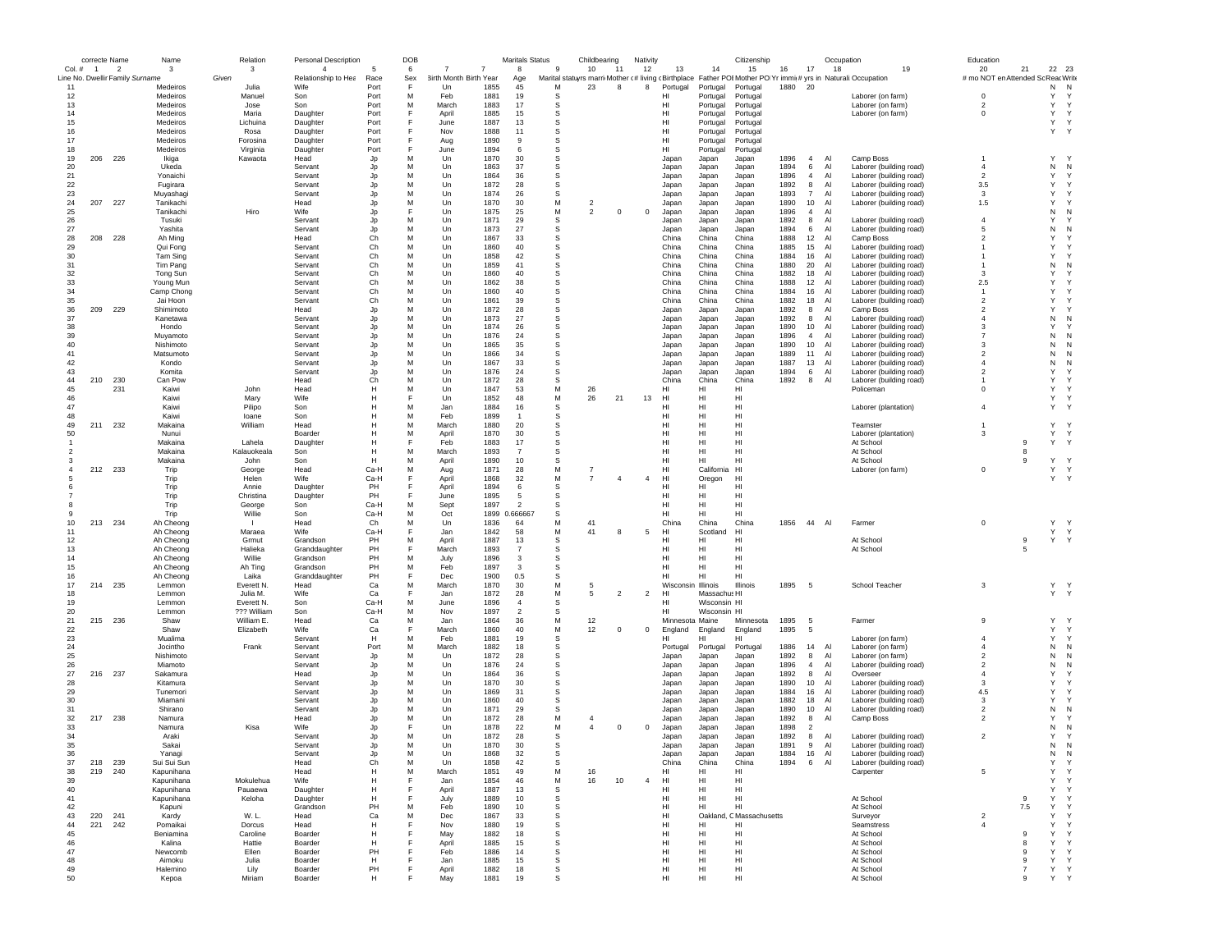|               | correcte Name  |                                                   | Name                   | Relation                  | Personal Description        |              | DOB      |                                          |                | Maritals Status      |           | Childbearing   |                | Nativity       |                    |                              | Citizenship                                                                                                               |              |                       | Occupation     |                                                    | Education                          |                |                   |              |
|---------------|----------------|---------------------------------------------------|------------------------|---------------------------|-----------------------------|--------------|----------|------------------------------------------|----------------|----------------------|-----------|----------------|----------------|----------------|--------------------|------------------------------|---------------------------------------------------------------------------------------------------------------------------|--------------|-----------------------|----------------|----------------------------------------------------|------------------------------------|----------------|-------------------|--------------|
| Col.#         | $\overline{1}$ | $\overline{2}$<br>Line No. Dwellir Family Surname | 3                      | 3                         | $\overline{4}$              | -5           | 6        | $\overline{7}$<br>3irth Month Birth Year | $\overline{7}$ | 8                    | 9         | 10<br>11       |                | 12             | 13                 | 14                           | 15                                                                                                                        | 16           | 17                    | 18             | 19                                                 | 20                                 | 21             | 22 23             |              |
| 11            |                |                                                   | Medeiros               | Given<br>Julia            | Relationship to Hea<br>Wife | Race<br>Port | Sex<br>E | Un                                       | 1855           | Age<br>45            | M         | 23             | 8              | 8              | Portugal           | Portugal                     | Marital statuyrs marri Mother c#living cBirthplace Father POI Mother PO Yr immit# yrs in Naturali: Occupation<br>Portugal | 1880         | 20                    |                |                                                    | # mo NOT en Attended Sc Reac Write |                | N                 | N            |
| 12            |                |                                                   | Medeiros               | Manuel                    | Son                         | Port         | M        | Feb                                      | 1881           | 19                   | s         |                |                |                | нı                 | Portugal                     | Portugal                                                                                                                  |              |                       |                | Laborer (on farm)                                  | $^{\circ}$                         |                | Y                 | Y            |
| 13            |                |                                                   | Medeiros               | Jose                      | Son                         | Port         | M        | March                                    | 1883           | 17                   | s         |                |                |                | HI                 | Portugal                     | Portugal                                                                                                                  |              |                       |                | Laborer (on farm)                                  | $\overline{2}$                     |                | Y                 | $\mathsf{Y}$ |
| 14            |                |                                                   | Medeiros               | Maria                     | Daughter                    | Port         | E        | April                                    | 1885           | 15                   | s         |                |                |                | HI                 | Portugal                     | Portugal                                                                                                                  |              |                       |                | Laborer (on farm)                                  | $^{\circ}$                         |                | Y                 | Y            |
| 15            |                |                                                   | Medeiros               | Lichuina                  | Daughter                    | Port         | F        | June                                     | 1887           | 13                   | s         |                |                |                | HI                 | Portugal                     | Portugal                                                                                                                  |              |                       |                |                                                    |                                    |                | Y                 | $\mathsf{Y}$ |
| 16            |                |                                                   | Medeiros               | Rosa                      | Daughter                    | Port         | E        | Nov                                      | 1888           | 11                   | s         |                |                |                | HI                 | Portugal                     | Portugal                                                                                                                  |              |                       |                |                                                    |                                    |                | Y                 | $\mathsf{Y}$ |
| 17            |                |                                                   | Medeiros               | Forosina                  | Daughter                    | Port         | F        | Aug                                      | 1890           | 9                    | s         |                |                |                | HI                 | Portugal                     | Portugal                                                                                                                  |              |                       |                |                                                    |                                    |                |                   |              |
| 18<br>19      | 206 226        |                                                   | Medeiros<br>Ikiga      | Virginia<br>Kawaota       | Daughter<br>Head            | Port<br>Jp   | F<br>M   | June<br>Un                               | 1894<br>1870   | 6<br>30              | s<br>s    |                |                |                | HI<br>Japan        | Portugal<br>Japan            | Portugal<br>Japan                                                                                                         | 1896         | 4                     | Al             | Camp Boss                                          |                                    |                | Y                 |              |
| 20            |                |                                                   | Ukeda                  |                           | Servant                     | Jp           | M        | Un                                       | 1863           | 37                   | s         |                |                |                | Japan              | Japan                        | Japan                                                                                                                     | 1894         | 6                     | Al             | Laborer (building road)                            | $\overline{4}$                     |                | ${\sf N}$         | N            |
| 21            |                |                                                   | Yonaichi               |                           | Servant                     | Jp           | M        | $_{\text{Un}}$                           | 1864           | 36                   | s         |                |                |                | Japan              | Japan                        | Japan                                                                                                                     | 1896         | $\overline{4}$        | $\overline{A}$ | Laborer (building road)                            | $\mathfrak{p}$                     |                | Y                 | $\checkmark$ |
| 22            |                |                                                   | Fugirara               |                           | Servant                     | Jp           | M        | Un                                       | 1872           | 28                   | S         |                |                |                | Japan              | Japan                        | Japan                                                                                                                     | 1892         | 8                     | Al             | Laborer (building road)                            | 3.5                                |                | Y                 | Y            |
| 23            |                |                                                   | Muyashagi              |                           | Servant                     | Jp           | M        | Un                                       | 1874           | 26                   | s         |                |                |                | Japan              | Japan                        | Japan                                                                                                                     | 1893         | $\overline{7}$        | Al             | Laborer (building road)                            | 3                                  |                | Y                 | Y            |
| 24            | 207            | 227                                               | Tanikachi              |                           | Head                        | Jp           | м        | Un                                       | 1870           | 30                   | M         | $\overline{2}$ |                |                | Japan              | Japan                        | Japan                                                                                                                     | 1890         | 10                    | Al             | Laborer (building road)                            | 1.5                                |                | Y                 | Y            |
| 25            |                |                                                   | Tanikachi              | Hiro                      | Wife                        | Jp           | E        | Un                                       | 1875           | 25                   | М         | $\overline{2}$ | $\,0\,$        | 0              | Japan              | Japan                        | Japan                                                                                                                     | 1896         | $\overline{4}$        | Al             |                                                    |                                    |                | N                 | N            |
| 26<br>27      |                |                                                   | Tusuki<br>Yashita      |                           | Servant<br>Servant          | Jp           | M<br>M   | Un<br>Un                                 | 1871<br>1873   | 29<br>27             | S<br>S    |                |                |                | Japan<br>Japan     | Japan<br>Japan               | Japan<br>Japan                                                                                                            | 1892<br>1894 | $\boldsymbol{8}$<br>6 | Al<br>Al       | Laborer (building road)<br>Laborer (building road) | $\overline{4}$<br>5                |                | Y<br>N            | N            |
| 28            | 208            | 228                                               | Ah Ming                |                           | Head                        | Jp<br>Ch     | M        | Un                                       | 1867           | 33                   | s         |                |                |                | China              | China                        | China                                                                                                                     | 1888         | 12                    | Al             | Camp Boss                                          | $\overline{2}$                     |                | Y                 |              |
| 29            |                |                                                   | Qui Fong               |                           | Servant                     | Ch           | M        | Un                                       | 1860           | 40                   | s         |                |                |                | China              | China                        | China                                                                                                                     | 1885         | 15                    | Al             | Laborer (building road)                            | $\mathbf{1}$                       |                | Y                 | Y            |
| 30            |                |                                                   | Tam Sing               |                           | Servant                     | Ch           | M        | Un                                       | 1858           | 42                   | s         |                |                |                | China              | China                        | China                                                                                                                     | 1884         | 16                    | Al             | Laborer (building road)                            |                                    |                | Y                 | Y            |
| 31            |                |                                                   | Tim Pang               |                           | Servant                     | Ch           | M        | $_{\text{Un}}$                           | 1859           | 41                   | s         |                |                |                | China              | China                        | China                                                                                                                     | 1880         | 20                    | $\overline{A}$ | Laborer (building road)                            | $\mathbf{1}$                       |                | N                 | N            |
| 32            |                |                                                   | Tong Sun               |                           | Servant                     | Ch           | M        | Un                                       | 1860           | 40                   | s         |                |                |                | China              | China                        | China                                                                                                                     | 1882         | 18                    | Al             | Laborer (building road)                            | 3                                  |                | Y                 |              |
| 33            |                |                                                   | Young Mun              |                           | Servant                     | Ch           | M        | Un                                       | 1862           | 38                   | s         |                |                |                | China              | China                        | China                                                                                                                     | 1888         | 12                    | Al             | Laborer (building road)                            | 2.5                                |                | Y                 |              |
| 34            |                |                                                   | Camp Chong             |                           | Servant                     | Ch           | M        | Un                                       | 1860           | 40                   | s         |                |                |                | China              | China                        | China                                                                                                                     | 1884         | 16                    | Al             | Laborer (building road)                            | $\mathbf{1}$                       |                | Y<br>Y            | Y            |
| 35<br>36      | 209 229        |                                                   | Jai Hoon<br>Shimimoto  |                           | Servant<br>Head             | Ch           | M<br>M   | Un<br>Un                                 | 1861<br>1872   | 39<br>28             | s<br>s    |                |                |                | China<br>Japan     | China<br>Japan               | China<br>Japan                                                                                                            | 1882<br>1892 | 18<br>8               | Al<br>Al       | Laborer (building road)<br>Camp Boss               | $\overline{2}$<br>$\overline{2}$   |                | Y                 |              |
| 37            |                |                                                   | Kanetawa               |                           | Servant                     | Jp<br>Jp     | M        | Un                                       | 1873           | 27                   | s         |                |                |                | Japan              | Japan                        | Japan                                                                                                                     | 1892         | 8                     | Al             | Laborer (building road)                            | $\overline{4}$                     |                | N                 | N            |
| 38            |                |                                                   | Hondo                  |                           | Servant                     | Jp           | M        | Un                                       | 1874           | 26                   | s         |                |                |                | Japan              | Japan                        | Japan                                                                                                                     | 1890         | 10                    | Al             | Laborer (building road)                            | 3                                  |                | Y                 |              |
| 39            |                |                                                   | Muyamoto               |                           | Servant                     | Jp           | M        | Un                                       | 1876           | 24                   | s         |                |                |                | Japan              | Japan                        | Japan                                                                                                                     | 1896         | $\overline{4}$        | Al             | Laborer (building road)                            | $\overline{7}$                     |                | N                 | N            |
| 40            |                |                                                   | Nishimoto              |                           | Servant                     | Jp           | M        | Un                                       | 1865           | 35                   | s         |                |                |                | Japan              | Japan                        | Japan                                                                                                                     | 1890         | 10                    | Al             | Laborer (building road)                            | 3                                  |                | N                 | N            |
| 41            |                |                                                   | Matsumoto              |                           | Servant                     | Jp           | M        | Un                                       | 1866           | 34                   | S         |                |                |                | Japan              | Japan                        | Japan                                                                                                                     | 1889         | 11                    | Al             | Laborer (building road)                            | $\overline{2}$                     |                | N                 | N            |
| 42            |                |                                                   | Kondo                  |                           | Servant                     | Jp           | M        | $_{\text{Un}}$                           | 1867           | 33                   | s         |                |                |                | Japan              | Japan                        | Japan                                                                                                                     | 1887         | 13                    | A1             | Laborer (building road)                            | $\overline{4}$                     |                | N                 | N            |
| 43<br>44      | 210            | 230                                               | Komita                 |                           | Servant                     | Jp<br>Ch     | M<br>M   | Un<br>Un                                 | 1876<br>1872   | 24<br>28             | S<br>s    |                |                |                | Japan<br>China     | Japan<br>China               | Japan<br>China                                                                                                            | 1894<br>1892 | 6<br>8                | Al<br>Al       | Laborer (building road)                            | $\overline{2}$                     |                | Y<br>Y            |              |
| 45            |                | 231                                               | Can Pow<br>Kaiwi       | John                      | Head<br>Head                | H            | M        | Un                                       | 1847           | 53                   | М         | 26             |                |                | HI                 | HI                           | HI                                                                                                                        |              |                       |                | Laborer (building road)<br>Policemar               | $^{\circ}$                         |                | Y                 | Y            |
| 46            |                |                                                   | Kaiwi                  | Mary                      | Wife                        | H            |          | Un                                       | 1852           | 48                   | М         | 26             | 21             | 13             | HI                 | HI                           | HI                                                                                                                        |              |                       |                |                                                    |                                    |                | Y                 | Y            |
| 47            |                |                                                   | Kaiwi                  | Pilipo                    | Son                         | $\mathsf{H}$ | M        | Jan                                      | 1884           | 16                   | s         |                |                |                | HI                 | HI                           | HI                                                                                                                        |              |                       |                | Laborer (plantation)                               | $\overline{4}$                     |                | Y                 |              |
| 48            |                |                                                   | Kaiwi                  | loane                     | Son                         | $\mathsf{H}$ | M        | Feb                                      | 1899           | $\overline{1}$       | s         |                |                |                | HI                 | HI                           | HI                                                                                                                        |              |                       |                |                                                    |                                    |                |                   |              |
| 49            | 211 232        |                                                   | Makaina                | William                   | Head                        | $\mathsf{H}$ | M        | March                                    | 1880           | 20                   | S         |                |                |                | HI                 | HI                           | HI                                                                                                                        |              |                       |                | Teamster                                           |                                    |                | Y                 | $\mathsf{Y}$ |
| 50            |                |                                                   | Nunui                  |                           | Boarder                     | $\mathsf{H}$ | M        | April                                    | 1870           | 30                   | s         |                |                |                | HI                 | HI                           | HI                                                                                                                        |              |                       |                | Laborer (plantation)                               | 3                                  |                | Y Y               |              |
| $\mathbf{1}$  |                |                                                   | Makaina                | Lahela                    | Daughter                    | H            | E        | Feb                                      | 1883           | 17                   | s         |                |                |                | HI                 | HI                           | HI                                                                                                                        |              |                       |                | At School                                          |                                    | 9              | Υ                 | Y            |
| $\mathcal{P}$ |                |                                                   | Makaina<br>Makaina     | Kalauokeala               | Son<br>Son                  | H<br>H       | M<br>M   | March<br>April                           | 1893<br>1890   | $\overline{7}$<br>10 | s<br>s    |                |                |                | HI.<br>HI.         | HI<br>HI                     | HI<br>HI                                                                                                                  |              |                       |                | At School<br>At School                             |                                    | 8<br>9         | Y                 | $\checkmark$ |
|               | 212 233        |                                                   | Trip                   | John<br>George            | Head                        | Ca-H         | M        | Aug                                      | 1871           | 28                   | M         |                |                |                | HI                 | California                   | HI                                                                                                                        |              |                       |                | Laborer (on farm)                                  | $^{\circ}$                         |                | Υ                 | Y            |
|               |                |                                                   | Trip                   | Helen                     | Wife                        | Ca-H         |          | April                                    | 1868           | 32                   | M         | $\overline{7}$ | $\overline{4}$ | $\overline{4}$ | HI                 | Oregon                       | HI                                                                                                                        |              |                       |                |                                                    |                                    |                | Υ                 | $\mathsf{Y}$ |
|               |                |                                                   | Trip                   | Annie                     | Daughter                    | PH           |          | April                                    | 1894           | 6                    | s         |                |                |                | HI                 | HI                           | HI                                                                                                                        |              |                       |                |                                                    |                                    |                |                   |              |
|               |                |                                                   | Trip                   | Christina                 | Daughter                    | PH           |          | June                                     | 1895           | -5                   | s         |                |                |                | HI                 | HI                           | HI                                                                                                                        |              |                       |                |                                                    |                                    |                |                   |              |
|               |                |                                                   | Trip                   | George                    | Son                         | Ca-H         | M        | Sept                                     | 1897           | $\mathcal{P}$        | s         |                |                |                | HI                 | HI                           | HI                                                                                                                        |              |                       |                |                                                    |                                    |                |                   |              |
|               |                |                                                   | Trip                   | Willie                    | Son                         | Ca-H         | M        | Oct                                      |                | 1899 0.666667        | S         |                |                |                | HI                 | HI                           | H <sub>II</sub>                                                                                                           |              |                       |                |                                                    |                                    |                |                   |              |
| 10            | 213 234        |                                                   | Ah Cheong              | - 1                       | Head                        | Ch           | M        | Un                                       | 1836           | 64                   | M         | 41             |                |                | China              | China                        | China                                                                                                                     | 1856         | 44                    | Al             | Farmer                                             | $^{\circ}$                         |                | Y Y               |              |
| 11<br>12      |                |                                                   | Ah Cheong<br>Ah Cheong | Maraea<br>Grmut           | Wife<br>Grandson            | Ca-H<br>PH   | M        | Jan<br>April                             | 1842<br>1887   | 58<br>13             | M<br>S    | 41             | 8              | 5              | HI<br>HI           | Scotland<br>HI               | HI<br>HI                                                                                                                  |              |                       |                | At School                                          |                                    | 9              | Y Y<br>Y Y        |              |
| 13            |                |                                                   | Ah Cheong              | Halieka                   | Granddaughter               | PH           | F        | March                                    | 1893           | $\overline{7}$       | s         |                |                |                | HI                 | HI                           | HI                                                                                                                        |              |                       |                | At School                                          |                                    | 5              |                   |              |
| 14            |                |                                                   | Ah Cheong              | Willie                    | Grandson                    | PH           | M        | July                                     | 1896           | 3                    | s         |                |                |                | HL                 | HI                           | HI                                                                                                                        |              |                       |                |                                                    |                                    |                |                   |              |
| 15            |                |                                                   | Ah Cheong              | Ah Ting                   | Grandson                    | PH           | M        | Feb                                      | 1897           | 3                    | S         |                |                |                | HI                 | HI                           | HI                                                                                                                        |              |                       |                |                                                    |                                    |                |                   |              |
| 16            |                |                                                   | Ah Cheong              | Laika                     | Granddaughter               | PH           | F        | Dec                                      | 1900           | 0.5                  | s         |                |                |                | HI                 | HI                           | HI                                                                                                                        |              |                       |                |                                                    |                                    |                |                   |              |
| 17            | 214 235        |                                                   | Lemmon                 | Everett N.                | Head                        | Ca           | M        | March                                    | 1870           | 30                   | M         | 5              |                |                | Wisconsin Illinois |                              | Illinois                                                                                                                  | 1895         | 5                     |                | School Teacher                                     | 3                                  |                | Y Y               |              |
| 18            |                |                                                   | Lemmon                 | Julia M.                  | Wife                        | Ca           | F<br>M   | Jan                                      | 1872           | 28<br>$\overline{4}$ | М         | 5              | $\overline{2}$ | $\overline{2}$ | HI                 | Massachus HI<br>Wisconsin HI |                                                                                                                           |              |                       |                |                                                    |                                    |                | Y Y               |              |
| 19<br>20      |                |                                                   | Lemmon<br>Lemmon       | Everett N.<br>??? William | Son<br>Son                  | Ca-H<br>Ca-H | M        | June<br>Nov                              | 1896<br>1897   | $\overline{2}$       | s<br>S    |                |                |                | HI<br>HI           | Wisconsin HI                 |                                                                                                                           |              |                       |                |                                                    |                                    |                |                   |              |
| 21            | 215 236        |                                                   | Shaw                   | William E.                | Head                        | Ca           | M        | Jan                                      | 1864           | 36                   | M         | 12             |                |                | Minnesota Maine    |                              | Minnesota                                                                                                                 | 1895         | 5                     |                | Farmer                                             | 9                                  |                | Y                 |              |
| 22            |                |                                                   | Shaw                   | Elizabeth                 | Wife                        | Ca           | F        | March                                    | 1860           | 40                   | ${\sf M}$ | 12             | $\mathbf 0$    | $^{\circ}$     | England            | England                      | England                                                                                                                   | 1895         | 5                     |                |                                                    |                                    |                | Y                 | Y            |
| 23            |                |                                                   | Mualima                |                           | Servant                     | H            | M        | Feb                                      | 1881           | 19                   | S         |                |                |                | нı                 | HI                           | HI                                                                                                                        |              |                       |                | Laborer (on farm)                                  | $\overline{4}$                     |                | Y                 | Y            |
| 24            |                |                                                   | Jocintho               | Frank                     | Servant                     | Port         | M        | March                                    | 1882           | 18                   | s         |                |                |                | Portugal           | Portugal                     | Portugal                                                                                                                  | 1886         | 14                    | Al             | Laborer (on farm)                                  | $\overline{4}$                     |                | N                 | N            |
| 25            |                |                                                   | Nishimoto              |                           | Servant                     | Jp           | M        | Un                                       | 1872           | 28                   | S         |                |                |                | Japan              | Japan                        | Japan                                                                                                                     | 1892         | 8                     | Al             | Laborer (on farm)                                  | $\overline{2}$                     |                | N                 | N            |
| 26            |                |                                                   | Miamoto                |                           | Servant                     | Jp           | M<br>M   | Un<br>Un                                 | 1876<br>1864   | 24<br>36             | s<br>s    |                |                |                | Japan              | Japan                        | Japan                                                                                                                     | 1896<br>1892 | $\overline{4}$        | Al<br>Al       | Laborer (building road)                            | $\overline{2}$<br>$\overline{4}$   |                | N<br>Y            | N            |
| 27<br>28      | 216 237        |                                                   | Sakamura<br>Kitamura   |                           | Head<br>Servant             | Jp<br>Jp     | M        | Un                                       | 1870           | 30                   | s         |                |                |                | Japan<br>Japan     | Japan<br>Japan               | Japan<br>Japan                                                                                                            | 1890         | 8<br>10               | Al             | Overseer<br>Laborer (building road)                | 3                                  |                | Y                 |              |
| 29            |                |                                                   | Tunemori               |                           | Servant                     | Jp           | M        | Un                                       | 1869           | 31                   | s         |                |                |                | Japan              | Japan                        | Japan                                                                                                                     | 1884         | 16                    | Al             | Laborer (building road)                            | 4.5                                |                | Y                 |              |
| 30            |                |                                                   | Miamani                |                           | Servant                     | Jp           | M        | Un                                       | 1860           | 40                   | s         |                |                |                | Japan              | Japan                        | Japan                                                                                                                     | 1882         | 18                    | Al             | Laborer (building road)                            | 3                                  |                | Y                 |              |
| 31            |                |                                                   | Shirano                |                           | Servant                     | Jp           | M        | Un                                       | 1871           | 29                   | s         |                |                |                | Japan              | Japan                        | Japan                                                                                                                     | 1890         | 10                    | Al             | Laborer (building road)                            | $\overline{2}$                     |                | N                 | N            |
| 32            | 217 238        |                                                   | Namura                 |                           | Head                        | Jp           | M        | Un                                       | 1872           | 28                   | M         |                |                |                | Japan              | Japan                        | Japan                                                                                                                     | 1892         | 8                     | Al             | Camp Boss                                          | $\overline{2}$                     |                | Y                 |              |
| 33            |                |                                                   | Namura                 | Kisa                      | Wife                        | Jp           | E        | Un                                       | 1878           | 22                   | M         | $\overline{4}$ | $^{\circ}$     | $\Omega$       | Japan              | Japan                        | Japan                                                                                                                     | 1898         | $\overline{2}$        |                |                                                    |                                    |                | N                 | $\mathsf{N}$ |
| 34            |                |                                                   | Araki<br>Sakai         |                           | Servant                     | Jp           | M<br>M   | Un<br>$_{\text{Un}}$                     | 1872           | 28                   | s         |                |                |                | Japan              | Japan                        | Japan                                                                                                                     | 1892<br>1891 | 8                     | Al<br>AI       | Laborer (building road)                            | $\overline{2}$                     |                | Y                 | Y<br>N       |
| 35<br>36      |                |                                                   | Yanagi                 |                           | Servant<br>Servan           | .ln          |          | Un                                       | 1870<br>1868   | 30<br>-32            | s         |                |                |                | Japan<br>Japar     | Japan<br>Japar               | Japan<br>Japar                                                                                                            | 1884         | 9<br>16.              | AI             | Laborer (building road)<br>Laborer (building road  |                                    |                | $\,$ N<br>N       | N            |
| 37            | 218            | 239                                               | Sui Sui Sun            |                           | Head                        | Ch           | M        | Un                                       | 1858           | 42                   | s         |                |                |                | China              | China                        | China                                                                                                                     | 1894         | 6                     | Al             | Laborer (building road)                            |                                    |                | Y                 | Y            |
| 38            | 219            | 240                                               | Kapunihana             |                           | Head                        | H            | M        | March                                    | 1851           | 49                   | M         | 16             |                |                | HI                 | HI                           | HI                                                                                                                        |              |                       |                | Carpenter                                          | 5                                  |                | Y                 | Y            |
| 39            |                |                                                   | Kapunihana             | Mokulehua                 | Wife                        | H            | F        | Jan                                      | 1854           | 46                   | М         | 16             | 10             | $\overline{4}$ | HI                 | HI                           | HI                                                                                                                        |              |                       |                |                                                    |                                    |                | Y                 | Y            |
| 40            |                |                                                   | Kapunihana             | Pauaewa                   | Daughter                    | H            | F        | April                                    | 1887           | 13                   | s         |                |                |                | HI                 | HI                           | HI                                                                                                                        |              |                       |                |                                                    |                                    |                | Y                 | $\mathsf{Y}$ |
| 41            |                |                                                   | Kapunihana             | Keloha                    | Daughter                    | H            | F        | July                                     | 1889           | 10                   | S         |                |                |                | HI                 | HI                           | HI                                                                                                                        |              |                       |                | At School                                          |                                    | 9              | Y                 | $\mathsf{Y}$ |
| 42            |                |                                                   | Kapuni                 |                           | Grandson                    | PH           | M        | Feb                                      | 1890           | 10                   | S         |                |                |                | HI                 | HI                           | HI                                                                                                                        |              |                       |                | At School                                          |                                    | 7.5            | Y                 | Y            |
| 43<br>44      | 220            | 241<br>242                                        | Kardy                  | W.L.                      | Head                        | Ca<br>H      | M<br>F   | Dec                                      | 1867<br>1880   | 33<br>19             | s<br>s    |                |                |                | HI<br>HI           |                              | Oakland, CMassachusetts<br>HI                                                                                             |              |                       |                | Surveyor                                           | $\overline{2}$<br>$\overline{4}$   |                | Y<br>$\mathsf{Y}$ | Y<br>Y       |
| 45            | 221            |                                                   | Pomaikai<br>Benjamina  | Dorcus<br>Caroline        | Head<br>Boarder             | H            | E        | Nov<br>May                               | 1882           | 18                   | s         |                |                |                | HI.                | HI<br>HI                     | HI                                                                                                                        |              |                       |                | Seamstress<br>At School                            |                                    | 9              | Y                 | Y            |
| 46            |                |                                                   | Kalina                 | Hattie                    | Boarder                     | H            | F        | April                                    | 1885           | 15                   | s         |                |                |                | HI.                | HI                           | H1                                                                                                                        |              |                       |                | At School                                          |                                    | 8              | Y                 | Y            |
| 47            |                |                                                   | Newcomb                | Ellen                     | Boarder                     | PH           | F        | Feb                                      | 1886           | 14                   | S         |                |                |                | HI                 | HI                           | HI                                                                                                                        |              |                       |                | At School                                          |                                    | 9              | Y                 | Y            |
| 48            |                |                                                   | Aimoku                 | Julia                     | Boarder                     | H            |          | Jan                                      | 1885           | 15                   | s         |                |                |                | HI                 | HI                           | HI                                                                                                                        |              |                       |                | At School                                          |                                    | 9              | Y                 | Y            |
| 49            |                |                                                   | Halemino               | Lily                      | Boarder                     | PH           | E        | April                                    | 1882           | 18                   | s         |                |                |                | HI                 | HI                           | HI                                                                                                                        |              |                       |                | At School                                          |                                    | $\overline{7}$ | Y                 | Y            |
| 50            |                |                                                   | Kepoa                  | Miriam                    | Boarder                     | H            | E        | May                                      | 1881           | 19                   | s         |                |                |                | HI                 | HI                           | HI                                                                                                                        |              |                       |                | At School                                          |                                    | 9              | Y                 | Y            |